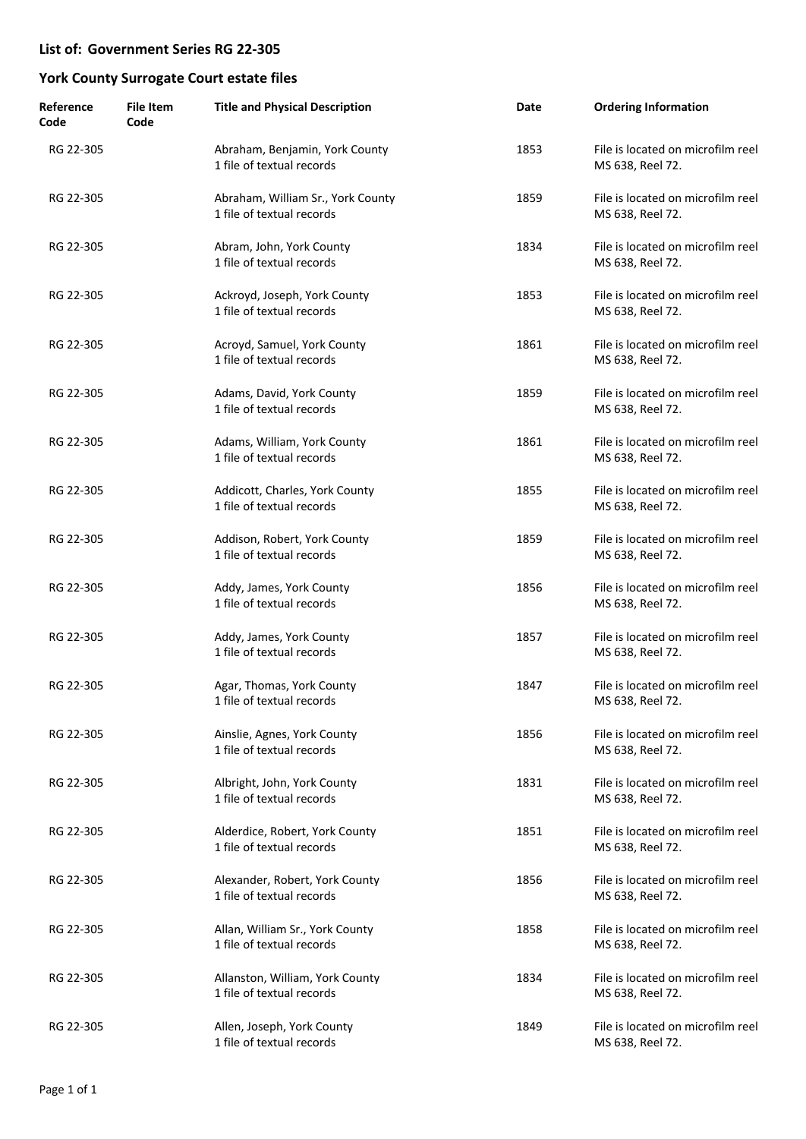| Reference<br>Code | <b>File Item</b><br>Code | <b>Title and Physical Description</b>                          | Date | <b>Ordering Information</b>                           |
|-------------------|--------------------------|----------------------------------------------------------------|------|-------------------------------------------------------|
| RG 22-305         |                          | Abraham, Benjamin, York County<br>1 file of textual records    | 1853 | File is located on microfilm reel<br>MS 638, Reel 72. |
| RG 22-305         |                          | Abraham, William Sr., York County<br>1 file of textual records | 1859 | File is located on microfilm reel<br>MS 638, Reel 72. |
| RG 22-305         |                          | Abram, John, York County<br>1 file of textual records          | 1834 | File is located on microfilm reel<br>MS 638, Reel 72. |
| RG 22-305         |                          | Ackroyd, Joseph, York County<br>1 file of textual records      | 1853 | File is located on microfilm reel<br>MS 638, Reel 72. |
| RG 22-305         |                          | Acroyd, Samuel, York County<br>1 file of textual records       | 1861 | File is located on microfilm reel<br>MS 638, Reel 72. |
| RG 22-305         |                          | Adams, David, York County<br>1 file of textual records         | 1859 | File is located on microfilm reel<br>MS 638, Reel 72. |
| RG 22-305         |                          | Adams, William, York County<br>1 file of textual records       | 1861 | File is located on microfilm reel<br>MS 638, Reel 72. |
| RG 22-305         |                          | Addicott, Charles, York County<br>1 file of textual records    | 1855 | File is located on microfilm reel<br>MS 638, Reel 72. |
| RG 22-305         |                          | Addison, Robert, York County<br>1 file of textual records      | 1859 | File is located on microfilm reel<br>MS 638, Reel 72. |
| RG 22-305         |                          | Addy, James, York County<br>1 file of textual records          | 1856 | File is located on microfilm reel<br>MS 638, Reel 72. |
| RG 22-305         |                          | Addy, James, York County<br>1 file of textual records          | 1857 | File is located on microfilm reel<br>MS 638, Reel 72. |
| RG 22-305         |                          | Agar, Thomas, York County<br>1 file of textual records         | 1847 | File is located on microfilm reel<br>MS 638, Reel 72. |
| RG 22-305         |                          | Ainslie, Agnes, York County<br>1 file of textual records       | 1856 | File is located on microfilm reel<br>MS 638, Reel 72. |
| RG 22-305         |                          | Albright, John, York County<br>1 file of textual records       | 1831 | File is located on microfilm reel<br>MS 638, Reel 72. |
| RG 22-305         |                          | Alderdice, Robert, York County<br>1 file of textual records    | 1851 | File is located on microfilm reel<br>MS 638, Reel 72. |
| RG 22-305         |                          | Alexander, Robert, York County<br>1 file of textual records    | 1856 | File is located on microfilm reel<br>MS 638, Reel 72. |
| RG 22-305         |                          | Allan, William Sr., York County<br>1 file of textual records   | 1858 | File is located on microfilm reel<br>MS 638, Reel 72. |
| RG 22-305         |                          | Allanston, William, York County<br>1 file of textual records   | 1834 | File is located on microfilm reel<br>MS 638, Reel 72. |
| RG 22-305         |                          | Allen, Joseph, York County<br>1 file of textual records        | 1849 | File is located on microfilm reel<br>MS 638, Reel 72. |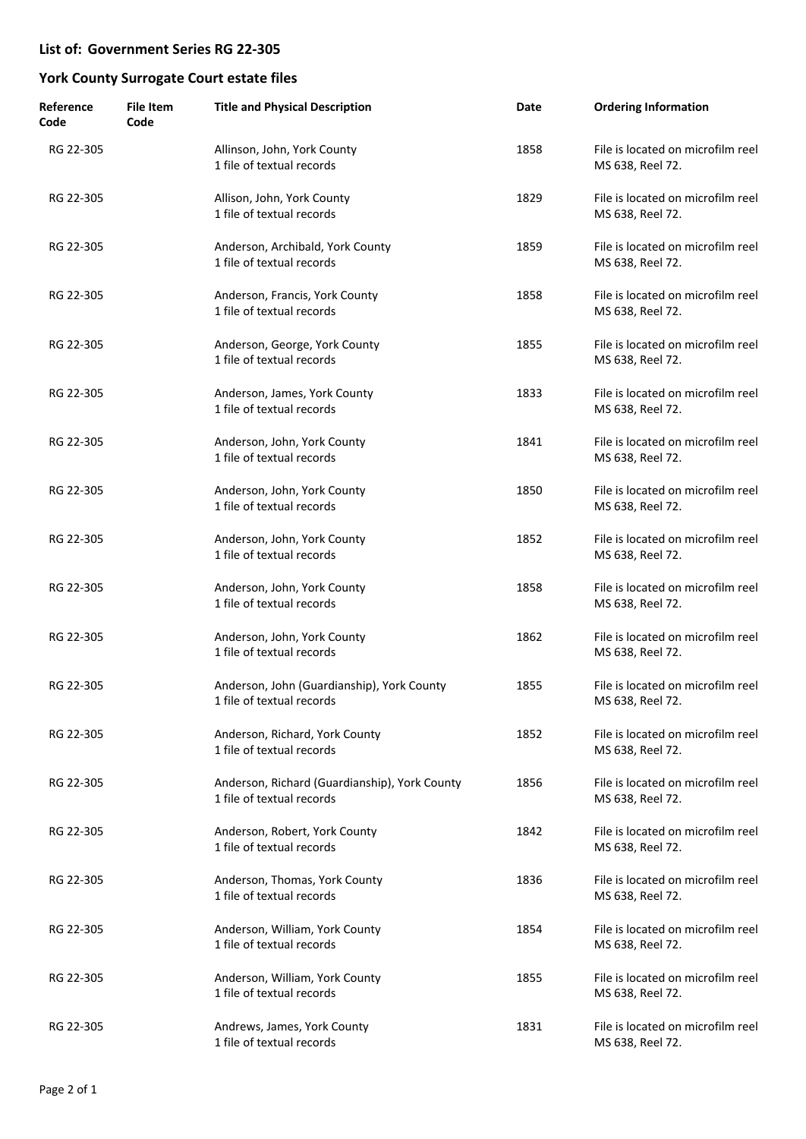| Reference<br>Code | <b>File Item</b><br>Code | <b>Title and Physical Description</b>                                      | Date | <b>Ordering Information</b>                           |
|-------------------|--------------------------|----------------------------------------------------------------------------|------|-------------------------------------------------------|
| RG 22-305         |                          | Allinson, John, York County<br>1 file of textual records                   | 1858 | File is located on microfilm reel<br>MS 638, Reel 72. |
| RG 22-305         |                          | Allison, John, York County<br>1 file of textual records                    | 1829 | File is located on microfilm reel<br>MS 638, Reel 72. |
| RG 22-305         |                          | Anderson, Archibald, York County<br>1 file of textual records              | 1859 | File is located on microfilm reel<br>MS 638, Reel 72. |
| RG 22-305         |                          | Anderson, Francis, York County<br>1 file of textual records                | 1858 | File is located on microfilm reel<br>MS 638, Reel 72. |
| RG 22-305         |                          | Anderson, George, York County<br>1 file of textual records                 | 1855 | File is located on microfilm reel<br>MS 638, Reel 72. |
| RG 22-305         |                          | Anderson, James, York County<br>1 file of textual records                  | 1833 | File is located on microfilm reel<br>MS 638, Reel 72. |
| RG 22-305         |                          | Anderson, John, York County<br>1 file of textual records                   | 1841 | File is located on microfilm reel<br>MS 638, Reel 72. |
| RG 22-305         |                          | Anderson, John, York County<br>1 file of textual records                   | 1850 | File is located on microfilm reel<br>MS 638, Reel 72. |
| RG 22-305         |                          | Anderson, John, York County<br>1 file of textual records                   | 1852 | File is located on microfilm reel<br>MS 638, Reel 72. |
| RG 22-305         |                          | Anderson, John, York County<br>1 file of textual records                   | 1858 | File is located on microfilm reel<br>MS 638, Reel 72. |
| RG 22-305         |                          | Anderson, John, York County<br>1 file of textual records                   | 1862 | File is located on microfilm reel<br>MS 638, Reel 72. |
| RG 22-305         |                          | Anderson, John (Guardianship), York County<br>1 file of textual records    | 1855 | File is located on microfilm reel<br>MS 638, Reel 72. |
| RG 22-305         |                          | Anderson, Richard, York County<br>1 file of textual records                | 1852 | File is located on microfilm reel<br>MS 638, Reel 72. |
| RG 22-305         |                          | Anderson, Richard (Guardianship), York County<br>1 file of textual records | 1856 | File is located on microfilm reel<br>MS 638, Reel 72. |
| RG 22-305         |                          | Anderson, Robert, York County<br>1 file of textual records                 | 1842 | File is located on microfilm reel<br>MS 638, Reel 72. |
| RG 22-305         |                          | Anderson, Thomas, York County<br>1 file of textual records                 | 1836 | File is located on microfilm reel<br>MS 638, Reel 72. |
| RG 22-305         |                          | Anderson, William, York County<br>1 file of textual records                | 1854 | File is located on microfilm reel<br>MS 638, Reel 72. |
| RG 22-305         |                          | Anderson, William, York County<br>1 file of textual records                | 1855 | File is located on microfilm reel<br>MS 638, Reel 72. |
| RG 22-305         |                          | Andrews, James, York County<br>1 file of textual records                   | 1831 | File is located on microfilm reel<br>MS 638, Reel 72. |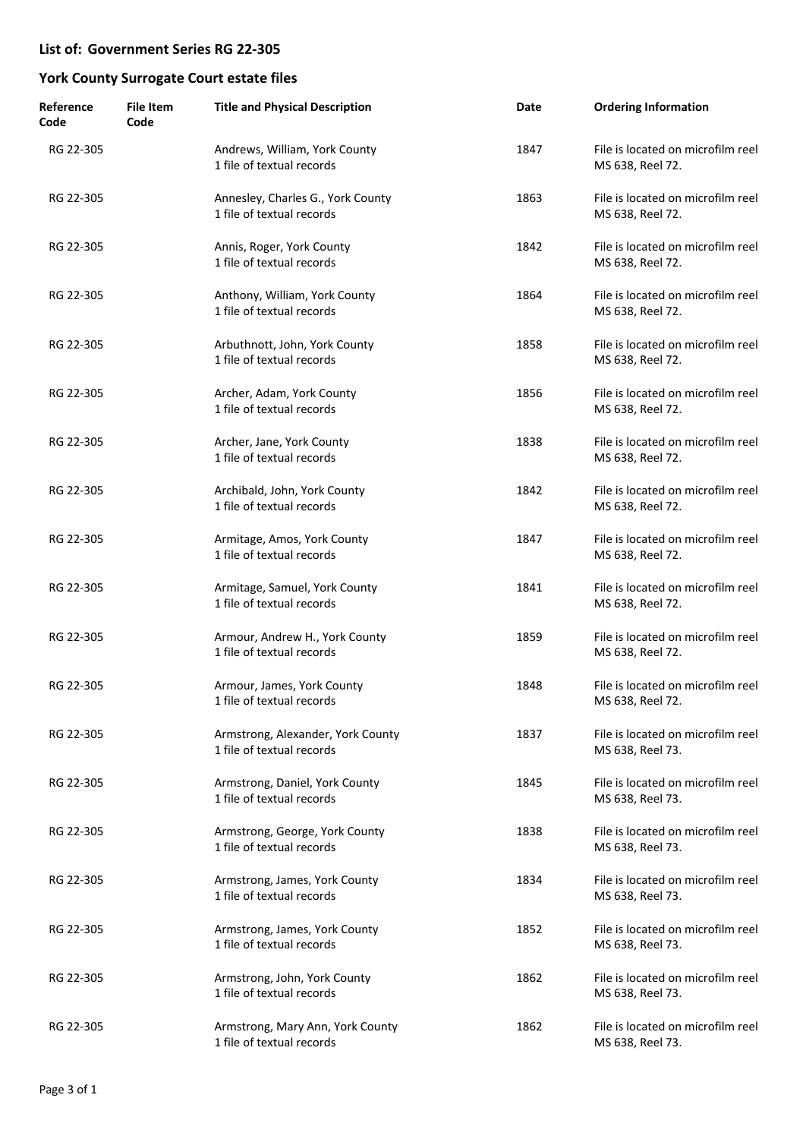| Reference<br>Code | <b>File Item</b><br>Code | <b>Title and Physical Description</b>                          | Date | <b>Ordering Information</b>                           |
|-------------------|--------------------------|----------------------------------------------------------------|------|-------------------------------------------------------|
| RG 22-305         |                          | Andrews, William, York County<br>1 file of textual records     | 1847 | File is located on microfilm reel<br>MS 638, Reel 72. |
| RG 22-305         |                          | Annesley, Charles G., York County<br>1 file of textual records | 1863 | File is located on microfilm reel<br>MS 638, Reel 72. |
| RG 22-305         |                          | Annis, Roger, York County<br>1 file of textual records         | 1842 | File is located on microfilm reel<br>MS 638, Reel 72. |
| RG 22-305         |                          | Anthony, William, York County<br>1 file of textual records     | 1864 | File is located on microfilm reel<br>MS 638, Reel 72. |
| RG 22-305         |                          | Arbuthnott, John, York County<br>1 file of textual records     | 1858 | File is located on microfilm reel<br>MS 638, Reel 72. |
| RG 22-305         |                          | Archer, Adam, York County<br>1 file of textual records         | 1856 | File is located on microfilm reel<br>MS 638, Reel 72. |
| RG 22-305         |                          | Archer, Jane, York County<br>1 file of textual records         | 1838 | File is located on microfilm reel<br>MS 638, Reel 72. |
| RG 22-305         |                          | Archibald, John, York County<br>1 file of textual records      | 1842 | File is located on microfilm reel<br>MS 638, Reel 72. |
| RG 22-305         |                          | Armitage, Amos, York County<br>1 file of textual records       | 1847 | File is located on microfilm reel<br>MS 638, Reel 72. |
| RG 22-305         |                          | Armitage, Samuel, York County<br>1 file of textual records     | 1841 | File is located on microfilm reel<br>MS 638, Reel 72. |
| RG 22-305         |                          | Armour, Andrew H., York County<br>1 file of textual records    | 1859 | File is located on microfilm reel<br>MS 638, Reel 72. |
| RG 22-305         |                          | Armour, James, York County<br>1 file of textual records        | 1848 | File is located on microfilm reel<br>MS 638, Reel 72. |
| RG 22-305         |                          | Armstrong, Alexander, York County<br>1 file of textual records | 1837 | File is located on microfilm reel<br>MS 638, Reel 73. |
| RG 22-305         |                          | Armstrong, Daniel, York County<br>1 file of textual records    | 1845 | File is located on microfilm reel<br>MS 638, Reel 73. |
| RG 22-305         |                          | Armstrong, George, York County<br>1 file of textual records    | 1838 | File is located on microfilm reel<br>MS 638, Reel 73. |
| RG 22-305         |                          | Armstrong, James, York County<br>1 file of textual records     | 1834 | File is located on microfilm reel<br>MS 638, Reel 73. |
| RG 22-305         |                          | Armstrong, James, York County<br>1 file of textual records     | 1852 | File is located on microfilm reel<br>MS 638, Reel 73. |
| RG 22-305         |                          | Armstrong, John, York County<br>1 file of textual records      | 1862 | File is located on microfilm reel<br>MS 638, Reel 73. |
| RG 22-305         |                          | Armstrong, Mary Ann, York County<br>1 file of textual records  | 1862 | File is located on microfilm reel<br>MS 638, Reel 73. |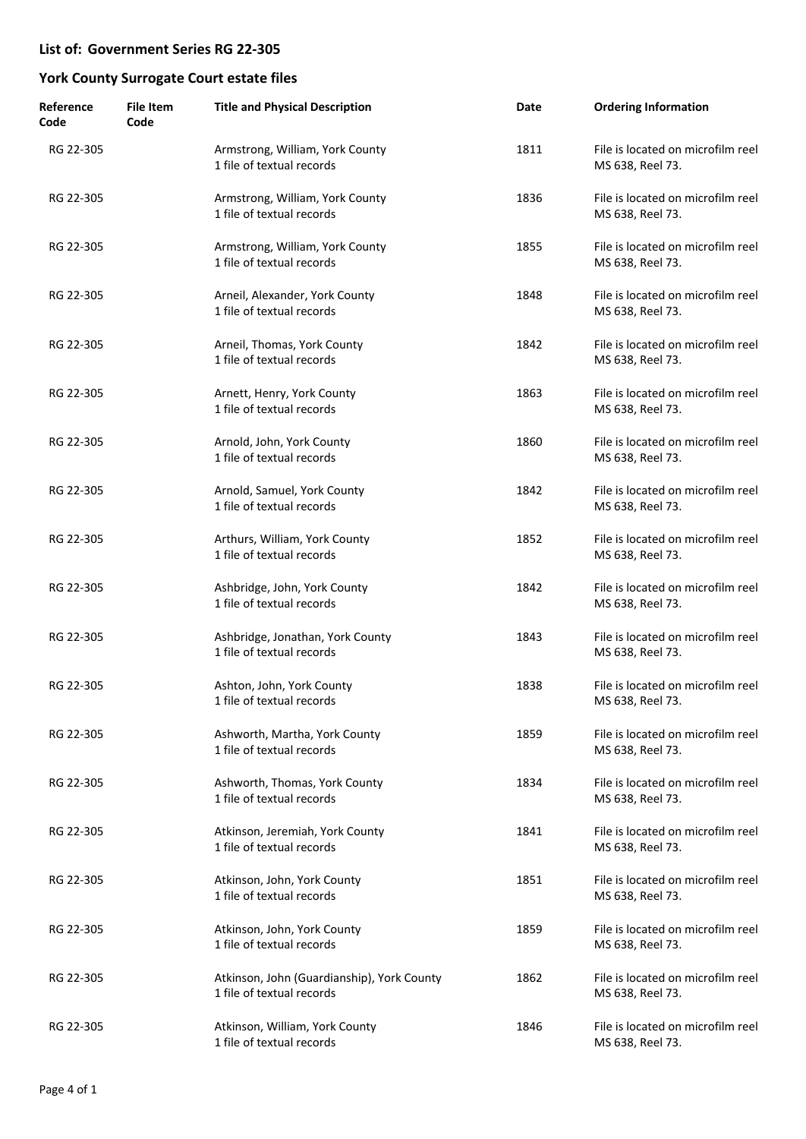| Reference<br>Code | <b>File Item</b><br>Code | <b>Title and Physical Description</b>                                   | Date | <b>Ordering Information</b>                           |
|-------------------|--------------------------|-------------------------------------------------------------------------|------|-------------------------------------------------------|
| RG 22-305         |                          | Armstrong, William, York County<br>1 file of textual records            | 1811 | File is located on microfilm reel<br>MS 638, Reel 73. |
| RG 22-305         |                          | Armstrong, William, York County<br>1 file of textual records            | 1836 | File is located on microfilm reel<br>MS 638, Reel 73. |
| RG 22-305         |                          | Armstrong, William, York County<br>1 file of textual records            | 1855 | File is located on microfilm reel<br>MS 638, Reel 73. |
| RG 22-305         |                          | Arneil, Alexander, York County<br>1 file of textual records             | 1848 | File is located on microfilm reel<br>MS 638, Reel 73. |
| RG 22-305         |                          | Arneil, Thomas, York County<br>1 file of textual records                | 1842 | File is located on microfilm reel<br>MS 638, Reel 73. |
| RG 22-305         |                          | Arnett, Henry, York County<br>1 file of textual records                 | 1863 | File is located on microfilm reel<br>MS 638, Reel 73. |
| RG 22-305         |                          | Arnold, John, York County<br>1 file of textual records                  | 1860 | File is located on microfilm reel<br>MS 638, Reel 73. |
| RG 22-305         |                          | Arnold, Samuel, York County<br>1 file of textual records                | 1842 | File is located on microfilm reel<br>MS 638, Reel 73. |
| RG 22-305         |                          | Arthurs, William, York County<br>1 file of textual records              | 1852 | File is located on microfilm reel<br>MS 638, Reel 73. |
| RG 22-305         |                          | Ashbridge, John, York County<br>1 file of textual records               | 1842 | File is located on microfilm reel<br>MS 638, Reel 73. |
| RG 22-305         |                          | Ashbridge, Jonathan, York County<br>1 file of textual records           | 1843 | File is located on microfilm reel<br>MS 638, Reel 73. |
| RG 22-305         |                          | Ashton, John, York County<br>1 file of textual records                  | 1838 | File is located on microfilm reel<br>MS 638, Reel 73. |
| RG 22-305         |                          | Ashworth, Martha, York County<br>1 file of textual records              | 1859 | File is located on microfilm reel<br>MS 638, Reel 73. |
| RG 22-305         |                          | Ashworth, Thomas, York County<br>1 file of textual records              | 1834 | File is located on microfilm reel<br>MS 638, Reel 73. |
| RG 22-305         |                          | Atkinson, Jeremiah, York County<br>1 file of textual records            | 1841 | File is located on microfilm reel<br>MS 638, Reel 73. |
| RG 22-305         |                          | Atkinson, John, York County<br>1 file of textual records                | 1851 | File is located on microfilm reel<br>MS 638, Reel 73. |
| RG 22-305         |                          | Atkinson, John, York County<br>1 file of textual records                | 1859 | File is located on microfilm reel<br>MS 638, Reel 73. |
| RG 22-305         |                          | Atkinson, John (Guardianship), York County<br>1 file of textual records | 1862 | File is located on microfilm reel<br>MS 638, Reel 73. |
| RG 22-305         |                          | Atkinson, William, York County<br>1 file of textual records             | 1846 | File is located on microfilm reel<br>MS 638, Reel 73. |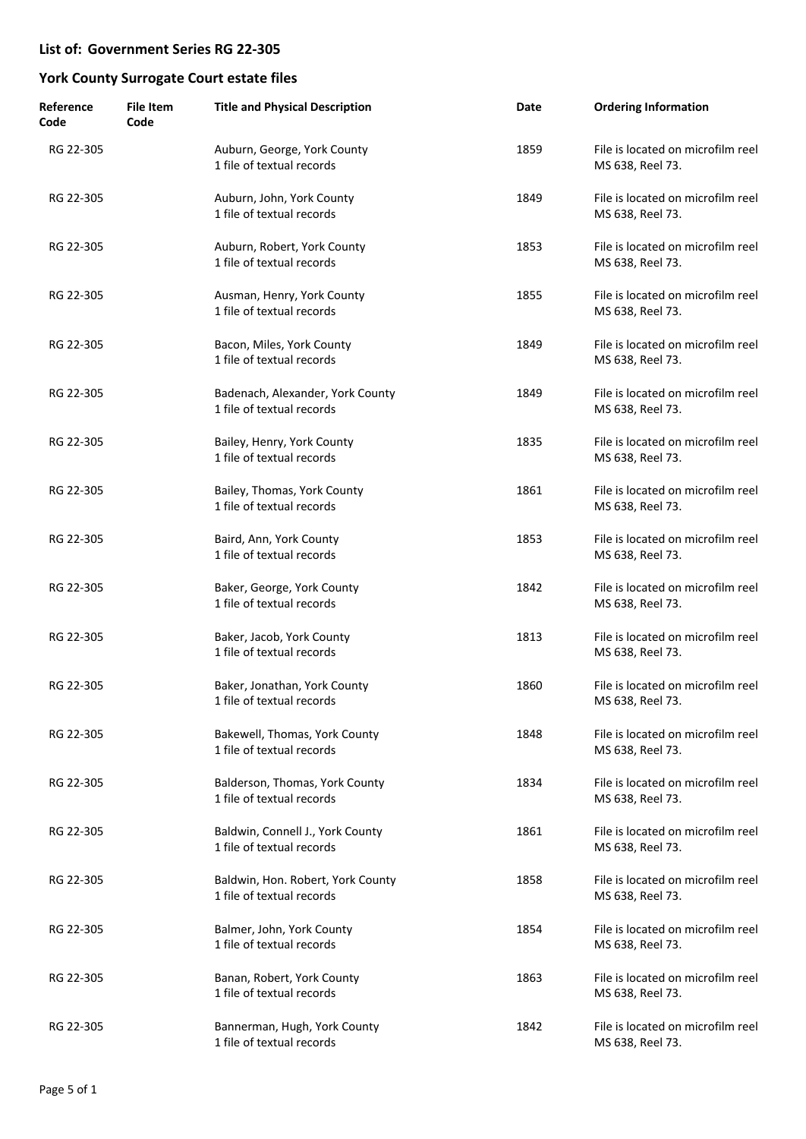| Reference<br>Code | <b>File Item</b><br>Code | <b>Title and Physical Description</b>                          | Date | <b>Ordering Information</b>                           |
|-------------------|--------------------------|----------------------------------------------------------------|------|-------------------------------------------------------|
| RG 22-305         |                          | Auburn, George, York County<br>1 file of textual records       | 1859 | File is located on microfilm reel<br>MS 638, Reel 73. |
| RG 22-305         |                          | Auburn, John, York County<br>1 file of textual records         | 1849 | File is located on microfilm reel<br>MS 638, Reel 73. |
| RG 22-305         |                          | Auburn, Robert, York County<br>1 file of textual records       | 1853 | File is located on microfilm reel<br>MS 638, Reel 73. |
| RG 22-305         |                          | Ausman, Henry, York County<br>1 file of textual records        | 1855 | File is located on microfilm reel<br>MS 638, Reel 73. |
| RG 22-305         |                          | Bacon, Miles, York County<br>1 file of textual records         | 1849 | File is located on microfilm reel<br>MS 638, Reel 73. |
| RG 22-305         |                          | Badenach, Alexander, York County<br>1 file of textual records  | 1849 | File is located on microfilm reel<br>MS 638, Reel 73. |
| RG 22-305         |                          | Bailey, Henry, York County<br>1 file of textual records        | 1835 | File is located on microfilm reel<br>MS 638, Reel 73. |
| RG 22-305         |                          | Bailey, Thomas, York County<br>1 file of textual records       | 1861 | File is located on microfilm reel<br>MS 638, Reel 73. |
| RG 22-305         |                          | Baird, Ann, York County<br>1 file of textual records           | 1853 | File is located on microfilm reel<br>MS 638, Reel 73. |
| RG 22-305         |                          | Baker, George, York County<br>1 file of textual records        | 1842 | File is located on microfilm reel<br>MS 638, Reel 73. |
| RG 22-305         |                          | Baker, Jacob, York County<br>1 file of textual records         | 1813 | File is located on microfilm reel<br>MS 638, Reel 73. |
| RG 22-305         |                          | Baker, Jonathan, York County<br>1 file of textual records      | 1860 | File is located on microfilm reel<br>MS 638, Reel 73. |
| RG 22-305         |                          | Bakewell, Thomas, York County<br>1 file of textual records     | 1848 | File is located on microfilm reel<br>MS 638, Reel 73. |
| RG 22-305         |                          | Balderson, Thomas, York County<br>1 file of textual records    | 1834 | File is located on microfilm reel<br>MS 638, Reel 73. |
| RG 22-305         |                          | Baldwin, Connell J., York County<br>1 file of textual records  | 1861 | File is located on microfilm reel<br>MS 638, Reel 73. |
| RG 22-305         |                          | Baldwin, Hon. Robert, York County<br>1 file of textual records | 1858 | File is located on microfilm reel<br>MS 638, Reel 73. |
| RG 22-305         |                          | Balmer, John, York County<br>1 file of textual records         | 1854 | File is located on microfilm reel<br>MS 638, Reel 73. |
| RG 22-305         |                          | Banan, Robert, York County<br>1 file of textual records        | 1863 | File is located on microfilm reel<br>MS 638, Reel 73. |
| RG 22-305         |                          | Bannerman, Hugh, York County<br>1 file of textual records      | 1842 | File is located on microfilm reel<br>MS 638, Reel 73. |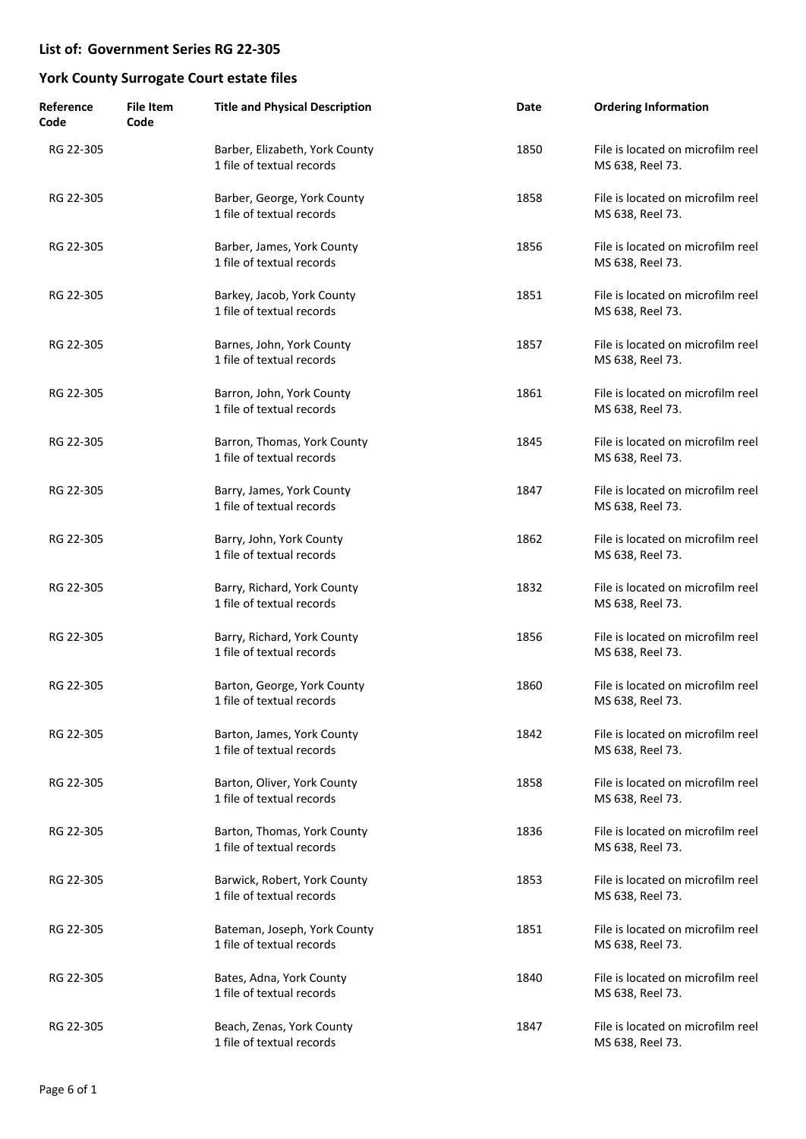| Reference<br>Code | <b>File Item</b><br>Code | <b>Title and Physical Description</b>                       | Date | <b>Ordering Information</b>                           |
|-------------------|--------------------------|-------------------------------------------------------------|------|-------------------------------------------------------|
| RG 22-305         |                          | Barber, Elizabeth, York County<br>1 file of textual records | 1850 | File is located on microfilm reel<br>MS 638, Reel 73. |
| RG 22-305         |                          | Barber, George, York County<br>1 file of textual records    | 1858 | File is located on microfilm reel<br>MS 638, Reel 73. |
| RG 22-305         |                          | Barber, James, York County<br>1 file of textual records     | 1856 | File is located on microfilm reel<br>MS 638, Reel 73. |
| RG 22-305         |                          | Barkey, Jacob, York County<br>1 file of textual records     | 1851 | File is located on microfilm reel<br>MS 638, Reel 73. |
| RG 22-305         |                          | Barnes, John, York County<br>1 file of textual records      | 1857 | File is located on microfilm reel<br>MS 638, Reel 73. |
| RG 22-305         |                          | Barron, John, York County<br>1 file of textual records      | 1861 | File is located on microfilm reel<br>MS 638, Reel 73. |
| RG 22-305         |                          | Barron, Thomas, York County<br>1 file of textual records    | 1845 | File is located on microfilm reel<br>MS 638, Reel 73. |
| RG 22-305         |                          | Barry, James, York County<br>1 file of textual records      | 1847 | File is located on microfilm reel<br>MS 638, Reel 73. |
| RG 22-305         |                          | Barry, John, York County<br>1 file of textual records       | 1862 | File is located on microfilm reel<br>MS 638, Reel 73. |
| RG 22-305         |                          | Barry, Richard, York County<br>1 file of textual records    | 1832 | File is located on microfilm reel<br>MS 638, Reel 73. |
| RG 22-305         |                          | Barry, Richard, York County<br>1 file of textual records    | 1856 | File is located on microfilm reel<br>MS 638, Reel 73. |
| RG 22-305         |                          | Barton, George, York County<br>1 file of textual records    | 1860 | File is located on microfilm reel<br>MS 638, Reel 73. |
| RG 22-305         |                          | Barton, James, York County<br>1 file of textual records     | 1842 | File is located on microfilm reel<br>MS 638, Reel 73. |
| RG 22-305         |                          | Barton, Oliver, York County<br>1 file of textual records    | 1858 | File is located on microfilm reel<br>MS 638, Reel 73. |
| RG 22-305         |                          | Barton, Thomas, York County<br>1 file of textual records    | 1836 | File is located on microfilm reel<br>MS 638, Reel 73. |
| RG 22-305         |                          | Barwick, Robert, York County<br>1 file of textual records   | 1853 | File is located on microfilm reel<br>MS 638, Reel 73. |
| RG 22-305         |                          | Bateman, Joseph, York County<br>1 file of textual records   | 1851 | File is located on microfilm reel<br>MS 638, Reel 73. |
| RG 22-305         |                          | Bates, Adna, York County<br>1 file of textual records       | 1840 | File is located on microfilm reel<br>MS 638, Reel 73. |
| RG 22-305         |                          | Beach, Zenas, York County<br>1 file of textual records      | 1847 | File is located on microfilm reel<br>MS 638, Reel 73. |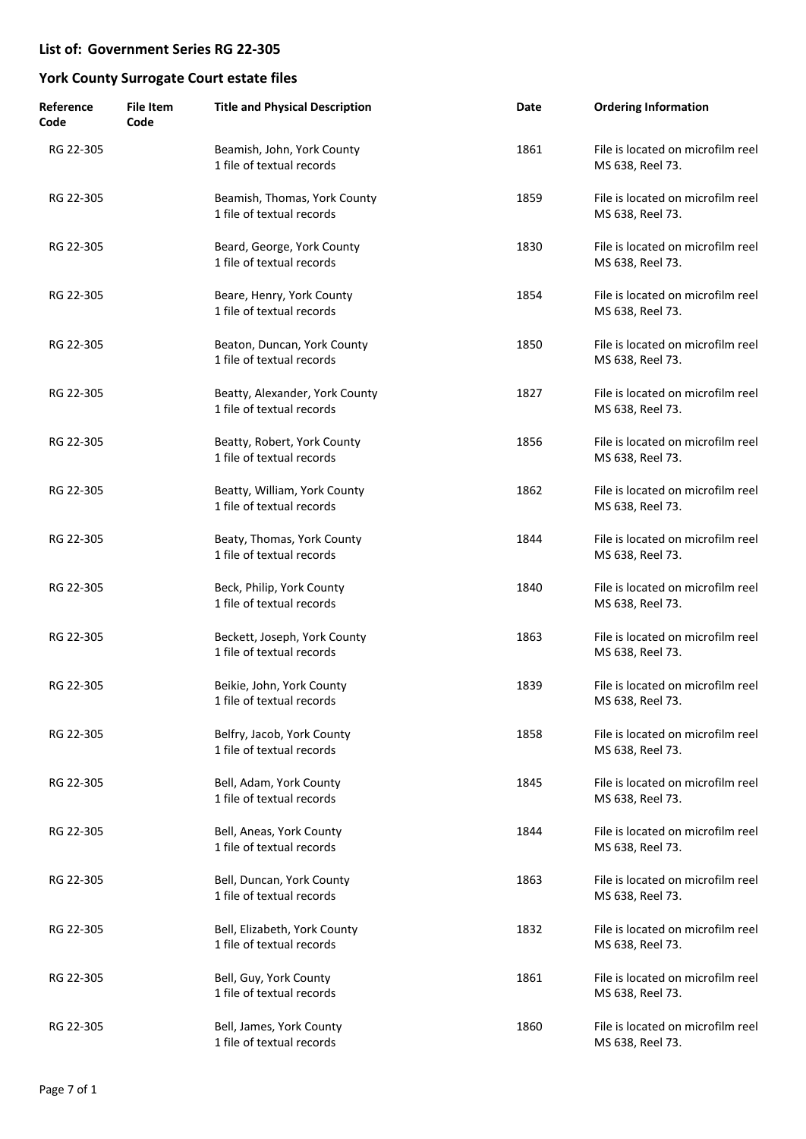| Reference<br>Code | <b>File Item</b><br>Code | <b>Title and Physical Description</b>                       | Date | <b>Ordering Information</b>                           |
|-------------------|--------------------------|-------------------------------------------------------------|------|-------------------------------------------------------|
| RG 22-305         |                          | Beamish, John, York County<br>1 file of textual records     | 1861 | File is located on microfilm reel<br>MS 638, Reel 73. |
| RG 22-305         |                          | Beamish, Thomas, York County<br>1 file of textual records   | 1859 | File is located on microfilm reel<br>MS 638, Reel 73. |
| RG 22-305         |                          | Beard, George, York County<br>1 file of textual records     | 1830 | File is located on microfilm reel<br>MS 638, Reel 73. |
| RG 22-305         |                          | Beare, Henry, York County<br>1 file of textual records      | 1854 | File is located on microfilm reel<br>MS 638, Reel 73. |
| RG 22-305         |                          | Beaton, Duncan, York County<br>1 file of textual records    | 1850 | File is located on microfilm reel<br>MS 638, Reel 73. |
| RG 22-305         |                          | Beatty, Alexander, York County<br>1 file of textual records | 1827 | File is located on microfilm reel<br>MS 638, Reel 73. |
| RG 22-305         |                          | Beatty, Robert, York County<br>1 file of textual records    | 1856 | File is located on microfilm reel<br>MS 638, Reel 73. |
| RG 22-305         |                          | Beatty, William, York County<br>1 file of textual records   | 1862 | File is located on microfilm reel<br>MS 638, Reel 73. |
| RG 22-305         |                          | Beaty, Thomas, York County<br>1 file of textual records     | 1844 | File is located on microfilm reel<br>MS 638, Reel 73. |
| RG 22-305         |                          | Beck, Philip, York County<br>1 file of textual records      | 1840 | File is located on microfilm reel<br>MS 638, Reel 73. |
| RG 22-305         |                          | Beckett, Joseph, York County<br>1 file of textual records   | 1863 | File is located on microfilm reel<br>MS 638, Reel 73. |
| RG 22-305         |                          | Beikie, John, York County<br>1 file of textual records      | 1839 | File is located on microfilm reel<br>MS 638, Reel 73. |
| RG 22-305         |                          | Belfry, Jacob, York County<br>1 file of textual records     | 1858 | File is located on microfilm reel<br>MS 638, Reel 73. |
| RG 22-305         |                          | Bell, Adam, York County<br>1 file of textual records        | 1845 | File is located on microfilm reel<br>MS 638, Reel 73. |
| RG 22-305         |                          | Bell, Aneas, York County<br>1 file of textual records       | 1844 | File is located on microfilm reel<br>MS 638, Reel 73. |
| RG 22-305         |                          | Bell, Duncan, York County<br>1 file of textual records      | 1863 | File is located on microfilm reel<br>MS 638, Reel 73. |
| RG 22-305         |                          | Bell, Elizabeth, York County<br>1 file of textual records   | 1832 | File is located on microfilm reel<br>MS 638, Reel 73. |
| RG 22-305         |                          | Bell, Guy, York County<br>1 file of textual records         | 1861 | File is located on microfilm reel<br>MS 638, Reel 73. |
| RG 22-305         |                          | Bell, James, York County<br>1 file of textual records       | 1860 | File is located on microfilm reel<br>MS 638, Reel 73. |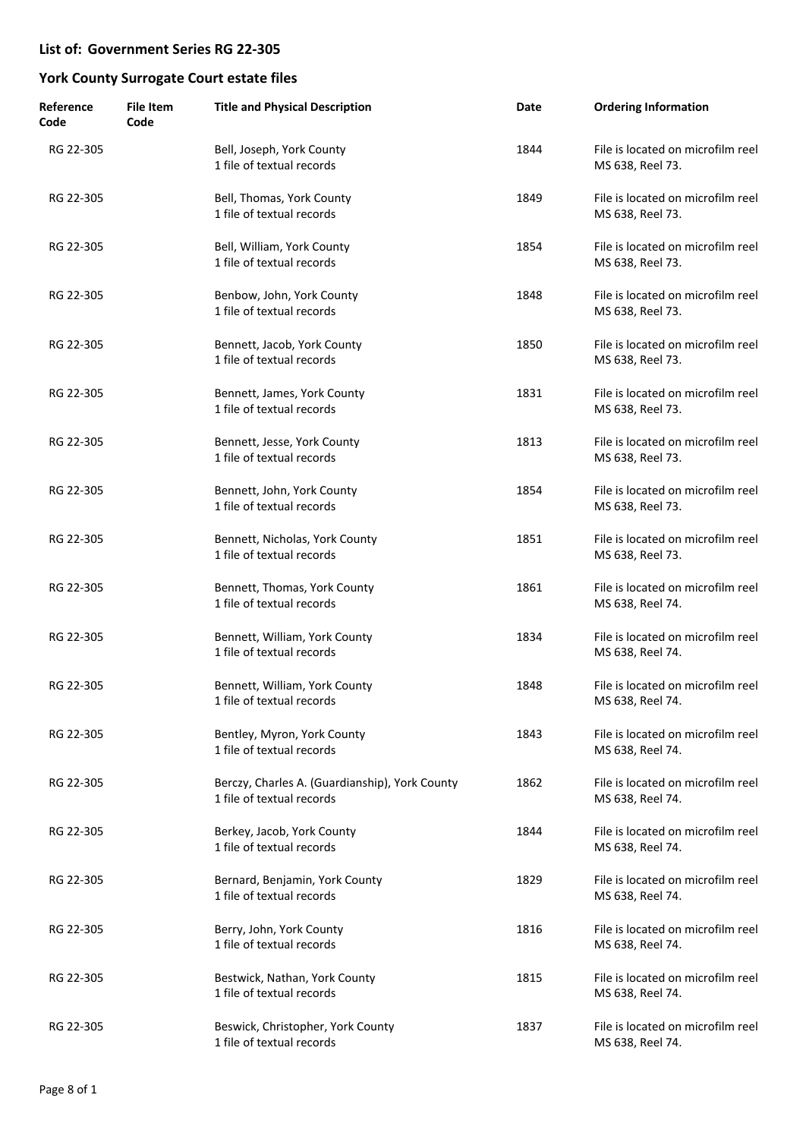| Reference<br>Code | <b>File Item</b><br>Code | <b>Title and Physical Description</b>                                       | Date | <b>Ordering Information</b>                           |
|-------------------|--------------------------|-----------------------------------------------------------------------------|------|-------------------------------------------------------|
| RG 22-305         |                          | Bell, Joseph, York County<br>1 file of textual records                      | 1844 | File is located on microfilm reel<br>MS 638, Reel 73. |
| RG 22-305         |                          | Bell, Thomas, York County<br>1 file of textual records                      | 1849 | File is located on microfilm reel<br>MS 638, Reel 73. |
| RG 22-305         |                          | Bell, William, York County<br>1 file of textual records                     | 1854 | File is located on microfilm reel<br>MS 638, Reel 73. |
| RG 22-305         |                          | Benbow, John, York County<br>1 file of textual records                      | 1848 | File is located on microfilm reel<br>MS 638, Reel 73. |
| RG 22-305         |                          | Bennett, Jacob, York County<br>1 file of textual records                    | 1850 | File is located on microfilm reel<br>MS 638, Reel 73. |
| RG 22-305         |                          | Bennett, James, York County<br>1 file of textual records                    | 1831 | File is located on microfilm reel<br>MS 638, Reel 73. |
| RG 22-305         |                          | Bennett, Jesse, York County<br>1 file of textual records                    | 1813 | File is located on microfilm reel<br>MS 638, Reel 73. |
| RG 22-305         |                          | Bennett, John, York County<br>1 file of textual records                     | 1854 | File is located on microfilm reel<br>MS 638, Reel 73. |
| RG 22-305         |                          | Bennett, Nicholas, York County<br>1 file of textual records                 | 1851 | File is located on microfilm reel<br>MS 638, Reel 73. |
| RG 22-305         |                          | Bennett, Thomas, York County<br>1 file of textual records                   | 1861 | File is located on microfilm reel<br>MS 638, Reel 74. |
| RG 22-305         |                          | Bennett, William, York County<br>1 file of textual records                  | 1834 | File is located on microfilm reel<br>MS 638, Reel 74. |
| RG 22-305         |                          | Bennett, William, York County<br>1 file of textual records                  | 1848 | File is located on microfilm reel<br>MS 638, Reel 74. |
| RG 22-305         |                          | Bentley, Myron, York County<br>1 file of textual records                    | 1843 | File is located on microfilm reel<br>MS 638, Reel 74. |
| RG 22-305         |                          | Berczy, Charles A. (Guardianship), York County<br>1 file of textual records | 1862 | File is located on microfilm reel<br>MS 638, Reel 74. |
| RG 22-305         |                          | Berkey, Jacob, York County<br>1 file of textual records                     | 1844 | File is located on microfilm reel<br>MS 638, Reel 74. |
| RG 22-305         |                          | Bernard, Benjamin, York County<br>1 file of textual records                 | 1829 | File is located on microfilm reel<br>MS 638, Reel 74. |
| RG 22-305         |                          | Berry, John, York County<br>1 file of textual records                       | 1816 | File is located on microfilm reel<br>MS 638, Reel 74. |
| RG 22-305         |                          | Bestwick, Nathan, York County<br>1 file of textual records                  | 1815 | File is located on microfilm reel<br>MS 638, Reel 74. |
| RG 22-305         |                          | Beswick, Christopher, York County<br>1 file of textual records              | 1837 | File is located on microfilm reel<br>MS 638, Reel 74. |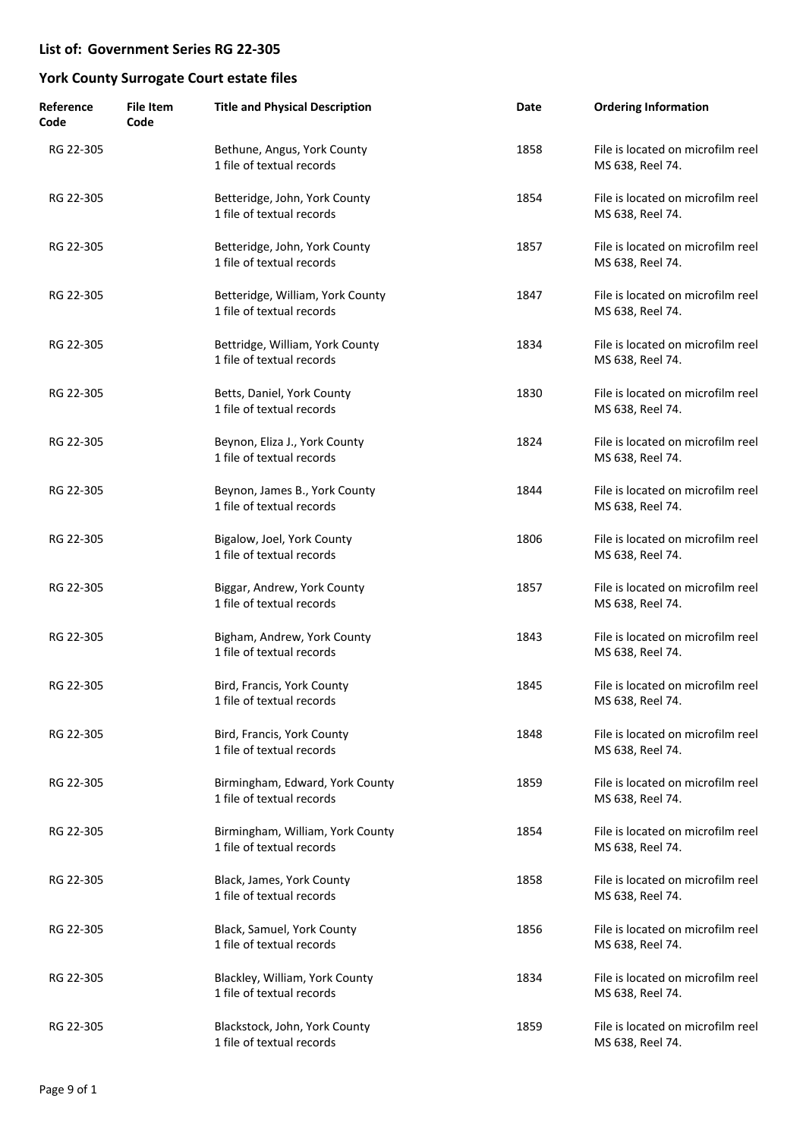| Reference<br>Code | <b>File Item</b><br>Code | <b>Title and Physical Description</b>                         | Date | <b>Ordering Information</b>                           |
|-------------------|--------------------------|---------------------------------------------------------------|------|-------------------------------------------------------|
| RG 22-305         |                          | Bethune, Angus, York County<br>1 file of textual records      | 1858 | File is located on microfilm reel<br>MS 638, Reel 74. |
| RG 22-305         |                          | Betteridge, John, York County<br>1 file of textual records    | 1854 | File is located on microfilm reel<br>MS 638, Reel 74. |
| RG 22-305         |                          | Betteridge, John, York County<br>1 file of textual records    | 1857 | File is located on microfilm reel<br>MS 638, Reel 74. |
| RG 22-305         |                          | Betteridge, William, York County<br>1 file of textual records | 1847 | File is located on microfilm reel<br>MS 638, Reel 74. |
| RG 22-305         |                          | Bettridge, William, York County<br>1 file of textual records  | 1834 | File is located on microfilm reel<br>MS 638, Reel 74. |
| RG 22-305         |                          | Betts, Daniel, York County<br>1 file of textual records       | 1830 | File is located on microfilm reel<br>MS 638, Reel 74. |
| RG 22-305         |                          | Beynon, Eliza J., York County<br>1 file of textual records    | 1824 | File is located on microfilm reel<br>MS 638, Reel 74. |
| RG 22-305         |                          | Beynon, James B., York County<br>1 file of textual records    | 1844 | File is located on microfilm reel<br>MS 638, Reel 74. |
| RG 22-305         |                          | Bigalow, Joel, York County<br>1 file of textual records       | 1806 | File is located on microfilm reel<br>MS 638, Reel 74. |
| RG 22-305         |                          | Biggar, Andrew, York County<br>1 file of textual records      | 1857 | File is located on microfilm reel<br>MS 638, Reel 74. |
| RG 22-305         |                          | Bigham, Andrew, York County<br>1 file of textual records      | 1843 | File is located on microfilm reel<br>MS 638, Reel 74. |
| RG 22-305         |                          | Bird, Francis, York County<br>1 file of textual records       | 1845 | File is located on microfilm reel<br>MS 638, Reel 74. |
| RG 22-305         |                          | Bird, Francis, York County<br>1 file of textual records       | 1848 | File is located on microfilm reel<br>MS 638, Reel 74. |
| RG 22-305         |                          | Birmingham, Edward, York County<br>1 file of textual records  | 1859 | File is located on microfilm reel<br>MS 638, Reel 74. |
| RG 22-305         |                          | Birmingham, William, York County<br>1 file of textual records | 1854 | File is located on microfilm reel<br>MS 638, Reel 74. |
| RG 22-305         |                          | Black, James, York County<br>1 file of textual records        | 1858 | File is located on microfilm reel<br>MS 638, Reel 74. |
| RG 22-305         |                          | Black, Samuel, York County<br>1 file of textual records       | 1856 | File is located on microfilm reel<br>MS 638, Reel 74. |
| RG 22-305         |                          | Blackley, William, York County<br>1 file of textual records   | 1834 | File is located on microfilm reel<br>MS 638, Reel 74. |
| RG 22-305         |                          | Blackstock, John, York County<br>1 file of textual records    | 1859 | File is located on microfilm reel<br>MS 638, Reel 74. |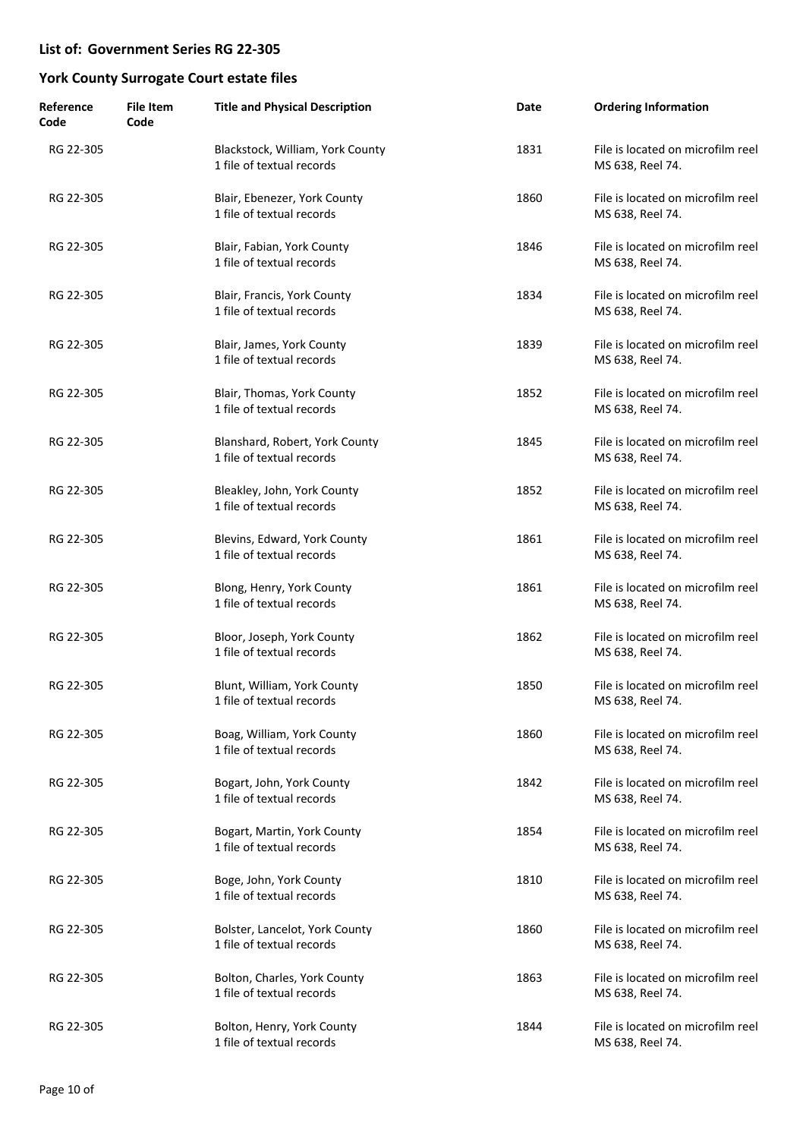| Reference<br>Code | <b>File Item</b><br>Code | <b>Title and Physical Description</b>                         | Date | <b>Ordering Information</b>                           |
|-------------------|--------------------------|---------------------------------------------------------------|------|-------------------------------------------------------|
| RG 22-305         |                          | Blackstock, William, York County<br>1 file of textual records | 1831 | File is located on microfilm reel<br>MS 638, Reel 74. |
| RG 22-305         |                          | Blair, Ebenezer, York County<br>1 file of textual records     | 1860 | File is located on microfilm reel<br>MS 638, Reel 74. |
| RG 22-305         |                          | Blair, Fabian, York County<br>1 file of textual records       | 1846 | File is located on microfilm reel<br>MS 638, Reel 74. |
| RG 22-305         |                          | Blair, Francis, York County<br>1 file of textual records      | 1834 | File is located on microfilm reel<br>MS 638, Reel 74. |
| RG 22-305         |                          | Blair, James, York County<br>1 file of textual records        | 1839 | File is located on microfilm reel<br>MS 638, Reel 74. |
| RG 22-305         |                          | Blair, Thomas, York County<br>1 file of textual records       | 1852 | File is located on microfilm reel<br>MS 638, Reel 74. |
| RG 22-305         |                          | Blanshard, Robert, York County<br>1 file of textual records   | 1845 | File is located on microfilm reel<br>MS 638, Reel 74. |
| RG 22-305         |                          | Bleakley, John, York County<br>1 file of textual records      | 1852 | File is located on microfilm reel<br>MS 638, Reel 74. |
| RG 22-305         |                          | Blevins, Edward, York County<br>1 file of textual records     | 1861 | File is located on microfilm reel<br>MS 638, Reel 74. |
| RG 22-305         |                          | Blong, Henry, York County<br>1 file of textual records        | 1861 | File is located on microfilm reel<br>MS 638, Reel 74. |
| RG 22-305         |                          | Bloor, Joseph, York County<br>1 file of textual records       | 1862 | File is located on microfilm reel<br>MS 638, Reel 74. |
| RG 22-305         |                          | Blunt, William, York County<br>1 file of textual records      | 1850 | File is located on microfilm reel<br>MS 638, Reel 74. |
| RG 22-305         |                          | Boag, William, York County<br>1 file of textual records       | 1860 | File is located on microfilm reel<br>MS 638, Reel 74. |
| RG 22-305         |                          | Bogart, John, York County<br>1 file of textual records        | 1842 | File is located on microfilm reel<br>MS 638, Reel 74. |
| RG 22-305         |                          | Bogart, Martin, York County<br>1 file of textual records      | 1854 | File is located on microfilm reel<br>MS 638, Reel 74. |
| RG 22-305         |                          | Boge, John, York County<br>1 file of textual records          | 1810 | File is located on microfilm reel<br>MS 638, Reel 74. |
| RG 22-305         |                          | Bolster, Lancelot, York County<br>1 file of textual records   | 1860 | File is located on microfilm reel<br>MS 638, Reel 74. |
| RG 22-305         |                          | Bolton, Charles, York County<br>1 file of textual records     | 1863 | File is located on microfilm reel<br>MS 638, Reel 74. |
| RG 22-305         |                          | Bolton, Henry, York County<br>1 file of textual records       | 1844 | File is located on microfilm reel<br>MS 638, Reel 74. |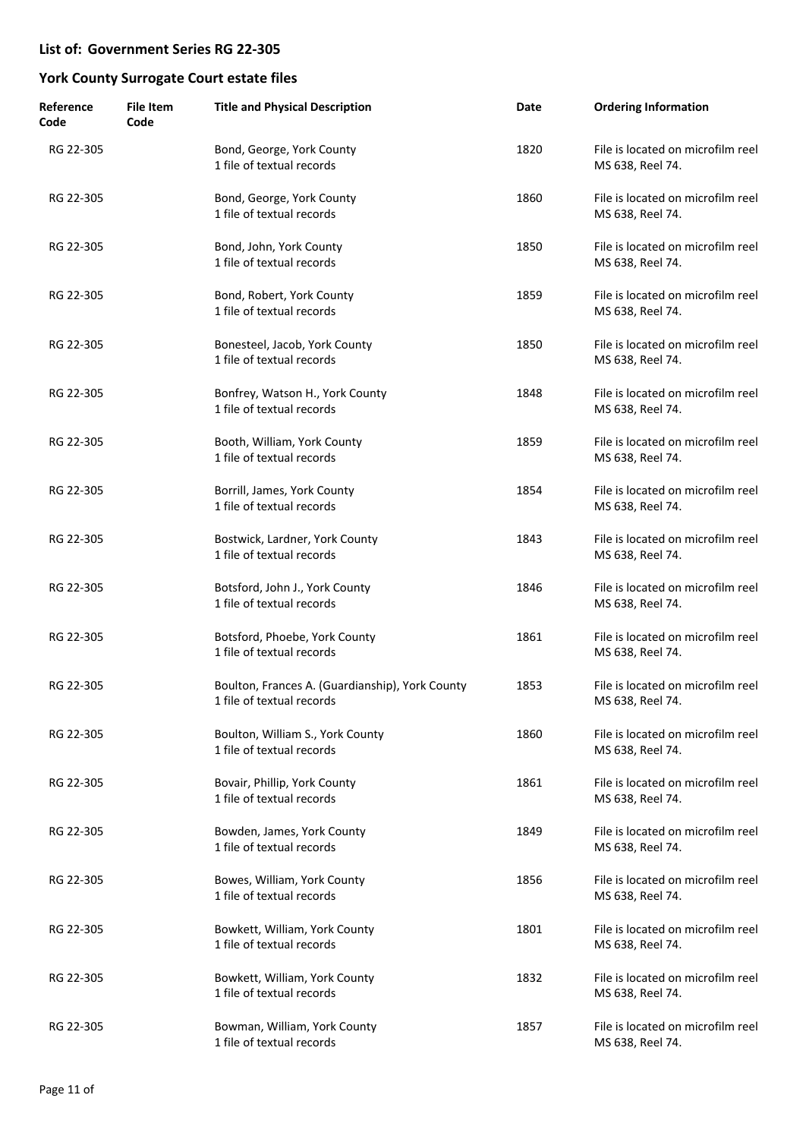| Reference<br>Code | <b>File Item</b><br>Code | <b>Title and Physical Description</b>                                        | Date | <b>Ordering Information</b>                           |
|-------------------|--------------------------|------------------------------------------------------------------------------|------|-------------------------------------------------------|
| RG 22-305         |                          | Bond, George, York County<br>1 file of textual records                       | 1820 | File is located on microfilm reel<br>MS 638, Reel 74. |
| RG 22-305         |                          | Bond, George, York County<br>1 file of textual records                       | 1860 | File is located on microfilm reel<br>MS 638, Reel 74. |
| RG 22-305         |                          | Bond, John, York County<br>1 file of textual records                         | 1850 | File is located on microfilm reel<br>MS 638, Reel 74. |
| RG 22-305         |                          | Bond, Robert, York County<br>1 file of textual records                       | 1859 | File is located on microfilm reel<br>MS 638, Reel 74. |
| RG 22-305         |                          | Bonesteel, Jacob, York County<br>1 file of textual records                   | 1850 | File is located on microfilm reel<br>MS 638, Reel 74. |
| RG 22-305         |                          | Bonfrey, Watson H., York County<br>1 file of textual records                 | 1848 | File is located on microfilm reel<br>MS 638, Reel 74. |
| RG 22-305         |                          | Booth, William, York County<br>1 file of textual records                     | 1859 | File is located on microfilm reel<br>MS 638, Reel 74. |
| RG 22-305         |                          | Borrill, James, York County<br>1 file of textual records                     | 1854 | File is located on microfilm reel<br>MS 638, Reel 74. |
| RG 22-305         |                          | Bostwick, Lardner, York County<br>1 file of textual records                  | 1843 | File is located on microfilm reel<br>MS 638, Reel 74. |
| RG 22-305         |                          | Botsford, John J., York County<br>1 file of textual records                  | 1846 | File is located on microfilm reel<br>MS 638, Reel 74. |
| RG 22-305         |                          | Botsford, Phoebe, York County<br>1 file of textual records                   | 1861 | File is located on microfilm reel<br>MS 638, Reel 74. |
| RG 22-305         |                          | Boulton, Frances A. (Guardianship), York County<br>1 file of textual records | 1853 | File is located on microfilm reel<br>MS 638, Reel 74. |
| RG 22-305         |                          | Boulton, William S., York County<br>1 file of textual records                | 1860 | File is located on microfilm reel<br>MS 638, Reel 74. |
| RG 22-305         |                          | Bovair, Phillip, York County<br>1 file of textual records                    | 1861 | File is located on microfilm reel<br>MS 638, Reel 74. |
| RG 22-305         |                          | Bowden, James, York County<br>1 file of textual records                      | 1849 | File is located on microfilm reel<br>MS 638, Reel 74. |
| RG 22-305         |                          | Bowes, William, York County<br>1 file of textual records                     | 1856 | File is located on microfilm reel<br>MS 638, Reel 74. |
| RG 22-305         |                          | Bowkett, William, York County<br>1 file of textual records                   | 1801 | File is located on microfilm reel<br>MS 638, Reel 74. |
| RG 22-305         |                          | Bowkett, William, York County<br>1 file of textual records                   | 1832 | File is located on microfilm reel<br>MS 638, Reel 74. |
| RG 22-305         |                          | Bowman, William, York County<br>1 file of textual records                    | 1857 | File is located on microfilm reel<br>MS 638, Reel 74. |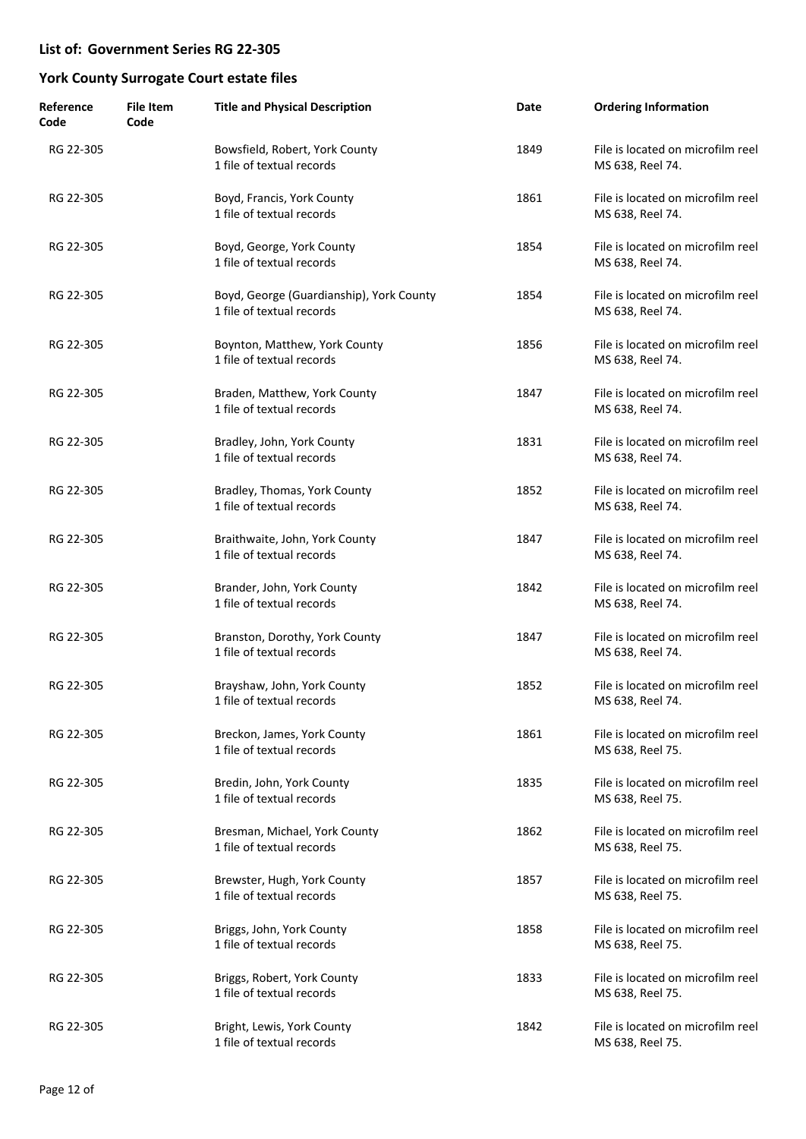| Reference<br>Code | <b>File Item</b><br>Code | <b>Title and Physical Description</b>                                 | Date | <b>Ordering Information</b>                           |
|-------------------|--------------------------|-----------------------------------------------------------------------|------|-------------------------------------------------------|
| RG 22-305         |                          | Bowsfield, Robert, York County<br>1 file of textual records           | 1849 | File is located on microfilm reel<br>MS 638, Reel 74. |
| RG 22-305         |                          | Boyd, Francis, York County<br>1 file of textual records               | 1861 | File is located on microfilm reel<br>MS 638, Reel 74. |
| RG 22-305         |                          | Boyd, George, York County<br>1 file of textual records                | 1854 | File is located on microfilm reel<br>MS 638, Reel 74. |
| RG 22-305         |                          | Boyd, George (Guardianship), York County<br>1 file of textual records | 1854 | File is located on microfilm reel<br>MS 638, Reel 74. |
| RG 22-305         |                          | Boynton, Matthew, York County<br>1 file of textual records            | 1856 | File is located on microfilm reel<br>MS 638, Reel 74. |
| RG 22-305         |                          | Braden, Matthew, York County<br>1 file of textual records             | 1847 | File is located on microfilm reel<br>MS 638, Reel 74. |
| RG 22-305         |                          | Bradley, John, York County<br>1 file of textual records               | 1831 | File is located on microfilm reel<br>MS 638, Reel 74. |
| RG 22-305         |                          | Bradley, Thomas, York County<br>1 file of textual records             | 1852 | File is located on microfilm reel<br>MS 638, Reel 74. |
| RG 22-305         |                          | Braithwaite, John, York County<br>1 file of textual records           | 1847 | File is located on microfilm reel<br>MS 638, Reel 74. |
| RG 22-305         |                          | Brander, John, York County<br>1 file of textual records               | 1842 | File is located on microfilm reel<br>MS 638, Reel 74. |
| RG 22-305         |                          | Branston, Dorothy, York County<br>1 file of textual records           | 1847 | File is located on microfilm reel<br>MS 638, Reel 74. |
| RG 22-305         |                          | Brayshaw, John, York County<br>1 file of textual records              | 1852 | File is located on microfilm reel<br>MS 638, Reel 74. |
| RG 22-305         |                          | Breckon, James, York County<br>1 file of textual records              | 1861 | File is located on microfilm reel<br>MS 638, Reel 75. |
| RG 22-305         |                          | Bredin, John, York County<br>1 file of textual records                | 1835 | File is located on microfilm reel<br>MS 638, Reel 75. |
| RG 22-305         |                          | Bresman, Michael, York County<br>1 file of textual records            | 1862 | File is located on microfilm reel<br>MS 638, Reel 75. |
| RG 22-305         |                          | Brewster, Hugh, York County<br>1 file of textual records              | 1857 | File is located on microfilm reel<br>MS 638, Reel 75. |
| RG 22-305         |                          | Briggs, John, York County<br>1 file of textual records                | 1858 | File is located on microfilm reel<br>MS 638, Reel 75. |
| RG 22-305         |                          | Briggs, Robert, York County<br>1 file of textual records              | 1833 | File is located on microfilm reel<br>MS 638, Reel 75. |
| RG 22-305         |                          | Bright, Lewis, York County<br>1 file of textual records               | 1842 | File is located on microfilm reel<br>MS 638, Reel 75. |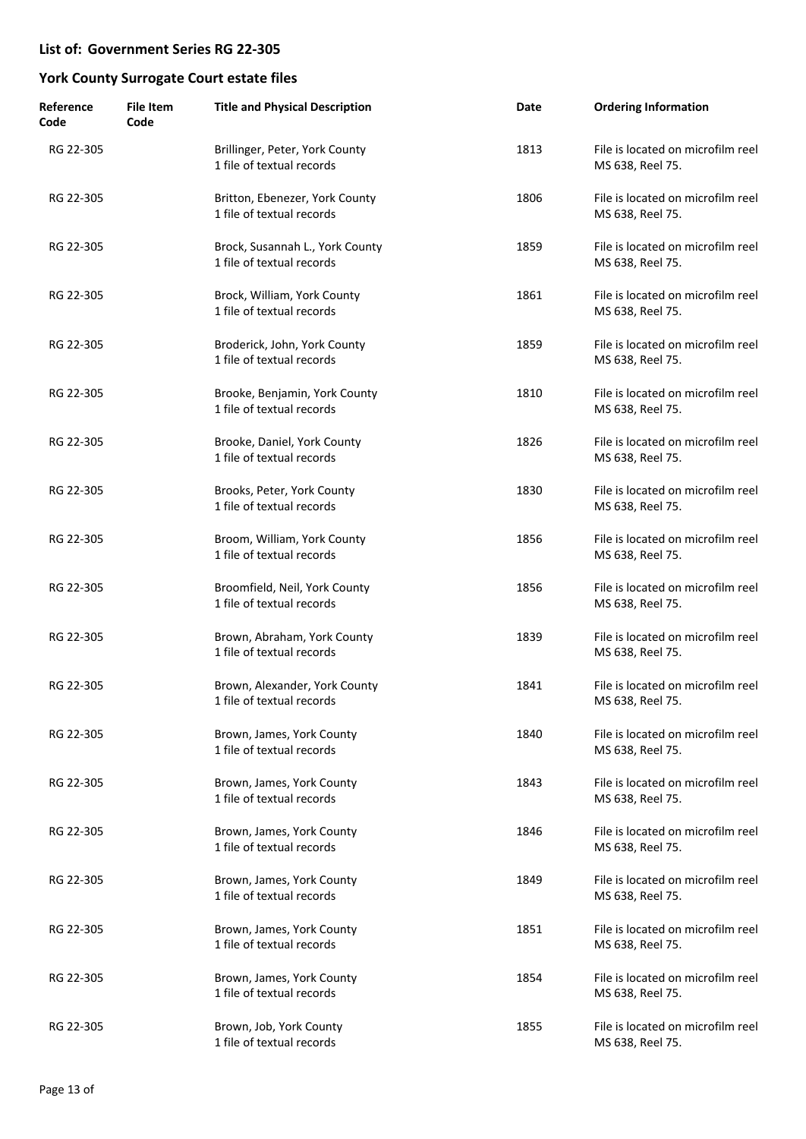| Reference<br>Code | <b>File Item</b><br>Code | <b>Title and Physical Description</b>                        | Date | <b>Ordering Information</b>                           |
|-------------------|--------------------------|--------------------------------------------------------------|------|-------------------------------------------------------|
| RG 22-305         |                          | Brillinger, Peter, York County<br>1 file of textual records  | 1813 | File is located on microfilm reel<br>MS 638, Reel 75. |
| RG 22-305         |                          | Britton, Ebenezer, York County<br>1 file of textual records  | 1806 | File is located on microfilm reel<br>MS 638, Reel 75. |
| RG 22-305         |                          | Brock, Susannah L., York County<br>1 file of textual records | 1859 | File is located on microfilm reel<br>MS 638, Reel 75. |
| RG 22-305         |                          | Brock, William, York County<br>1 file of textual records     | 1861 | File is located on microfilm reel<br>MS 638, Reel 75. |
| RG 22-305         |                          | Broderick, John, York County<br>1 file of textual records    | 1859 | File is located on microfilm reel<br>MS 638, Reel 75. |
| RG 22-305         |                          | Brooke, Benjamin, York County<br>1 file of textual records   | 1810 | File is located on microfilm reel<br>MS 638, Reel 75. |
| RG 22-305         |                          | Brooke, Daniel, York County<br>1 file of textual records     | 1826 | File is located on microfilm reel<br>MS 638, Reel 75. |
| RG 22-305         |                          | Brooks, Peter, York County<br>1 file of textual records      | 1830 | File is located on microfilm reel<br>MS 638, Reel 75. |
| RG 22-305         |                          | Broom, William, York County<br>1 file of textual records     | 1856 | File is located on microfilm reel<br>MS 638, Reel 75. |
| RG 22-305         |                          | Broomfield, Neil, York County<br>1 file of textual records   | 1856 | File is located on microfilm reel<br>MS 638, Reel 75. |
| RG 22-305         |                          | Brown, Abraham, York County<br>1 file of textual records     | 1839 | File is located on microfilm reel<br>MS 638, Reel 75. |
| RG 22-305         |                          | Brown, Alexander, York County<br>1 file of textual records   | 1841 | File is located on microfilm reel<br>MS 638, Reel 75. |
| RG 22-305         |                          | Brown, James, York County<br>1 file of textual records       | 1840 | File is located on microfilm reel<br>MS 638, Reel 75. |
| RG 22-305         |                          | Brown, James, York County<br>1 file of textual records       | 1843 | File is located on microfilm reel<br>MS 638, Reel 75. |
| RG 22-305         |                          | Brown, James, York County<br>1 file of textual records       | 1846 | File is located on microfilm reel<br>MS 638, Reel 75. |
| RG 22-305         |                          | Brown, James, York County<br>1 file of textual records       | 1849 | File is located on microfilm reel<br>MS 638, Reel 75. |
| RG 22-305         |                          | Brown, James, York County<br>1 file of textual records       | 1851 | File is located on microfilm reel<br>MS 638, Reel 75. |
| RG 22-305         |                          | Brown, James, York County<br>1 file of textual records       | 1854 | File is located on microfilm reel<br>MS 638, Reel 75. |
| RG 22-305         |                          | Brown, Job, York County<br>1 file of textual records         | 1855 | File is located on microfilm reel<br>MS 638, Reel 75. |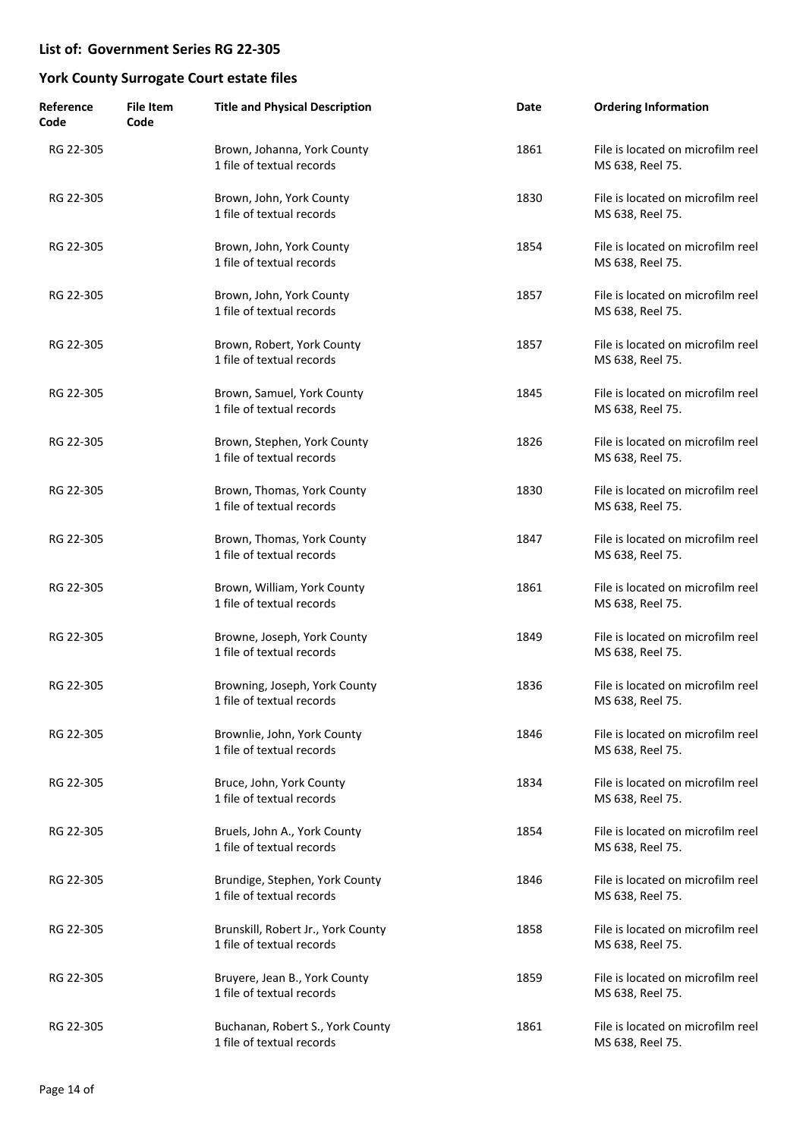| Reference<br>Code | <b>File Item</b><br>Code | <b>Title and Physical Description</b>                           | Date | <b>Ordering Information</b>                           |
|-------------------|--------------------------|-----------------------------------------------------------------|------|-------------------------------------------------------|
| RG 22-305         |                          | Brown, Johanna, York County<br>1 file of textual records        | 1861 | File is located on microfilm reel<br>MS 638, Reel 75. |
| RG 22-305         |                          | Brown, John, York County<br>1 file of textual records           | 1830 | File is located on microfilm reel<br>MS 638, Reel 75. |
| RG 22-305         |                          | Brown, John, York County<br>1 file of textual records           | 1854 | File is located on microfilm reel<br>MS 638, Reel 75. |
| RG 22-305         |                          | Brown, John, York County<br>1 file of textual records           | 1857 | File is located on microfilm reel<br>MS 638, Reel 75. |
| RG 22-305         |                          | Brown, Robert, York County<br>1 file of textual records         | 1857 | File is located on microfilm reel<br>MS 638, Reel 75. |
| RG 22-305         |                          | Brown, Samuel, York County<br>1 file of textual records         | 1845 | File is located on microfilm reel<br>MS 638, Reel 75. |
| RG 22-305         |                          | Brown, Stephen, York County<br>1 file of textual records        | 1826 | File is located on microfilm reel<br>MS 638, Reel 75. |
| RG 22-305         |                          | Brown, Thomas, York County<br>1 file of textual records         | 1830 | File is located on microfilm reel<br>MS 638, Reel 75. |
| RG 22-305         |                          | Brown, Thomas, York County<br>1 file of textual records         | 1847 | File is located on microfilm reel<br>MS 638, Reel 75. |
| RG 22-305         |                          | Brown, William, York County<br>1 file of textual records        | 1861 | File is located on microfilm reel<br>MS 638, Reel 75. |
| RG 22-305         |                          | Browne, Joseph, York County<br>1 file of textual records        | 1849 | File is located on microfilm reel<br>MS 638, Reel 75. |
| RG 22-305         |                          | Browning, Joseph, York County<br>1 file of textual records      | 1836 | File is located on microfilm reel<br>MS 638, Reel 75. |
| RG 22-305         |                          | Brownlie, John, York County<br>1 file of textual records        | 1846 | File is located on microfilm reel<br>MS 638, Reel 75. |
| RG 22-305         |                          | Bruce, John, York County<br>1 file of textual records           | 1834 | File is located on microfilm reel<br>MS 638, Reel 75. |
| RG 22-305         |                          | Bruels, John A., York County<br>1 file of textual records       | 1854 | File is located on microfilm reel<br>MS 638, Reel 75. |
| RG 22-305         |                          | Brundige, Stephen, York County<br>1 file of textual records     | 1846 | File is located on microfilm reel<br>MS 638, Reel 75. |
| RG 22-305         |                          | Brunskill, Robert Jr., York County<br>1 file of textual records | 1858 | File is located on microfilm reel<br>MS 638, Reel 75. |
| RG 22-305         |                          | Bruyere, Jean B., York County<br>1 file of textual records      | 1859 | File is located on microfilm reel<br>MS 638, Reel 75. |
| RG 22-305         |                          | Buchanan, Robert S., York County<br>1 file of textual records   | 1861 | File is located on microfilm reel<br>MS 638, Reel 75. |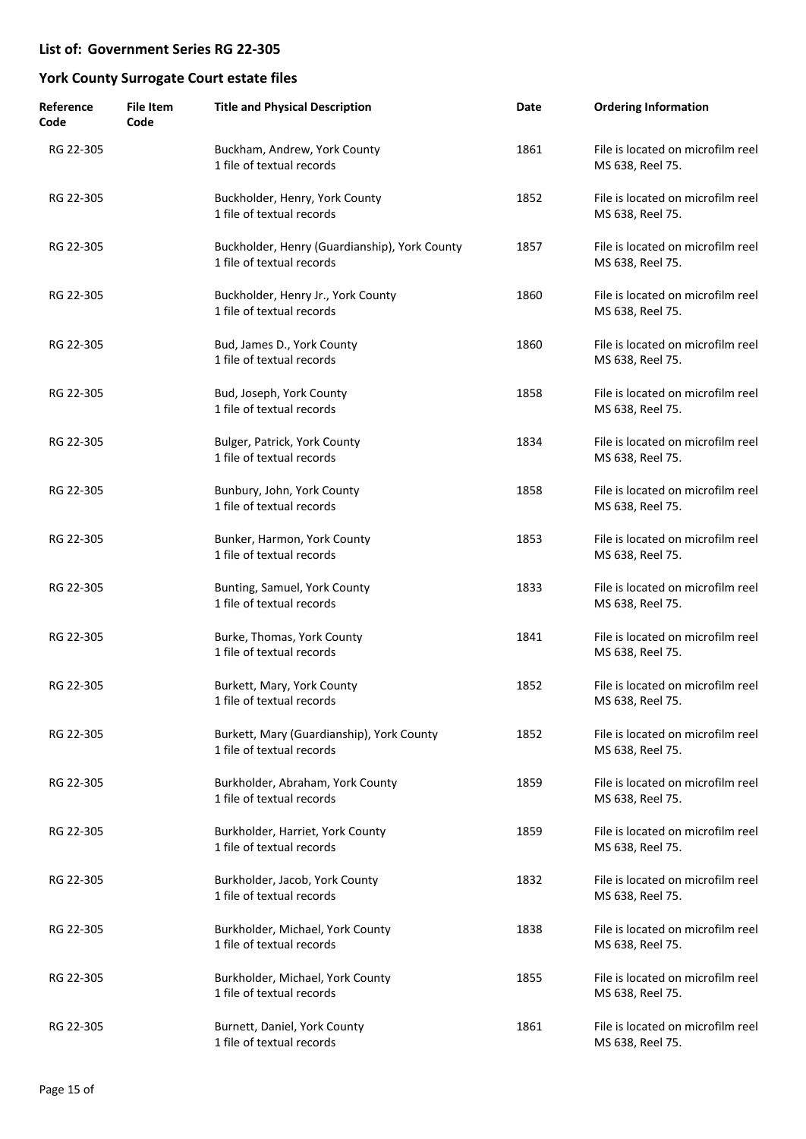| Reference<br>Code | <b>File Item</b><br>Code | <b>Title and Physical Description</b>                                      | Date | <b>Ordering Information</b>                           |
|-------------------|--------------------------|----------------------------------------------------------------------------|------|-------------------------------------------------------|
| RG 22-305         |                          | Buckham, Andrew, York County<br>1 file of textual records                  | 1861 | File is located on microfilm reel<br>MS 638, Reel 75. |
| RG 22-305         |                          | Buckholder, Henry, York County<br>1 file of textual records                | 1852 | File is located on microfilm reel<br>MS 638, Reel 75. |
| RG 22-305         |                          | Buckholder, Henry (Guardianship), York County<br>1 file of textual records | 1857 | File is located on microfilm reel<br>MS 638, Reel 75. |
| RG 22-305         |                          | Buckholder, Henry Jr., York County<br>1 file of textual records            | 1860 | File is located on microfilm reel<br>MS 638, Reel 75. |
| RG 22-305         |                          | Bud, James D., York County<br>1 file of textual records                    | 1860 | File is located on microfilm reel<br>MS 638, Reel 75. |
| RG 22-305         |                          | Bud, Joseph, York County<br>1 file of textual records                      | 1858 | File is located on microfilm reel<br>MS 638, Reel 75. |
| RG 22-305         |                          | Bulger, Patrick, York County<br>1 file of textual records                  | 1834 | File is located on microfilm reel<br>MS 638, Reel 75. |
| RG 22-305         |                          | Bunbury, John, York County<br>1 file of textual records                    | 1858 | File is located on microfilm reel<br>MS 638, Reel 75. |
| RG 22-305         |                          | Bunker, Harmon, York County<br>1 file of textual records                   | 1853 | File is located on microfilm reel<br>MS 638, Reel 75. |
| RG 22-305         |                          | Bunting, Samuel, York County<br>1 file of textual records                  | 1833 | File is located on microfilm reel<br>MS 638, Reel 75. |
| RG 22-305         |                          | Burke, Thomas, York County<br>1 file of textual records                    | 1841 | File is located on microfilm reel<br>MS 638, Reel 75. |
| RG 22-305         |                          | Burkett, Mary, York County<br>1 file of textual records                    | 1852 | File is located on microfilm reel<br>MS 638, Reel 75. |
| RG 22-305         |                          | Burkett, Mary (Guardianship), York County<br>1 file of textual records     | 1852 | File is located on microfilm reel<br>MS 638, Reel 75. |
| RG 22-305         |                          | Burkholder, Abraham, York County<br>1 file of textual records              | 1859 | File is located on microfilm reel<br>MS 638, Reel 75. |
| RG 22-305         |                          | Burkholder, Harriet, York County<br>1 file of textual records              | 1859 | File is located on microfilm reel<br>MS 638, Reel 75. |
| RG 22-305         |                          | Burkholder, Jacob, York County<br>1 file of textual records                | 1832 | File is located on microfilm reel<br>MS 638, Reel 75. |
| RG 22-305         |                          | Burkholder, Michael, York County<br>1 file of textual records              | 1838 | File is located on microfilm reel<br>MS 638, Reel 75. |
| RG 22-305         |                          | Burkholder, Michael, York County<br>1 file of textual records              | 1855 | File is located on microfilm reel<br>MS 638, Reel 75. |
| RG 22-305         |                          | Burnett, Daniel, York County<br>1 file of textual records                  | 1861 | File is located on microfilm reel<br>MS 638, Reel 75. |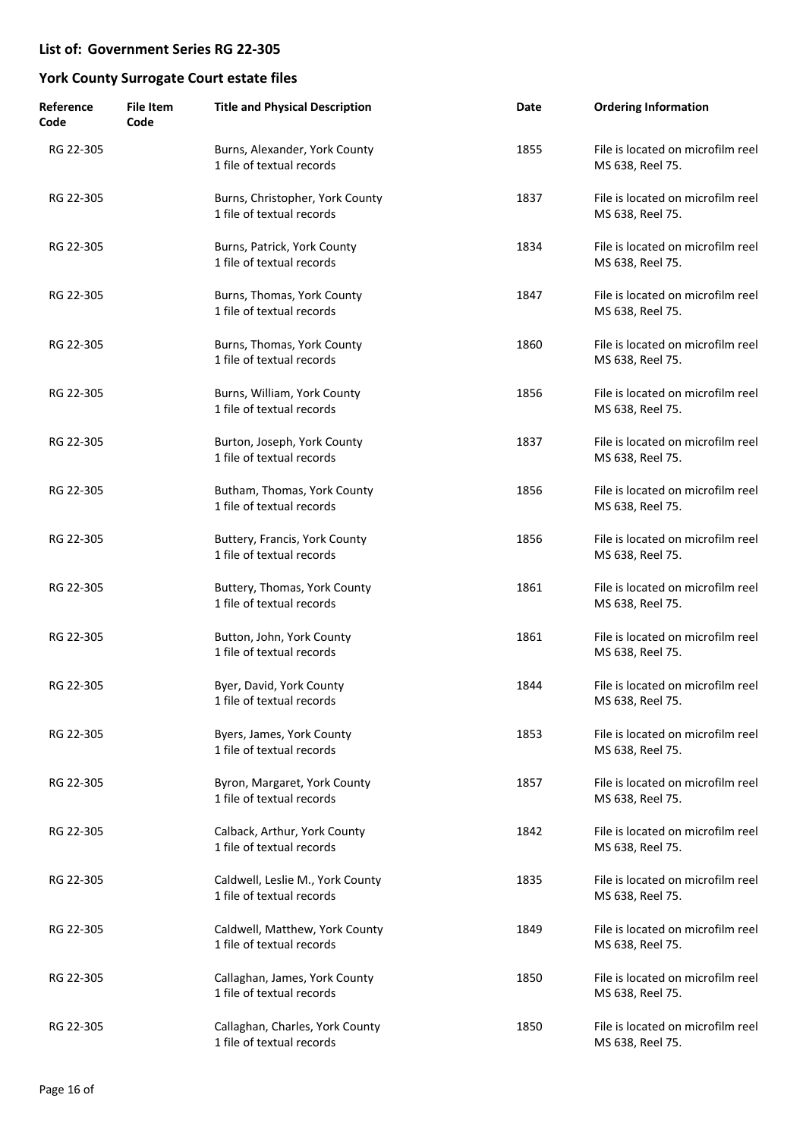| Reference<br>Code | <b>File Item</b><br>Code | <b>Title and Physical Description</b>                         | Date | <b>Ordering Information</b>                           |
|-------------------|--------------------------|---------------------------------------------------------------|------|-------------------------------------------------------|
| RG 22-305         |                          | Burns, Alexander, York County<br>1 file of textual records    | 1855 | File is located on microfilm reel<br>MS 638, Reel 75. |
| RG 22-305         |                          | Burns, Christopher, York County<br>1 file of textual records  | 1837 | File is located on microfilm reel<br>MS 638, Reel 75. |
| RG 22-305         |                          | Burns, Patrick, York County<br>1 file of textual records      | 1834 | File is located on microfilm reel<br>MS 638, Reel 75. |
| RG 22-305         |                          | Burns, Thomas, York County<br>1 file of textual records       | 1847 | File is located on microfilm reel<br>MS 638, Reel 75. |
| RG 22-305         |                          | Burns, Thomas, York County<br>1 file of textual records       | 1860 | File is located on microfilm reel<br>MS 638, Reel 75. |
| RG 22-305         |                          | Burns, William, York County<br>1 file of textual records      | 1856 | File is located on microfilm reel<br>MS 638, Reel 75. |
| RG 22-305         |                          | Burton, Joseph, York County<br>1 file of textual records      | 1837 | File is located on microfilm reel<br>MS 638, Reel 75. |
| RG 22-305         |                          | Butham, Thomas, York County<br>1 file of textual records      | 1856 | File is located on microfilm reel<br>MS 638, Reel 75. |
| RG 22-305         |                          | Buttery, Francis, York County<br>1 file of textual records    | 1856 | File is located on microfilm reel<br>MS 638, Reel 75. |
| RG 22-305         |                          | Buttery, Thomas, York County<br>1 file of textual records     | 1861 | File is located on microfilm reel<br>MS 638, Reel 75. |
| RG 22-305         |                          | Button, John, York County<br>1 file of textual records        | 1861 | File is located on microfilm reel<br>MS 638, Reel 75. |
| RG 22-305         |                          | Byer, David, York County<br>1 file of textual records         | 1844 | File is located on microfilm reel<br>MS 638, Reel 75. |
| RG 22-305         |                          | Byers, James, York County<br>1 file of textual records        | 1853 | File is located on microfilm reel<br>MS 638, Reel 75. |
| RG 22-305         |                          | Byron, Margaret, York County<br>1 file of textual records     | 1857 | File is located on microfilm reel<br>MS 638, Reel 75. |
| RG 22-305         |                          | Calback, Arthur, York County<br>1 file of textual records     | 1842 | File is located on microfilm reel<br>MS 638, Reel 75. |
| RG 22-305         |                          | Caldwell, Leslie M., York County<br>1 file of textual records | 1835 | File is located on microfilm reel<br>MS 638, Reel 75. |
| RG 22-305         |                          | Caldwell, Matthew, York County<br>1 file of textual records   | 1849 | File is located on microfilm reel<br>MS 638, Reel 75. |
| RG 22-305         |                          | Callaghan, James, York County<br>1 file of textual records    | 1850 | File is located on microfilm reel<br>MS 638, Reel 75. |
| RG 22-305         |                          | Callaghan, Charles, York County<br>1 file of textual records  | 1850 | File is located on microfilm reel<br>MS 638, Reel 75. |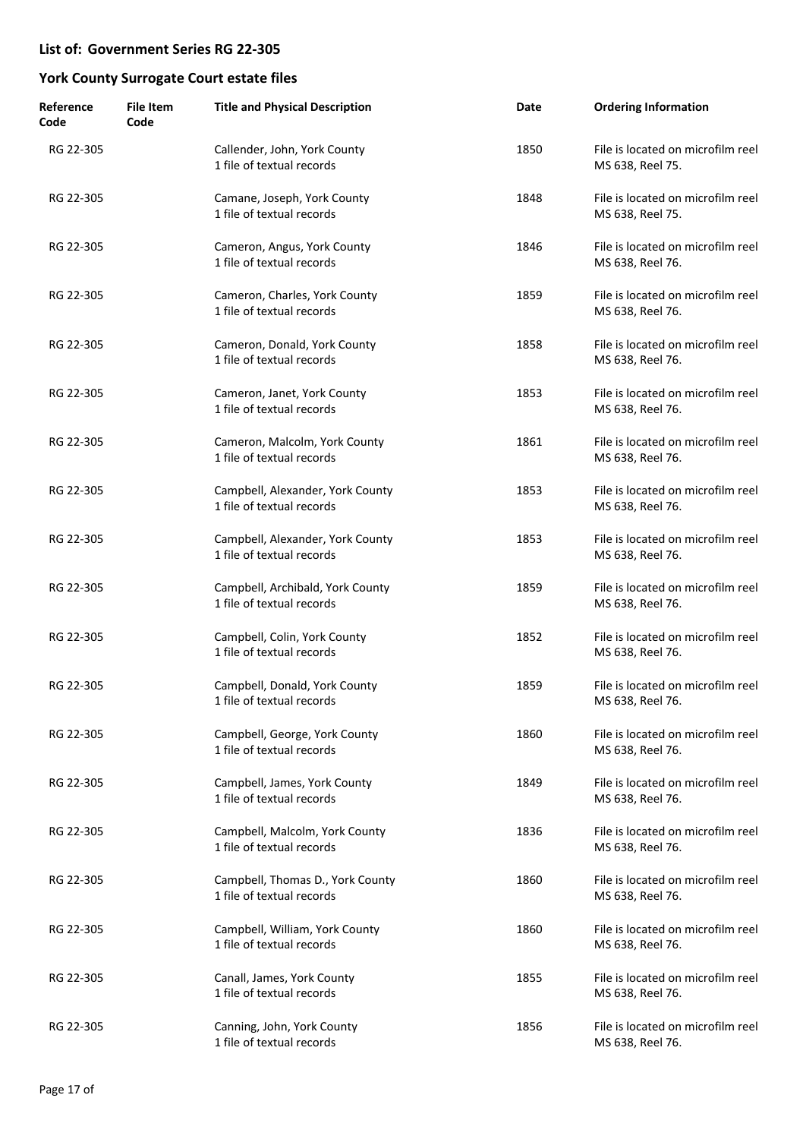| Reference<br>Code | <b>File Item</b><br>Code | <b>Title and Physical Description</b>                         | Date | <b>Ordering Information</b>                           |
|-------------------|--------------------------|---------------------------------------------------------------|------|-------------------------------------------------------|
| RG 22-305         |                          | Callender, John, York County<br>1 file of textual records     | 1850 | File is located on microfilm reel<br>MS 638, Reel 75. |
| RG 22-305         |                          | Camane, Joseph, York County<br>1 file of textual records      | 1848 | File is located on microfilm reel<br>MS 638, Reel 75. |
| RG 22-305         |                          | Cameron, Angus, York County<br>1 file of textual records      | 1846 | File is located on microfilm reel<br>MS 638, Reel 76. |
| RG 22-305         |                          | Cameron, Charles, York County<br>1 file of textual records    | 1859 | File is located on microfilm reel<br>MS 638, Reel 76. |
| RG 22-305         |                          | Cameron, Donald, York County<br>1 file of textual records     | 1858 | File is located on microfilm reel<br>MS 638, Reel 76. |
| RG 22-305         |                          | Cameron, Janet, York County<br>1 file of textual records      | 1853 | File is located on microfilm reel<br>MS 638, Reel 76. |
| RG 22-305         |                          | Cameron, Malcolm, York County<br>1 file of textual records    | 1861 | File is located on microfilm reel<br>MS 638, Reel 76. |
| RG 22-305         |                          | Campbell, Alexander, York County<br>1 file of textual records | 1853 | File is located on microfilm reel<br>MS 638, Reel 76. |
| RG 22-305         |                          | Campbell, Alexander, York County<br>1 file of textual records | 1853 | File is located on microfilm reel<br>MS 638, Reel 76. |
| RG 22-305         |                          | Campbell, Archibald, York County<br>1 file of textual records | 1859 | File is located on microfilm reel<br>MS 638, Reel 76. |
| RG 22-305         |                          | Campbell, Colin, York County<br>1 file of textual records     | 1852 | File is located on microfilm reel<br>MS 638, Reel 76. |
| RG 22-305         |                          | Campbell, Donald, York County<br>1 file of textual records    | 1859 | File is located on microfilm reel<br>MS 638, Reel 76. |
| RG 22-305         |                          | Campbell, George, York County<br>1 file of textual records    | 1860 | File is located on microfilm reel<br>MS 638, Reel 76. |
| RG 22-305         |                          | Campbell, James, York County<br>1 file of textual records     | 1849 | File is located on microfilm reel<br>MS 638, Reel 76. |
| RG 22-305         |                          | Campbell, Malcolm, York County<br>1 file of textual records   | 1836 | File is located on microfilm reel<br>MS 638, Reel 76. |
| RG 22-305         |                          | Campbell, Thomas D., York County<br>1 file of textual records | 1860 | File is located on microfilm reel<br>MS 638, Reel 76. |
| RG 22-305         |                          | Campbell, William, York County<br>1 file of textual records   | 1860 | File is located on microfilm reel<br>MS 638, Reel 76. |
| RG 22-305         |                          | Canall, James, York County<br>1 file of textual records       | 1855 | File is located on microfilm reel<br>MS 638, Reel 76. |
| RG 22-305         |                          | Canning, John, York County<br>1 file of textual records       | 1856 | File is located on microfilm reel<br>MS 638, Reel 76. |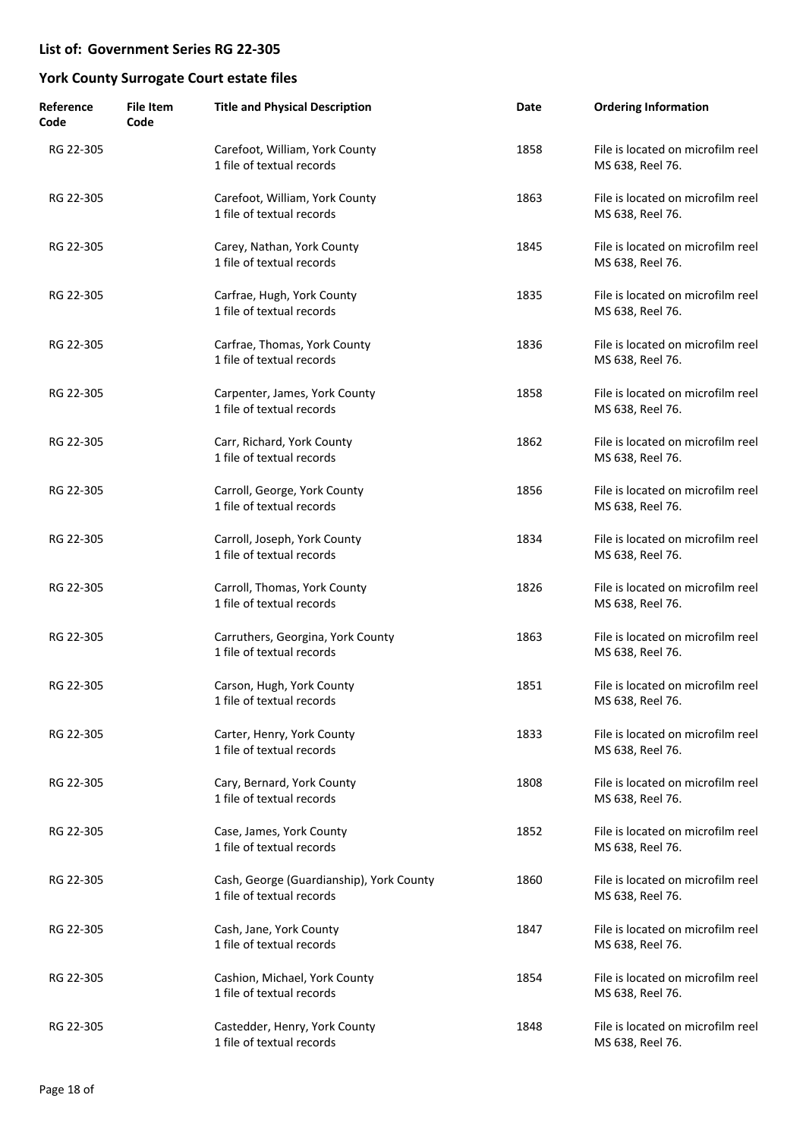| Reference<br>Code | <b>File Item</b><br>Code | <b>Title and Physical Description</b>                                 | Date | <b>Ordering Information</b>                           |
|-------------------|--------------------------|-----------------------------------------------------------------------|------|-------------------------------------------------------|
| RG 22-305         |                          | Carefoot, William, York County<br>1 file of textual records           | 1858 | File is located on microfilm reel<br>MS 638, Reel 76. |
| RG 22-305         |                          | Carefoot, William, York County<br>1 file of textual records           | 1863 | File is located on microfilm reel<br>MS 638, Reel 76. |
| RG 22-305         |                          | Carey, Nathan, York County<br>1 file of textual records               | 1845 | File is located on microfilm reel<br>MS 638, Reel 76. |
| RG 22-305         |                          | Carfrae, Hugh, York County<br>1 file of textual records               | 1835 | File is located on microfilm reel<br>MS 638, Reel 76. |
| RG 22-305         |                          | Carfrae, Thomas, York County<br>1 file of textual records             | 1836 | File is located on microfilm reel<br>MS 638, Reel 76. |
| RG 22-305         |                          | Carpenter, James, York County<br>1 file of textual records            | 1858 | File is located on microfilm reel<br>MS 638, Reel 76. |
| RG 22-305         |                          | Carr, Richard, York County<br>1 file of textual records               | 1862 | File is located on microfilm reel<br>MS 638, Reel 76. |
| RG 22-305         |                          | Carroll, George, York County<br>1 file of textual records             | 1856 | File is located on microfilm reel<br>MS 638, Reel 76. |
| RG 22-305         |                          | Carroll, Joseph, York County<br>1 file of textual records             | 1834 | File is located on microfilm reel<br>MS 638, Reel 76. |
| RG 22-305         |                          | Carroll, Thomas, York County<br>1 file of textual records             | 1826 | File is located on microfilm reel<br>MS 638, Reel 76. |
| RG 22-305         |                          | Carruthers, Georgina, York County<br>1 file of textual records        | 1863 | File is located on microfilm reel<br>MS 638, Reel 76. |
| RG 22-305         |                          | Carson, Hugh, York County<br>1 file of textual records                | 1851 | File is located on microfilm reel<br>MS 638, Reel 76. |
| RG 22-305         |                          | Carter, Henry, York County<br>1 file of textual records               | 1833 | File is located on microfilm reel<br>MS 638, Reel 76. |
| RG 22-305         |                          | Cary, Bernard, York County<br>1 file of textual records               | 1808 | File is located on microfilm reel<br>MS 638, Reel 76. |
| RG 22-305         |                          | Case, James, York County<br>1 file of textual records                 | 1852 | File is located on microfilm reel<br>MS 638, Reel 76. |
| RG 22-305         |                          | Cash, George (Guardianship), York County<br>1 file of textual records | 1860 | File is located on microfilm reel<br>MS 638, Reel 76. |
| RG 22-305         |                          | Cash, Jane, York County<br>1 file of textual records                  | 1847 | File is located on microfilm reel<br>MS 638, Reel 76. |
| RG 22-305         |                          | Cashion, Michael, York County<br>1 file of textual records            | 1854 | File is located on microfilm reel<br>MS 638, Reel 76. |
| RG 22-305         |                          | Castedder, Henry, York County<br>1 file of textual records            | 1848 | File is located on microfilm reel<br>MS 638, Reel 76. |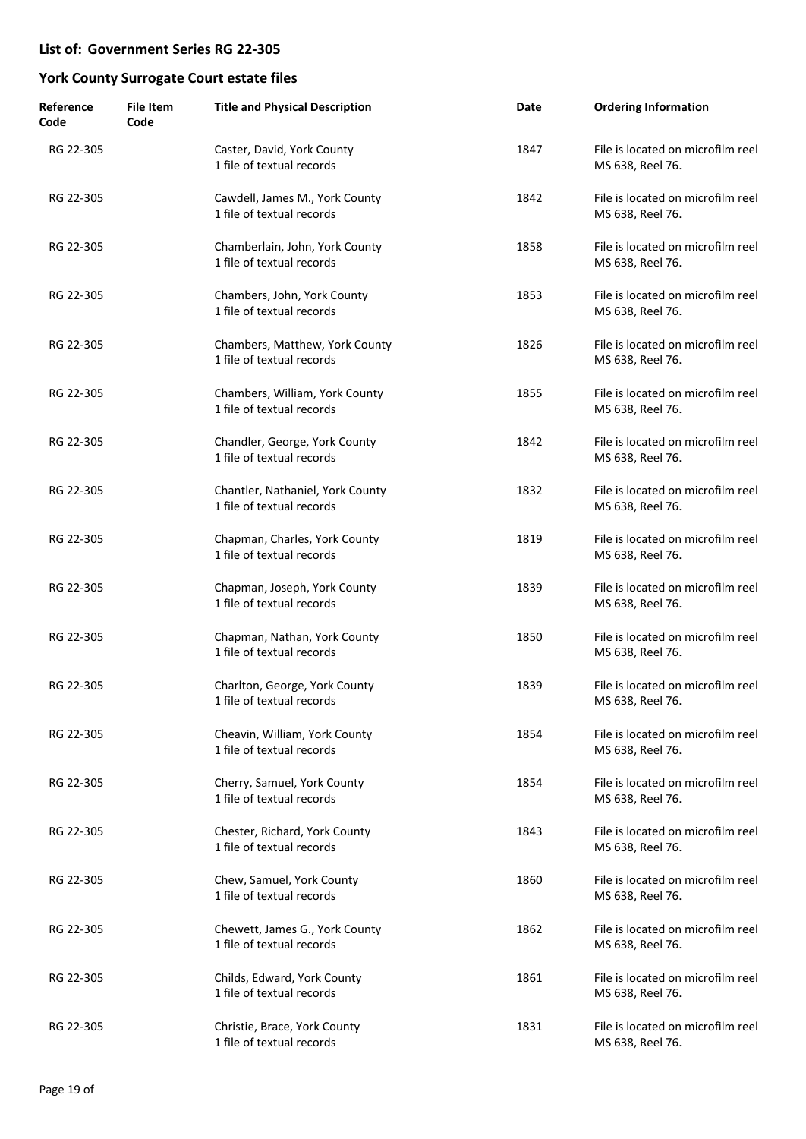| Reference<br>Code | <b>File Item</b><br>Code | <b>Title and Physical Description</b>                         | Date | <b>Ordering Information</b>                           |
|-------------------|--------------------------|---------------------------------------------------------------|------|-------------------------------------------------------|
| RG 22-305         |                          | Caster, David, York County<br>1 file of textual records       | 1847 | File is located on microfilm reel<br>MS 638, Reel 76. |
| RG 22-305         |                          | Cawdell, James M., York County<br>1 file of textual records   | 1842 | File is located on microfilm reel<br>MS 638, Reel 76. |
| RG 22-305         |                          | Chamberlain, John, York County<br>1 file of textual records   | 1858 | File is located on microfilm reel<br>MS 638, Reel 76. |
| RG 22-305         |                          | Chambers, John, York County<br>1 file of textual records      | 1853 | File is located on microfilm reel<br>MS 638, Reel 76. |
| RG 22-305         |                          | Chambers, Matthew, York County<br>1 file of textual records   | 1826 | File is located on microfilm reel<br>MS 638, Reel 76. |
| RG 22-305         |                          | Chambers, William, York County<br>1 file of textual records   | 1855 | File is located on microfilm reel<br>MS 638, Reel 76. |
| RG 22-305         |                          | Chandler, George, York County<br>1 file of textual records    | 1842 | File is located on microfilm reel<br>MS 638, Reel 76. |
| RG 22-305         |                          | Chantler, Nathaniel, York County<br>1 file of textual records | 1832 | File is located on microfilm reel<br>MS 638, Reel 76. |
| RG 22-305         |                          | Chapman, Charles, York County<br>1 file of textual records    | 1819 | File is located on microfilm reel<br>MS 638, Reel 76. |
| RG 22-305         |                          | Chapman, Joseph, York County<br>1 file of textual records     | 1839 | File is located on microfilm reel<br>MS 638, Reel 76. |
| RG 22-305         |                          | Chapman, Nathan, York County<br>1 file of textual records     | 1850 | File is located on microfilm reel<br>MS 638, Reel 76. |
| RG 22-305         |                          | Charlton, George, York County<br>1 file of textual records    | 1839 | File is located on microfilm reel<br>MS 638, Reel 76. |
| RG 22-305         |                          | Cheavin, William, York County<br>1 file of textual records    | 1854 | File is located on microfilm reel<br>MS 638, Reel 76. |
| RG 22-305         |                          | Cherry, Samuel, York County<br>1 file of textual records      | 1854 | File is located on microfilm reel<br>MS 638, Reel 76. |
| RG 22-305         |                          | Chester, Richard, York County<br>1 file of textual records    | 1843 | File is located on microfilm reel<br>MS 638, Reel 76. |
| RG 22-305         |                          | Chew, Samuel, York County<br>1 file of textual records        | 1860 | File is located on microfilm reel<br>MS 638, Reel 76. |
| RG 22-305         |                          | Chewett, James G., York County<br>1 file of textual records   | 1862 | File is located on microfilm reel<br>MS 638, Reel 76. |
| RG 22-305         |                          | Childs, Edward, York County<br>1 file of textual records      | 1861 | File is located on microfilm reel<br>MS 638, Reel 76. |
| RG 22-305         |                          | Christie, Brace, York County<br>1 file of textual records     | 1831 | File is located on microfilm reel<br>MS 638, Reel 76. |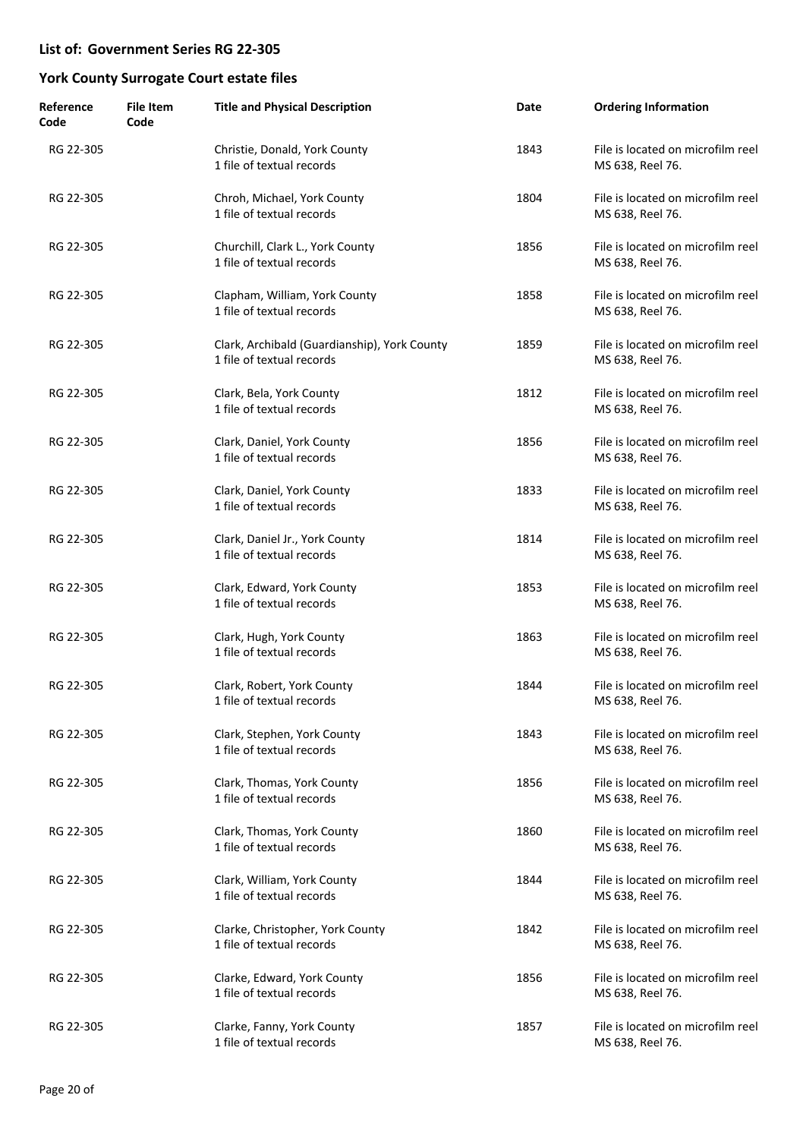| Reference<br>Code | <b>File Item</b><br>Code | <b>Title and Physical Description</b>                                     | Date | <b>Ordering Information</b>                           |
|-------------------|--------------------------|---------------------------------------------------------------------------|------|-------------------------------------------------------|
| RG 22-305         |                          | Christie, Donald, York County<br>1 file of textual records                | 1843 | File is located on microfilm reel<br>MS 638, Reel 76. |
| RG 22-305         |                          | Chroh, Michael, York County<br>1 file of textual records                  | 1804 | File is located on microfilm reel<br>MS 638, Reel 76. |
| RG 22-305         |                          | Churchill, Clark L., York County<br>1 file of textual records             | 1856 | File is located on microfilm reel<br>MS 638, Reel 76. |
| RG 22-305         |                          | Clapham, William, York County<br>1 file of textual records                | 1858 | File is located on microfilm reel<br>MS 638, Reel 76. |
| RG 22-305         |                          | Clark, Archibald (Guardianship), York County<br>1 file of textual records | 1859 | File is located on microfilm reel<br>MS 638, Reel 76. |
| RG 22-305         |                          | Clark, Bela, York County<br>1 file of textual records                     | 1812 | File is located on microfilm reel<br>MS 638, Reel 76. |
| RG 22-305         |                          | Clark, Daniel, York County<br>1 file of textual records                   | 1856 | File is located on microfilm reel<br>MS 638, Reel 76. |
| RG 22-305         |                          | Clark, Daniel, York County<br>1 file of textual records                   | 1833 | File is located on microfilm reel<br>MS 638, Reel 76. |
| RG 22-305         |                          | Clark, Daniel Jr., York County<br>1 file of textual records               | 1814 | File is located on microfilm reel<br>MS 638, Reel 76. |
| RG 22-305         |                          | Clark, Edward, York County<br>1 file of textual records                   | 1853 | File is located on microfilm reel<br>MS 638, Reel 76. |
| RG 22-305         |                          | Clark, Hugh, York County<br>1 file of textual records                     | 1863 | File is located on microfilm reel<br>MS 638, Reel 76. |
| RG 22-305         |                          | Clark, Robert, York County<br>1 file of textual records                   | 1844 | File is located on microfilm reel<br>MS 638, Reel 76. |
| RG 22-305         |                          | Clark, Stephen, York County<br>1 file of textual records                  | 1843 | File is located on microfilm reel<br>MS 638, Reel 76. |
| RG 22-305         |                          | Clark, Thomas, York County<br>1 file of textual records                   | 1856 | File is located on microfilm reel<br>MS 638, Reel 76. |
| RG 22-305         |                          | Clark, Thomas, York County<br>1 file of textual records                   | 1860 | File is located on microfilm reel<br>MS 638, Reel 76. |
| RG 22-305         |                          | Clark, William, York County<br>1 file of textual records                  | 1844 | File is located on microfilm reel<br>MS 638, Reel 76. |
| RG 22-305         |                          | Clarke, Christopher, York County<br>1 file of textual records             | 1842 | File is located on microfilm reel<br>MS 638, Reel 76. |
| RG 22-305         |                          | Clarke, Edward, York County<br>1 file of textual records                  | 1856 | File is located on microfilm reel<br>MS 638, Reel 76. |
| RG 22-305         |                          | Clarke, Fanny, York County<br>1 file of textual records                   | 1857 | File is located on microfilm reel<br>MS 638, Reel 76. |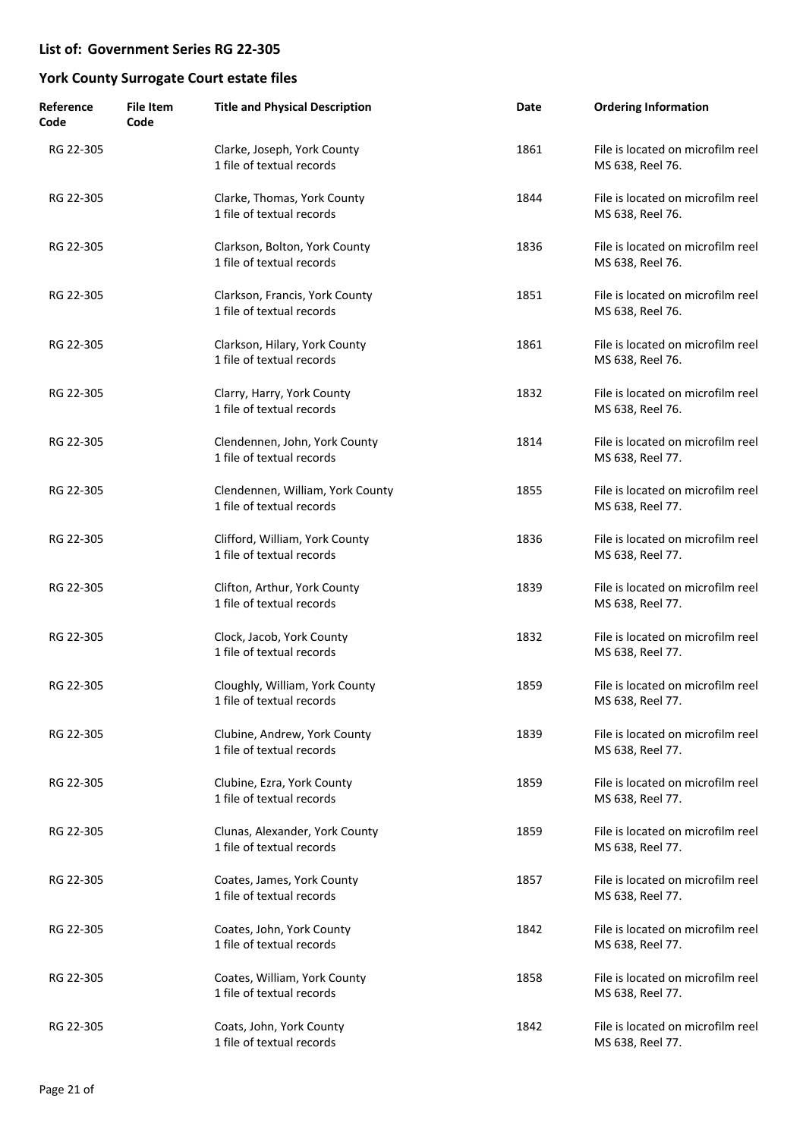| Reference<br>Code | <b>File Item</b><br>Code | <b>Title and Physical Description</b>                         | Date | <b>Ordering Information</b>                           |
|-------------------|--------------------------|---------------------------------------------------------------|------|-------------------------------------------------------|
| RG 22-305         |                          | Clarke, Joseph, York County<br>1 file of textual records      | 1861 | File is located on microfilm reel<br>MS 638, Reel 76. |
| RG 22-305         |                          | Clarke, Thomas, York County<br>1 file of textual records      | 1844 | File is located on microfilm reel<br>MS 638, Reel 76. |
| RG 22-305         |                          | Clarkson, Bolton, York County<br>1 file of textual records    | 1836 | File is located on microfilm reel<br>MS 638, Reel 76. |
| RG 22-305         |                          | Clarkson, Francis, York County<br>1 file of textual records   | 1851 | File is located on microfilm reel<br>MS 638, Reel 76. |
| RG 22-305         |                          | Clarkson, Hilary, York County<br>1 file of textual records    | 1861 | File is located on microfilm reel<br>MS 638, Reel 76. |
| RG 22-305         |                          | Clarry, Harry, York County<br>1 file of textual records       | 1832 | File is located on microfilm reel<br>MS 638, Reel 76. |
| RG 22-305         |                          | Clendennen, John, York County<br>1 file of textual records    | 1814 | File is located on microfilm reel<br>MS 638, Reel 77. |
| RG 22-305         |                          | Clendennen, William, York County<br>1 file of textual records | 1855 | File is located on microfilm reel<br>MS 638, Reel 77. |
| RG 22-305         |                          | Clifford, William, York County<br>1 file of textual records   | 1836 | File is located on microfilm reel<br>MS 638, Reel 77. |
| RG 22-305         |                          | Clifton, Arthur, York County<br>1 file of textual records     | 1839 | File is located on microfilm reel<br>MS 638, Reel 77. |
| RG 22-305         |                          | Clock, Jacob, York County<br>1 file of textual records        | 1832 | File is located on microfilm reel<br>MS 638, Reel 77. |
| RG 22-305         |                          | Cloughly, William, York County<br>1 file of textual records   | 1859 | File is located on microfilm reel<br>MS 638, Reel 77. |
| RG 22-305         |                          | Clubine, Andrew, York County<br>1 file of textual records     | 1839 | File is located on microfilm reel<br>MS 638, Reel 77. |
| RG 22-305         |                          | Clubine, Ezra, York County<br>1 file of textual records       | 1859 | File is located on microfilm reel<br>MS 638, Reel 77. |
| RG 22-305         |                          | Clunas, Alexander, York County<br>1 file of textual records   | 1859 | File is located on microfilm reel<br>MS 638, Reel 77. |
| RG 22-305         |                          | Coates, James, York County<br>1 file of textual records       | 1857 | File is located on microfilm reel<br>MS 638, Reel 77. |
| RG 22-305         |                          | Coates, John, York County<br>1 file of textual records        | 1842 | File is located on microfilm reel<br>MS 638, Reel 77. |
| RG 22-305         |                          | Coates, William, York County<br>1 file of textual records     | 1858 | File is located on microfilm reel<br>MS 638, Reel 77. |
| RG 22-305         |                          | Coats, John, York County<br>1 file of textual records         | 1842 | File is located on microfilm reel<br>MS 638, Reel 77. |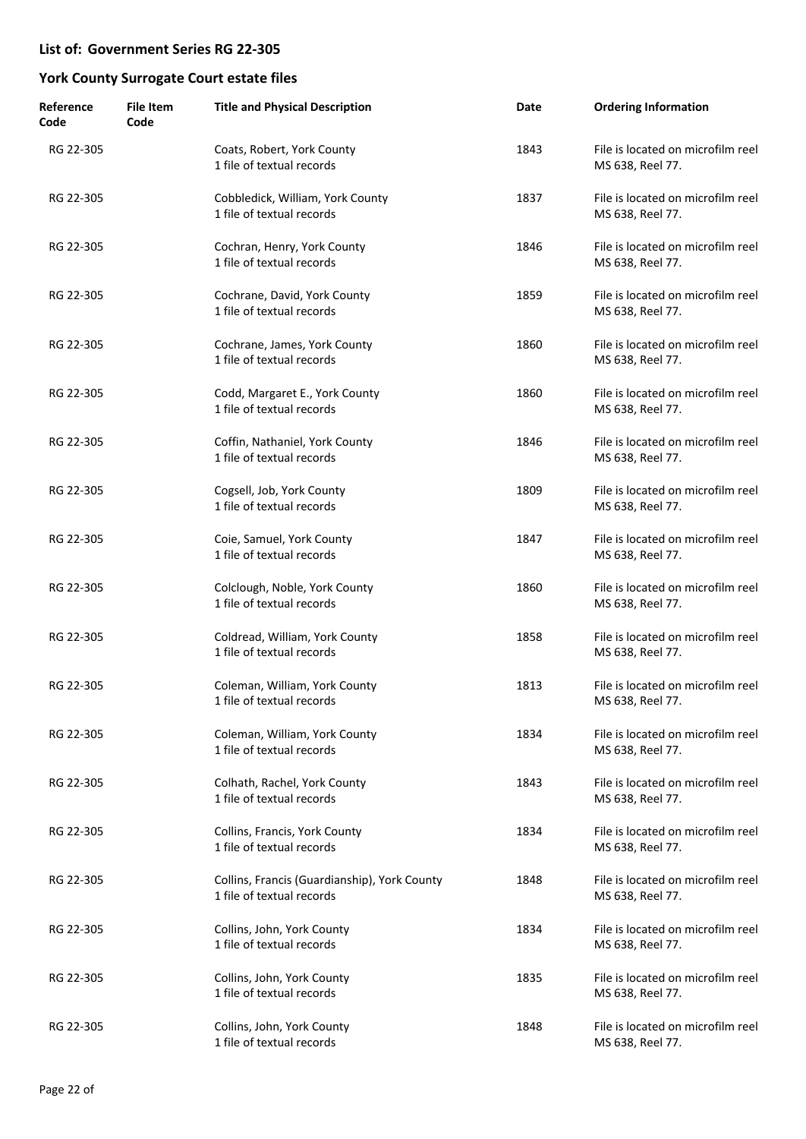| Reference<br>Code | <b>File Item</b><br>Code | <b>Title and Physical Description</b>                                     | Date | <b>Ordering Information</b>                           |
|-------------------|--------------------------|---------------------------------------------------------------------------|------|-------------------------------------------------------|
| RG 22-305         |                          | Coats, Robert, York County<br>1 file of textual records                   | 1843 | File is located on microfilm reel<br>MS 638, Reel 77. |
| RG 22-305         |                          | Cobbledick, William, York County<br>1 file of textual records             | 1837 | File is located on microfilm reel<br>MS 638, Reel 77. |
| RG 22-305         |                          | Cochran, Henry, York County<br>1 file of textual records                  | 1846 | File is located on microfilm reel<br>MS 638, Reel 77. |
| RG 22-305         |                          | Cochrane, David, York County<br>1 file of textual records                 | 1859 | File is located on microfilm reel<br>MS 638, Reel 77. |
| RG 22-305         |                          | Cochrane, James, York County<br>1 file of textual records                 | 1860 | File is located on microfilm reel<br>MS 638, Reel 77. |
| RG 22-305         |                          | Codd, Margaret E., York County<br>1 file of textual records               | 1860 | File is located on microfilm reel<br>MS 638, Reel 77. |
| RG 22-305         |                          | Coffin, Nathaniel, York County<br>1 file of textual records               | 1846 | File is located on microfilm reel<br>MS 638, Reel 77. |
| RG 22-305         |                          | Cogsell, Job, York County<br>1 file of textual records                    | 1809 | File is located on microfilm reel<br>MS 638, Reel 77. |
| RG 22-305         |                          | Coie, Samuel, York County<br>1 file of textual records                    | 1847 | File is located on microfilm reel<br>MS 638, Reel 77. |
| RG 22-305         |                          | Colclough, Noble, York County<br>1 file of textual records                | 1860 | File is located on microfilm reel<br>MS 638, Reel 77. |
| RG 22-305         |                          | Coldread, William, York County<br>1 file of textual records               | 1858 | File is located on microfilm reel<br>MS 638, Reel 77. |
| RG 22-305         |                          | Coleman, William, York County<br>1 file of textual records                | 1813 | File is located on microfilm reel<br>MS 638, Reel 77. |
| RG 22-305         |                          | Coleman, William, York County<br>1 file of textual records                | 1834 | File is located on microfilm reel<br>MS 638, Reel 77. |
| RG 22-305         |                          | Colhath, Rachel, York County<br>1 file of textual records                 | 1843 | File is located on microfilm reel<br>MS 638, Reel 77. |
| RG 22-305         |                          | Collins, Francis, York County<br>1 file of textual records                | 1834 | File is located on microfilm reel<br>MS 638, Reel 77. |
| RG 22-305         |                          | Collins, Francis (Guardianship), York County<br>1 file of textual records | 1848 | File is located on microfilm reel<br>MS 638, Reel 77. |
| RG 22-305         |                          | Collins, John, York County<br>1 file of textual records                   | 1834 | File is located on microfilm reel<br>MS 638, Reel 77. |
| RG 22-305         |                          | Collins, John, York County<br>1 file of textual records                   | 1835 | File is located on microfilm reel<br>MS 638, Reel 77. |
| RG 22-305         |                          | Collins, John, York County<br>1 file of textual records                   | 1848 | File is located on microfilm reel<br>MS 638, Reel 77. |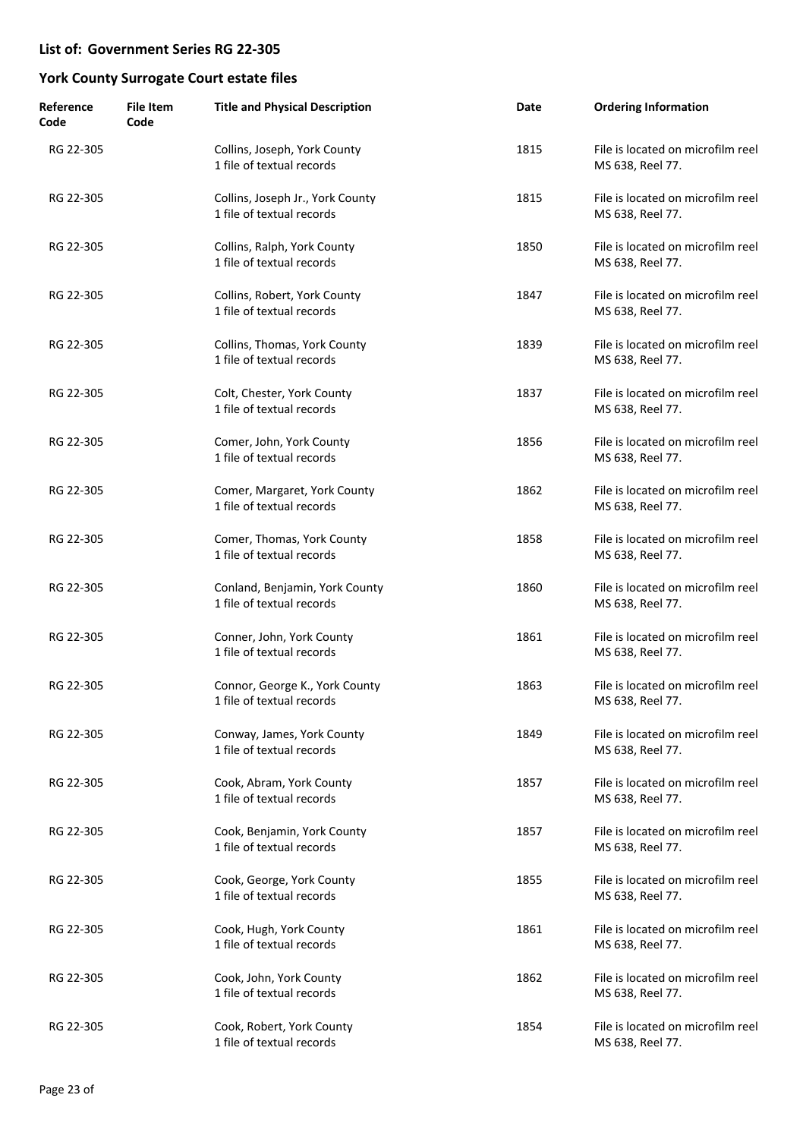| Reference<br>Code | <b>File Item</b><br>Code | <b>Title and Physical Description</b>                         | Date | <b>Ordering Information</b>                           |
|-------------------|--------------------------|---------------------------------------------------------------|------|-------------------------------------------------------|
| RG 22-305         |                          | Collins, Joseph, York County<br>1 file of textual records     | 1815 | File is located on microfilm reel<br>MS 638, Reel 77. |
| RG 22-305         |                          | Collins, Joseph Jr., York County<br>1 file of textual records | 1815 | File is located on microfilm reel<br>MS 638, Reel 77. |
| RG 22-305         |                          | Collins, Ralph, York County<br>1 file of textual records      | 1850 | File is located on microfilm reel<br>MS 638, Reel 77. |
| RG 22-305         |                          | Collins, Robert, York County<br>1 file of textual records     | 1847 | File is located on microfilm reel<br>MS 638, Reel 77. |
| RG 22-305         |                          | Collins, Thomas, York County<br>1 file of textual records     | 1839 | File is located on microfilm reel<br>MS 638, Reel 77. |
| RG 22-305         |                          | Colt, Chester, York County<br>1 file of textual records       | 1837 | File is located on microfilm reel<br>MS 638, Reel 77. |
| RG 22-305         |                          | Comer, John, York County<br>1 file of textual records         | 1856 | File is located on microfilm reel<br>MS 638, Reel 77. |
| RG 22-305         |                          | Comer, Margaret, York County<br>1 file of textual records     | 1862 | File is located on microfilm reel<br>MS 638, Reel 77. |
| RG 22-305         |                          | Comer, Thomas, York County<br>1 file of textual records       | 1858 | File is located on microfilm reel<br>MS 638, Reel 77. |
| RG 22-305         |                          | Conland, Benjamin, York County<br>1 file of textual records   | 1860 | File is located on microfilm reel<br>MS 638, Reel 77. |
| RG 22-305         |                          | Conner, John, York County<br>1 file of textual records        | 1861 | File is located on microfilm reel<br>MS 638, Reel 77. |
| RG 22-305         |                          | Connor, George K., York County<br>1 file of textual records   | 1863 | File is located on microfilm reel<br>MS 638, Reel 77. |
| RG 22-305         |                          | Conway, James, York County<br>1 file of textual records       | 1849 | File is located on microfilm reel<br>MS 638, Reel 77. |
| RG 22-305         |                          | Cook, Abram, York County<br>1 file of textual records         | 1857 | File is located on microfilm reel<br>MS 638, Reel 77. |
| RG 22-305         |                          | Cook, Benjamin, York County<br>1 file of textual records      | 1857 | File is located on microfilm reel<br>MS 638, Reel 77. |
| RG 22-305         |                          | Cook, George, York County<br>1 file of textual records        | 1855 | File is located on microfilm reel<br>MS 638, Reel 77. |
| RG 22-305         |                          | Cook, Hugh, York County<br>1 file of textual records          | 1861 | File is located on microfilm reel<br>MS 638, Reel 77. |
| RG 22-305         |                          | Cook, John, York County<br>1 file of textual records          | 1862 | File is located on microfilm reel<br>MS 638, Reel 77. |
| RG 22-305         |                          | Cook, Robert, York County<br>1 file of textual records        | 1854 | File is located on microfilm reel<br>MS 638, Reel 77. |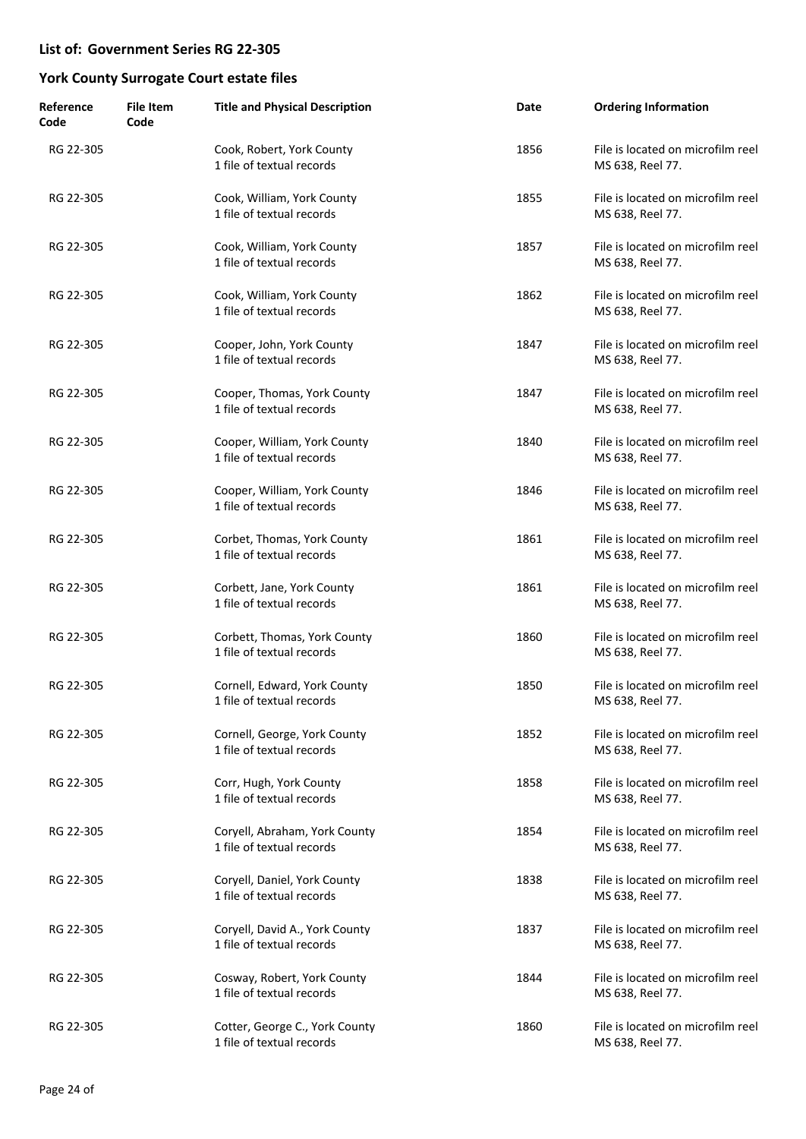| Reference<br>Code | <b>File Item</b><br>Code | <b>Title and Physical Description</b>                       | Date | <b>Ordering Information</b>                           |
|-------------------|--------------------------|-------------------------------------------------------------|------|-------------------------------------------------------|
| RG 22-305         |                          | Cook, Robert, York County<br>1 file of textual records      | 1856 | File is located on microfilm reel<br>MS 638, Reel 77. |
| RG 22-305         |                          | Cook, William, York County<br>1 file of textual records     | 1855 | File is located on microfilm reel<br>MS 638, Reel 77. |
| RG 22-305         |                          | Cook, William, York County<br>1 file of textual records     | 1857 | File is located on microfilm reel<br>MS 638, Reel 77. |
| RG 22-305         |                          | Cook, William, York County<br>1 file of textual records     | 1862 | File is located on microfilm reel<br>MS 638, Reel 77. |
| RG 22-305         |                          | Cooper, John, York County<br>1 file of textual records      | 1847 | File is located on microfilm reel<br>MS 638, Reel 77. |
| RG 22-305         |                          | Cooper, Thomas, York County<br>1 file of textual records    | 1847 | File is located on microfilm reel<br>MS 638, Reel 77. |
| RG 22-305         |                          | Cooper, William, York County<br>1 file of textual records   | 1840 | File is located on microfilm reel<br>MS 638, Reel 77. |
| RG 22-305         |                          | Cooper, William, York County<br>1 file of textual records   | 1846 | File is located on microfilm reel<br>MS 638, Reel 77. |
| RG 22-305         |                          | Corbet, Thomas, York County<br>1 file of textual records    | 1861 | File is located on microfilm reel<br>MS 638, Reel 77. |
| RG 22-305         |                          | Corbett, Jane, York County<br>1 file of textual records     | 1861 | File is located on microfilm reel<br>MS 638, Reel 77. |
| RG 22-305         |                          | Corbett, Thomas, York County<br>1 file of textual records   | 1860 | File is located on microfilm reel<br>MS 638, Reel 77. |
| RG 22-305         |                          | Cornell, Edward, York County<br>1 file of textual records   | 1850 | File is located on microfilm reel<br>MS 638, Reel 77. |
| RG 22-305         |                          | Cornell, George, York County<br>1 file of textual records   | 1852 | File is located on microfilm reel<br>MS 638, Reel 77. |
| RG 22-305         |                          | Corr, Hugh, York County<br>1 file of textual records        | 1858 | File is located on microfilm reel<br>MS 638, Reel 77. |
| RG 22-305         |                          | Coryell, Abraham, York County<br>1 file of textual records  | 1854 | File is located on microfilm reel<br>MS 638, Reel 77. |
| RG 22-305         |                          | Coryell, Daniel, York County<br>1 file of textual records   | 1838 | File is located on microfilm reel<br>MS 638, Reel 77. |
| RG 22-305         |                          | Coryell, David A., York County<br>1 file of textual records | 1837 | File is located on microfilm reel<br>MS 638, Reel 77. |
| RG 22-305         |                          | Cosway, Robert, York County<br>1 file of textual records    | 1844 | File is located on microfilm reel<br>MS 638, Reel 77. |
| RG 22-305         |                          | Cotter, George C., York County<br>1 file of textual records | 1860 | File is located on microfilm reel<br>MS 638, Reel 77. |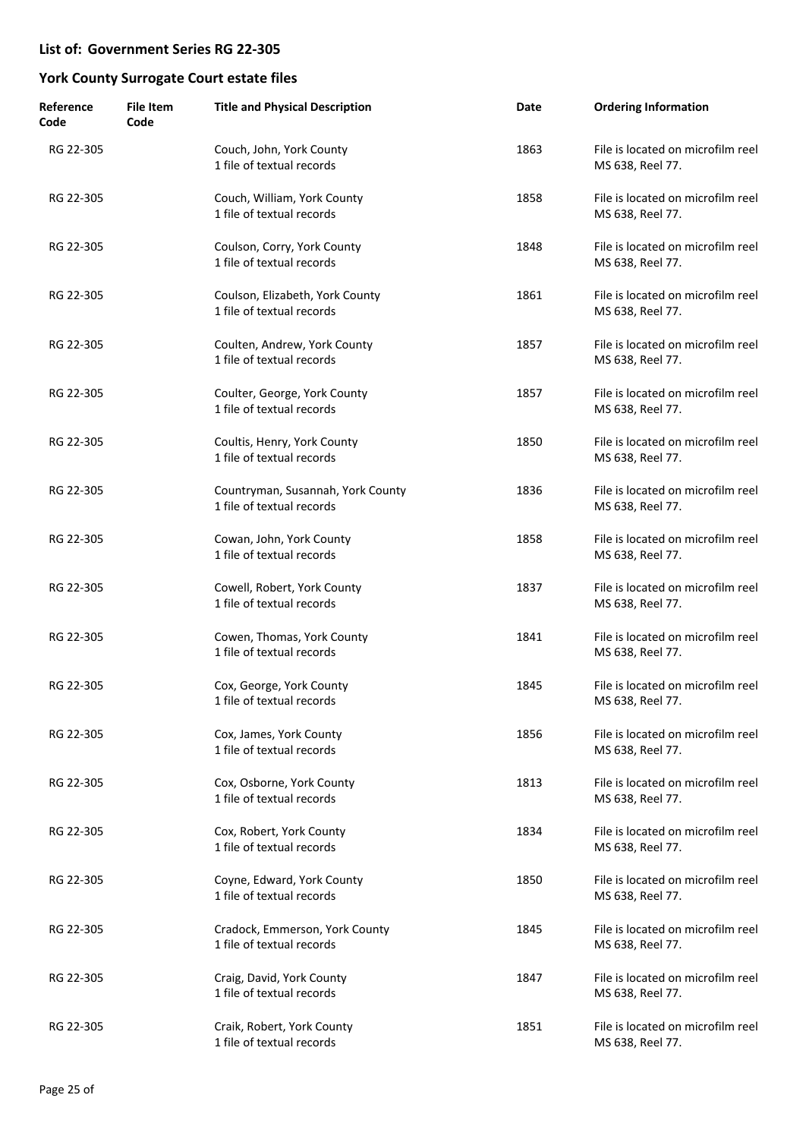| Reference<br>Code | <b>File Item</b><br>Code | <b>Title and Physical Description</b>                          | Date | <b>Ordering Information</b>                           |
|-------------------|--------------------------|----------------------------------------------------------------|------|-------------------------------------------------------|
| RG 22-305         |                          | Couch, John, York County<br>1 file of textual records          | 1863 | File is located on microfilm reel<br>MS 638, Reel 77. |
| RG 22-305         |                          | Couch, William, York County<br>1 file of textual records       | 1858 | File is located on microfilm reel<br>MS 638, Reel 77. |
| RG 22-305         |                          | Coulson, Corry, York County<br>1 file of textual records       | 1848 | File is located on microfilm reel<br>MS 638, Reel 77. |
| RG 22-305         |                          | Coulson, Elizabeth, York County<br>1 file of textual records   | 1861 | File is located on microfilm reel<br>MS 638, Reel 77. |
| RG 22-305         |                          | Coulten, Andrew, York County<br>1 file of textual records      | 1857 | File is located on microfilm reel<br>MS 638, Reel 77. |
| RG 22-305         |                          | Coulter, George, York County<br>1 file of textual records      | 1857 | File is located on microfilm reel<br>MS 638, Reel 77. |
| RG 22-305         |                          | Coultis, Henry, York County<br>1 file of textual records       | 1850 | File is located on microfilm reel<br>MS 638, Reel 77. |
| RG 22-305         |                          | Countryman, Susannah, York County<br>1 file of textual records | 1836 | File is located on microfilm reel<br>MS 638, Reel 77. |
| RG 22-305         |                          | Cowan, John, York County<br>1 file of textual records          | 1858 | File is located on microfilm reel<br>MS 638, Reel 77. |
| RG 22-305         |                          | Cowell, Robert, York County<br>1 file of textual records       | 1837 | File is located on microfilm reel<br>MS 638, Reel 77. |
| RG 22-305         |                          | Cowen, Thomas, York County<br>1 file of textual records        | 1841 | File is located on microfilm reel<br>MS 638, Reel 77. |
| RG 22-305         |                          | Cox, George, York County<br>1 file of textual records          | 1845 | File is located on microfilm reel<br>MS 638, Reel 77. |
| RG 22-305         |                          | Cox, James, York County<br>1 file of textual records           | 1856 | File is located on microfilm reel<br>MS 638, Reel 77. |
| RG 22-305         |                          | Cox, Osborne, York County<br>1 file of textual records         | 1813 | File is located on microfilm reel<br>MS 638, Reel 77. |
| RG 22-305         |                          | Cox, Robert, York County<br>1 file of textual records          | 1834 | File is located on microfilm reel<br>MS 638, Reel 77. |
| RG 22-305         |                          | Coyne, Edward, York County<br>1 file of textual records        | 1850 | File is located on microfilm reel<br>MS 638, Reel 77. |
| RG 22-305         |                          | Cradock, Emmerson, York County<br>1 file of textual records    | 1845 | File is located on microfilm reel<br>MS 638, Reel 77. |
| RG 22-305         |                          | Craig, David, York County<br>1 file of textual records         | 1847 | File is located on microfilm reel<br>MS 638, Reel 77. |
| RG 22-305         |                          | Craik, Robert, York County<br>1 file of textual records        | 1851 | File is located on microfilm reel<br>MS 638, Reel 77. |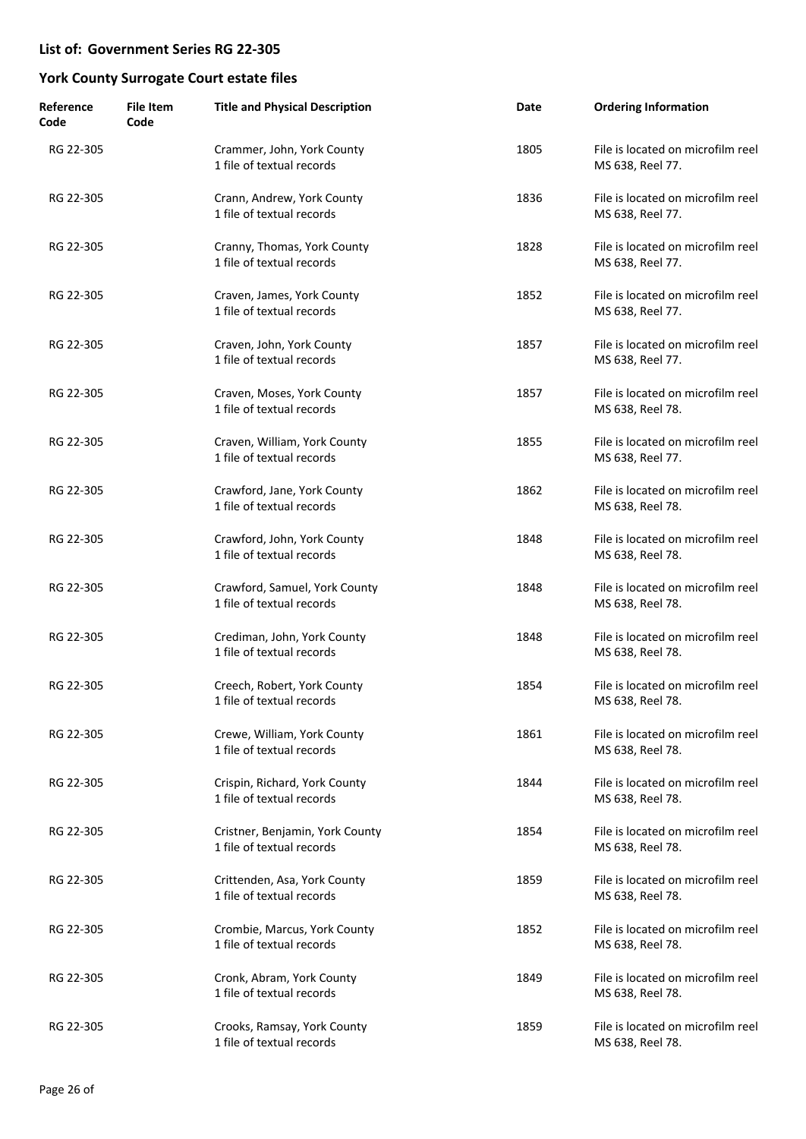| Reference<br>Code | <b>File Item</b><br>Code | <b>Title and Physical Description</b>                        | Date | <b>Ordering Information</b>                           |
|-------------------|--------------------------|--------------------------------------------------------------|------|-------------------------------------------------------|
| RG 22-305         |                          | Crammer, John, York County<br>1 file of textual records      | 1805 | File is located on microfilm reel<br>MS 638, Reel 77. |
| RG 22-305         |                          | Crann, Andrew, York County<br>1 file of textual records      | 1836 | File is located on microfilm reel<br>MS 638, Reel 77. |
| RG 22-305         |                          | Cranny, Thomas, York County<br>1 file of textual records     | 1828 | File is located on microfilm reel<br>MS 638, Reel 77. |
| RG 22-305         |                          | Craven, James, York County<br>1 file of textual records      | 1852 | File is located on microfilm reel<br>MS 638, Reel 77. |
| RG 22-305         |                          | Craven, John, York County<br>1 file of textual records       | 1857 | File is located on microfilm reel<br>MS 638, Reel 77. |
| RG 22-305         |                          | Craven, Moses, York County<br>1 file of textual records      | 1857 | File is located on microfilm reel<br>MS 638, Reel 78. |
| RG 22-305         |                          | Craven, William, York County<br>1 file of textual records    | 1855 | File is located on microfilm reel<br>MS 638, Reel 77. |
| RG 22-305         |                          | Crawford, Jane, York County<br>1 file of textual records     | 1862 | File is located on microfilm reel<br>MS 638, Reel 78. |
| RG 22-305         |                          | Crawford, John, York County<br>1 file of textual records     | 1848 | File is located on microfilm reel<br>MS 638, Reel 78. |
| RG 22-305         |                          | Crawford, Samuel, York County<br>1 file of textual records   | 1848 | File is located on microfilm reel<br>MS 638, Reel 78. |
| RG 22-305         |                          | Crediman, John, York County<br>1 file of textual records     | 1848 | File is located on microfilm reel<br>MS 638, Reel 78. |
| RG 22-305         |                          | Creech, Robert, York County<br>1 file of textual records     | 1854 | File is located on microfilm reel<br>MS 638, Reel 78. |
| RG 22-305         |                          | Crewe, William, York County<br>1 file of textual records     | 1861 | File is located on microfilm reel<br>MS 638, Reel 78. |
| RG 22-305         |                          | Crispin, Richard, York County<br>1 file of textual records   | 1844 | File is located on microfilm reel<br>MS 638, Reel 78. |
| RG 22-305         |                          | Cristner, Benjamin, York County<br>1 file of textual records | 1854 | File is located on microfilm reel<br>MS 638, Reel 78. |
| RG 22-305         |                          | Crittenden, Asa, York County<br>1 file of textual records    | 1859 | File is located on microfilm reel<br>MS 638, Reel 78. |
| RG 22-305         |                          | Crombie, Marcus, York County<br>1 file of textual records    | 1852 | File is located on microfilm reel<br>MS 638, Reel 78. |
| RG 22-305         |                          | Cronk, Abram, York County<br>1 file of textual records       | 1849 | File is located on microfilm reel<br>MS 638, Reel 78. |
| RG 22-305         |                          | Crooks, Ramsay, York County<br>1 file of textual records     | 1859 | File is located on microfilm reel<br>MS 638, Reel 78. |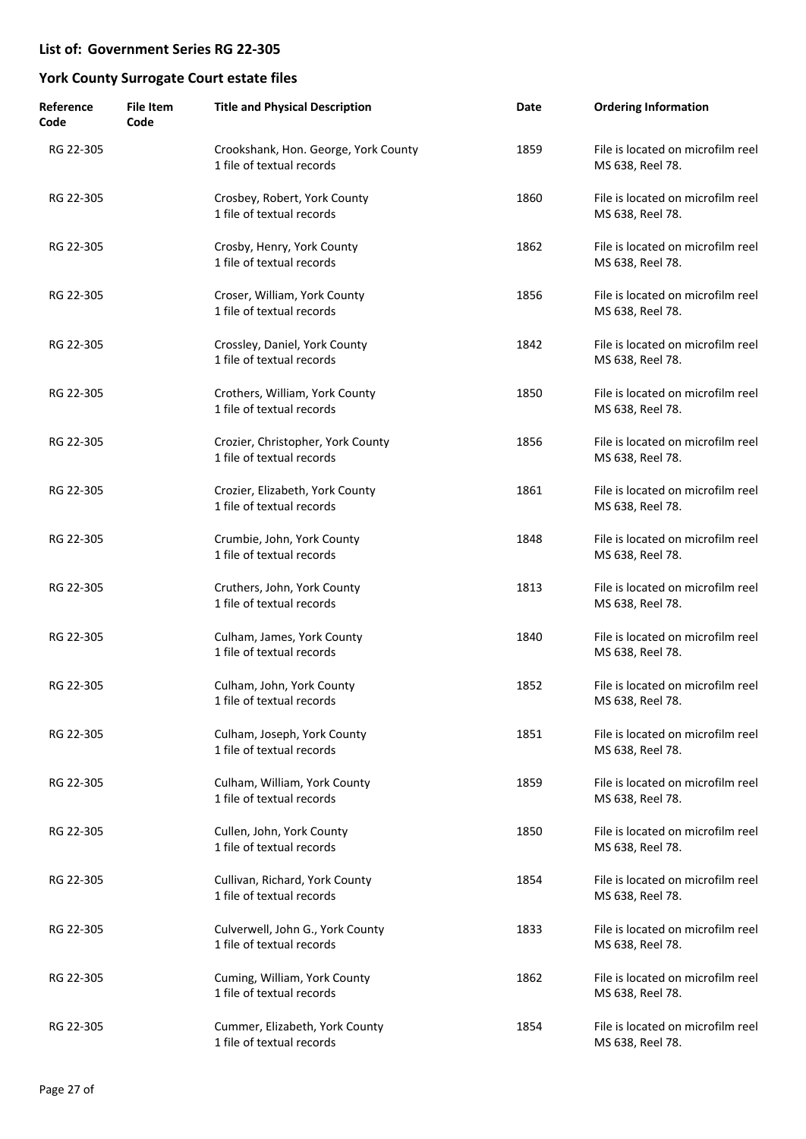| Reference<br>Code | <b>File Item</b><br>Code | <b>Title and Physical Description</b>                             | Date | <b>Ordering Information</b>                           |
|-------------------|--------------------------|-------------------------------------------------------------------|------|-------------------------------------------------------|
| RG 22-305         |                          | Crookshank, Hon. George, York County<br>1 file of textual records | 1859 | File is located on microfilm reel<br>MS 638, Reel 78. |
| RG 22-305         |                          | Crosbey, Robert, York County<br>1 file of textual records         | 1860 | File is located on microfilm reel<br>MS 638, Reel 78. |
| RG 22-305         |                          | Crosby, Henry, York County<br>1 file of textual records           | 1862 | File is located on microfilm reel<br>MS 638, Reel 78. |
| RG 22-305         |                          | Croser, William, York County<br>1 file of textual records         | 1856 | File is located on microfilm reel<br>MS 638, Reel 78. |
| RG 22-305         |                          | Crossley, Daniel, York County<br>1 file of textual records        | 1842 | File is located on microfilm reel<br>MS 638, Reel 78. |
| RG 22-305         |                          | Crothers, William, York County<br>1 file of textual records       | 1850 | File is located on microfilm reel<br>MS 638, Reel 78. |
| RG 22-305         |                          | Crozier, Christopher, York County<br>1 file of textual records    | 1856 | File is located on microfilm reel<br>MS 638, Reel 78. |
| RG 22-305         |                          | Crozier, Elizabeth, York County<br>1 file of textual records      | 1861 | File is located on microfilm reel<br>MS 638, Reel 78. |
| RG 22-305         |                          | Crumbie, John, York County<br>1 file of textual records           | 1848 | File is located on microfilm reel<br>MS 638, Reel 78. |
| RG 22-305         |                          | Cruthers, John, York County<br>1 file of textual records          | 1813 | File is located on microfilm reel<br>MS 638, Reel 78. |
| RG 22-305         |                          | Culham, James, York County<br>1 file of textual records           | 1840 | File is located on microfilm reel<br>MS 638, Reel 78. |
| RG 22-305         |                          | Culham, John, York County<br>1 file of textual records            | 1852 | File is located on microfilm reel<br>MS 638, Reel 78. |
| RG 22-305         |                          | Culham, Joseph, York County<br>1 file of textual records          | 1851 | File is located on microfilm reel<br>MS 638, Reel 78. |
| RG 22-305         |                          | Culham, William, York County<br>1 file of textual records         | 1859 | File is located on microfilm reel<br>MS 638, Reel 78. |
| RG 22-305         |                          | Cullen, John, York County<br>1 file of textual records            | 1850 | File is located on microfilm reel<br>MS 638, Reel 78. |
| RG 22-305         |                          | Cullivan, Richard, York County<br>1 file of textual records       | 1854 | File is located on microfilm reel<br>MS 638, Reel 78. |
| RG 22-305         |                          | Culverwell, John G., York County<br>1 file of textual records     | 1833 | File is located on microfilm reel<br>MS 638, Reel 78. |
| RG 22-305         |                          | Cuming, William, York County<br>1 file of textual records         | 1862 | File is located on microfilm reel<br>MS 638, Reel 78. |
| RG 22-305         |                          | Cummer, Elizabeth, York County<br>1 file of textual records       | 1854 | File is located on microfilm reel<br>MS 638, Reel 78. |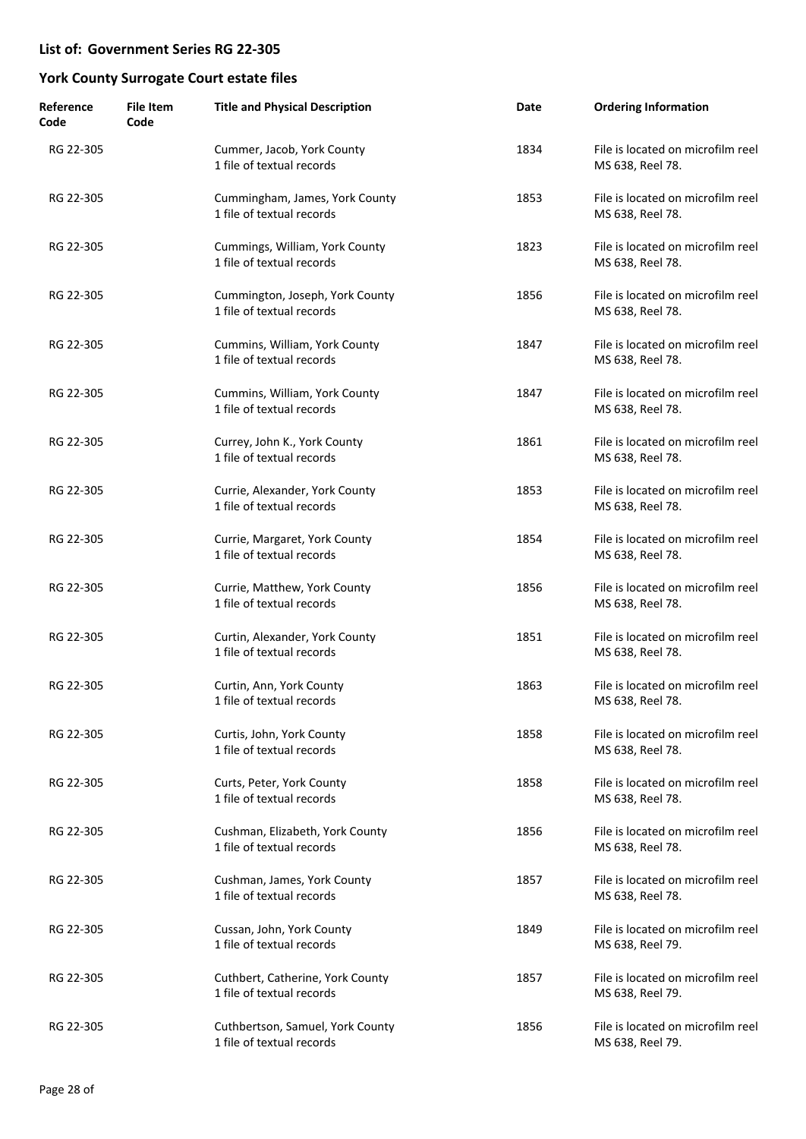| Reference<br>Code | <b>File Item</b><br>Code | <b>Title and Physical Description</b>                         | Date | <b>Ordering Information</b>                           |
|-------------------|--------------------------|---------------------------------------------------------------|------|-------------------------------------------------------|
| RG 22-305         |                          | Cummer, Jacob, York County<br>1 file of textual records       | 1834 | File is located on microfilm reel<br>MS 638, Reel 78. |
| RG 22-305         |                          | Cummingham, James, York County<br>1 file of textual records   | 1853 | File is located on microfilm reel<br>MS 638, Reel 78. |
| RG 22-305         |                          | Cummings, William, York County<br>1 file of textual records   | 1823 | File is located on microfilm reel<br>MS 638, Reel 78. |
| RG 22-305         |                          | Cummington, Joseph, York County<br>1 file of textual records  | 1856 | File is located on microfilm reel<br>MS 638, Reel 78. |
| RG 22-305         |                          | Cummins, William, York County<br>1 file of textual records    | 1847 | File is located on microfilm reel<br>MS 638, Reel 78. |
| RG 22-305         |                          | Cummins, William, York County<br>1 file of textual records    | 1847 | File is located on microfilm reel<br>MS 638, Reel 78. |
| RG 22-305         |                          | Currey, John K., York County<br>1 file of textual records     | 1861 | File is located on microfilm reel<br>MS 638, Reel 78. |
| RG 22-305         |                          | Currie, Alexander, York County<br>1 file of textual records   | 1853 | File is located on microfilm reel<br>MS 638, Reel 78. |
| RG 22-305         |                          | Currie, Margaret, York County<br>1 file of textual records    | 1854 | File is located on microfilm reel<br>MS 638, Reel 78. |
| RG 22-305         |                          | Currie, Matthew, York County<br>1 file of textual records     | 1856 | File is located on microfilm reel<br>MS 638, Reel 78. |
| RG 22-305         |                          | Curtin, Alexander, York County<br>1 file of textual records   | 1851 | File is located on microfilm reel<br>MS 638, Reel 78. |
| RG 22-305         |                          | Curtin, Ann, York County<br>1 file of textual records         | 1863 | File is located on microfilm reel<br>MS 638, Reel 78. |
| RG 22-305         |                          | Curtis, John, York County<br>1 file of textual records        | 1858 | File is located on microfilm reel<br>MS 638, Reel 78. |
| RG 22-305         |                          | Curts, Peter, York County<br>1 file of textual records        | 1858 | File is located on microfilm reel<br>MS 638, Reel 78. |
| RG 22-305         |                          | Cushman, Elizabeth, York County<br>1 file of textual records  | 1856 | File is located on microfilm reel<br>MS 638, Reel 78. |
| RG 22-305         |                          | Cushman, James, York County<br>1 file of textual records      | 1857 | File is located on microfilm reel<br>MS 638, Reel 78. |
| RG 22-305         |                          | Cussan, John, York County<br>1 file of textual records        | 1849 | File is located on microfilm reel<br>MS 638, Reel 79. |
| RG 22-305         |                          | Cuthbert, Catherine, York County<br>1 file of textual records | 1857 | File is located on microfilm reel<br>MS 638, Reel 79. |
| RG 22-305         |                          | Cuthbertson, Samuel, York County<br>1 file of textual records | 1856 | File is located on microfilm reel<br>MS 638, Reel 79. |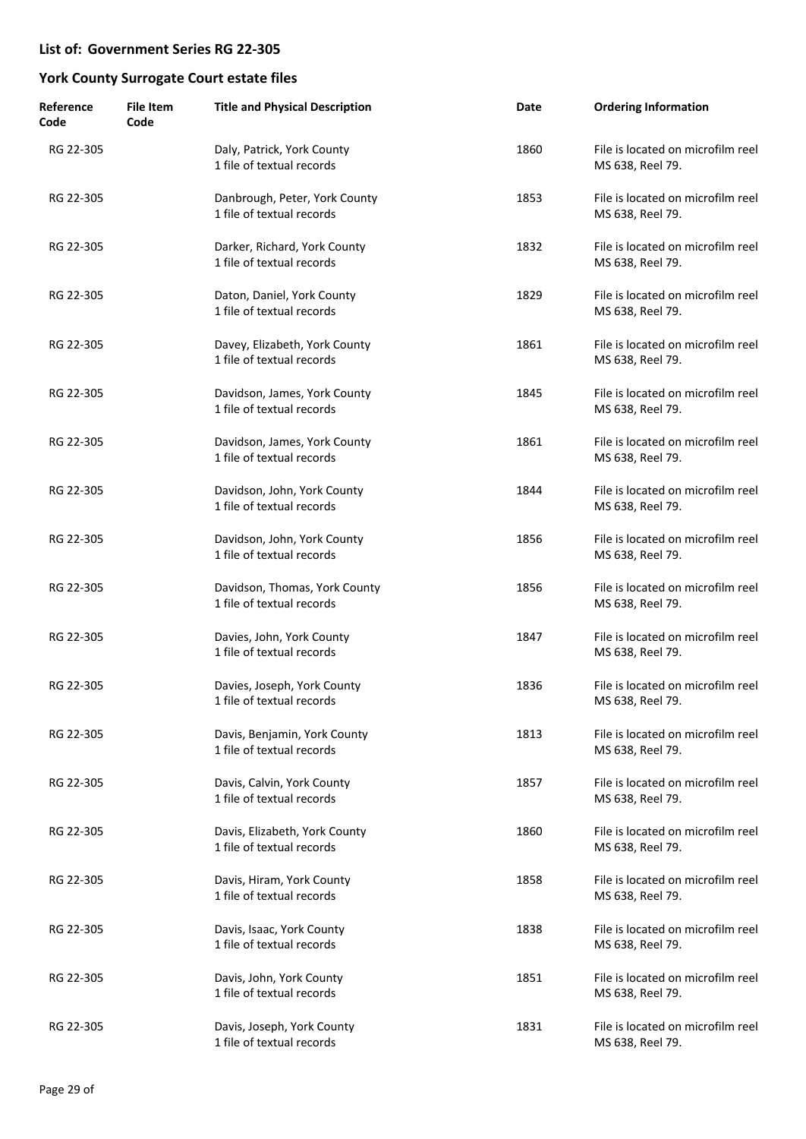| Reference<br>Code | <b>File Item</b><br>Code | <b>Title and Physical Description</b>                      | Date | <b>Ordering Information</b>                           |
|-------------------|--------------------------|------------------------------------------------------------|------|-------------------------------------------------------|
| RG 22-305         |                          | Daly, Patrick, York County<br>1 file of textual records    | 1860 | File is located on microfilm reel<br>MS 638, Reel 79. |
| RG 22-305         |                          | Danbrough, Peter, York County<br>1 file of textual records | 1853 | File is located on microfilm reel<br>MS 638, Reel 79. |
| RG 22-305         |                          | Darker, Richard, York County<br>1 file of textual records  | 1832 | File is located on microfilm reel<br>MS 638, Reel 79. |
| RG 22-305         |                          | Daton, Daniel, York County<br>1 file of textual records    | 1829 | File is located on microfilm reel<br>MS 638, Reel 79. |
| RG 22-305         |                          | Davey, Elizabeth, York County<br>1 file of textual records | 1861 | File is located on microfilm reel<br>MS 638, Reel 79. |
| RG 22-305         |                          | Davidson, James, York County<br>1 file of textual records  | 1845 | File is located on microfilm reel<br>MS 638, Reel 79. |
| RG 22-305         |                          | Davidson, James, York County<br>1 file of textual records  | 1861 | File is located on microfilm reel<br>MS 638, Reel 79. |
| RG 22-305         |                          | Davidson, John, York County<br>1 file of textual records   | 1844 | File is located on microfilm reel<br>MS 638, Reel 79. |
| RG 22-305         |                          | Davidson, John, York County<br>1 file of textual records   | 1856 | File is located on microfilm reel<br>MS 638, Reel 79. |
| RG 22-305         |                          | Davidson, Thomas, York County<br>1 file of textual records | 1856 | File is located on microfilm reel<br>MS 638, Reel 79. |
| RG 22-305         |                          | Davies, John, York County<br>1 file of textual records     | 1847 | File is located on microfilm reel<br>MS 638, Reel 79. |
| RG 22-305         |                          | Davies, Joseph, York County<br>1 file of textual records   | 1836 | File is located on microfilm reel<br>MS 638, Reel 79. |
| RG 22-305         |                          | Davis, Benjamin, York County<br>1 file of textual records  | 1813 | File is located on microfilm reel<br>MS 638, Reel 79. |
| RG 22-305         |                          | Davis, Calvin, York County<br>1 file of textual records    | 1857 | File is located on microfilm reel<br>MS 638, Reel 79. |
| RG 22-305         |                          | Davis, Elizabeth, York County<br>1 file of textual records | 1860 | File is located on microfilm reel<br>MS 638, Reel 79. |
| RG 22-305         |                          | Davis, Hiram, York County<br>1 file of textual records     | 1858 | File is located on microfilm reel<br>MS 638, Reel 79. |
| RG 22-305         |                          | Davis, Isaac, York County<br>1 file of textual records     | 1838 | File is located on microfilm reel<br>MS 638, Reel 79. |
| RG 22-305         |                          | Davis, John, York County<br>1 file of textual records      | 1851 | File is located on microfilm reel<br>MS 638, Reel 79. |
| RG 22-305         |                          | Davis, Joseph, York County<br>1 file of textual records    | 1831 | File is located on microfilm reel<br>MS 638, Reel 79. |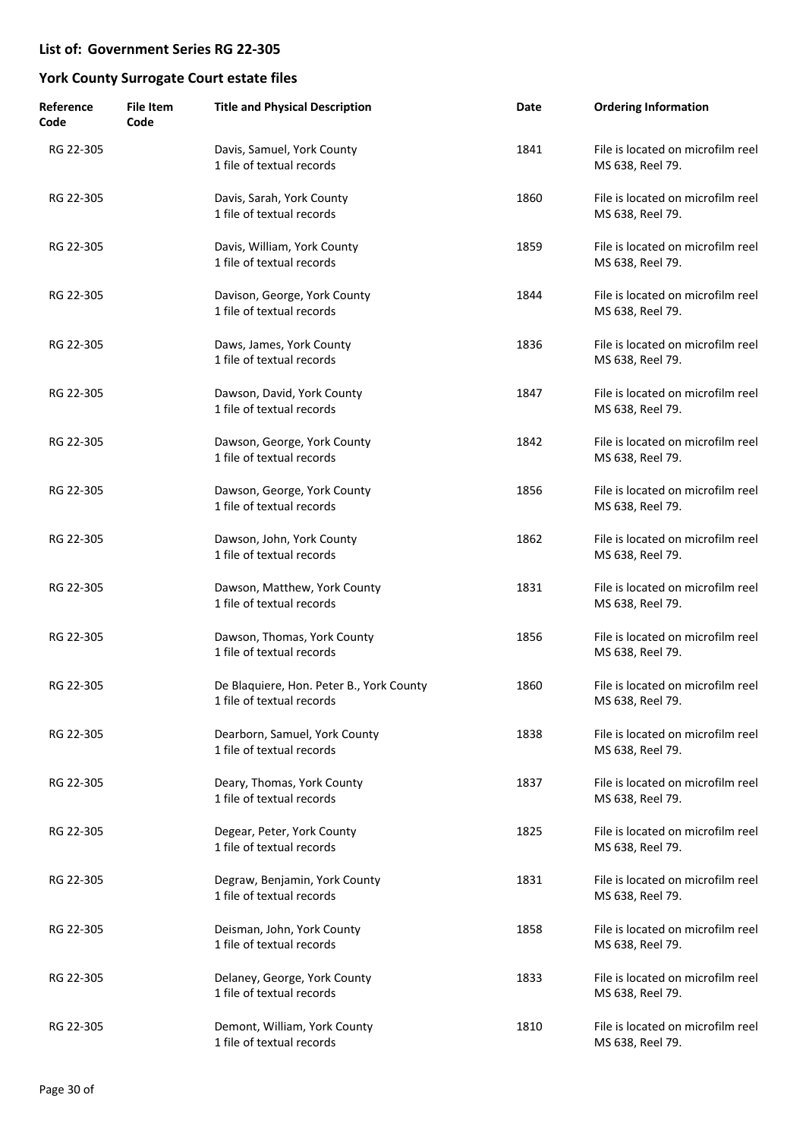| Reference<br>Code | <b>File Item</b><br>Code | <b>Title and Physical Description</b>                                 | Date | <b>Ordering Information</b>                           |
|-------------------|--------------------------|-----------------------------------------------------------------------|------|-------------------------------------------------------|
| RG 22-305         |                          | Davis, Samuel, York County<br>1 file of textual records               | 1841 | File is located on microfilm reel<br>MS 638, Reel 79. |
| RG 22-305         |                          | Davis, Sarah, York County<br>1 file of textual records                | 1860 | File is located on microfilm reel<br>MS 638, Reel 79. |
| RG 22-305         |                          | Davis, William, York County<br>1 file of textual records              | 1859 | File is located on microfilm reel<br>MS 638, Reel 79. |
| RG 22-305         |                          | Davison, George, York County<br>1 file of textual records             | 1844 | File is located on microfilm reel<br>MS 638, Reel 79. |
| RG 22-305         |                          | Daws, James, York County<br>1 file of textual records                 | 1836 | File is located on microfilm reel<br>MS 638, Reel 79. |
| RG 22-305         |                          | Dawson, David, York County<br>1 file of textual records               | 1847 | File is located on microfilm reel<br>MS 638, Reel 79. |
| RG 22-305         |                          | Dawson, George, York County<br>1 file of textual records              | 1842 | File is located on microfilm reel<br>MS 638, Reel 79. |
| RG 22-305         |                          | Dawson, George, York County<br>1 file of textual records              | 1856 | File is located on microfilm reel<br>MS 638, Reel 79. |
| RG 22-305         |                          | Dawson, John, York County<br>1 file of textual records                | 1862 | File is located on microfilm reel<br>MS 638, Reel 79. |
| RG 22-305         |                          | Dawson, Matthew, York County<br>1 file of textual records             | 1831 | File is located on microfilm reel<br>MS 638, Reel 79. |
| RG 22-305         |                          | Dawson, Thomas, York County<br>1 file of textual records              | 1856 | File is located on microfilm reel<br>MS 638, Reel 79. |
| RG 22-305         |                          | De Blaquiere, Hon. Peter B., York County<br>1 file of textual records | 1860 | File is located on microfilm reel<br>MS 638, Reel 79. |
| RG 22-305         |                          | Dearborn, Samuel, York County<br>1 file of textual records            | 1838 | File is located on microfilm reel<br>MS 638, Reel 79. |
| RG 22-305         |                          | Deary, Thomas, York County<br>1 file of textual records               | 1837 | File is located on microfilm reel<br>MS 638, Reel 79. |
| RG 22-305         |                          | Degear, Peter, York County<br>1 file of textual records               | 1825 | File is located on microfilm reel<br>MS 638, Reel 79. |
| RG 22-305         |                          | Degraw, Benjamin, York County<br>1 file of textual records            | 1831 | File is located on microfilm reel<br>MS 638, Reel 79. |
| RG 22-305         |                          | Deisman, John, York County<br>1 file of textual records               | 1858 | File is located on microfilm reel<br>MS 638, Reel 79. |
| RG 22-305         |                          | Delaney, George, York County<br>1 file of textual records             | 1833 | File is located on microfilm reel<br>MS 638, Reel 79. |
| RG 22-305         |                          | Demont, William, York County<br>1 file of textual records             | 1810 | File is located on microfilm reel<br>MS 638, Reel 79. |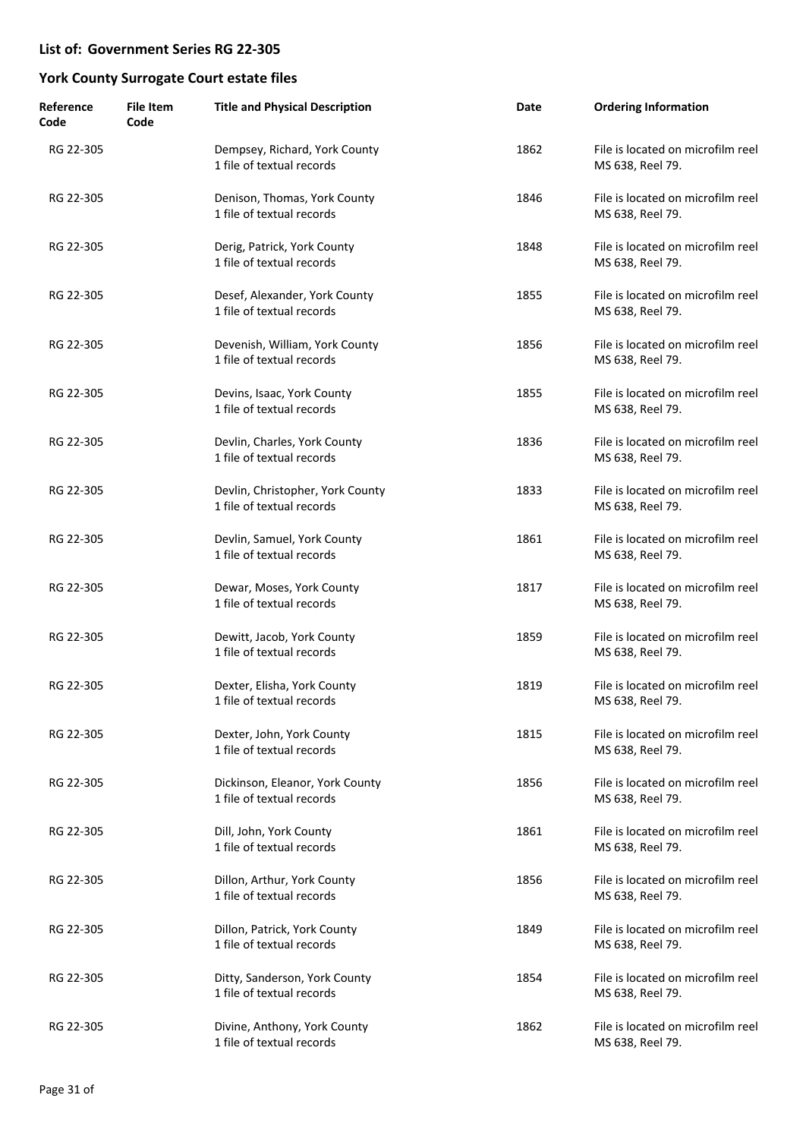| Reference<br>Code | <b>File Item</b><br>Code | <b>Title and Physical Description</b>                         | Date | <b>Ordering Information</b>                           |
|-------------------|--------------------------|---------------------------------------------------------------|------|-------------------------------------------------------|
| RG 22-305         |                          | Dempsey, Richard, York County<br>1 file of textual records    | 1862 | File is located on microfilm reel<br>MS 638, Reel 79. |
| RG 22-305         |                          | Denison, Thomas, York County<br>1 file of textual records     | 1846 | File is located on microfilm reel<br>MS 638, Reel 79. |
| RG 22-305         |                          | Derig, Patrick, York County<br>1 file of textual records      | 1848 | File is located on microfilm reel<br>MS 638, Reel 79. |
| RG 22-305         |                          | Desef, Alexander, York County<br>1 file of textual records    | 1855 | File is located on microfilm reel<br>MS 638, Reel 79. |
| RG 22-305         |                          | Devenish, William, York County<br>1 file of textual records   | 1856 | File is located on microfilm reel<br>MS 638, Reel 79. |
| RG 22-305         |                          | Devins, Isaac, York County<br>1 file of textual records       | 1855 | File is located on microfilm reel<br>MS 638, Reel 79. |
| RG 22-305         |                          | Devlin, Charles, York County<br>1 file of textual records     | 1836 | File is located on microfilm reel<br>MS 638, Reel 79. |
| RG 22-305         |                          | Devlin, Christopher, York County<br>1 file of textual records | 1833 | File is located on microfilm reel<br>MS 638, Reel 79. |
| RG 22-305         |                          | Devlin, Samuel, York County<br>1 file of textual records      | 1861 | File is located on microfilm reel<br>MS 638, Reel 79. |
| RG 22-305         |                          | Dewar, Moses, York County<br>1 file of textual records        | 1817 | File is located on microfilm reel<br>MS 638, Reel 79. |
| RG 22-305         |                          | Dewitt, Jacob, York County<br>1 file of textual records       | 1859 | File is located on microfilm reel<br>MS 638, Reel 79. |
| RG 22-305         |                          | Dexter, Elisha, York County<br>1 file of textual records      | 1819 | File is located on microfilm reel<br>MS 638, Reel 79. |
| RG 22-305         |                          | Dexter, John, York County<br>1 file of textual records        | 1815 | File is located on microfilm reel<br>MS 638, Reel 79. |
| RG 22-305         |                          | Dickinson, Eleanor, York County<br>1 file of textual records  | 1856 | File is located on microfilm reel<br>MS 638, Reel 79. |
| RG 22-305         |                          | Dill, John, York County<br>1 file of textual records          | 1861 | File is located on microfilm reel<br>MS 638, Reel 79. |
| RG 22-305         |                          | Dillon, Arthur, York County<br>1 file of textual records      | 1856 | File is located on microfilm reel<br>MS 638, Reel 79. |
| RG 22-305         |                          | Dillon, Patrick, York County<br>1 file of textual records     | 1849 | File is located on microfilm reel<br>MS 638, Reel 79. |
| RG 22-305         |                          | Ditty, Sanderson, York County<br>1 file of textual records    | 1854 | File is located on microfilm reel<br>MS 638, Reel 79. |
| RG 22-305         |                          | Divine, Anthony, York County<br>1 file of textual records     | 1862 | File is located on microfilm reel<br>MS 638, Reel 79. |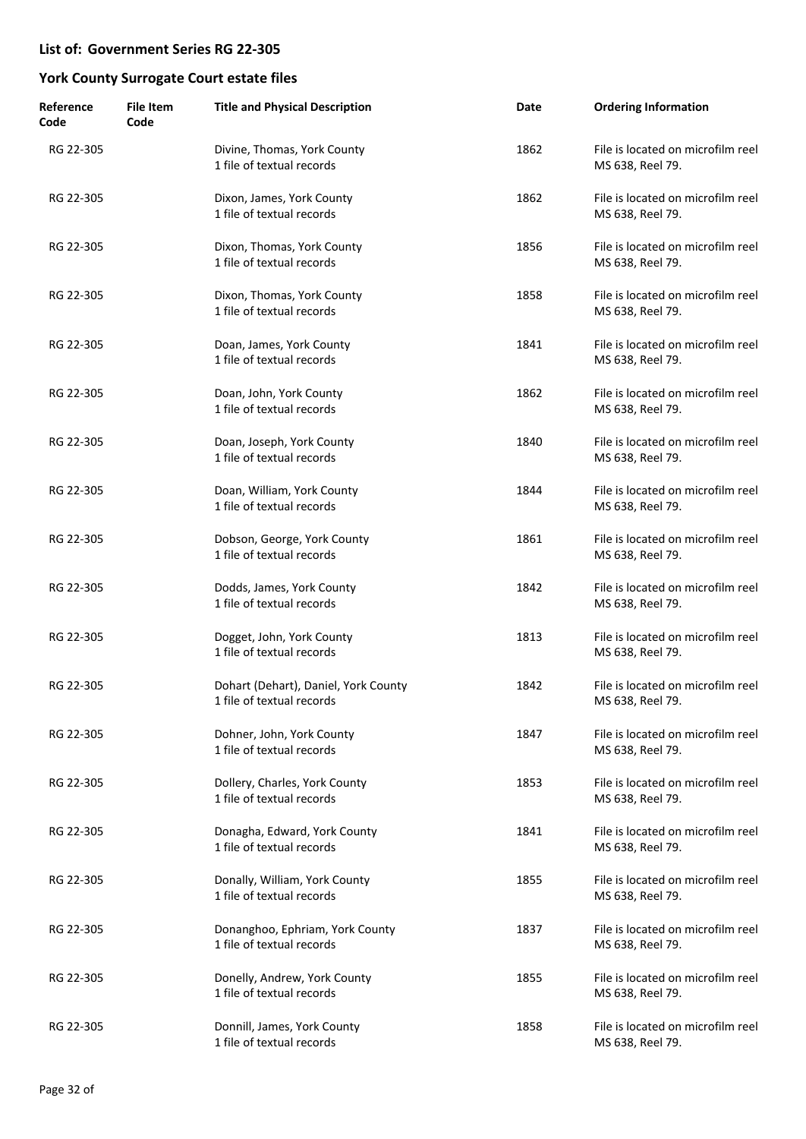| Reference<br>Code | <b>File Item</b><br>Code | <b>Title and Physical Description</b>                             | Date | <b>Ordering Information</b>                           |
|-------------------|--------------------------|-------------------------------------------------------------------|------|-------------------------------------------------------|
| RG 22-305         |                          | Divine, Thomas, York County<br>1 file of textual records          | 1862 | File is located on microfilm reel<br>MS 638, Reel 79. |
| RG 22-305         |                          | Dixon, James, York County<br>1 file of textual records            | 1862 | File is located on microfilm reel<br>MS 638, Reel 79. |
| RG 22-305         |                          | Dixon, Thomas, York County<br>1 file of textual records           | 1856 | File is located on microfilm reel<br>MS 638, Reel 79. |
| RG 22-305         |                          | Dixon, Thomas, York County<br>1 file of textual records           | 1858 | File is located on microfilm reel<br>MS 638, Reel 79. |
| RG 22-305         |                          | Doan, James, York County<br>1 file of textual records             | 1841 | File is located on microfilm reel<br>MS 638, Reel 79. |
| RG 22-305         |                          | Doan, John, York County<br>1 file of textual records              | 1862 | File is located on microfilm reel<br>MS 638, Reel 79. |
| RG 22-305         |                          | Doan, Joseph, York County<br>1 file of textual records            | 1840 | File is located on microfilm reel<br>MS 638, Reel 79. |
| RG 22-305         |                          | Doan, William, York County<br>1 file of textual records           | 1844 | File is located on microfilm reel<br>MS 638, Reel 79. |
| RG 22-305         |                          | Dobson, George, York County<br>1 file of textual records          | 1861 | File is located on microfilm reel<br>MS 638, Reel 79. |
| RG 22-305         |                          | Dodds, James, York County<br>1 file of textual records            | 1842 | File is located on microfilm reel<br>MS 638, Reel 79. |
| RG 22-305         |                          | Dogget, John, York County<br>1 file of textual records            | 1813 | File is located on microfilm reel<br>MS 638, Reel 79. |
| RG 22-305         |                          | Dohart (Dehart), Daniel, York County<br>1 file of textual records | 1842 | File is located on microfilm reel<br>MS 638, Reel 79. |
| RG 22-305         |                          | Dohner, John, York County<br>1 file of textual records            | 1847 | File is located on microfilm reel<br>MS 638, Reel 79. |
| RG 22-305         |                          | Dollery, Charles, York County<br>1 file of textual records        | 1853 | File is located on microfilm reel<br>MS 638, Reel 79. |
| RG 22-305         |                          | Donagha, Edward, York County<br>1 file of textual records         | 1841 | File is located on microfilm reel<br>MS 638, Reel 79. |
| RG 22-305         |                          | Donally, William, York County<br>1 file of textual records        | 1855 | File is located on microfilm reel<br>MS 638, Reel 79. |
| RG 22-305         |                          | Donanghoo, Ephriam, York County<br>1 file of textual records      | 1837 | File is located on microfilm reel<br>MS 638, Reel 79. |
| RG 22-305         |                          | Donelly, Andrew, York County<br>1 file of textual records         | 1855 | File is located on microfilm reel<br>MS 638, Reel 79. |
| RG 22-305         |                          | Donnill, James, York County<br>1 file of textual records          | 1858 | File is located on microfilm reel<br>MS 638, Reel 79. |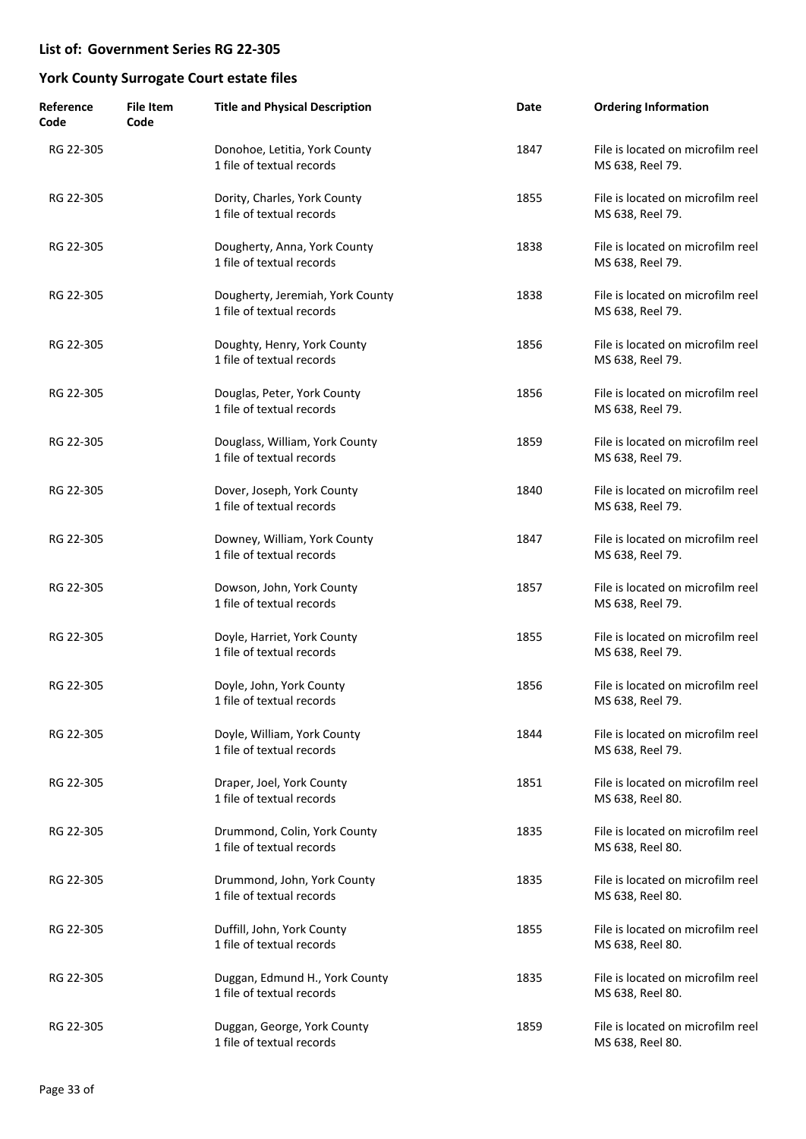| Reference<br>Code | <b>File Item</b><br>Code | <b>Title and Physical Description</b>                         | Date | <b>Ordering Information</b>                           |
|-------------------|--------------------------|---------------------------------------------------------------|------|-------------------------------------------------------|
| RG 22-305         |                          | Donohoe, Letitia, York County<br>1 file of textual records    | 1847 | File is located on microfilm reel<br>MS 638, Reel 79. |
| RG 22-305         |                          | Dority, Charles, York County<br>1 file of textual records     | 1855 | File is located on microfilm reel<br>MS 638, Reel 79. |
| RG 22-305         |                          | Dougherty, Anna, York County<br>1 file of textual records     | 1838 | File is located on microfilm reel<br>MS 638, Reel 79. |
| RG 22-305         |                          | Dougherty, Jeremiah, York County<br>1 file of textual records | 1838 | File is located on microfilm reel<br>MS 638, Reel 79. |
| RG 22-305         |                          | Doughty, Henry, York County<br>1 file of textual records      | 1856 | File is located on microfilm reel<br>MS 638, Reel 79. |
| RG 22-305         |                          | Douglas, Peter, York County<br>1 file of textual records      | 1856 | File is located on microfilm reel<br>MS 638, Reel 79. |
| RG 22-305         |                          | Douglass, William, York County<br>1 file of textual records   | 1859 | File is located on microfilm reel<br>MS 638, Reel 79. |
| RG 22-305         |                          | Dover, Joseph, York County<br>1 file of textual records       | 1840 | File is located on microfilm reel<br>MS 638, Reel 79. |
| RG 22-305         |                          | Downey, William, York County<br>1 file of textual records     | 1847 | File is located on microfilm reel<br>MS 638, Reel 79. |
| RG 22-305         |                          | Dowson, John, York County<br>1 file of textual records        | 1857 | File is located on microfilm reel<br>MS 638, Reel 79. |
| RG 22-305         |                          | Doyle, Harriet, York County<br>1 file of textual records      | 1855 | File is located on microfilm reel<br>MS 638, Reel 79. |
| RG 22-305         |                          | Doyle, John, York County<br>1 file of textual records         | 1856 | File is located on microfilm reel<br>MS 638, Reel 79. |
| RG 22-305         |                          | Doyle, William, York County<br>1 file of textual records      | 1844 | File is located on microfilm reel<br>MS 638, Reel 79. |
| RG 22-305         |                          | Draper, Joel, York County<br>1 file of textual records        | 1851 | File is located on microfilm reel<br>MS 638, Reel 80. |
| RG 22-305         |                          | Drummond, Colin, York County<br>1 file of textual records     | 1835 | File is located on microfilm reel<br>MS 638, Reel 80. |
| RG 22-305         |                          | Drummond, John, York County<br>1 file of textual records      | 1835 | File is located on microfilm reel<br>MS 638, Reel 80. |
| RG 22-305         |                          | Duffill, John, York County<br>1 file of textual records       | 1855 | File is located on microfilm reel<br>MS 638, Reel 80. |
| RG 22-305         |                          | Duggan, Edmund H., York County<br>1 file of textual records   | 1835 | File is located on microfilm reel<br>MS 638, Reel 80. |
| RG 22-305         |                          | Duggan, George, York County<br>1 file of textual records      | 1859 | File is located on microfilm reel<br>MS 638, Reel 80. |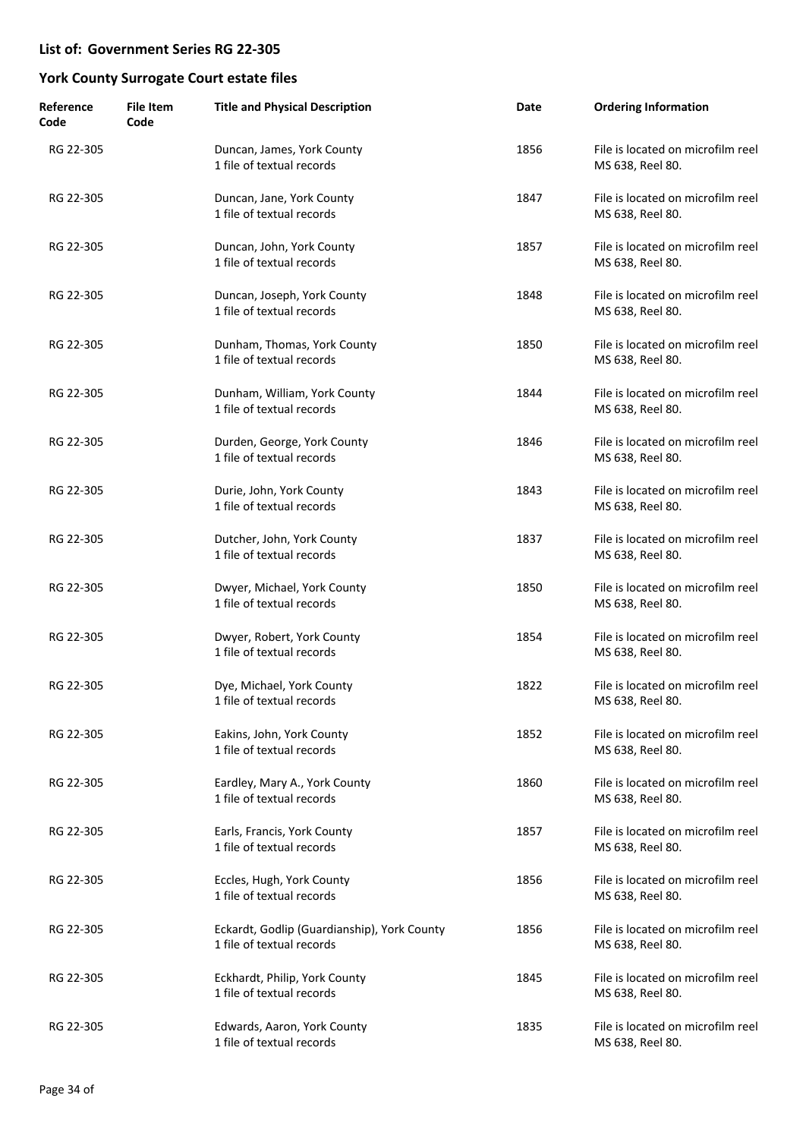| Reference<br>Code | <b>File Item</b><br>Code | <b>Title and Physical Description</b>                                    | Date | <b>Ordering Information</b>                           |
|-------------------|--------------------------|--------------------------------------------------------------------------|------|-------------------------------------------------------|
| RG 22-305         |                          | Duncan, James, York County<br>1 file of textual records                  | 1856 | File is located on microfilm reel<br>MS 638, Reel 80. |
| RG 22-305         |                          | Duncan, Jane, York County<br>1 file of textual records                   | 1847 | File is located on microfilm reel<br>MS 638, Reel 80. |
| RG 22-305         |                          | Duncan, John, York County<br>1 file of textual records                   | 1857 | File is located on microfilm reel<br>MS 638, Reel 80. |
| RG 22-305         |                          | Duncan, Joseph, York County<br>1 file of textual records                 | 1848 | File is located on microfilm reel<br>MS 638, Reel 80. |
| RG 22-305         |                          | Dunham, Thomas, York County<br>1 file of textual records                 | 1850 | File is located on microfilm reel<br>MS 638, Reel 80. |
| RG 22-305         |                          | Dunham, William, York County<br>1 file of textual records                | 1844 | File is located on microfilm reel<br>MS 638, Reel 80. |
| RG 22-305         |                          | Durden, George, York County<br>1 file of textual records                 | 1846 | File is located on microfilm reel<br>MS 638, Reel 80. |
| RG 22-305         |                          | Durie, John, York County<br>1 file of textual records                    | 1843 | File is located on microfilm reel<br>MS 638, Reel 80. |
| RG 22-305         |                          | Dutcher, John, York County<br>1 file of textual records                  | 1837 | File is located on microfilm reel<br>MS 638, Reel 80. |
| RG 22-305         |                          | Dwyer, Michael, York County<br>1 file of textual records                 | 1850 | File is located on microfilm reel<br>MS 638, Reel 80. |
| RG 22-305         |                          | Dwyer, Robert, York County<br>1 file of textual records                  | 1854 | File is located on microfilm reel<br>MS 638, Reel 80. |
| RG 22-305         |                          | Dye, Michael, York County<br>1 file of textual records                   | 1822 | File is located on microfilm reel<br>MS 638, Reel 80. |
| RG 22-305         |                          | Eakins, John, York County<br>1 file of textual records                   | 1852 | File is located on microfilm reel<br>MS 638, Reel 80. |
| RG 22-305         |                          | Eardley, Mary A., York County<br>1 file of textual records               | 1860 | File is located on microfilm reel<br>MS 638, Reel 80. |
| RG 22-305         |                          | Earls, Francis, York County<br>1 file of textual records                 | 1857 | File is located on microfilm reel<br>MS 638, Reel 80. |
| RG 22-305         |                          | Eccles, Hugh, York County<br>1 file of textual records                   | 1856 | File is located on microfilm reel<br>MS 638, Reel 80. |
| RG 22-305         |                          | Eckardt, Godlip (Guardianship), York County<br>1 file of textual records | 1856 | File is located on microfilm reel<br>MS 638, Reel 80. |
| RG 22-305         |                          | Eckhardt, Philip, York County<br>1 file of textual records               | 1845 | File is located on microfilm reel<br>MS 638, Reel 80. |
| RG 22-305         |                          | Edwards, Aaron, York County<br>1 file of textual records                 | 1835 | File is located on microfilm reel<br>MS 638, Reel 80. |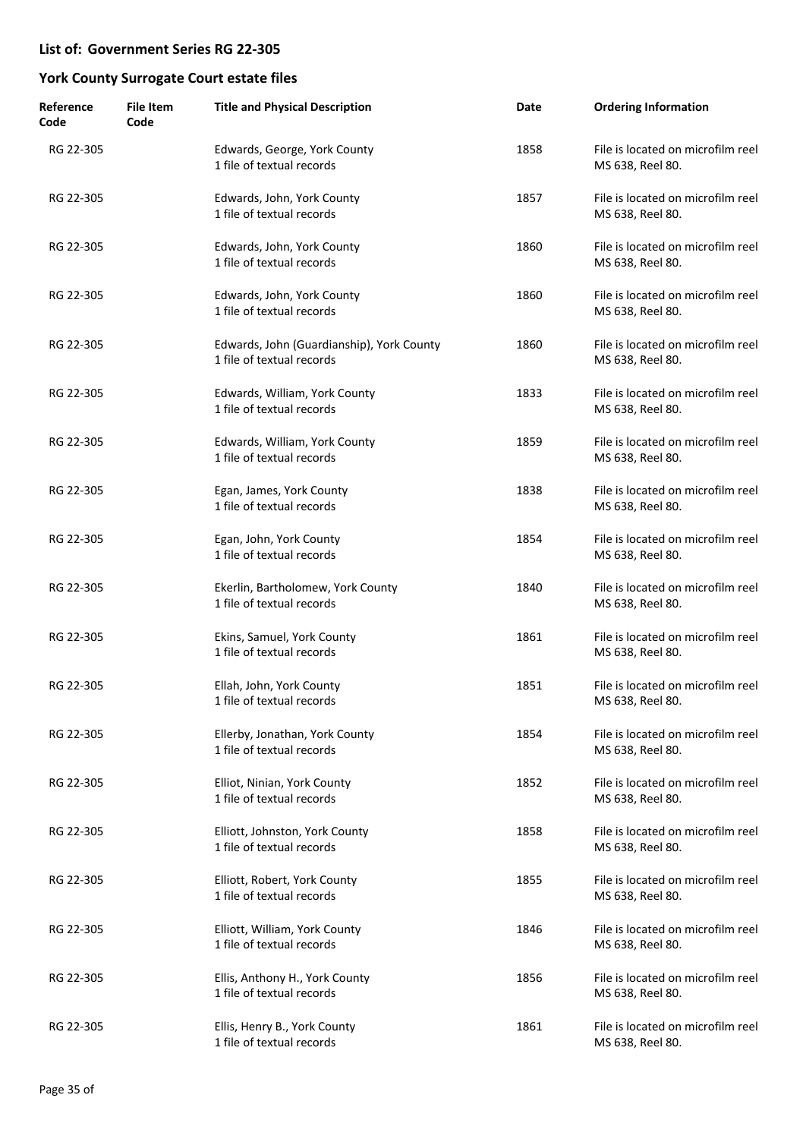| Reference<br>Code | <b>File Item</b><br>Code | <b>Title and Physical Description</b>                                  | Date | <b>Ordering Information</b>                           |
|-------------------|--------------------------|------------------------------------------------------------------------|------|-------------------------------------------------------|
| RG 22-305         |                          | Edwards, George, York County<br>1 file of textual records              | 1858 | File is located on microfilm reel<br>MS 638, Reel 80. |
| RG 22-305         |                          | Edwards, John, York County<br>1 file of textual records                | 1857 | File is located on microfilm reel<br>MS 638, Reel 80. |
| RG 22-305         |                          | Edwards, John, York County<br>1 file of textual records                | 1860 | File is located on microfilm reel<br>MS 638, Reel 80. |
| RG 22-305         |                          | Edwards, John, York County<br>1 file of textual records                | 1860 | File is located on microfilm reel<br>MS 638, Reel 80. |
| RG 22-305         |                          | Edwards, John (Guardianship), York County<br>1 file of textual records | 1860 | File is located on microfilm reel<br>MS 638, Reel 80. |
| RG 22-305         |                          | Edwards, William, York County<br>1 file of textual records             | 1833 | File is located on microfilm reel<br>MS 638, Reel 80. |
| RG 22-305         |                          | Edwards, William, York County<br>1 file of textual records             | 1859 | File is located on microfilm reel<br>MS 638, Reel 80. |
| RG 22-305         |                          | Egan, James, York County<br>1 file of textual records                  | 1838 | File is located on microfilm reel<br>MS 638, Reel 80. |
| RG 22-305         |                          | Egan, John, York County<br>1 file of textual records                   | 1854 | File is located on microfilm reel<br>MS 638, Reel 80. |
| RG 22-305         |                          | Ekerlin, Bartholomew, York County<br>1 file of textual records         | 1840 | File is located on microfilm reel<br>MS 638, Reel 80. |
| RG 22-305         |                          | Ekins, Samuel, York County<br>1 file of textual records                | 1861 | File is located on microfilm reel<br>MS 638, Reel 80. |
| RG 22-305         |                          | Ellah, John, York County<br>1 file of textual records                  | 1851 | File is located on microfilm reel<br>MS 638, Reel 80. |
| RG 22-305         |                          | Ellerby, Jonathan, York County<br>1 file of textual records            | 1854 | File is located on microfilm reel<br>MS 638, Reel 80. |
| RG 22-305         |                          | Elliot, Ninian, York County<br>1 file of textual records               | 1852 | File is located on microfilm reel<br>MS 638, Reel 80. |
| RG 22-305         |                          | Elliott, Johnston, York County<br>1 file of textual records            | 1858 | File is located on microfilm reel<br>MS 638, Reel 80. |
| RG 22-305         |                          | Elliott, Robert, York County<br>1 file of textual records              | 1855 | File is located on microfilm reel<br>MS 638, Reel 80. |
| RG 22-305         |                          | Elliott, William, York County<br>1 file of textual records             | 1846 | File is located on microfilm reel<br>MS 638, Reel 80. |
| RG 22-305         |                          | Ellis, Anthony H., York County<br>1 file of textual records            | 1856 | File is located on microfilm reel<br>MS 638, Reel 80. |
| RG 22-305         |                          | Ellis, Henry B., York County<br>1 file of textual records              | 1861 | File is located on microfilm reel<br>MS 638, Reel 80. |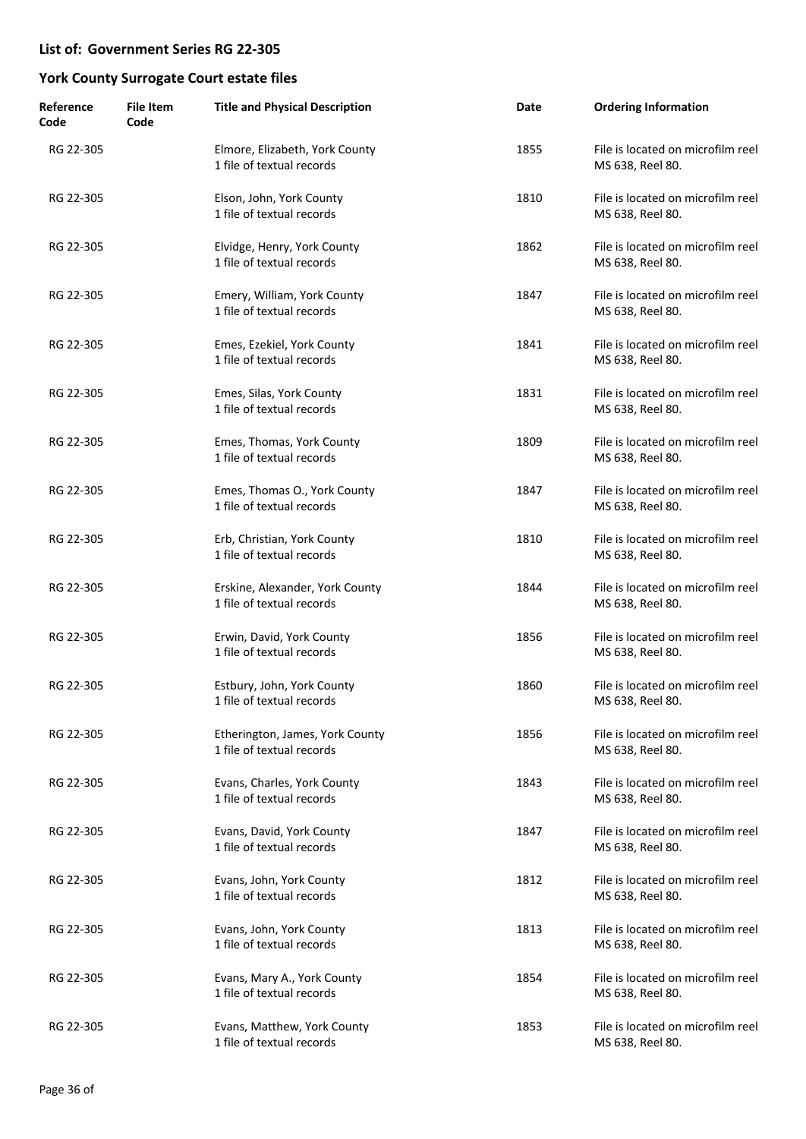| Reference<br>Code | <b>File Item</b><br>Code | <b>Title and Physical Description</b>                        | Date | <b>Ordering Information</b>                           |
|-------------------|--------------------------|--------------------------------------------------------------|------|-------------------------------------------------------|
| RG 22-305         |                          | Elmore, Elizabeth, York County<br>1 file of textual records  | 1855 | File is located on microfilm reel<br>MS 638, Reel 80. |
| RG 22-305         |                          | Elson, John, York County<br>1 file of textual records        | 1810 | File is located on microfilm reel<br>MS 638, Reel 80. |
| RG 22-305         |                          | Elvidge, Henry, York County<br>1 file of textual records     | 1862 | File is located on microfilm reel<br>MS 638, Reel 80. |
| RG 22-305         |                          | Emery, William, York County<br>1 file of textual records     | 1847 | File is located on microfilm reel<br>MS 638, Reel 80. |
| RG 22-305         |                          | Emes, Ezekiel, York County<br>1 file of textual records      | 1841 | File is located on microfilm reel<br>MS 638, Reel 80. |
| RG 22-305         |                          | Emes, Silas, York County<br>1 file of textual records        | 1831 | File is located on microfilm reel<br>MS 638, Reel 80. |
| RG 22-305         |                          | Emes, Thomas, York County<br>1 file of textual records       | 1809 | File is located on microfilm reel<br>MS 638, Reel 80. |
| RG 22-305         |                          | Emes, Thomas O., York County<br>1 file of textual records    | 1847 | File is located on microfilm reel<br>MS 638, Reel 80. |
| RG 22-305         |                          | Erb, Christian, York County<br>1 file of textual records     | 1810 | File is located on microfilm reel<br>MS 638, Reel 80. |
| RG 22-305         |                          | Erskine, Alexander, York County<br>1 file of textual records | 1844 | File is located on microfilm reel<br>MS 638, Reel 80. |
| RG 22-305         |                          | Erwin, David, York County<br>1 file of textual records       | 1856 | File is located on microfilm reel<br>MS 638, Reel 80. |
| RG 22-305         |                          | Estbury, John, York County<br>1 file of textual records      | 1860 | File is located on microfilm reel<br>MS 638, Reel 80. |
| RG 22-305         |                          | Etherington, James, York County<br>1 file of textual records | 1856 | File is located on microfilm reel<br>MS 638, Reel 80. |
| RG 22-305         |                          | Evans, Charles, York County<br>1 file of textual records     | 1843 | File is located on microfilm reel<br>MS 638, Reel 80. |
| RG 22-305         |                          | Evans, David, York County<br>1 file of textual records       | 1847 | File is located on microfilm reel<br>MS 638, Reel 80. |
| RG 22-305         |                          | Evans, John, York County<br>1 file of textual records        | 1812 | File is located on microfilm reel<br>MS 638, Reel 80. |
| RG 22-305         |                          | Evans, John, York County<br>1 file of textual records        | 1813 | File is located on microfilm reel<br>MS 638, Reel 80. |
| RG 22-305         |                          | Evans, Mary A., York County<br>1 file of textual records     | 1854 | File is located on microfilm reel<br>MS 638, Reel 80. |
| RG 22-305         |                          | Evans, Matthew, York County<br>1 file of textual records     | 1853 | File is located on microfilm reel<br>MS 638, Reel 80. |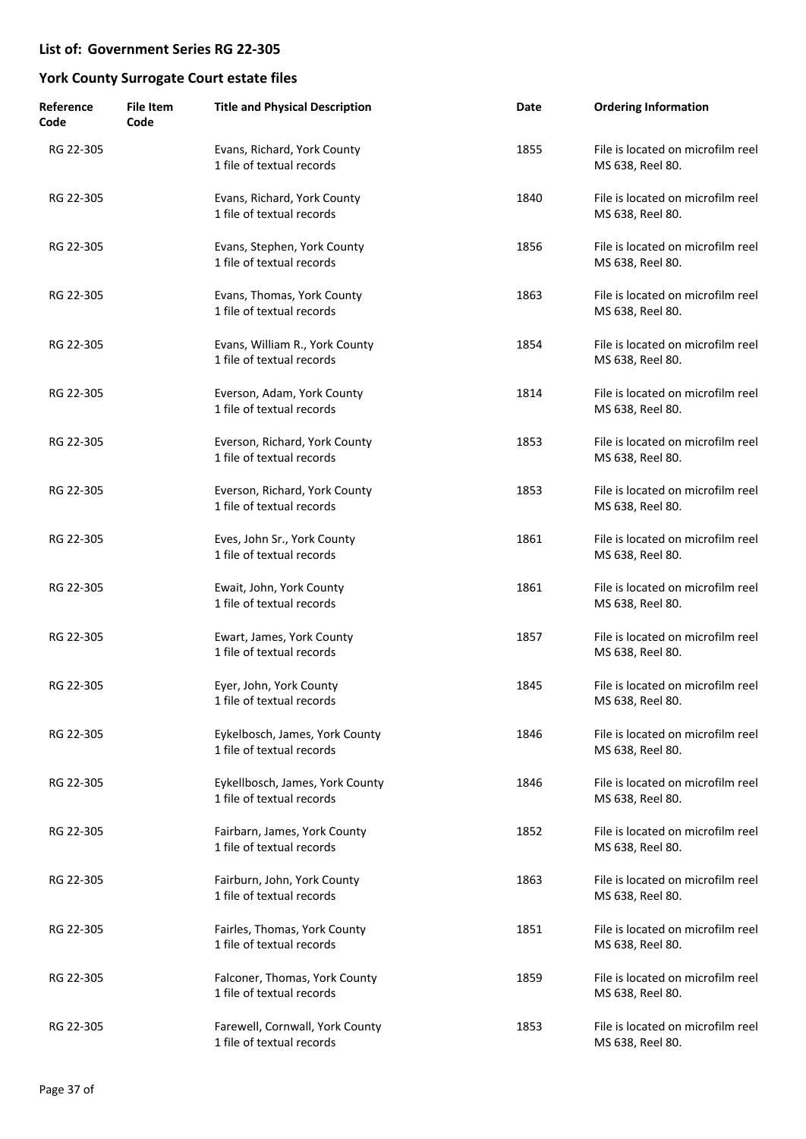| Reference<br>Code | <b>File Item</b><br>Code | <b>Title and Physical Description</b>                        | Date | <b>Ordering Information</b>                           |
|-------------------|--------------------------|--------------------------------------------------------------|------|-------------------------------------------------------|
| RG 22-305         |                          | Evans, Richard, York County<br>1 file of textual records     | 1855 | File is located on microfilm reel<br>MS 638, Reel 80. |
| RG 22-305         |                          | Evans, Richard, York County<br>1 file of textual records     | 1840 | File is located on microfilm reel<br>MS 638, Reel 80. |
| RG 22-305         |                          | Evans, Stephen, York County<br>1 file of textual records     | 1856 | File is located on microfilm reel<br>MS 638, Reel 80. |
| RG 22-305         |                          | Evans, Thomas, York County<br>1 file of textual records      | 1863 | File is located on microfilm reel<br>MS 638, Reel 80. |
| RG 22-305         |                          | Evans, William R., York County<br>1 file of textual records  | 1854 | File is located on microfilm reel<br>MS 638, Reel 80. |
| RG 22-305         |                          | Everson, Adam, York County<br>1 file of textual records      | 1814 | File is located on microfilm reel<br>MS 638, Reel 80. |
| RG 22-305         |                          | Everson, Richard, York County<br>1 file of textual records   | 1853 | File is located on microfilm reel<br>MS 638, Reel 80. |
| RG 22-305         |                          | Everson, Richard, York County<br>1 file of textual records   | 1853 | File is located on microfilm reel<br>MS 638, Reel 80. |
| RG 22-305         |                          | Eves, John Sr., York County<br>1 file of textual records     | 1861 | File is located on microfilm reel<br>MS 638, Reel 80. |
| RG 22-305         |                          | Ewait, John, York County<br>1 file of textual records        | 1861 | File is located on microfilm reel<br>MS 638, Reel 80. |
| RG 22-305         |                          | Ewart, James, York County<br>1 file of textual records       | 1857 | File is located on microfilm reel<br>MS 638, Reel 80. |
| RG 22-305         |                          | Eyer, John, York County<br>1 file of textual records         | 1845 | File is located on microfilm reel<br>MS 638, Reel 80. |
| RG 22-305         |                          | Eykelbosch, James, York County<br>1 file of textual records  | 1846 | File is located on microfilm reel<br>MS 638, Reel 80. |
| RG 22-305         |                          | Eykellbosch, James, York County<br>1 file of textual records | 1846 | File is located on microfilm reel<br>MS 638, Reel 80. |
| RG 22-305         |                          | Fairbarn, James, York County<br>1 file of textual records    | 1852 | File is located on microfilm reel<br>MS 638, Reel 80. |
| RG 22-305         |                          | Fairburn, John, York County<br>1 file of textual records     | 1863 | File is located on microfilm reel<br>MS 638, Reel 80. |
| RG 22-305         |                          | Fairles, Thomas, York County<br>1 file of textual records    | 1851 | File is located on microfilm reel<br>MS 638, Reel 80. |
| RG 22-305         |                          | Falconer, Thomas, York County<br>1 file of textual records   | 1859 | File is located on microfilm reel<br>MS 638, Reel 80. |
| RG 22-305         |                          | Farewell, Cornwall, York County<br>1 file of textual records | 1853 | File is located on microfilm reel<br>MS 638, Reel 80. |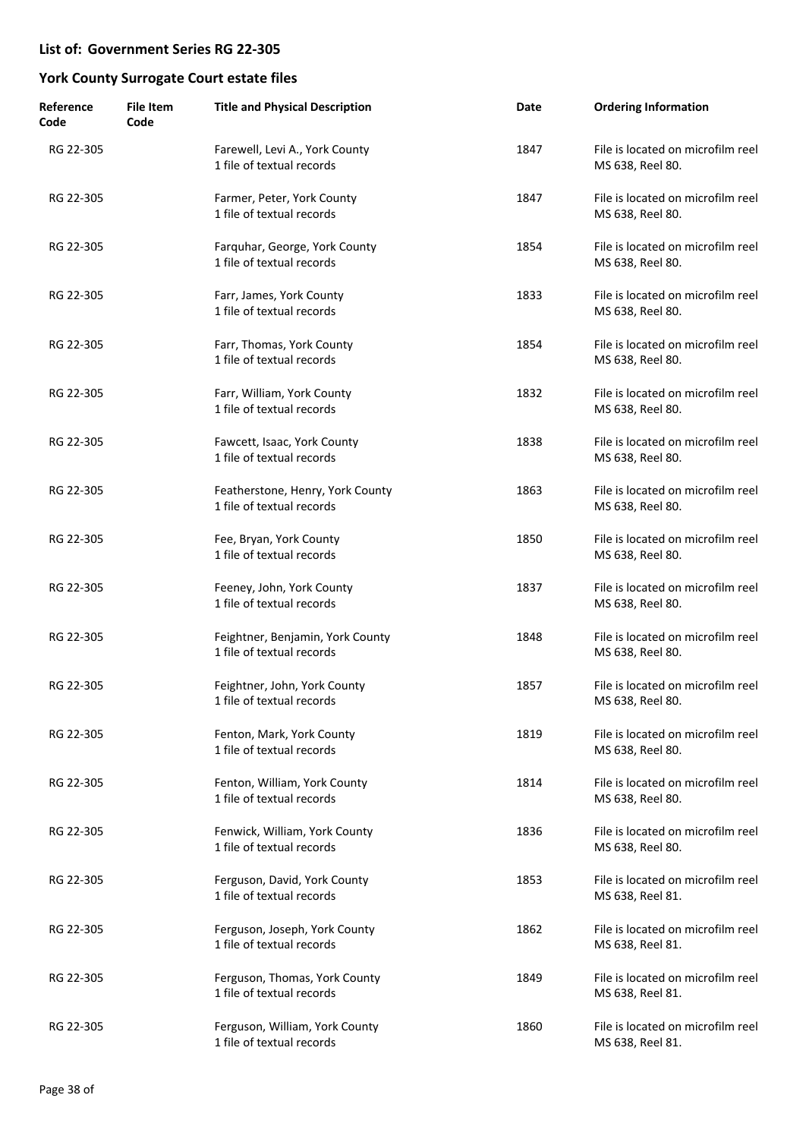| Reference<br>Code | <b>File Item</b><br>Code | <b>Title and Physical Description</b>                         | Date | <b>Ordering Information</b>                           |
|-------------------|--------------------------|---------------------------------------------------------------|------|-------------------------------------------------------|
| RG 22-305         |                          | Farewell, Levi A., York County<br>1 file of textual records   | 1847 | File is located on microfilm reel<br>MS 638, Reel 80. |
| RG 22-305         |                          | Farmer, Peter, York County<br>1 file of textual records       | 1847 | File is located on microfilm reel<br>MS 638, Reel 80. |
| RG 22-305         |                          | Farquhar, George, York County<br>1 file of textual records    | 1854 | File is located on microfilm reel<br>MS 638, Reel 80. |
| RG 22-305         |                          | Farr, James, York County<br>1 file of textual records         | 1833 | File is located on microfilm reel<br>MS 638, Reel 80. |
| RG 22-305         |                          | Farr, Thomas, York County<br>1 file of textual records        | 1854 | File is located on microfilm reel<br>MS 638, Reel 80. |
| RG 22-305         |                          | Farr, William, York County<br>1 file of textual records       | 1832 | File is located on microfilm reel<br>MS 638, Reel 80. |
| RG 22-305         |                          | Fawcett, Isaac, York County<br>1 file of textual records      | 1838 | File is located on microfilm reel<br>MS 638, Reel 80. |
| RG 22-305         |                          | Featherstone, Henry, York County<br>1 file of textual records | 1863 | File is located on microfilm reel<br>MS 638, Reel 80. |
| RG 22-305         |                          | Fee, Bryan, York County<br>1 file of textual records          | 1850 | File is located on microfilm reel<br>MS 638, Reel 80. |
| RG 22-305         |                          | Feeney, John, York County<br>1 file of textual records        | 1837 | File is located on microfilm reel<br>MS 638, Reel 80. |
| RG 22-305         |                          | Feightner, Benjamin, York County<br>1 file of textual records | 1848 | File is located on microfilm reel<br>MS 638, Reel 80. |
| RG 22-305         |                          | Feightner, John, York County<br>1 file of textual records     | 1857 | File is located on microfilm reel<br>MS 638, Reel 80. |
| RG 22-305         |                          | Fenton, Mark, York County<br>1 file of textual records        | 1819 | File is located on microfilm reel<br>MS 638, Reel 80. |
| RG 22-305         |                          | Fenton, William, York County<br>1 file of textual records     | 1814 | File is located on microfilm reel<br>MS 638, Reel 80. |
| RG 22-305         |                          | Fenwick, William, York County<br>1 file of textual records    | 1836 | File is located on microfilm reel<br>MS 638, Reel 80. |
| RG 22-305         |                          | Ferguson, David, York County<br>1 file of textual records     | 1853 | File is located on microfilm reel<br>MS 638, Reel 81. |
| RG 22-305         |                          | Ferguson, Joseph, York County<br>1 file of textual records    | 1862 | File is located on microfilm reel<br>MS 638, Reel 81. |
| RG 22-305         |                          | Ferguson, Thomas, York County<br>1 file of textual records    | 1849 | File is located on microfilm reel<br>MS 638, Reel 81. |
| RG 22-305         |                          | Ferguson, William, York County<br>1 file of textual records   | 1860 | File is located on microfilm reel<br>MS 638, Reel 81. |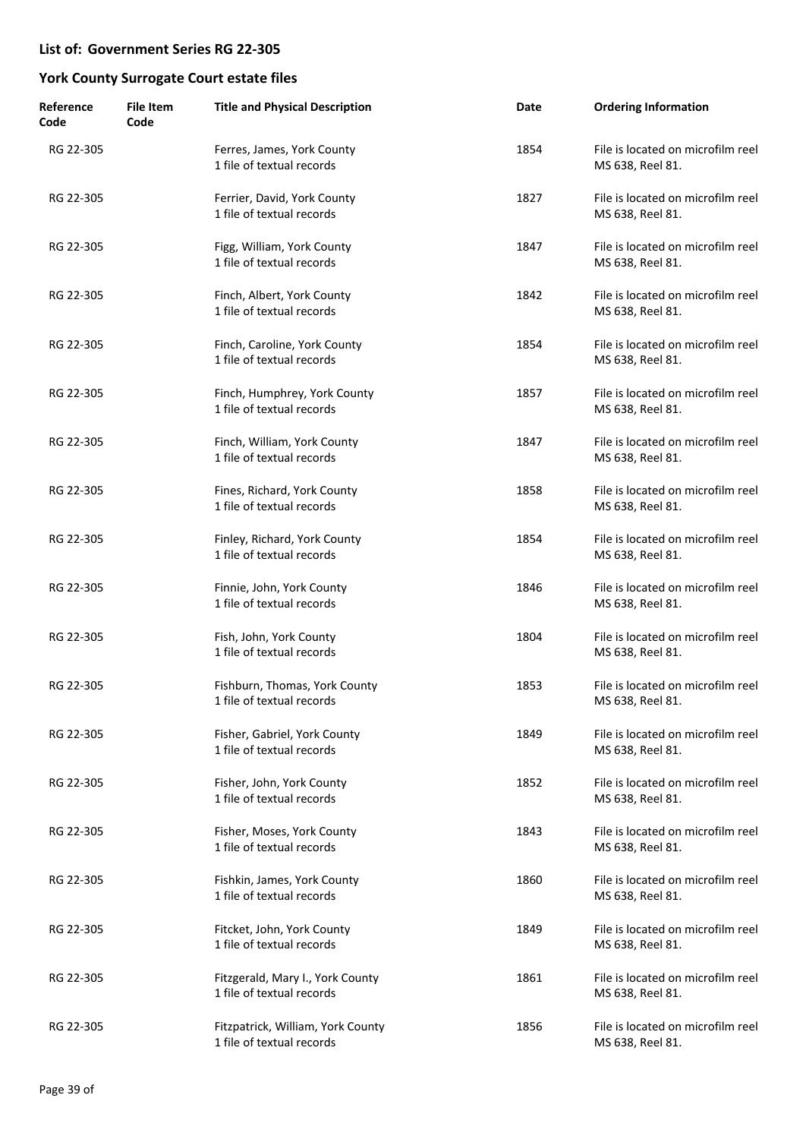| Reference<br>Code | <b>File Item</b><br>Code | <b>Title and Physical Description</b>                          | Date | <b>Ordering Information</b>                           |
|-------------------|--------------------------|----------------------------------------------------------------|------|-------------------------------------------------------|
| RG 22-305         |                          | Ferres, James, York County<br>1 file of textual records        | 1854 | File is located on microfilm reel<br>MS 638, Reel 81. |
| RG 22-305         |                          | Ferrier, David, York County<br>1 file of textual records       | 1827 | File is located on microfilm reel<br>MS 638, Reel 81. |
| RG 22-305         |                          | Figg, William, York County<br>1 file of textual records        | 1847 | File is located on microfilm reel<br>MS 638, Reel 81. |
| RG 22-305         |                          | Finch, Albert, York County<br>1 file of textual records        | 1842 | File is located on microfilm reel<br>MS 638, Reel 81. |
| RG 22-305         |                          | Finch, Caroline, York County<br>1 file of textual records      | 1854 | File is located on microfilm reel<br>MS 638, Reel 81. |
| RG 22-305         |                          | Finch, Humphrey, York County<br>1 file of textual records      | 1857 | File is located on microfilm reel<br>MS 638, Reel 81. |
| RG 22-305         |                          | Finch, William, York County<br>1 file of textual records       | 1847 | File is located on microfilm reel<br>MS 638, Reel 81. |
| RG 22-305         |                          | Fines, Richard, York County<br>1 file of textual records       | 1858 | File is located on microfilm reel<br>MS 638, Reel 81. |
| RG 22-305         |                          | Finley, Richard, York County<br>1 file of textual records      | 1854 | File is located on microfilm reel<br>MS 638, Reel 81. |
| RG 22-305         |                          | Finnie, John, York County<br>1 file of textual records         | 1846 | File is located on microfilm reel<br>MS 638, Reel 81. |
| RG 22-305         |                          | Fish, John, York County<br>1 file of textual records           | 1804 | File is located on microfilm reel<br>MS 638, Reel 81. |
| RG 22-305         |                          | Fishburn, Thomas, York County<br>1 file of textual records     | 1853 | File is located on microfilm reel<br>MS 638, Reel 81. |
| RG 22-305         |                          | Fisher, Gabriel, York County<br>1 file of textual records      | 1849 | File is located on microfilm reel<br>MS 638, Reel 81. |
| RG 22-305         |                          | Fisher, John, York County<br>1 file of textual records         | 1852 | File is located on microfilm reel<br>MS 638, Reel 81. |
| RG 22-305         |                          | Fisher, Moses, York County<br>1 file of textual records        | 1843 | File is located on microfilm reel<br>MS 638, Reel 81. |
| RG 22-305         |                          | Fishkin, James, York County<br>1 file of textual records       | 1860 | File is located on microfilm reel<br>MS 638, Reel 81. |
| RG 22-305         |                          | Fitcket, John, York County<br>1 file of textual records        | 1849 | File is located on microfilm reel<br>MS 638, Reel 81. |
| RG 22-305         |                          | Fitzgerald, Mary I., York County<br>1 file of textual records  | 1861 | File is located on microfilm reel<br>MS 638, Reel 81. |
| RG 22-305         |                          | Fitzpatrick, William, York County<br>1 file of textual records | 1856 | File is located on microfilm reel<br>MS 638, Reel 81. |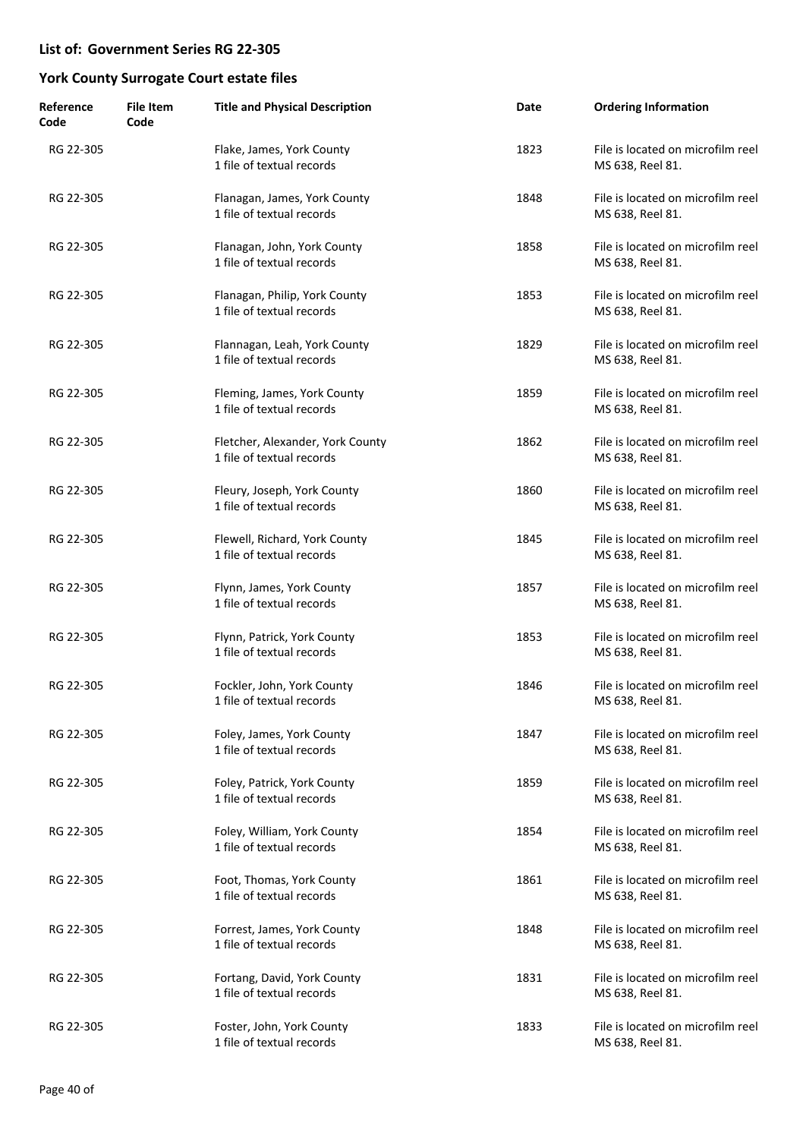| Reference<br>Code | <b>File Item</b><br>Code | <b>Title and Physical Description</b>                         | Date | <b>Ordering Information</b>                           |
|-------------------|--------------------------|---------------------------------------------------------------|------|-------------------------------------------------------|
| RG 22-305         |                          | Flake, James, York County<br>1 file of textual records        | 1823 | File is located on microfilm reel<br>MS 638, Reel 81. |
| RG 22-305         |                          | Flanagan, James, York County<br>1 file of textual records     | 1848 | File is located on microfilm reel<br>MS 638, Reel 81. |
| RG 22-305         |                          | Flanagan, John, York County<br>1 file of textual records      | 1858 | File is located on microfilm reel<br>MS 638, Reel 81. |
| RG 22-305         |                          | Flanagan, Philip, York County<br>1 file of textual records    | 1853 | File is located on microfilm reel<br>MS 638, Reel 81. |
| RG 22-305         |                          | Flannagan, Leah, York County<br>1 file of textual records     | 1829 | File is located on microfilm reel<br>MS 638, Reel 81. |
| RG 22-305         |                          | Fleming, James, York County<br>1 file of textual records      | 1859 | File is located on microfilm reel<br>MS 638, Reel 81. |
| RG 22-305         |                          | Fletcher, Alexander, York County<br>1 file of textual records | 1862 | File is located on microfilm reel<br>MS 638, Reel 81. |
| RG 22-305         |                          | Fleury, Joseph, York County<br>1 file of textual records      | 1860 | File is located on microfilm reel<br>MS 638, Reel 81. |
| RG 22-305         |                          | Flewell, Richard, York County<br>1 file of textual records    | 1845 | File is located on microfilm reel<br>MS 638, Reel 81. |
| RG 22-305         |                          | Flynn, James, York County<br>1 file of textual records        | 1857 | File is located on microfilm reel<br>MS 638, Reel 81. |
| RG 22-305         |                          | Flynn, Patrick, York County<br>1 file of textual records      | 1853 | File is located on microfilm reel<br>MS 638, Reel 81. |
| RG 22-305         |                          | Fockler, John, York County<br>1 file of textual records       | 1846 | File is located on microfilm reel<br>MS 638, Reel 81. |
| RG 22-305         |                          | Foley, James, York County<br>1 file of textual records        | 1847 | File is located on microfilm reel<br>MS 638, Reel 81. |
| RG 22-305         |                          | Foley, Patrick, York County<br>1 file of textual records      | 1859 | File is located on microfilm reel<br>MS 638, Reel 81. |
| RG 22-305         |                          | Foley, William, York County<br>1 file of textual records      | 1854 | File is located on microfilm reel<br>MS 638, Reel 81. |
| RG 22-305         |                          | Foot, Thomas, York County<br>1 file of textual records        | 1861 | File is located on microfilm reel<br>MS 638, Reel 81. |
| RG 22-305         |                          | Forrest, James, York County<br>1 file of textual records      | 1848 | File is located on microfilm reel<br>MS 638, Reel 81. |
| RG 22-305         |                          | Fortang, David, York County<br>1 file of textual records      | 1831 | File is located on microfilm reel<br>MS 638, Reel 81. |
| RG 22-305         |                          | Foster, John, York County<br>1 file of textual records        | 1833 | File is located on microfilm reel<br>MS 638, Reel 81. |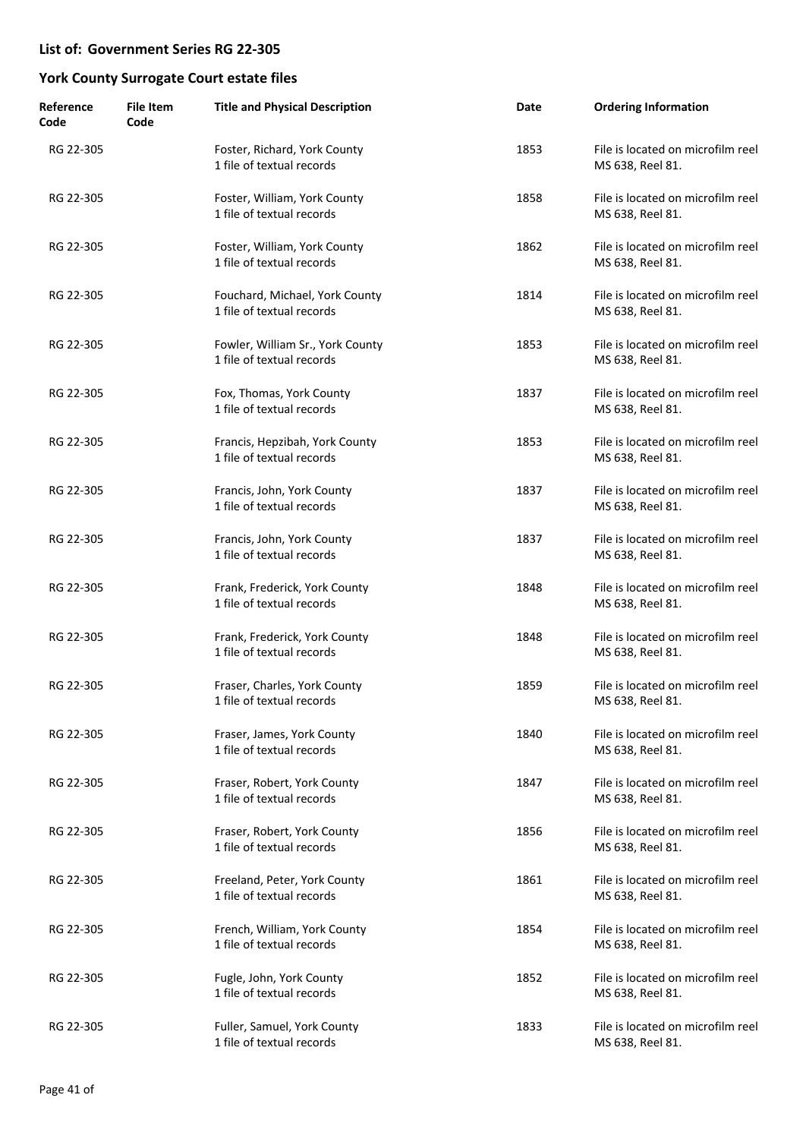| Reference<br>Code | <b>File Item</b><br>Code | <b>Title and Physical Description</b>                         | Date | <b>Ordering Information</b>                           |
|-------------------|--------------------------|---------------------------------------------------------------|------|-------------------------------------------------------|
| RG 22-305         |                          | Foster, Richard, York County<br>1 file of textual records     | 1853 | File is located on microfilm reel<br>MS 638, Reel 81. |
| RG 22-305         |                          | Foster, William, York County<br>1 file of textual records     | 1858 | File is located on microfilm reel<br>MS 638, Reel 81. |
| RG 22-305         |                          | Foster, William, York County<br>1 file of textual records     | 1862 | File is located on microfilm reel<br>MS 638, Reel 81. |
| RG 22-305         |                          | Fouchard, Michael, York County<br>1 file of textual records   | 1814 | File is located on microfilm reel<br>MS 638, Reel 81. |
| RG 22-305         |                          | Fowler, William Sr., York County<br>1 file of textual records | 1853 | File is located on microfilm reel<br>MS 638, Reel 81. |
| RG 22-305         |                          | Fox, Thomas, York County<br>1 file of textual records         | 1837 | File is located on microfilm reel<br>MS 638, Reel 81. |
| RG 22-305         |                          | Francis, Hepzibah, York County<br>1 file of textual records   | 1853 | File is located on microfilm reel<br>MS 638, Reel 81. |
| RG 22-305         |                          | Francis, John, York County<br>1 file of textual records       | 1837 | File is located on microfilm reel<br>MS 638, Reel 81. |
| RG 22-305         |                          | Francis, John, York County<br>1 file of textual records       | 1837 | File is located on microfilm reel<br>MS 638, Reel 81. |
| RG 22-305         |                          | Frank, Frederick, York County<br>1 file of textual records    | 1848 | File is located on microfilm reel<br>MS 638, Reel 81. |
| RG 22-305         |                          | Frank, Frederick, York County<br>1 file of textual records    | 1848 | File is located on microfilm reel<br>MS 638, Reel 81. |
| RG 22-305         |                          | Fraser, Charles, York County<br>1 file of textual records     | 1859 | File is located on microfilm reel<br>MS 638, Reel 81. |
| RG 22-305         |                          | Fraser, James, York County<br>1 file of textual records       | 1840 | File is located on microfilm reel<br>MS 638, Reel 81. |
| RG 22-305         |                          | Fraser, Robert, York County<br>1 file of textual records      | 1847 | File is located on microfilm reel<br>MS 638, Reel 81. |
| RG 22-305         |                          | Fraser, Robert, York County<br>1 file of textual records      | 1856 | File is located on microfilm reel<br>MS 638, Reel 81. |
| RG 22-305         |                          | Freeland, Peter, York County<br>1 file of textual records     | 1861 | File is located on microfilm reel<br>MS 638, Reel 81. |
| RG 22-305         |                          | French, William, York County<br>1 file of textual records     | 1854 | File is located on microfilm reel<br>MS 638, Reel 81. |
| RG 22-305         |                          | Fugle, John, York County<br>1 file of textual records         | 1852 | File is located on microfilm reel<br>MS 638, Reel 81. |
| RG 22-305         |                          | Fuller, Samuel, York County<br>1 file of textual records      | 1833 | File is located on microfilm reel<br>MS 638, Reel 81. |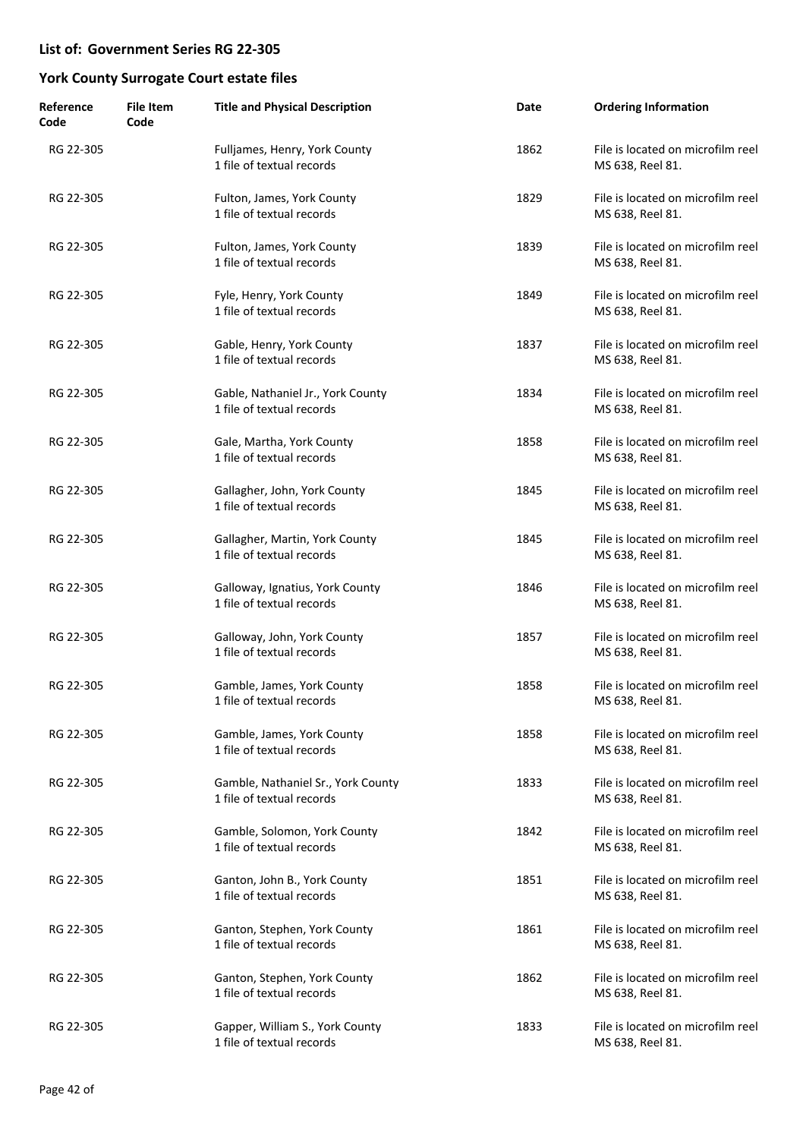| Reference<br>Code | <b>File Item</b><br>Code | <b>Title and Physical Description</b>                           | Date | <b>Ordering Information</b>                           |
|-------------------|--------------------------|-----------------------------------------------------------------|------|-------------------------------------------------------|
| RG 22-305         |                          | Fulljames, Henry, York County<br>1 file of textual records      | 1862 | File is located on microfilm reel<br>MS 638, Reel 81. |
| RG 22-305         |                          | Fulton, James, York County<br>1 file of textual records         | 1829 | File is located on microfilm reel<br>MS 638, Reel 81. |
| RG 22-305         |                          | Fulton, James, York County<br>1 file of textual records         | 1839 | File is located on microfilm reel<br>MS 638, Reel 81. |
| RG 22-305         |                          | Fyle, Henry, York County<br>1 file of textual records           | 1849 | File is located on microfilm reel<br>MS 638, Reel 81. |
| RG 22-305         |                          | Gable, Henry, York County<br>1 file of textual records          | 1837 | File is located on microfilm reel<br>MS 638, Reel 81. |
| RG 22-305         |                          | Gable, Nathaniel Jr., York County<br>1 file of textual records  | 1834 | File is located on microfilm reel<br>MS 638, Reel 81. |
| RG 22-305         |                          | Gale, Martha, York County<br>1 file of textual records          | 1858 | File is located on microfilm reel<br>MS 638, Reel 81. |
| RG 22-305         |                          | Gallagher, John, York County<br>1 file of textual records       | 1845 | File is located on microfilm reel<br>MS 638, Reel 81. |
| RG 22-305         |                          | Gallagher, Martin, York County<br>1 file of textual records     | 1845 | File is located on microfilm reel<br>MS 638, Reel 81. |
| RG 22-305         |                          | Galloway, Ignatius, York County<br>1 file of textual records    | 1846 | File is located on microfilm reel<br>MS 638, Reel 81. |
| RG 22-305         |                          | Galloway, John, York County<br>1 file of textual records        | 1857 | File is located on microfilm reel<br>MS 638, Reel 81. |
| RG 22-305         |                          | Gamble, James, York County<br>1 file of textual records         | 1858 | File is located on microfilm reel<br>MS 638, Reel 81. |
| RG 22-305         |                          | Gamble, James, York County<br>1 file of textual records         | 1858 | File is located on microfilm reel<br>MS 638, Reel 81. |
| RG 22-305         |                          | Gamble, Nathaniel Sr., York County<br>1 file of textual records | 1833 | File is located on microfilm reel<br>MS 638, Reel 81. |
| RG 22-305         |                          | Gamble, Solomon, York County<br>1 file of textual records       | 1842 | File is located on microfilm reel<br>MS 638, Reel 81. |
| RG 22-305         |                          | Ganton, John B., York County<br>1 file of textual records       | 1851 | File is located on microfilm reel<br>MS 638, Reel 81. |
| RG 22-305         |                          | Ganton, Stephen, York County<br>1 file of textual records       | 1861 | File is located on microfilm reel<br>MS 638, Reel 81. |
| RG 22-305         |                          | Ganton, Stephen, York County<br>1 file of textual records       | 1862 | File is located on microfilm reel<br>MS 638, Reel 81. |
| RG 22-305         |                          | Gapper, William S., York County<br>1 file of textual records    | 1833 | File is located on microfilm reel<br>MS 638, Reel 81. |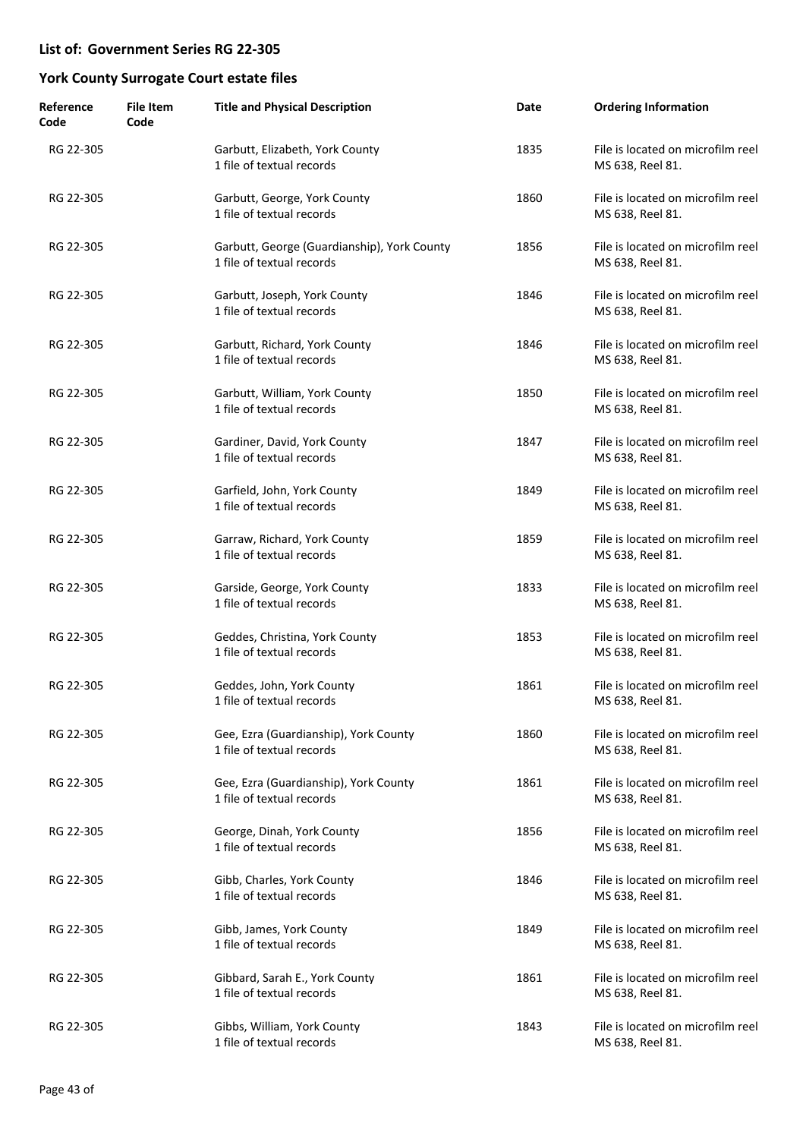| Reference<br>Code | <b>File Item</b><br>Code | <b>Title and Physical Description</b>                                    | Date | <b>Ordering Information</b>                           |
|-------------------|--------------------------|--------------------------------------------------------------------------|------|-------------------------------------------------------|
| RG 22-305         |                          | Garbutt, Elizabeth, York County<br>1 file of textual records             | 1835 | File is located on microfilm reel<br>MS 638, Reel 81. |
| RG 22-305         |                          | Garbutt, George, York County<br>1 file of textual records                | 1860 | File is located on microfilm reel<br>MS 638, Reel 81. |
| RG 22-305         |                          | Garbutt, George (Guardianship), York County<br>1 file of textual records | 1856 | File is located on microfilm reel<br>MS 638, Reel 81. |
| RG 22-305         |                          | Garbutt, Joseph, York County<br>1 file of textual records                | 1846 | File is located on microfilm reel<br>MS 638, Reel 81. |
| RG 22-305         |                          | Garbutt, Richard, York County<br>1 file of textual records               | 1846 | File is located on microfilm reel<br>MS 638, Reel 81. |
| RG 22-305         |                          | Garbutt, William, York County<br>1 file of textual records               | 1850 | File is located on microfilm reel<br>MS 638, Reel 81. |
| RG 22-305         |                          | Gardiner, David, York County<br>1 file of textual records                | 1847 | File is located on microfilm reel<br>MS 638, Reel 81. |
| RG 22-305         |                          | Garfield, John, York County<br>1 file of textual records                 | 1849 | File is located on microfilm reel<br>MS 638, Reel 81. |
| RG 22-305         |                          | Garraw, Richard, York County<br>1 file of textual records                | 1859 | File is located on microfilm reel<br>MS 638, Reel 81. |
| RG 22-305         |                          | Garside, George, York County<br>1 file of textual records                | 1833 | File is located on microfilm reel<br>MS 638, Reel 81. |
| RG 22-305         |                          | Geddes, Christina, York County<br>1 file of textual records              | 1853 | File is located on microfilm reel<br>MS 638, Reel 81. |
| RG 22-305         |                          | Geddes, John, York County<br>1 file of textual records                   | 1861 | File is located on microfilm reel<br>MS 638, Reel 81. |
| RG 22-305         |                          | Gee, Ezra (Guardianship), York County<br>1 file of textual records       | 1860 | File is located on microfilm reel<br>MS 638, Reel 81. |
| RG 22-305         |                          | Gee, Ezra (Guardianship), York County<br>1 file of textual records       | 1861 | File is located on microfilm reel<br>MS 638, Reel 81. |
| RG 22-305         |                          | George, Dinah, York County<br>1 file of textual records                  | 1856 | File is located on microfilm reel<br>MS 638, Reel 81. |
| RG 22-305         |                          | Gibb, Charles, York County<br>1 file of textual records                  | 1846 | File is located on microfilm reel<br>MS 638, Reel 81. |
| RG 22-305         |                          | Gibb, James, York County<br>1 file of textual records                    | 1849 | File is located on microfilm reel<br>MS 638, Reel 81. |
| RG 22-305         |                          | Gibbard, Sarah E., York County<br>1 file of textual records              | 1861 | File is located on microfilm reel<br>MS 638, Reel 81. |
| RG 22-305         |                          | Gibbs, William, York County<br>1 file of textual records                 | 1843 | File is located on microfilm reel<br>MS 638, Reel 81. |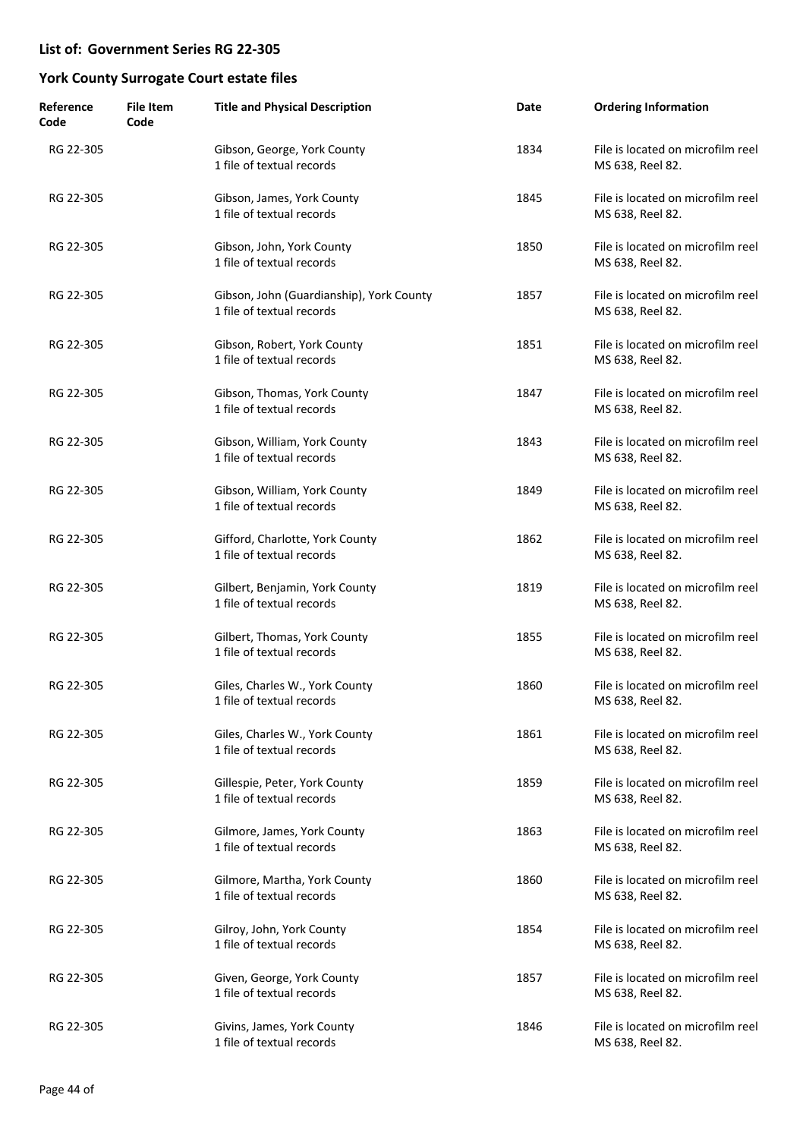| Reference<br>Code | <b>File Item</b><br>Code | <b>Title and Physical Description</b>                                 | Date | <b>Ordering Information</b>                           |
|-------------------|--------------------------|-----------------------------------------------------------------------|------|-------------------------------------------------------|
| RG 22-305         |                          | Gibson, George, York County<br>1 file of textual records              | 1834 | File is located on microfilm reel<br>MS 638, Reel 82. |
| RG 22-305         |                          | Gibson, James, York County<br>1 file of textual records               | 1845 | File is located on microfilm reel<br>MS 638, Reel 82. |
| RG 22-305         |                          | Gibson, John, York County<br>1 file of textual records                | 1850 | File is located on microfilm reel<br>MS 638, Reel 82. |
| RG 22-305         |                          | Gibson, John (Guardianship), York County<br>1 file of textual records | 1857 | File is located on microfilm reel<br>MS 638, Reel 82. |
| RG 22-305         |                          | Gibson, Robert, York County<br>1 file of textual records              | 1851 | File is located on microfilm reel<br>MS 638, Reel 82. |
| RG 22-305         |                          | Gibson, Thomas, York County<br>1 file of textual records              | 1847 | File is located on microfilm reel<br>MS 638, Reel 82. |
| RG 22-305         |                          | Gibson, William, York County<br>1 file of textual records             | 1843 | File is located on microfilm reel<br>MS 638, Reel 82. |
| RG 22-305         |                          | Gibson, William, York County<br>1 file of textual records             | 1849 | File is located on microfilm reel<br>MS 638, Reel 82. |
| RG 22-305         |                          | Gifford, Charlotte, York County<br>1 file of textual records          | 1862 | File is located on microfilm reel<br>MS 638, Reel 82. |
| RG 22-305         |                          | Gilbert, Benjamin, York County<br>1 file of textual records           | 1819 | File is located on microfilm reel<br>MS 638, Reel 82. |
| RG 22-305         |                          | Gilbert, Thomas, York County<br>1 file of textual records             | 1855 | File is located on microfilm reel<br>MS 638, Reel 82. |
| RG 22-305         |                          | Giles, Charles W., York County<br>1 file of textual records           | 1860 | File is located on microfilm reel<br>MS 638, Reel 82. |
| RG 22-305         |                          | Giles, Charles W., York County<br>1 file of textual records           | 1861 | File is located on microfilm reel<br>MS 638, Reel 82. |
| RG 22-305         |                          | Gillespie, Peter, York County<br>1 file of textual records            | 1859 | File is located on microfilm reel<br>MS 638, Reel 82. |
| RG 22-305         |                          | Gilmore, James, York County<br>1 file of textual records              | 1863 | File is located on microfilm reel<br>MS 638, Reel 82. |
| RG 22-305         |                          | Gilmore, Martha, York County<br>1 file of textual records             | 1860 | File is located on microfilm reel<br>MS 638, Reel 82. |
| RG 22-305         |                          | Gilroy, John, York County<br>1 file of textual records                | 1854 | File is located on microfilm reel<br>MS 638, Reel 82. |
| RG 22-305         |                          | Given, George, York County<br>1 file of textual records               | 1857 | File is located on microfilm reel<br>MS 638, Reel 82. |
| RG 22-305         |                          | Givins, James, York County<br>1 file of textual records               | 1846 | File is located on microfilm reel<br>MS 638, Reel 82. |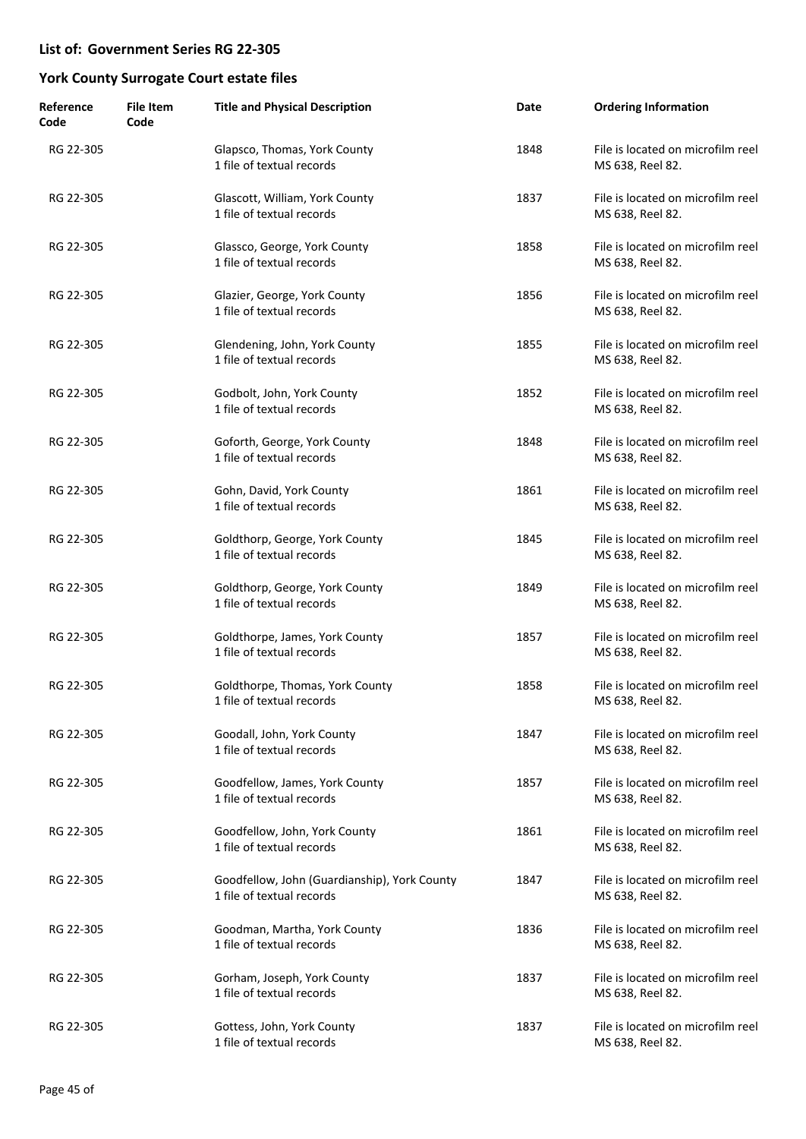| Reference<br>Code | <b>File Item</b><br>Code | <b>Title and Physical Description</b>                                     | Date | <b>Ordering Information</b>                           |
|-------------------|--------------------------|---------------------------------------------------------------------------|------|-------------------------------------------------------|
| RG 22-305         |                          | Glapsco, Thomas, York County<br>1 file of textual records                 | 1848 | File is located on microfilm reel<br>MS 638, Reel 82. |
| RG 22-305         |                          | Glascott, William, York County<br>1 file of textual records               | 1837 | File is located on microfilm reel<br>MS 638, Reel 82. |
| RG 22-305         |                          | Glassco, George, York County<br>1 file of textual records                 | 1858 | File is located on microfilm reel<br>MS 638, Reel 82. |
| RG 22-305         |                          | Glazier, George, York County<br>1 file of textual records                 | 1856 | File is located on microfilm reel<br>MS 638, Reel 82. |
| RG 22-305         |                          | Glendening, John, York County<br>1 file of textual records                | 1855 | File is located on microfilm reel<br>MS 638, Reel 82. |
| RG 22-305         |                          | Godbolt, John, York County<br>1 file of textual records                   | 1852 | File is located on microfilm reel<br>MS 638, Reel 82. |
| RG 22-305         |                          | Goforth, George, York County<br>1 file of textual records                 | 1848 | File is located on microfilm reel<br>MS 638, Reel 82. |
| RG 22-305         |                          | Gohn, David, York County<br>1 file of textual records                     | 1861 | File is located on microfilm reel<br>MS 638, Reel 82. |
| RG 22-305         |                          | Goldthorp, George, York County<br>1 file of textual records               | 1845 | File is located on microfilm reel<br>MS 638, Reel 82. |
| RG 22-305         |                          | Goldthorp, George, York County<br>1 file of textual records               | 1849 | File is located on microfilm reel<br>MS 638, Reel 82. |
| RG 22-305         |                          | Goldthorpe, James, York County<br>1 file of textual records               | 1857 | File is located on microfilm reel<br>MS 638, Reel 82. |
| RG 22-305         |                          | Goldthorpe, Thomas, York County<br>1 file of textual records              | 1858 | File is located on microfilm reel<br>MS 638, Reel 82. |
| RG 22-305         |                          | Goodall, John, York County<br>1 file of textual records                   | 1847 | File is located on microfilm reel<br>MS 638, Reel 82. |
| RG 22-305         |                          | Goodfellow, James, York County<br>1 file of textual records               | 1857 | File is located on microfilm reel<br>MS 638, Reel 82. |
| RG 22-305         |                          | Goodfellow, John, York County<br>1 file of textual records                | 1861 | File is located on microfilm reel<br>MS 638, Reel 82. |
| RG 22-305         |                          | Goodfellow, John (Guardianship), York County<br>1 file of textual records | 1847 | File is located on microfilm reel<br>MS 638, Reel 82. |
| RG 22-305         |                          | Goodman, Martha, York County<br>1 file of textual records                 | 1836 | File is located on microfilm reel<br>MS 638, Reel 82. |
| RG 22-305         |                          | Gorham, Joseph, York County<br>1 file of textual records                  | 1837 | File is located on microfilm reel<br>MS 638, Reel 82. |
| RG 22-305         |                          | Gottess, John, York County<br>1 file of textual records                   | 1837 | File is located on microfilm reel<br>MS 638, Reel 82. |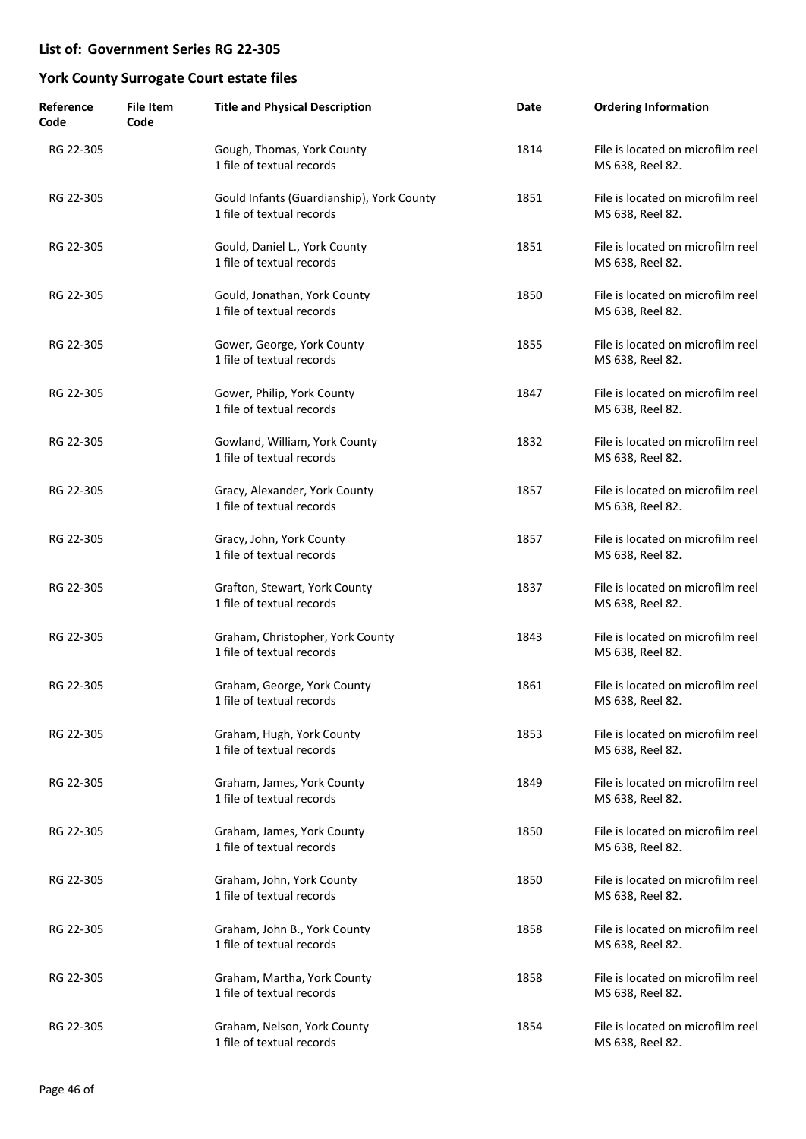| Reference<br>Code | <b>File Item</b><br>Code | <b>Title and Physical Description</b>                                  | Date | <b>Ordering Information</b>                           |
|-------------------|--------------------------|------------------------------------------------------------------------|------|-------------------------------------------------------|
| RG 22-305         |                          | Gough, Thomas, York County<br>1 file of textual records                | 1814 | File is located on microfilm reel<br>MS 638, Reel 82. |
| RG 22-305         |                          | Gould Infants (Guardianship), York County<br>1 file of textual records | 1851 | File is located on microfilm reel<br>MS 638, Reel 82. |
| RG 22-305         |                          | Gould, Daniel L., York County<br>1 file of textual records             | 1851 | File is located on microfilm reel<br>MS 638, Reel 82. |
| RG 22-305         |                          | Gould, Jonathan, York County<br>1 file of textual records              | 1850 | File is located on microfilm reel<br>MS 638, Reel 82. |
| RG 22-305         |                          | Gower, George, York County<br>1 file of textual records                | 1855 | File is located on microfilm reel<br>MS 638, Reel 82. |
| RG 22-305         |                          | Gower, Philip, York County<br>1 file of textual records                | 1847 | File is located on microfilm reel<br>MS 638, Reel 82. |
| RG 22-305         |                          | Gowland, William, York County<br>1 file of textual records             | 1832 | File is located on microfilm reel<br>MS 638, Reel 82. |
| RG 22-305         |                          | Gracy, Alexander, York County<br>1 file of textual records             | 1857 | File is located on microfilm reel<br>MS 638, Reel 82. |
| RG 22-305         |                          | Gracy, John, York County<br>1 file of textual records                  | 1857 | File is located on microfilm reel<br>MS 638, Reel 82. |
| RG 22-305         |                          | Grafton, Stewart, York County<br>1 file of textual records             | 1837 | File is located on microfilm reel<br>MS 638, Reel 82. |
| RG 22-305         |                          | Graham, Christopher, York County<br>1 file of textual records          | 1843 | File is located on microfilm reel<br>MS 638, Reel 82. |
| RG 22-305         |                          | Graham, George, York County<br>1 file of textual records               | 1861 | File is located on microfilm reel<br>MS 638, Reel 82. |
| RG 22-305         |                          | Graham, Hugh, York County<br>1 file of textual records                 | 1853 | File is located on microfilm reel<br>MS 638, Reel 82. |
| RG 22-305         |                          | Graham, James, York County<br>1 file of textual records                | 1849 | File is located on microfilm reel<br>MS 638, Reel 82. |
| RG 22-305         |                          | Graham, James, York County<br>1 file of textual records                | 1850 | File is located on microfilm reel<br>MS 638, Reel 82. |
| RG 22-305         |                          | Graham, John, York County<br>1 file of textual records                 | 1850 | File is located on microfilm reel<br>MS 638, Reel 82. |
| RG 22-305         |                          | Graham, John B., York County<br>1 file of textual records              | 1858 | File is located on microfilm reel<br>MS 638, Reel 82. |
| RG 22-305         |                          | Graham, Martha, York County<br>1 file of textual records               | 1858 | File is located on microfilm reel<br>MS 638, Reel 82. |
| RG 22-305         |                          | Graham, Nelson, York County<br>1 file of textual records               | 1854 | File is located on microfilm reel<br>MS 638, Reel 82. |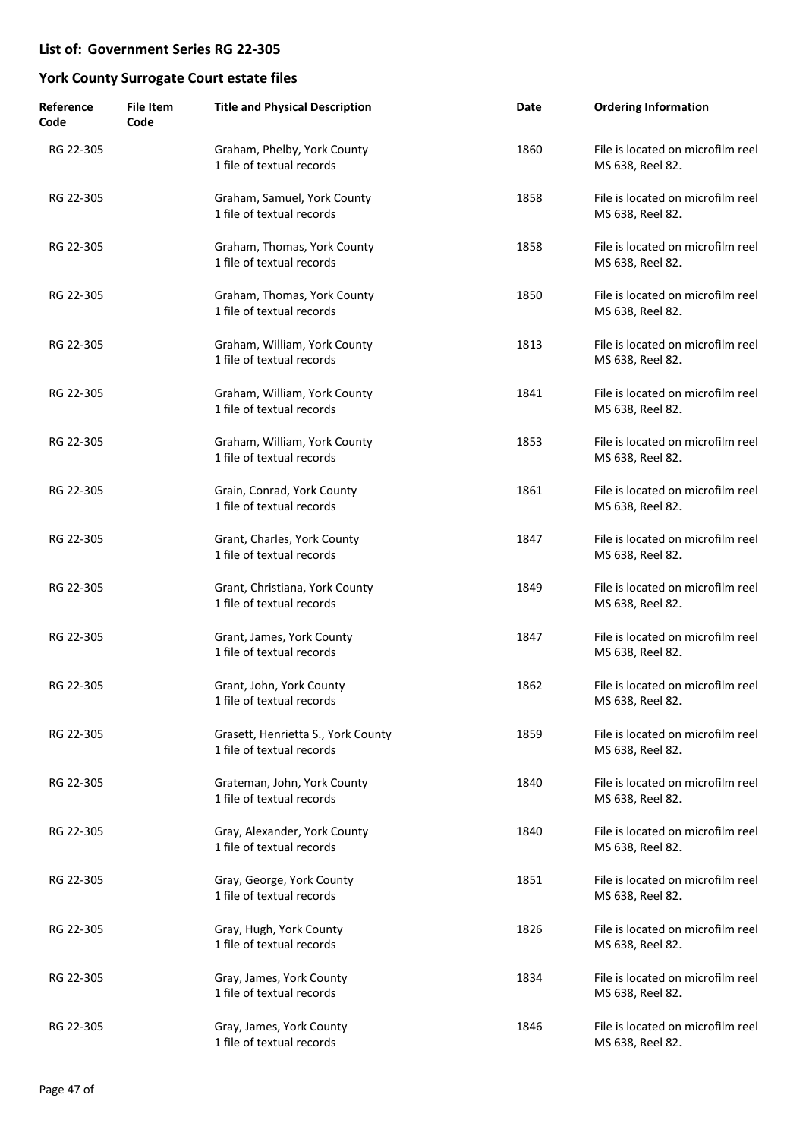| Reference<br>Code | <b>File Item</b><br>Code | <b>Title and Physical Description</b>                           | Date | <b>Ordering Information</b>                           |
|-------------------|--------------------------|-----------------------------------------------------------------|------|-------------------------------------------------------|
| RG 22-305         |                          | Graham, Phelby, York County<br>1 file of textual records        | 1860 | File is located on microfilm reel<br>MS 638, Reel 82. |
| RG 22-305         |                          | Graham, Samuel, York County<br>1 file of textual records        | 1858 | File is located on microfilm reel<br>MS 638, Reel 82. |
| RG 22-305         |                          | Graham, Thomas, York County<br>1 file of textual records        | 1858 | File is located on microfilm reel<br>MS 638, Reel 82. |
| RG 22-305         |                          | Graham, Thomas, York County<br>1 file of textual records        | 1850 | File is located on microfilm reel<br>MS 638, Reel 82. |
| RG 22-305         |                          | Graham, William, York County<br>1 file of textual records       | 1813 | File is located on microfilm reel<br>MS 638, Reel 82. |
| RG 22-305         |                          | Graham, William, York County<br>1 file of textual records       | 1841 | File is located on microfilm reel<br>MS 638, Reel 82. |
| RG 22-305         |                          | Graham, William, York County<br>1 file of textual records       | 1853 | File is located on microfilm reel<br>MS 638, Reel 82. |
| RG 22-305         |                          | Grain, Conrad, York County<br>1 file of textual records         | 1861 | File is located on microfilm reel<br>MS 638, Reel 82. |
| RG 22-305         |                          | Grant, Charles, York County<br>1 file of textual records        | 1847 | File is located on microfilm reel<br>MS 638, Reel 82. |
| RG 22-305         |                          | Grant, Christiana, York County<br>1 file of textual records     | 1849 | File is located on microfilm reel<br>MS 638, Reel 82. |
| RG 22-305         |                          | Grant, James, York County<br>1 file of textual records          | 1847 | File is located on microfilm reel<br>MS 638, Reel 82. |
| RG 22-305         |                          | Grant, John, York County<br>1 file of textual records           | 1862 | File is located on microfilm reel<br>MS 638, Reel 82. |
| RG 22-305         |                          | Grasett, Henrietta S., York County<br>1 file of textual records | 1859 | File is located on microfilm reel<br>MS 638, Reel 82. |
| RG 22-305         |                          | Grateman, John, York County<br>1 file of textual records        | 1840 | File is located on microfilm reel<br>MS 638, Reel 82. |
| RG 22-305         |                          | Gray, Alexander, York County<br>1 file of textual records       | 1840 | File is located on microfilm reel<br>MS 638, Reel 82. |
| RG 22-305         |                          | Gray, George, York County<br>1 file of textual records          | 1851 | File is located on microfilm reel<br>MS 638, Reel 82. |
| RG 22-305         |                          | Gray, Hugh, York County<br>1 file of textual records            | 1826 | File is located on microfilm reel<br>MS 638, Reel 82. |
| RG 22-305         |                          | Gray, James, York County<br>1 file of textual records           | 1834 | File is located on microfilm reel<br>MS 638, Reel 82. |
| RG 22-305         |                          | Gray, James, York County<br>1 file of textual records           | 1846 | File is located on microfilm reel<br>MS 638, Reel 82. |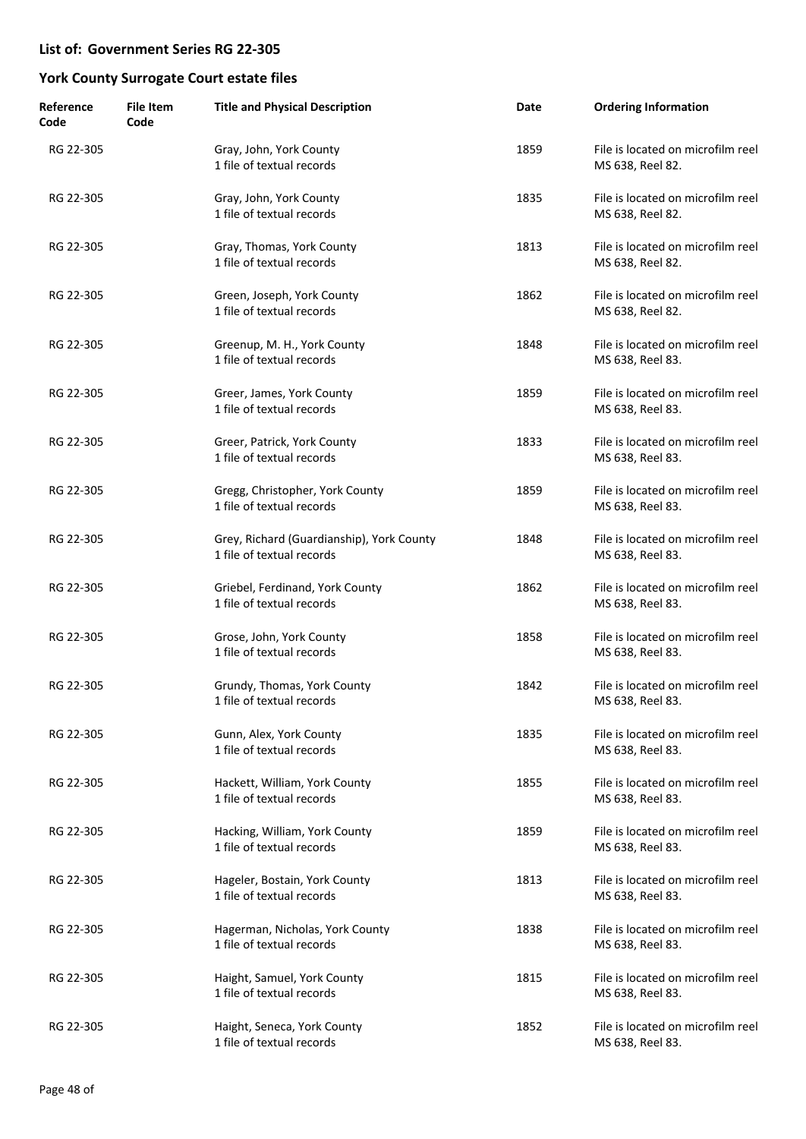| Reference<br>Code | <b>File Item</b><br>Code | <b>Title and Physical Description</b>                                  | Date | <b>Ordering Information</b>                           |
|-------------------|--------------------------|------------------------------------------------------------------------|------|-------------------------------------------------------|
| RG 22-305         |                          | Gray, John, York County<br>1 file of textual records                   | 1859 | File is located on microfilm reel<br>MS 638, Reel 82. |
| RG 22-305         |                          | Gray, John, York County<br>1 file of textual records                   | 1835 | File is located on microfilm reel<br>MS 638, Reel 82. |
| RG 22-305         |                          | Gray, Thomas, York County<br>1 file of textual records                 | 1813 | File is located on microfilm reel<br>MS 638, Reel 82. |
| RG 22-305         |                          | Green, Joseph, York County<br>1 file of textual records                | 1862 | File is located on microfilm reel<br>MS 638, Reel 82. |
| RG 22-305         |                          | Greenup, M. H., York County<br>1 file of textual records               | 1848 | File is located on microfilm reel<br>MS 638, Reel 83. |
| RG 22-305         |                          | Greer, James, York County<br>1 file of textual records                 | 1859 | File is located on microfilm reel<br>MS 638, Reel 83. |
| RG 22-305         |                          | Greer, Patrick, York County<br>1 file of textual records               | 1833 | File is located on microfilm reel<br>MS 638, Reel 83. |
| RG 22-305         |                          | Gregg, Christopher, York County<br>1 file of textual records           | 1859 | File is located on microfilm reel<br>MS 638, Reel 83. |
| RG 22-305         |                          | Grey, Richard (Guardianship), York County<br>1 file of textual records | 1848 | File is located on microfilm reel<br>MS 638, Reel 83. |
| RG 22-305         |                          | Griebel, Ferdinand, York County<br>1 file of textual records           | 1862 | File is located on microfilm reel<br>MS 638, Reel 83. |
| RG 22-305         |                          | Grose, John, York County<br>1 file of textual records                  | 1858 | File is located on microfilm reel<br>MS 638, Reel 83. |
| RG 22-305         |                          | Grundy, Thomas, York County<br>1 file of textual records               | 1842 | File is located on microfilm reel<br>MS 638, Reel 83. |
| RG 22-305         |                          | Gunn, Alex, York County<br>1 file of textual records                   | 1835 | File is located on microfilm reel<br>MS 638, Reel 83. |
| RG 22-305         |                          | Hackett, William, York County<br>1 file of textual records             | 1855 | File is located on microfilm reel<br>MS 638, Reel 83. |
| RG 22-305         |                          | Hacking, William, York County<br>1 file of textual records             | 1859 | File is located on microfilm reel<br>MS 638, Reel 83. |
| RG 22-305         |                          | Hageler, Bostain, York County<br>1 file of textual records             | 1813 | File is located on microfilm reel<br>MS 638, Reel 83. |
| RG 22-305         |                          | Hagerman, Nicholas, York County<br>1 file of textual records           | 1838 | File is located on microfilm reel<br>MS 638, Reel 83. |
| RG 22-305         |                          | Haight, Samuel, York County<br>1 file of textual records               | 1815 | File is located on microfilm reel<br>MS 638, Reel 83. |
| RG 22-305         |                          | Haight, Seneca, York County<br>1 file of textual records               | 1852 | File is located on microfilm reel<br>MS 638, Reel 83. |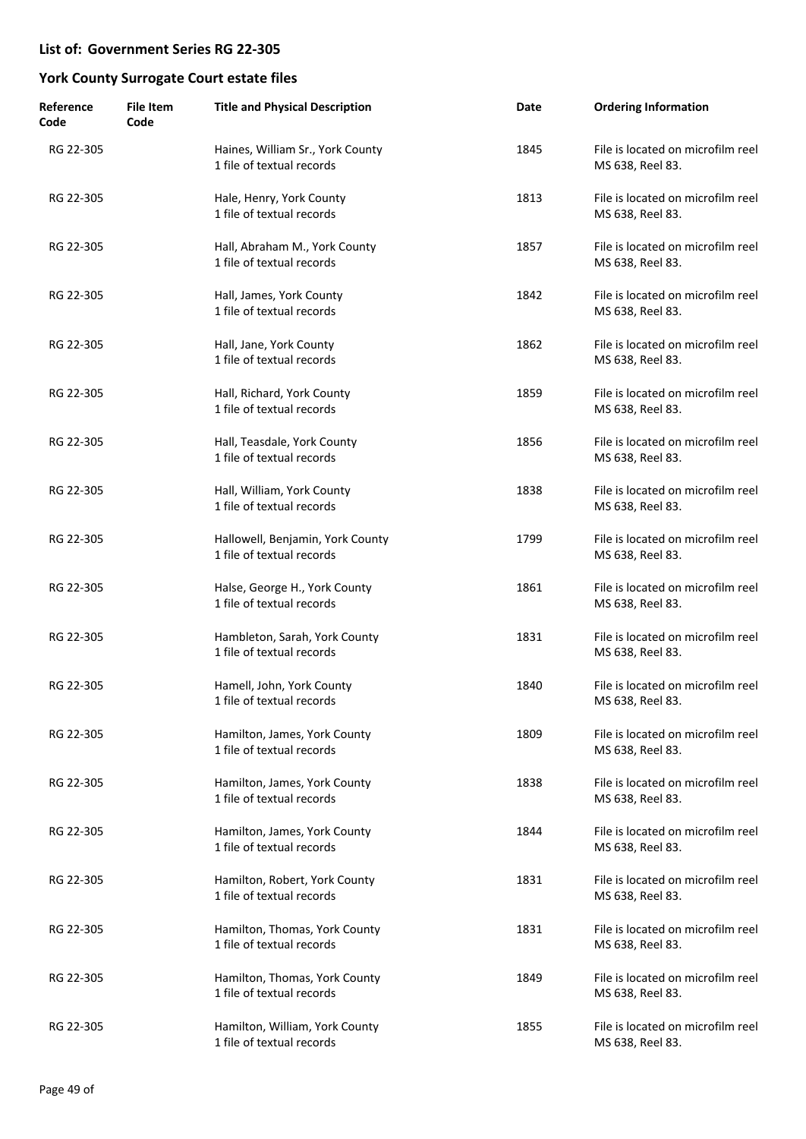| Reference<br>Code | <b>File Item</b><br>Code | <b>Title and Physical Description</b>                         | Date | <b>Ordering Information</b>                           |
|-------------------|--------------------------|---------------------------------------------------------------|------|-------------------------------------------------------|
| RG 22-305         |                          | Haines, William Sr., York County<br>1 file of textual records | 1845 | File is located on microfilm reel<br>MS 638, Reel 83. |
| RG 22-305         |                          | Hale, Henry, York County<br>1 file of textual records         | 1813 | File is located on microfilm reel<br>MS 638, Reel 83. |
| RG 22-305         |                          | Hall, Abraham M., York County<br>1 file of textual records    | 1857 | File is located on microfilm reel<br>MS 638, Reel 83. |
| RG 22-305         |                          | Hall, James, York County<br>1 file of textual records         | 1842 | File is located on microfilm reel<br>MS 638, Reel 83. |
| RG 22-305         |                          | Hall, Jane, York County<br>1 file of textual records          | 1862 | File is located on microfilm reel<br>MS 638, Reel 83. |
| RG 22-305         |                          | Hall, Richard, York County<br>1 file of textual records       | 1859 | File is located on microfilm reel<br>MS 638, Reel 83. |
| RG 22-305         |                          | Hall, Teasdale, York County<br>1 file of textual records      | 1856 | File is located on microfilm reel<br>MS 638, Reel 83. |
| RG 22-305         |                          | Hall, William, York County<br>1 file of textual records       | 1838 | File is located on microfilm reel<br>MS 638, Reel 83. |
| RG 22-305         |                          | Hallowell, Benjamin, York County<br>1 file of textual records | 1799 | File is located on microfilm reel<br>MS 638, Reel 83. |
| RG 22-305         |                          | Halse, George H., York County<br>1 file of textual records    | 1861 | File is located on microfilm reel<br>MS 638, Reel 83. |
| RG 22-305         |                          | Hambleton, Sarah, York County<br>1 file of textual records    | 1831 | File is located on microfilm reel<br>MS 638, Reel 83. |
| RG 22-305         |                          | Hamell, John, York County<br>1 file of textual records        | 1840 | File is located on microfilm reel<br>MS 638, Reel 83. |
| RG 22-305         |                          | Hamilton, James, York County<br>1 file of textual records     | 1809 | File is located on microfilm reel<br>MS 638, Reel 83. |
| RG 22-305         |                          | Hamilton, James, York County<br>1 file of textual records     | 1838 | File is located on microfilm reel<br>MS 638, Reel 83. |
| RG 22-305         |                          | Hamilton, James, York County<br>1 file of textual records     | 1844 | File is located on microfilm reel<br>MS 638, Reel 83. |
| RG 22-305         |                          | Hamilton, Robert, York County<br>1 file of textual records    | 1831 | File is located on microfilm reel<br>MS 638, Reel 83. |
| RG 22-305         |                          | Hamilton, Thomas, York County<br>1 file of textual records    | 1831 | File is located on microfilm reel<br>MS 638, Reel 83. |
| RG 22-305         |                          | Hamilton, Thomas, York County<br>1 file of textual records    | 1849 | File is located on microfilm reel<br>MS 638, Reel 83. |
| RG 22-305         |                          | Hamilton, William, York County<br>1 file of textual records   | 1855 | File is located on microfilm reel<br>MS 638, Reel 83. |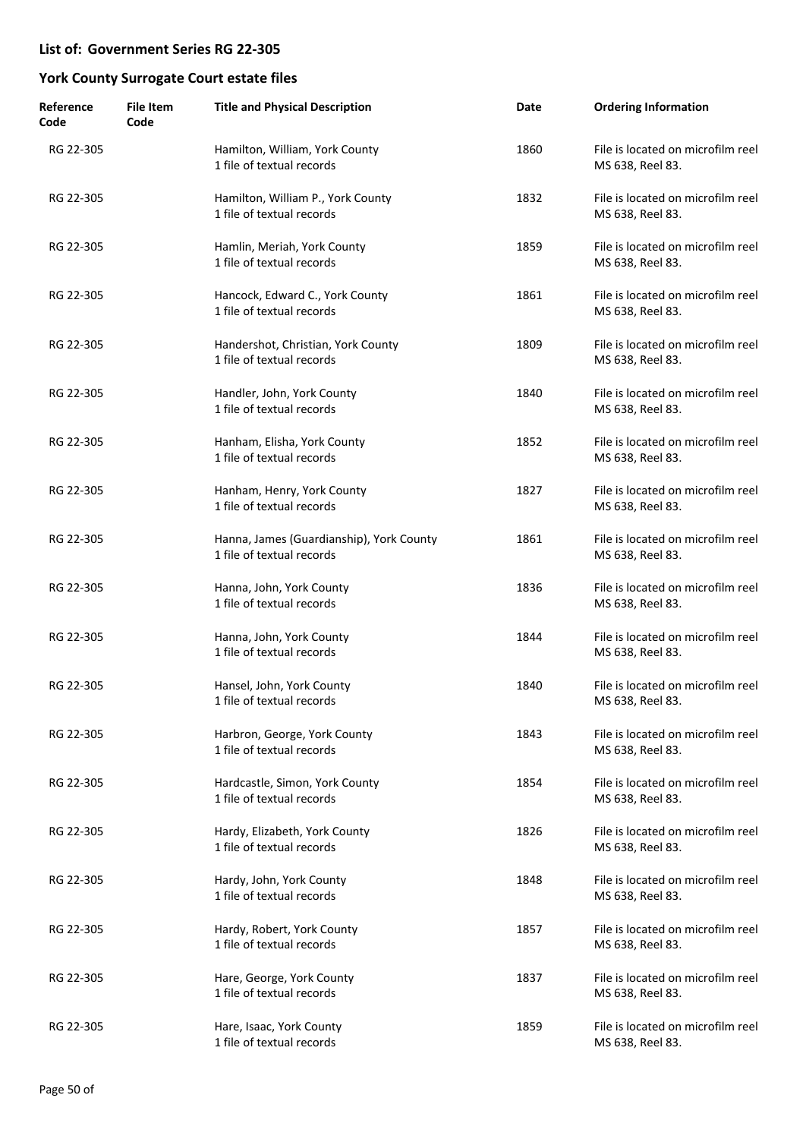| Reference<br>Code | <b>File Item</b><br>Code | <b>Title and Physical Description</b>                                 | Date | <b>Ordering Information</b>                           |
|-------------------|--------------------------|-----------------------------------------------------------------------|------|-------------------------------------------------------|
| RG 22-305         |                          | Hamilton, William, York County<br>1 file of textual records           | 1860 | File is located on microfilm reel<br>MS 638, Reel 83. |
| RG 22-305         |                          | Hamilton, William P., York County<br>1 file of textual records        | 1832 | File is located on microfilm reel<br>MS 638, Reel 83. |
| RG 22-305         |                          | Hamlin, Meriah, York County<br>1 file of textual records              | 1859 | File is located on microfilm reel<br>MS 638, Reel 83. |
| RG 22-305         |                          | Hancock, Edward C., York County<br>1 file of textual records          | 1861 | File is located on microfilm reel<br>MS 638, Reel 83. |
| RG 22-305         |                          | Handershot, Christian, York County<br>1 file of textual records       | 1809 | File is located on microfilm reel<br>MS 638, Reel 83. |
| RG 22-305         |                          | Handler, John, York County<br>1 file of textual records               | 1840 | File is located on microfilm reel<br>MS 638, Reel 83. |
| RG 22-305         |                          | Hanham, Elisha, York County<br>1 file of textual records              | 1852 | File is located on microfilm reel<br>MS 638, Reel 83. |
| RG 22-305         |                          | Hanham, Henry, York County<br>1 file of textual records               | 1827 | File is located on microfilm reel<br>MS 638, Reel 83. |
| RG 22-305         |                          | Hanna, James (Guardianship), York County<br>1 file of textual records | 1861 | File is located on microfilm reel<br>MS 638, Reel 83. |
| RG 22-305         |                          | Hanna, John, York County<br>1 file of textual records                 | 1836 | File is located on microfilm reel<br>MS 638, Reel 83. |
| RG 22-305         |                          | Hanna, John, York County<br>1 file of textual records                 | 1844 | File is located on microfilm reel<br>MS 638, Reel 83. |
| RG 22-305         |                          | Hansel, John, York County<br>1 file of textual records                | 1840 | File is located on microfilm reel<br>MS 638, Reel 83. |
| RG 22-305         |                          | Harbron, George, York County<br>1 file of textual records             | 1843 | File is located on microfilm reel<br>MS 638, Reel 83. |
| RG 22-305         |                          | Hardcastle, Simon, York County<br>1 file of textual records           | 1854 | File is located on microfilm reel<br>MS 638, Reel 83. |
| RG 22-305         |                          | Hardy, Elizabeth, York County<br>1 file of textual records            | 1826 | File is located on microfilm reel<br>MS 638, Reel 83. |
| RG 22-305         |                          | Hardy, John, York County<br>1 file of textual records                 | 1848 | File is located on microfilm reel<br>MS 638, Reel 83. |
| RG 22-305         |                          | Hardy, Robert, York County<br>1 file of textual records               | 1857 | File is located on microfilm reel<br>MS 638, Reel 83. |
| RG 22-305         |                          | Hare, George, York County<br>1 file of textual records                | 1837 | File is located on microfilm reel<br>MS 638, Reel 83. |
| RG 22-305         |                          | Hare, Isaac, York County<br>1 file of textual records                 | 1859 | File is located on microfilm reel<br>MS 638, Reel 83. |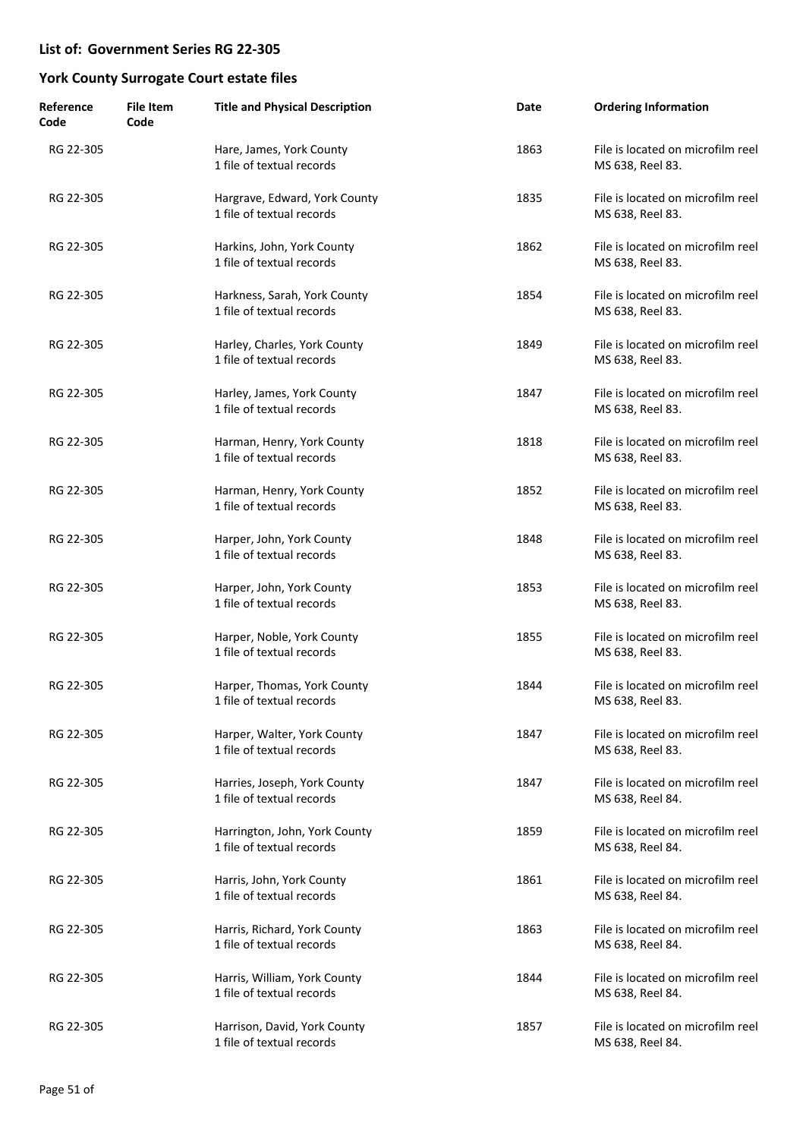| Reference<br>Code | <b>File Item</b><br>Code | <b>Title and Physical Description</b>                      | Date | <b>Ordering Information</b>                           |
|-------------------|--------------------------|------------------------------------------------------------|------|-------------------------------------------------------|
| RG 22-305         |                          | Hare, James, York County<br>1 file of textual records      | 1863 | File is located on microfilm reel<br>MS 638, Reel 83. |
| RG 22-305         |                          | Hargrave, Edward, York County<br>1 file of textual records | 1835 | File is located on microfilm reel<br>MS 638, Reel 83. |
| RG 22-305         |                          | Harkins, John, York County<br>1 file of textual records    | 1862 | File is located on microfilm reel<br>MS 638, Reel 83. |
| RG 22-305         |                          | Harkness, Sarah, York County<br>1 file of textual records  | 1854 | File is located on microfilm reel<br>MS 638, Reel 83. |
| RG 22-305         |                          | Harley, Charles, York County<br>1 file of textual records  | 1849 | File is located on microfilm reel<br>MS 638, Reel 83. |
| RG 22-305         |                          | Harley, James, York County<br>1 file of textual records    | 1847 | File is located on microfilm reel<br>MS 638, Reel 83. |
| RG 22-305         |                          | Harman, Henry, York County<br>1 file of textual records    | 1818 | File is located on microfilm reel<br>MS 638, Reel 83. |
| RG 22-305         |                          | Harman, Henry, York County<br>1 file of textual records    | 1852 | File is located on microfilm reel<br>MS 638, Reel 83. |
| RG 22-305         |                          | Harper, John, York County<br>1 file of textual records     | 1848 | File is located on microfilm reel<br>MS 638, Reel 83. |
| RG 22-305         |                          | Harper, John, York County<br>1 file of textual records     | 1853 | File is located on microfilm reel<br>MS 638, Reel 83. |
| RG 22-305         |                          | Harper, Noble, York County<br>1 file of textual records    | 1855 | File is located on microfilm reel<br>MS 638, Reel 83. |
| RG 22-305         |                          | Harper, Thomas, York County<br>1 file of textual records   | 1844 | File is located on microfilm reel<br>MS 638, Reel 83. |
| RG 22-305         |                          | Harper, Walter, York County<br>1 file of textual records   | 1847 | File is located on microfilm reel<br>MS 638, Reel 83. |
| RG 22-305         |                          | Harries, Joseph, York County<br>1 file of textual records  | 1847 | File is located on microfilm reel<br>MS 638, Reel 84. |
| RG 22-305         |                          | Harrington, John, York County<br>1 file of textual records | 1859 | File is located on microfilm reel<br>MS 638, Reel 84. |
| RG 22-305         |                          | Harris, John, York County<br>1 file of textual records     | 1861 | File is located on microfilm reel<br>MS 638, Reel 84. |
| RG 22-305         |                          | Harris, Richard, York County<br>1 file of textual records  | 1863 | File is located on microfilm reel<br>MS 638, Reel 84. |
| RG 22-305         |                          | Harris, William, York County<br>1 file of textual records  | 1844 | File is located on microfilm reel<br>MS 638, Reel 84. |
| RG 22-305         |                          | Harrison, David, York County<br>1 file of textual records  | 1857 | File is located on microfilm reel<br>MS 638, Reel 84. |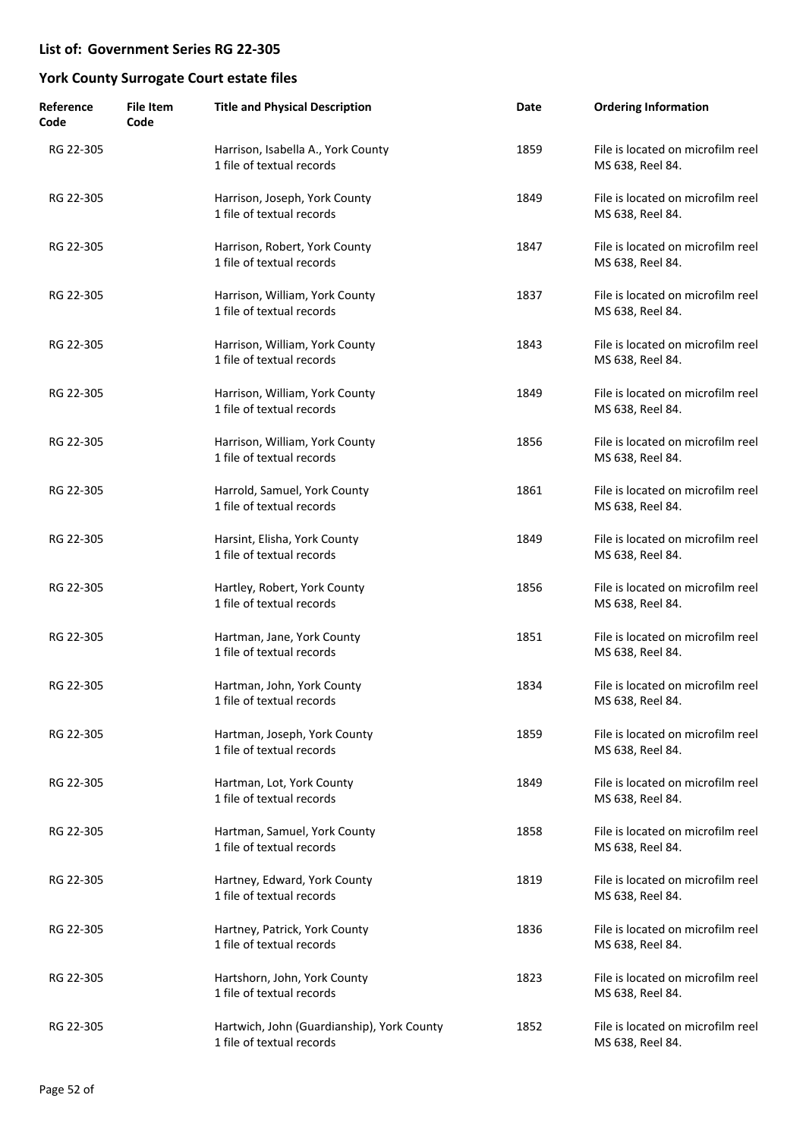| Reference<br>Code | <b>File Item</b><br>Code | <b>Title and Physical Description</b>                                   | Date | <b>Ordering Information</b>                           |
|-------------------|--------------------------|-------------------------------------------------------------------------|------|-------------------------------------------------------|
| RG 22-305         |                          | Harrison, Isabella A., York County<br>1 file of textual records         | 1859 | File is located on microfilm reel<br>MS 638, Reel 84. |
| RG 22-305         |                          | Harrison, Joseph, York County<br>1 file of textual records              | 1849 | File is located on microfilm reel<br>MS 638, Reel 84. |
| RG 22-305         |                          | Harrison, Robert, York County<br>1 file of textual records              | 1847 | File is located on microfilm reel<br>MS 638, Reel 84. |
| RG 22-305         |                          | Harrison, William, York County<br>1 file of textual records             | 1837 | File is located on microfilm reel<br>MS 638, Reel 84. |
| RG 22-305         |                          | Harrison, William, York County<br>1 file of textual records             | 1843 | File is located on microfilm reel<br>MS 638, Reel 84. |
| RG 22-305         |                          | Harrison, William, York County<br>1 file of textual records             | 1849 | File is located on microfilm reel<br>MS 638, Reel 84. |
| RG 22-305         |                          | Harrison, William, York County<br>1 file of textual records             | 1856 | File is located on microfilm reel<br>MS 638, Reel 84. |
| RG 22-305         |                          | Harrold, Samuel, York County<br>1 file of textual records               | 1861 | File is located on microfilm reel<br>MS 638, Reel 84. |
| RG 22-305         |                          | Harsint, Elisha, York County<br>1 file of textual records               | 1849 | File is located on microfilm reel<br>MS 638, Reel 84. |
| RG 22-305         |                          | Hartley, Robert, York County<br>1 file of textual records               | 1856 | File is located on microfilm reel<br>MS 638, Reel 84. |
| RG 22-305         |                          | Hartman, Jane, York County<br>1 file of textual records                 | 1851 | File is located on microfilm reel<br>MS 638, Reel 84. |
| RG 22-305         |                          | Hartman, John, York County<br>1 file of textual records                 | 1834 | File is located on microfilm reel<br>MS 638, Reel 84. |
| RG 22-305         |                          | Hartman, Joseph, York County<br>1 file of textual records               | 1859 | File is located on microfilm reel<br>MS 638, Reel 84. |
| RG 22-305         |                          | Hartman, Lot, York County<br>1 file of textual records                  | 1849 | File is located on microfilm reel<br>MS 638, Reel 84. |
| RG 22-305         |                          | Hartman, Samuel, York County<br>1 file of textual records               | 1858 | File is located on microfilm reel<br>MS 638, Reel 84. |
| RG 22-305         |                          | Hartney, Edward, York County<br>1 file of textual records               | 1819 | File is located on microfilm reel<br>MS 638, Reel 84. |
| RG 22-305         |                          | Hartney, Patrick, York County<br>1 file of textual records              | 1836 | File is located on microfilm reel<br>MS 638, Reel 84. |
| RG 22-305         |                          | Hartshorn, John, York County<br>1 file of textual records               | 1823 | File is located on microfilm reel<br>MS 638, Reel 84. |
| RG 22-305         |                          | Hartwich, John (Guardianship), York County<br>1 file of textual records | 1852 | File is located on microfilm reel<br>MS 638, Reel 84. |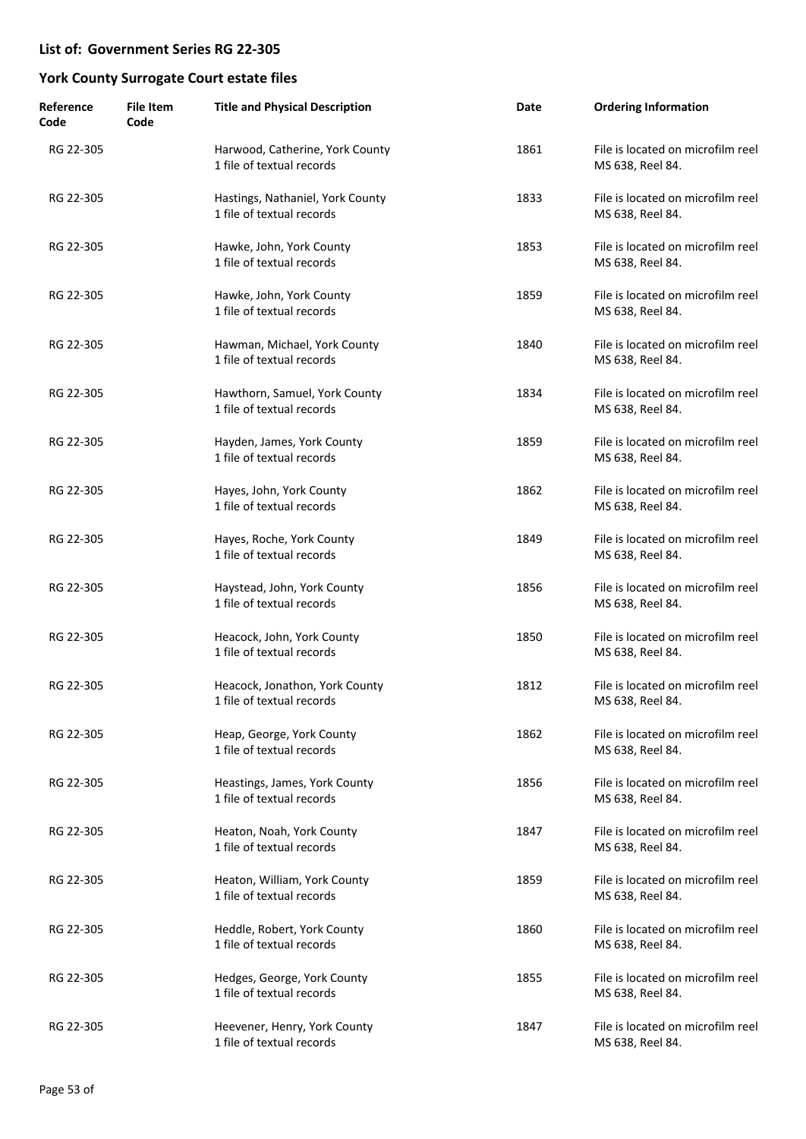| Reference<br>Code | <b>File Item</b><br>Code | <b>Title and Physical Description</b>                         | Date | <b>Ordering Information</b>                           |
|-------------------|--------------------------|---------------------------------------------------------------|------|-------------------------------------------------------|
| RG 22-305         |                          | Harwood, Catherine, York County<br>1 file of textual records  | 1861 | File is located on microfilm reel<br>MS 638, Reel 84. |
| RG 22-305         |                          | Hastings, Nathaniel, York County<br>1 file of textual records | 1833 | File is located on microfilm reel<br>MS 638, Reel 84. |
| RG 22-305         |                          | Hawke, John, York County<br>1 file of textual records         | 1853 | File is located on microfilm reel<br>MS 638, Reel 84. |
| RG 22-305         |                          | Hawke, John, York County<br>1 file of textual records         | 1859 | File is located on microfilm reel<br>MS 638, Reel 84. |
| RG 22-305         |                          | Hawman, Michael, York County<br>1 file of textual records     | 1840 | File is located on microfilm reel<br>MS 638, Reel 84. |
| RG 22-305         |                          | Hawthorn, Samuel, York County<br>1 file of textual records    | 1834 | File is located on microfilm reel<br>MS 638, Reel 84. |
| RG 22-305         |                          | Hayden, James, York County<br>1 file of textual records       | 1859 | File is located on microfilm reel<br>MS 638, Reel 84. |
| RG 22-305         |                          | Hayes, John, York County<br>1 file of textual records         | 1862 | File is located on microfilm reel<br>MS 638, Reel 84. |
| RG 22-305         |                          | Hayes, Roche, York County<br>1 file of textual records        | 1849 | File is located on microfilm reel<br>MS 638, Reel 84. |
| RG 22-305         |                          | Haystead, John, York County<br>1 file of textual records      | 1856 | File is located on microfilm reel<br>MS 638, Reel 84. |
| RG 22-305         |                          | Heacock, John, York County<br>1 file of textual records       | 1850 | File is located on microfilm reel<br>MS 638, Reel 84. |
| RG 22-305         |                          | Heacock, Jonathon, York County<br>1 file of textual records   | 1812 | File is located on microfilm reel<br>MS 638, Reel 84. |
| RG 22-305         |                          | Heap, George, York County<br>1 file of textual records        | 1862 | File is located on microfilm reel<br>MS 638, Reel 84. |
| RG 22-305         |                          | Heastings, James, York County<br>1 file of textual records    | 1856 | File is located on microfilm reel<br>MS 638, Reel 84. |
| RG 22-305         |                          | Heaton, Noah, York County<br>1 file of textual records        | 1847 | File is located on microfilm reel<br>MS 638, Reel 84. |
| RG 22-305         |                          | Heaton, William, York County<br>1 file of textual records     | 1859 | File is located on microfilm reel<br>MS 638, Reel 84. |
| RG 22-305         |                          | Heddle, Robert, York County<br>1 file of textual records      | 1860 | File is located on microfilm reel<br>MS 638, Reel 84. |
| RG 22-305         |                          | Hedges, George, York County<br>1 file of textual records      | 1855 | File is located on microfilm reel<br>MS 638, Reel 84. |
| RG 22-305         |                          | Heevener, Henry, York County<br>1 file of textual records     | 1847 | File is located on microfilm reel<br>MS 638, Reel 84. |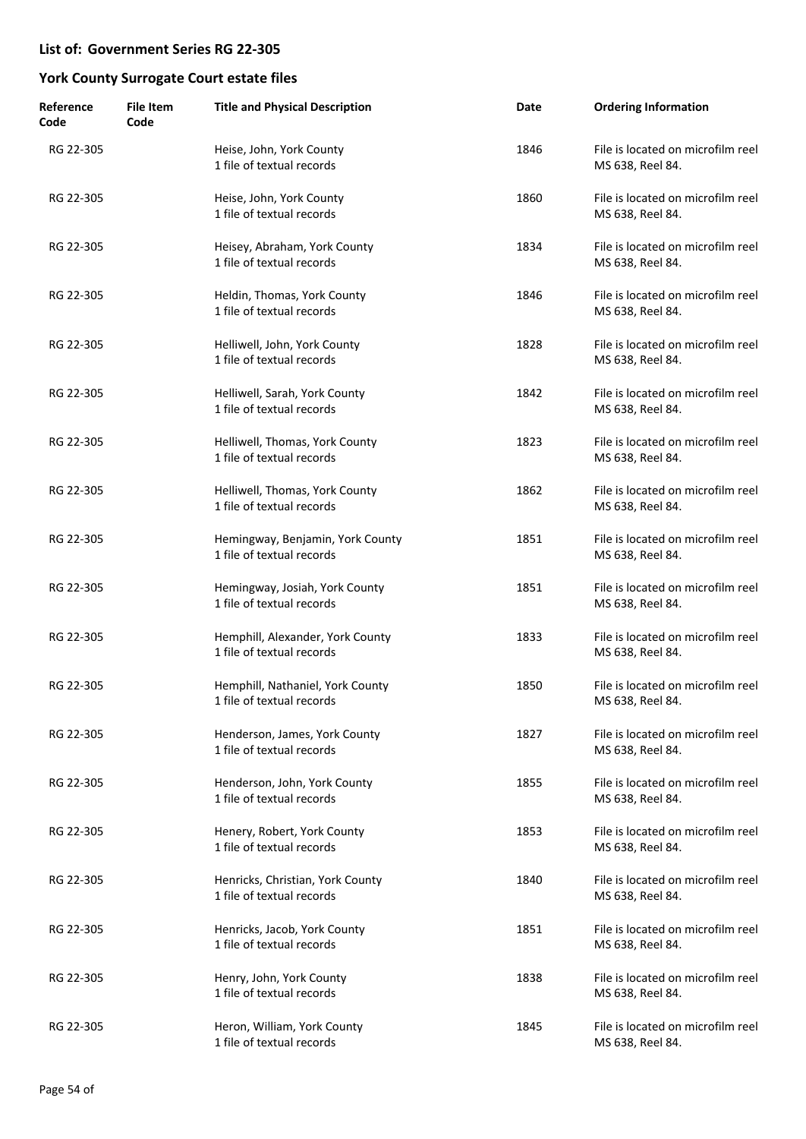| Reference<br>Code | <b>File Item</b><br>Code | <b>Title and Physical Description</b>                         | Date | <b>Ordering Information</b>                           |
|-------------------|--------------------------|---------------------------------------------------------------|------|-------------------------------------------------------|
| RG 22-305         |                          | Heise, John, York County<br>1 file of textual records         | 1846 | File is located on microfilm reel<br>MS 638, Reel 84. |
| RG 22-305         |                          | Heise, John, York County<br>1 file of textual records         | 1860 | File is located on microfilm reel<br>MS 638, Reel 84. |
| RG 22-305         |                          | Heisey, Abraham, York County<br>1 file of textual records     | 1834 | File is located on microfilm reel<br>MS 638, Reel 84. |
| RG 22-305         |                          | Heldin, Thomas, York County<br>1 file of textual records      | 1846 | File is located on microfilm reel<br>MS 638, Reel 84. |
| RG 22-305         |                          | Helliwell, John, York County<br>1 file of textual records     | 1828 | File is located on microfilm reel<br>MS 638, Reel 84. |
| RG 22-305         |                          | Helliwell, Sarah, York County<br>1 file of textual records    | 1842 | File is located on microfilm reel<br>MS 638, Reel 84. |
| RG 22-305         |                          | Helliwell, Thomas, York County<br>1 file of textual records   | 1823 | File is located on microfilm reel<br>MS 638, Reel 84. |
| RG 22-305         |                          | Helliwell, Thomas, York County<br>1 file of textual records   | 1862 | File is located on microfilm reel<br>MS 638, Reel 84. |
| RG 22-305         |                          | Hemingway, Benjamin, York County<br>1 file of textual records | 1851 | File is located on microfilm reel<br>MS 638, Reel 84. |
| RG 22-305         |                          | Hemingway, Josiah, York County<br>1 file of textual records   | 1851 | File is located on microfilm reel<br>MS 638, Reel 84. |
| RG 22-305         |                          | Hemphill, Alexander, York County<br>1 file of textual records | 1833 | File is located on microfilm reel<br>MS 638, Reel 84. |
| RG 22-305         |                          | Hemphill, Nathaniel, York County<br>1 file of textual records | 1850 | File is located on microfilm reel<br>MS 638, Reel 84. |
| RG 22-305         |                          | Henderson, James, York County<br>1 file of textual records    | 1827 | File is located on microfilm reel<br>MS 638, Reel 84. |
| RG 22-305         |                          | Henderson, John, York County<br>1 file of textual records     | 1855 | File is located on microfilm reel<br>MS 638, Reel 84. |
| RG 22-305         |                          | Henery, Robert, York County<br>1 file of textual records      | 1853 | File is located on microfilm reel<br>MS 638, Reel 84. |
| RG 22-305         |                          | Henricks, Christian, York County<br>1 file of textual records | 1840 | File is located on microfilm reel<br>MS 638, Reel 84. |
| RG 22-305         |                          | Henricks, Jacob, York County<br>1 file of textual records     | 1851 | File is located on microfilm reel<br>MS 638, Reel 84. |
| RG 22-305         |                          | Henry, John, York County<br>1 file of textual records         | 1838 | File is located on microfilm reel<br>MS 638, Reel 84. |
| RG 22-305         |                          | Heron, William, York County<br>1 file of textual records      | 1845 | File is located on microfilm reel<br>MS 638, Reel 84. |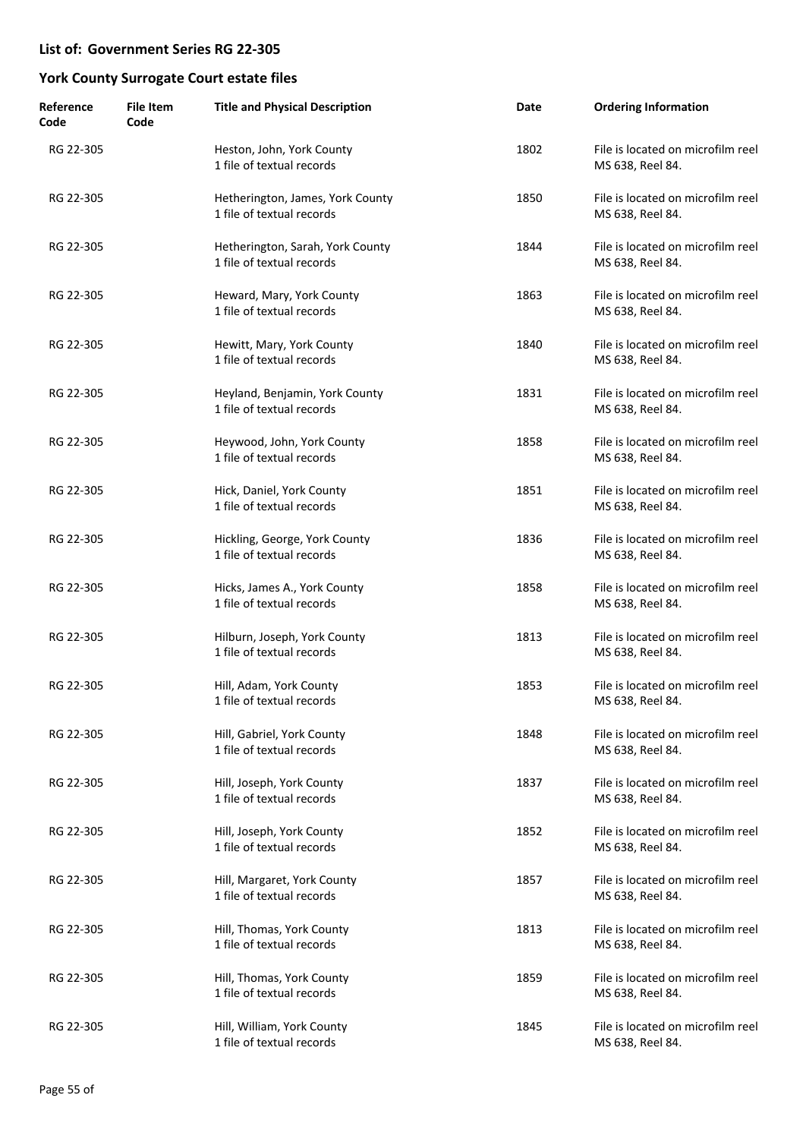| Reference<br>Code | <b>File Item</b><br>Code | <b>Title and Physical Description</b>                         | Date | <b>Ordering Information</b>                           |
|-------------------|--------------------------|---------------------------------------------------------------|------|-------------------------------------------------------|
| RG 22-305         |                          | Heston, John, York County<br>1 file of textual records        | 1802 | File is located on microfilm reel<br>MS 638, Reel 84. |
| RG 22-305         |                          | Hetherington, James, York County<br>1 file of textual records | 1850 | File is located on microfilm reel<br>MS 638, Reel 84. |
| RG 22-305         |                          | Hetherington, Sarah, York County<br>1 file of textual records | 1844 | File is located on microfilm reel<br>MS 638, Reel 84. |
| RG 22-305         |                          | Heward, Mary, York County<br>1 file of textual records        | 1863 | File is located on microfilm reel<br>MS 638, Reel 84. |
| RG 22-305         |                          | Hewitt, Mary, York County<br>1 file of textual records        | 1840 | File is located on microfilm reel<br>MS 638, Reel 84. |
| RG 22-305         |                          | Heyland, Benjamin, York County<br>1 file of textual records   | 1831 | File is located on microfilm reel<br>MS 638, Reel 84. |
| RG 22-305         |                          | Heywood, John, York County<br>1 file of textual records       | 1858 | File is located on microfilm reel<br>MS 638, Reel 84. |
| RG 22-305         |                          | Hick, Daniel, York County<br>1 file of textual records        | 1851 | File is located on microfilm reel<br>MS 638, Reel 84. |
| RG 22-305         |                          | Hickling, George, York County<br>1 file of textual records    | 1836 | File is located on microfilm reel<br>MS 638, Reel 84. |
| RG 22-305         |                          | Hicks, James A., York County<br>1 file of textual records     | 1858 | File is located on microfilm reel<br>MS 638, Reel 84. |
| RG 22-305         |                          | Hilburn, Joseph, York County<br>1 file of textual records     | 1813 | File is located on microfilm reel<br>MS 638, Reel 84. |
| RG 22-305         |                          | Hill, Adam, York County<br>1 file of textual records          | 1853 | File is located on microfilm reel<br>MS 638, Reel 84. |
| RG 22-305         |                          | Hill, Gabriel, York County<br>1 file of textual records       | 1848 | File is located on microfilm reel<br>MS 638, Reel 84. |
| RG 22-305         |                          | Hill, Joseph, York County<br>1 file of textual records        | 1837 | File is located on microfilm reel<br>MS 638, Reel 84. |
| RG 22-305         |                          | Hill, Joseph, York County<br>1 file of textual records        | 1852 | File is located on microfilm reel<br>MS 638, Reel 84. |
| RG 22-305         |                          | Hill, Margaret, York County<br>1 file of textual records      | 1857 | File is located on microfilm reel<br>MS 638, Reel 84. |
| RG 22-305         |                          | Hill, Thomas, York County<br>1 file of textual records        | 1813 | File is located on microfilm reel<br>MS 638, Reel 84. |
| RG 22-305         |                          | Hill, Thomas, York County<br>1 file of textual records        | 1859 | File is located on microfilm reel<br>MS 638, Reel 84. |
| RG 22-305         |                          | Hill, William, York County<br>1 file of textual records       | 1845 | File is located on microfilm reel<br>MS 638, Reel 84. |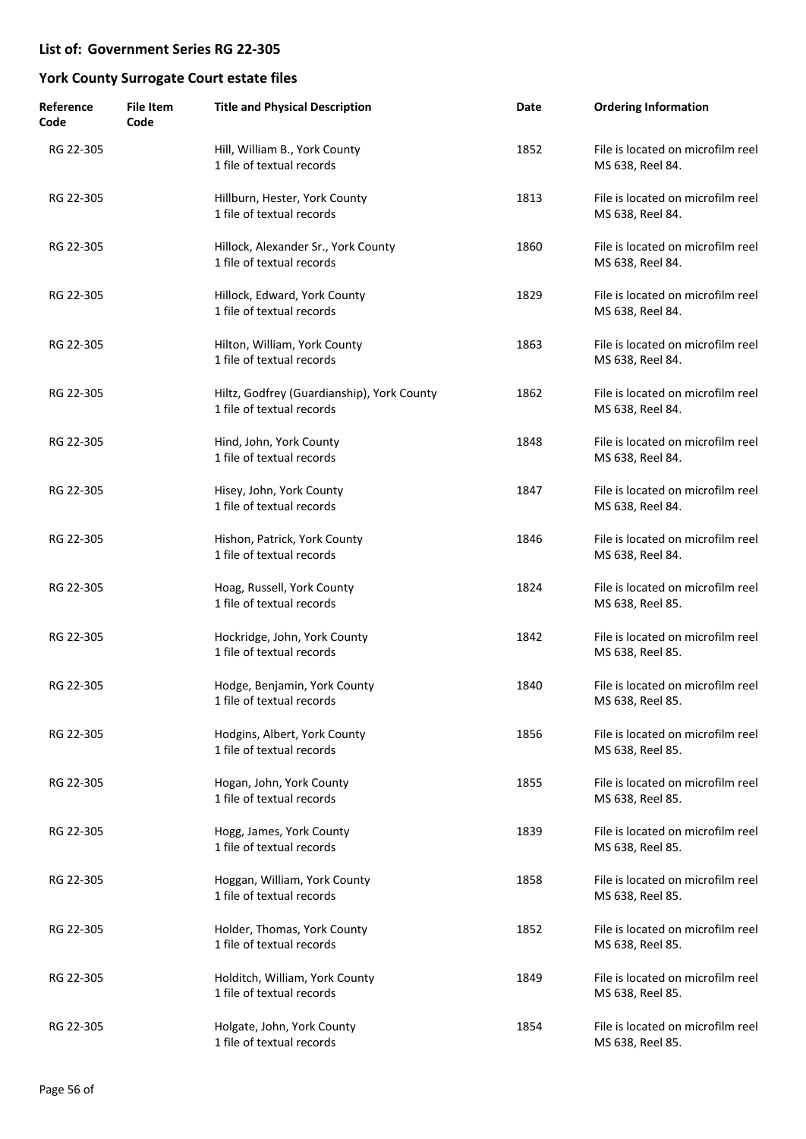| Reference<br>Code | <b>File Item</b><br>Code | <b>Title and Physical Description</b>                                   | Date | <b>Ordering Information</b>                           |
|-------------------|--------------------------|-------------------------------------------------------------------------|------|-------------------------------------------------------|
| RG 22-305         |                          | Hill, William B., York County<br>1 file of textual records              | 1852 | File is located on microfilm reel<br>MS 638, Reel 84. |
| RG 22-305         |                          | Hillburn, Hester, York County<br>1 file of textual records              | 1813 | File is located on microfilm reel<br>MS 638, Reel 84. |
| RG 22-305         |                          | Hillock, Alexander Sr., York County<br>1 file of textual records        | 1860 | File is located on microfilm reel<br>MS 638, Reel 84. |
| RG 22-305         |                          | Hillock, Edward, York County<br>1 file of textual records               | 1829 | File is located on microfilm reel<br>MS 638, Reel 84. |
| RG 22-305         |                          | Hilton, William, York County<br>1 file of textual records               | 1863 | File is located on microfilm reel<br>MS 638, Reel 84. |
| RG 22-305         |                          | Hiltz, Godfrey (Guardianship), York County<br>1 file of textual records | 1862 | File is located on microfilm reel<br>MS 638, Reel 84. |
| RG 22-305         |                          | Hind, John, York County<br>1 file of textual records                    | 1848 | File is located on microfilm reel<br>MS 638, Reel 84. |
| RG 22-305         |                          | Hisey, John, York County<br>1 file of textual records                   | 1847 | File is located on microfilm reel<br>MS 638, Reel 84. |
| RG 22-305         |                          | Hishon, Patrick, York County<br>1 file of textual records               | 1846 | File is located on microfilm reel<br>MS 638, Reel 84. |
| RG 22-305         |                          | Hoag, Russell, York County<br>1 file of textual records                 | 1824 | File is located on microfilm reel<br>MS 638, Reel 85. |
| RG 22-305         |                          | Hockridge, John, York County<br>1 file of textual records               | 1842 | File is located on microfilm reel<br>MS 638, Reel 85. |
| RG 22-305         |                          | Hodge, Benjamin, York County<br>1 file of textual records               | 1840 | File is located on microfilm reel<br>MS 638, Reel 85. |
| RG 22-305         |                          | Hodgins, Albert, York County<br>1 file of textual records               | 1856 | File is located on microfilm reel<br>MS 638, Reel 85. |
| RG 22-305         |                          | Hogan, John, York County<br>1 file of textual records                   | 1855 | File is located on microfilm reel<br>MS 638, Reel 85. |
| RG 22-305         |                          | Hogg, James, York County<br>1 file of textual records                   | 1839 | File is located on microfilm reel<br>MS 638, Reel 85. |
| RG 22-305         |                          | Hoggan, William, York County<br>1 file of textual records               | 1858 | File is located on microfilm reel<br>MS 638, Reel 85. |
| RG 22-305         |                          | Holder, Thomas, York County<br>1 file of textual records                | 1852 | File is located on microfilm reel<br>MS 638, Reel 85. |
| RG 22-305         |                          | Holditch, William, York County<br>1 file of textual records             | 1849 | File is located on microfilm reel<br>MS 638, Reel 85. |
| RG 22-305         |                          | Holgate, John, York County<br>1 file of textual records                 | 1854 | File is located on microfilm reel<br>MS 638, Reel 85. |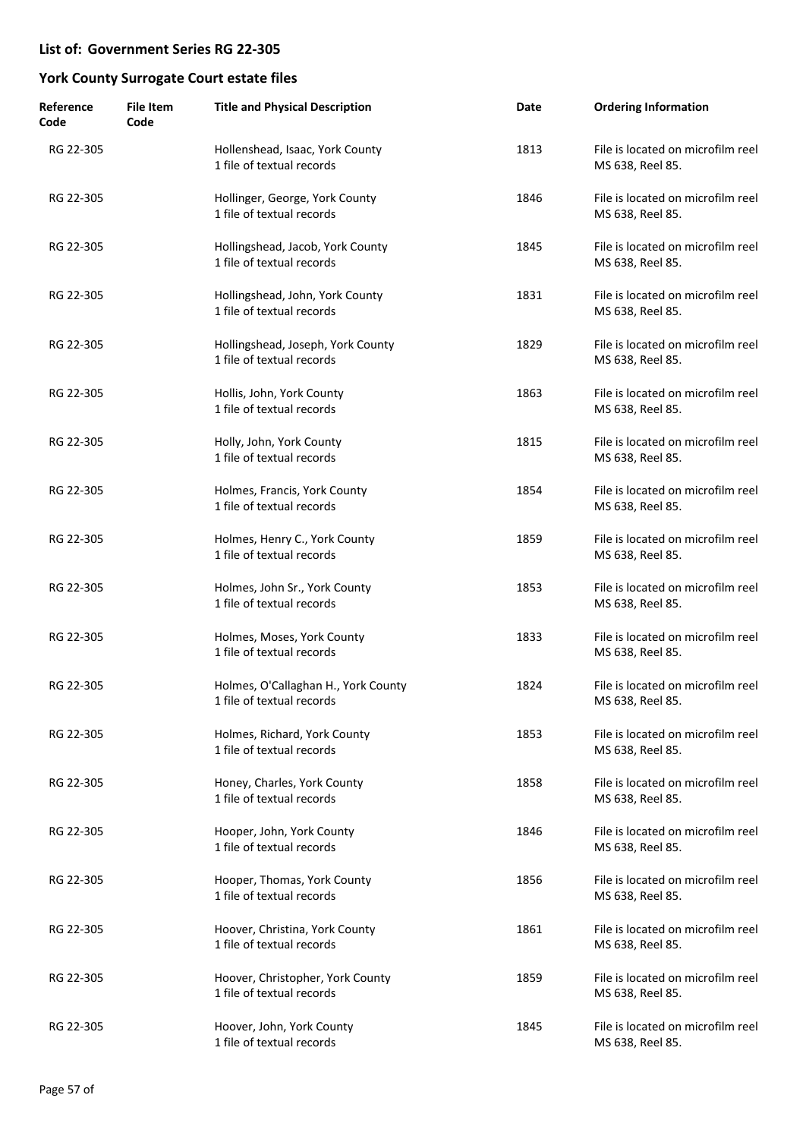| Reference<br>Code | <b>File Item</b><br>Code | <b>Title and Physical Description</b>                            | Date | <b>Ordering Information</b>                           |
|-------------------|--------------------------|------------------------------------------------------------------|------|-------------------------------------------------------|
| RG 22-305         |                          | Hollenshead, Isaac, York County<br>1 file of textual records     | 1813 | File is located on microfilm reel<br>MS 638, Reel 85. |
| RG 22-305         |                          | Hollinger, George, York County<br>1 file of textual records      | 1846 | File is located on microfilm reel<br>MS 638, Reel 85. |
| RG 22-305         |                          | Hollingshead, Jacob, York County<br>1 file of textual records    | 1845 | File is located on microfilm reel<br>MS 638, Reel 85. |
| RG 22-305         |                          | Hollingshead, John, York County<br>1 file of textual records     | 1831 | File is located on microfilm reel<br>MS 638, Reel 85. |
| RG 22-305         |                          | Hollingshead, Joseph, York County<br>1 file of textual records   | 1829 | File is located on microfilm reel<br>MS 638, Reel 85. |
| RG 22-305         |                          | Hollis, John, York County<br>1 file of textual records           | 1863 | File is located on microfilm reel<br>MS 638, Reel 85. |
| RG 22-305         |                          | Holly, John, York County<br>1 file of textual records            | 1815 | File is located on microfilm reel<br>MS 638, Reel 85. |
| RG 22-305         |                          | Holmes, Francis, York County<br>1 file of textual records        | 1854 | File is located on microfilm reel<br>MS 638, Reel 85. |
| RG 22-305         |                          | Holmes, Henry C., York County<br>1 file of textual records       | 1859 | File is located on microfilm reel<br>MS 638, Reel 85. |
| RG 22-305         |                          | Holmes, John Sr., York County<br>1 file of textual records       | 1853 | File is located on microfilm reel<br>MS 638, Reel 85. |
| RG 22-305         |                          | Holmes, Moses, York County<br>1 file of textual records          | 1833 | File is located on microfilm reel<br>MS 638, Reel 85. |
| RG 22-305         |                          | Holmes, O'Callaghan H., York County<br>1 file of textual records | 1824 | File is located on microfilm reel<br>MS 638, Reel 85. |
| RG 22-305         |                          | Holmes, Richard, York County<br>1 file of textual records        | 1853 | File is located on microfilm reel<br>MS 638, Reel 85. |
| RG 22-305         |                          | Honey, Charles, York County<br>1 file of textual records         | 1858 | File is located on microfilm reel<br>MS 638, Reel 85. |
| RG 22-305         |                          | Hooper, John, York County<br>1 file of textual records           | 1846 | File is located on microfilm reel<br>MS 638, Reel 85. |
| RG 22-305         |                          | Hooper, Thomas, York County<br>1 file of textual records         | 1856 | File is located on microfilm reel<br>MS 638, Reel 85. |
| RG 22-305         |                          | Hoover, Christina, York County<br>1 file of textual records      | 1861 | File is located on microfilm reel<br>MS 638, Reel 85. |
| RG 22-305         |                          | Hoover, Christopher, York County<br>1 file of textual records    | 1859 | File is located on microfilm reel<br>MS 638, Reel 85. |
| RG 22-305         |                          | Hoover, John, York County<br>1 file of textual records           | 1845 | File is located on microfilm reel<br>MS 638, Reel 85. |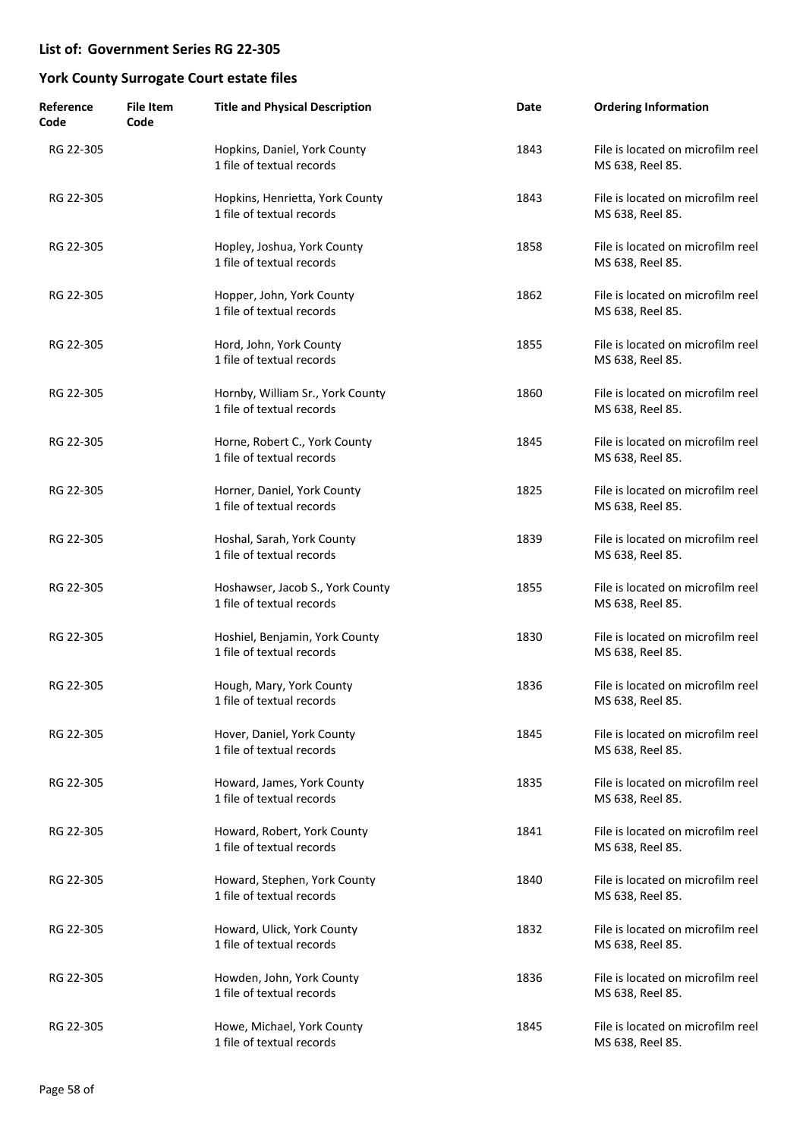| Reference<br>Code | <b>File Item</b><br>Code | <b>Title and Physical Description</b>                         | Date | <b>Ordering Information</b>                           |
|-------------------|--------------------------|---------------------------------------------------------------|------|-------------------------------------------------------|
| RG 22-305         |                          | Hopkins, Daniel, York County<br>1 file of textual records     | 1843 | File is located on microfilm reel<br>MS 638, Reel 85. |
| RG 22-305         |                          | Hopkins, Henrietta, York County<br>1 file of textual records  | 1843 | File is located on microfilm reel<br>MS 638, Reel 85. |
| RG 22-305         |                          | Hopley, Joshua, York County<br>1 file of textual records      | 1858 | File is located on microfilm reel<br>MS 638, Reel 85. |
| RG 22-305         |                          | Hopper, John, York County<br>1 file of textual records        | 1862 | File is located on microfilm reel<br>MS 638, Reel 85. |
| RG 22-305         |                          | Hord, John, York County<br>1 file of textual records          | 1855 | File is located on microfilm reel<br>MS 638, Reel 85. |
| RG 22-305         |                          | Hornby, William Sr., York County<br>1 file of textual records | 1860 | File is located on microfilm reel<br>MS 638, Reel 85. |
| RG 22-305         |                          | Horne, Robert C., York County<br>1 file of textual records    | 1845 | File is located on microfilm reel<br>MS 638, Reel 85. |
| RG 22-305         |                          | Horner, Daniel, York County<br>1 file of textual records      | 1825 | File is located on microfilm reel<br>MS 638, Reel 85. |
| RG 22-305         |                          | Hoshal, Sarah, York County<br>1 file of textual records       | 1839 | File is located on microfilm reel<br>MS 638, Reel 85. |
| RG 22-305         |                          | Hoshawser, Jacob S., York County<br>1 file of textual records | 1855 | File is located on microfilm reel<br>MS 638, Reel 85. |
| RG 22-305         |                          | Hoshiel, Benjamin, York County<br>1 file of textual records   | 1830 | File is located on microfilm reel<br>MS 638, Reel 85. |
| RG 22-305         |                          | Hough, Mary, York County<br>1 file of textual records         | 1836 | File is located on microfilm reel<br>MS 638, Reel 85. |
| RG 22-305         |                          | Hover, Daniel, York County<br>1 file of textual records       | 1845 | File is located on microfilm reel<br>MS 638, Reel 85. |
| RG 22-305         |                          | Howard, James, York County<br>1 file of textual records       | 1835 | File is located on microfilm reel<br>MS 638, Reel 85. |
| RG 22-305         |                          | Howard, Robert, York County<br>1 file of textual records      | 1841 | File is located on microfilm reel<br>MS 638, Reel 85. |
| RG 22-305         |                          | Howard, Stephen, York County<br>1 file of textual records     | 1840 | File is located on microfilm reel<br>MS 638, Reel 85. |
| RG 22-305         |                          | Howard, Ulick, York County<br>1 file of textual records       | 1832 | File is located on microfilm reel<br>MS 638, Reel 85. |
| RG 22-305         |                          | Howden, John, York County<br>1 file of textual records        | 1836 | File is located on microfilm reel<br>MS 638, Reel 85. |
| RG 22-305         |                          | Howe, Michael, York County<br>1 file of textual records       | 1845 | File is located on microfilm reel<br>MS 638, Reel 85. |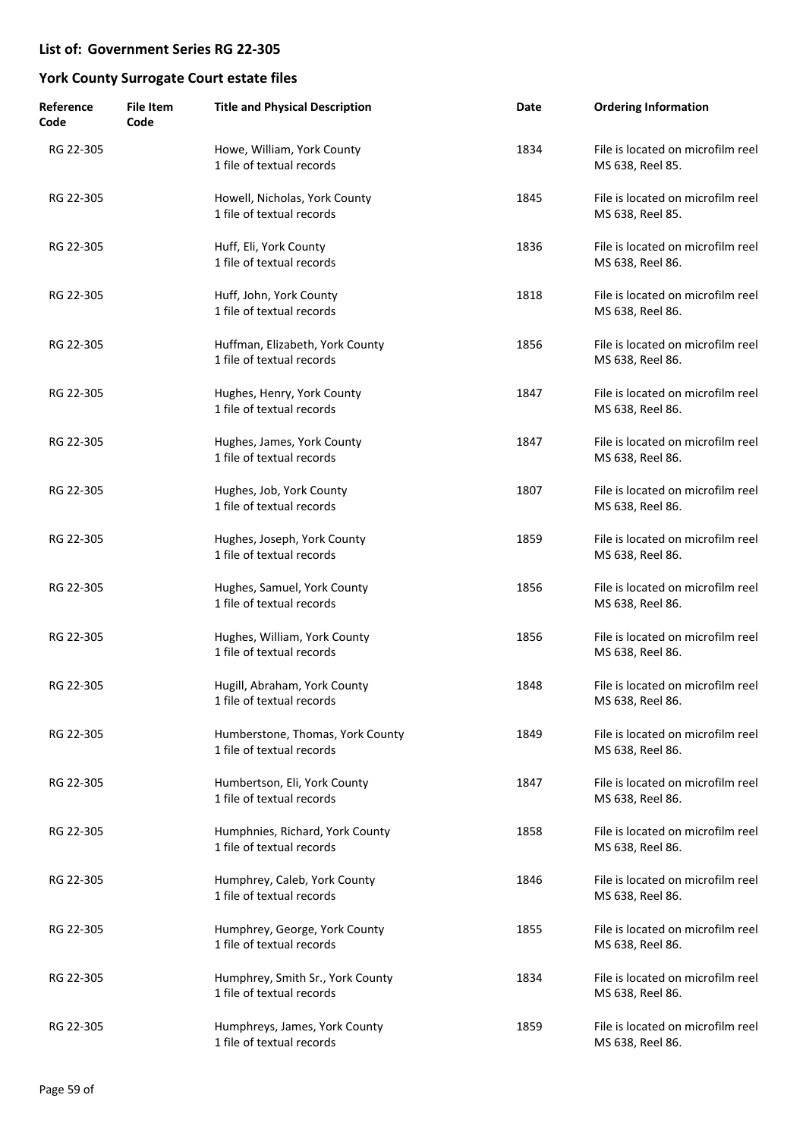| Reference<br>Code | <b>File Item</b><br>Code | <b>Title and Physical Description</b>                         | Date | <b>Ordering Information</b>                           |
|-------------------|--------------------------|---------------------------------------------------------------|------|-------------------------------------------------------|
| RG 22-305         |                          | Howe, William, York County<br>1 file of textual records       | 1834 | File is located on microfilm reel<br>MS 638, Reel 85. |
| RG 22-305         |                          | Howell, Nicholas, York County<br>1 file of textual records    | 1845 | File is located on microfilm reel<br>MS 638, Reel 85. |
| RG 22-305         |                          | Huff, Eli, York County<br>1 file of textual records           | 1836 | File is located on microfilm reel<br>MS 638, Reel 86. |
| RG 22-305         |                          | Huff, John, York County<br>1 file of textual records          | 1818 | File is located on microfilm reel<br>MS 638, Reel 86. |
| RG 22-305         |                          | Huffman, Elizabeth, York County<br>1 file of textual records  | 1856 | File is located on microfilm reel<br>MS 638, Reel 86. |
| RG 22-305         |                          | Hughes, Henry, York County<br>1 file of textual records       | 1847 | File is located on microfilm reel<br>MS 638, Reel 86. |
| RG 22-305         |                          | Hughes, James, York County<br>1 file of textual records       | 1847 | File is located on microfilm reel<br>MS 638, Reel 86. |
| RG 22-305         |                          | Hughes, Job, York County<br>1 file of textual records         | 1807 | File is located on microfilm reel<br>MS 638, Reel 86. |
| RG 22-305         |                          | Hughes, Joseph, York County<br>1 file of textual records      | 1859 | File is located on microfilm reel<br>MS 638, Reel 86. |
| RG 22-305         |                          | Hughes, Samuel, York County<br>1 file of textual records      | 1856 | File is located on microfilm reel<br>MS 638, Reel 86. |
| RG 22-305         |                          | Hughes, William, York County<br>1 file of textual records     | 1856 | File is located on microfilm reel<br>MS 638, Reel 86. |
| RG 22-305         |                          | Hugill, Abraham, York County<br>1 file of textual records     | 1848 | File is located on microfilm reel<br>MS 638, Reel 86. |
| RG 22-305         |                          | Humberstone, Thomas, York County<br>1 file of textual records | 1849 | File is located on microfilm reel<br>MS 638, Reel 86. |
| RG 22-305         |                          | Humbertson, Eli, York County<br>1 file of textual records     | 1847 | File is located on microfilm reel<br>MS 638, Reel 86. |
| RG 22-305         |                          | Humphnies, Richard, York County<br>1 file of textual records  | 1858 | File is located on microfilm reel<br>MS 638, Reel 86. |
| RG 22-305         |                          | Humphrey, Caleb, York County<br>1 file of textual records     | 1846 | File is located on microfilm reel<br>MS 638, Reel 86. |
| RG 22-305         |                          | Humphrey, George, York County<br>1 file of textual records    | 1855 | File is located on microfilm reel<br>MS 638, Reel 86. |
| RG 22-305         |                          | Humphrey, Smith Sr., York County<br>1 file of textual records | 1834 | File is located on microfilm reel<br>MS 638, Reel 86. |
| RG 22-305         |                          | Humphreys, James, York County<br>1 file of textual records    | 1859 | File is located on microfilm reel<br>MS 638, Reel 86. |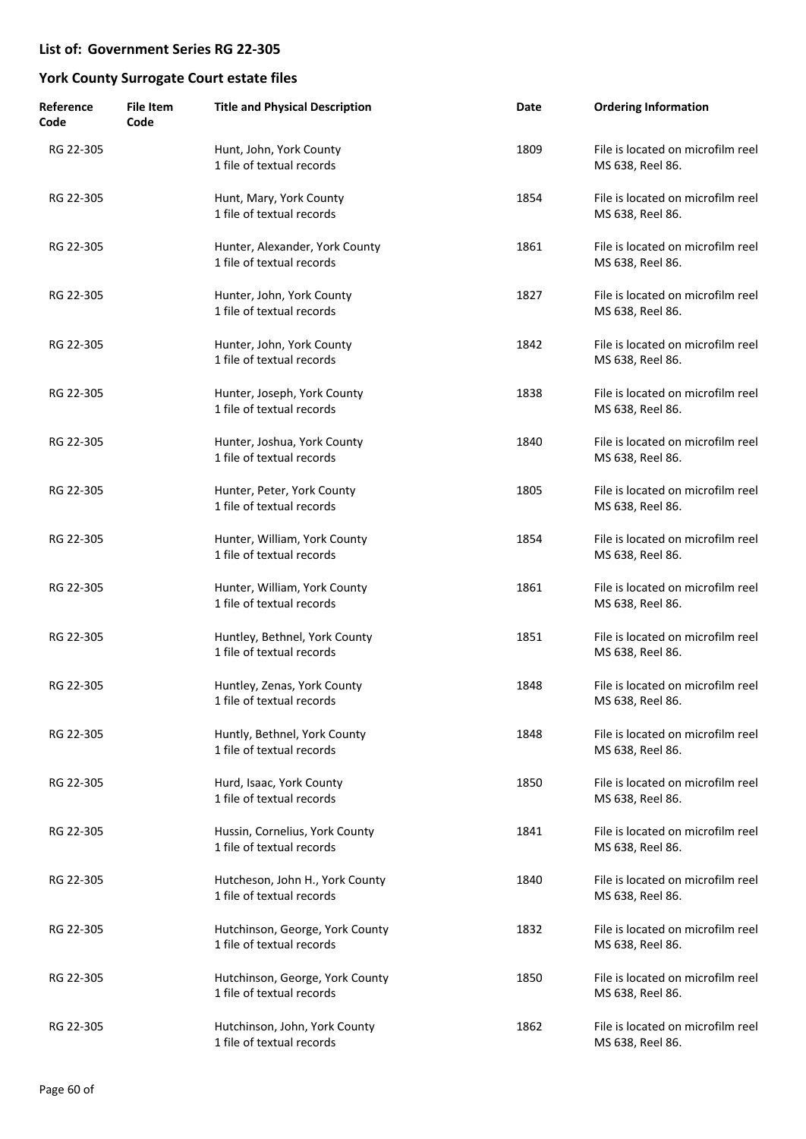| Reference<br>Code | <b>File Item</b><br>Code | <b>Title and Physical Description</b>                        | Date | <b>Ordering Information</b>                           |
|-------------------|--------------------------|--------------------------------------------------------------|------|-------------------------------------------------------|
| RG 22-305         |                          | Hunt, John, York County<br>1 file of textual records         | 1809 | File is located on microfilm reel<br>MS 638, Reel 86. |
| RG 22-305         |                          | Hunt, Mary, York County<br>1 file of textual records         | 1854 | File is located on microfilm reel<br>MS 638, Reel 86. |
| RG 22-305         |                          | Hunter, Alexander, York County<br>1 file of textual records  | 1861 | File is located on microfilm reel<br>MS 638, Reel 86. |
| RG 22-305         |                          | Hunter, John, York County<br>1 file of textual records       | 1827 | File is located on microfilm reel<br>MS 638, Reel 86. |
| RG 22-305         |                          | Hunter, John, York County<br>1 file of textual records       | 1842 | File is located on microfilm reel<br>MS 638, Reel 86. |
| RG 22-305         |                          | Hunter, Joseph, York County<br>1 file of textual records     | 1838 | File is located on microfilm reel<br>MS 638, Reel 86. |
| RG 22-305         |                          | Hunter, Joshua, York County<br>1 file of textual records     | 1840 | File is located on microfilm reel<br>MS 638, Reel 86. |
| RG 22-305         |                          | Hunter, Peter, York County<br>1 file of textual records      | 1805 | File is located on microfilm reel<br>MS 638, Reel 86. |
| RG 22-305         |                          | Hunter, William, York County<br>1 file of textual records    | 1854 | File is located on microfilm reel<br>MS 638, Reel 86. |
| RG 22-305         |                          | Hunter, William, York County<br>1 file of textual records    | 1861 | File is located on microfilm reel<br>MS 638, Reel 86. |
| RG 22-305         |                          | Huntley, Bethnel, York County<br>1 file of textual records   | 1851 | File is located on microfilm reel<br>MS 638, Reel 86. |
| RG 22-305         |                          | Huntley, Zenas, York County<br>1 file of textual records     | 1848 | File is located on microfilm reel<br>MS 638, Reel 86. |
| RG 22-305         |                          | Huntly, Bethnel, York County<br>1 file of textual records    | 1848 | File is located on microfilm reel<br>MS 638, Reel 86. |
| RG 22-305         |                          | Hurd, Isaac, York County<br>1 file of textual records        | 1850 | File is located on microfilm reel<br>MS 638, Reel 86. |
| RG 22-305         |                          | Hussin, Cornelius, York County<br>1 file of textual records  | 1841 | File is located on microfilm reel<br>MS 638, Reel 86. |
| RG 22-305         |                          | Hutcheson, John H., York County<br>1 file of textual records | 1840 | File is located on microfilm reel<br>MS 638, Reel 86. |
| RG 22-305         |                          | Hutchinson, George, York County<br>1 file of textual records | 1832 | File is located on microfilm reel<br>MS 638, Reel 86. |
| RG 22-305         |                          | Hutchinson, George, York County<br>1 file of textual records | 1850 | File is located on microfilm reel<br>MS 638, Reel 86. |
| RG 22-305         |                          | Hutchinson, John, York County<br>1 file of textual records   | 1862 | File is located on microfilm reel<br>MS 638, Reel 86. |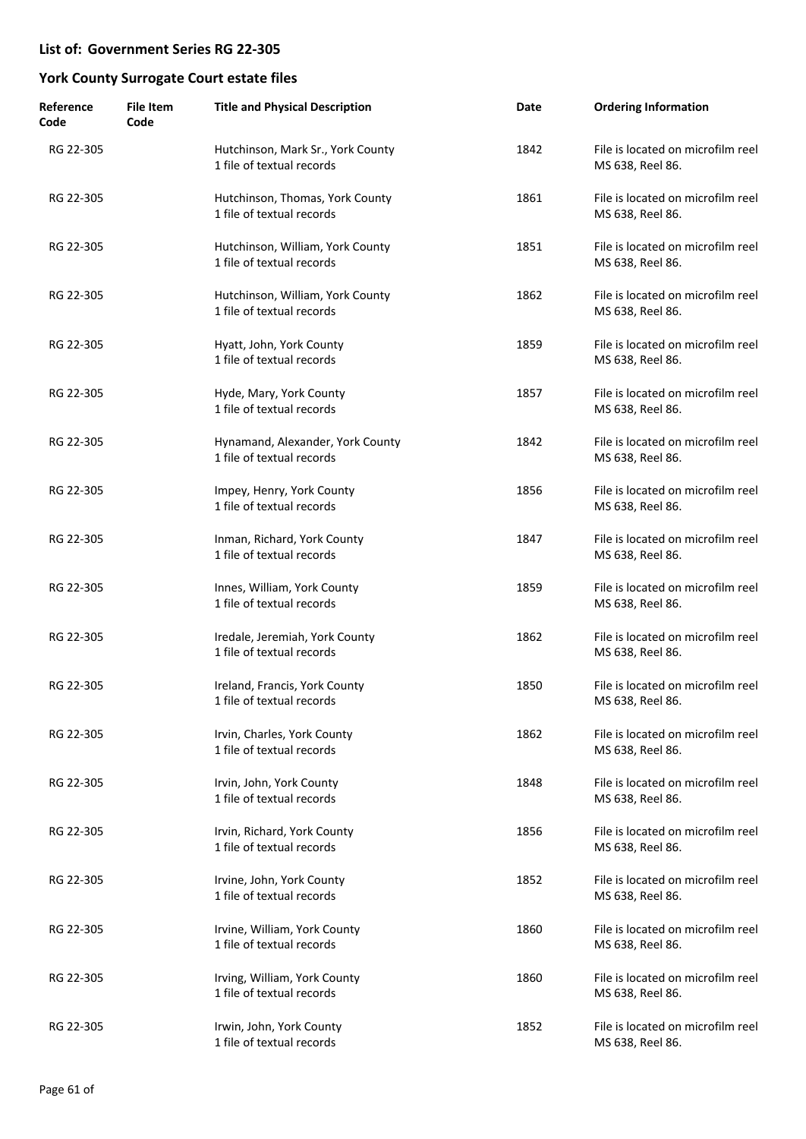| Reference<br>Code | <b>File Item</b><br>Code | <b>Title and Physical Description</b>                          | Date | <b>Ordering Information</b>                           |
|-------------------|--------------------------|----------------------------------------------------------------|------|-------------------------------------------------------|
| RG 22-305         |                          | Hutchinson, Mark Sr., York County<br>1 file of textual records | 1842 | File is located on microfilm reel<br>MS 638, Reel 86. |
| RG 22-305         |                          | Hutchinson, Thomas, York County<br>1 file of textual records   | 1861 | File is located on microfilm reel<br>MS 638, Reel 86. |
| RG 22-305         |                          | Hutchinson, William, York County<br>1 file of textual records  | 1851 | File is located on microfilm reel<br>MS 638, Reel 86. |
| RG 22-305         |                          | Hutchinson, William, York County<br>1 file of textual records  | 1862 | File is located on microfilm reel<br>MS 638, Reel 86. |
| RG 22-305         |                          | Hyatt, John, York County<br>1 file of textual records          | 1859 | File is located on microfilm reel<br>MS 638, Reel 86. |
| RG 22-305         |                          | Hyde, Mary, York County<br>1 file of textual records           | 1857 | File is located on microfilm reel<br>MS 638, Reel 86. |
| RG 22-305         |                          | Hynamand, Alexander, York County<br>1 file of textual records  | 1842 | File is located on microfilm reel<br>MS 638, Reel 86. |
| RG 22-305         |                          | Impey, Henry, York County<br>1 file of textual records         | 1856 | File is located on microfilm reel<br>MS 638, Reel 86. |
| RG 22-305         |                          | Inman, Richard, York County<br>1 file of textual records       | 1847 | File is located on microfilm reel<br>MS 638, Reel 86. |
| RG 22-305         |                          | Innes, William, York County<br>1 file of textual records       | 1859 | File is located on microfilm reel<br>MS 638, Reel 86. |
| RG 22-305         |                          | Iredale, Jeremiah, York County<br>1 file of textual records    | 1862 | File is located on microfilm reel<br>MS 638, Reel 86. |
| RG 22-305         |                          | Ireland, Francis, York County<br>1 file of textual records     | 1850 | File is located on microfilm reel<br>MS 638, Reel 86. |
| RG 22-305         |                          | Irvin, Charles, York County<br>1 file of textual records       | 1862 | File is located on microfilm reel<br>MS 638, Reel 86. |
| RG 22-305         |                          | Irvin, John, York County<br>1 file of textual records          | 1848 | File is located on microfilm reel<br>MS 638, Reel 86. |
| RG 22-305         |                          | Irvin, Richard, York County<br>1 file of textual records       | 1856 | File is located on microfilm reel<br>MS 638, Reel 86. |
| RG 22-305         |                          | Irvine, John, York County<br>1 file of textual records         | 1852 | File is located on microfilm reel<br>MS 638, Reel 86. |
| RG 22-305         |                          | Irvine, William, York County<br>1 file of textual records      | 1860 | File is located on microfilm reel<br>MS 638, Reel 86. |
| RG 22-305         |                          | Irving, William, York County<br>1 file of textual records      | 1860 | File is located on microfilm reel<br>MS 638, Reel 86. |
| RG 22-305         |                          | Irwin, John, York County<br>1 file of textual records          | 1852 | File is located on microfilm reel<br>MS 638, Reel 86. |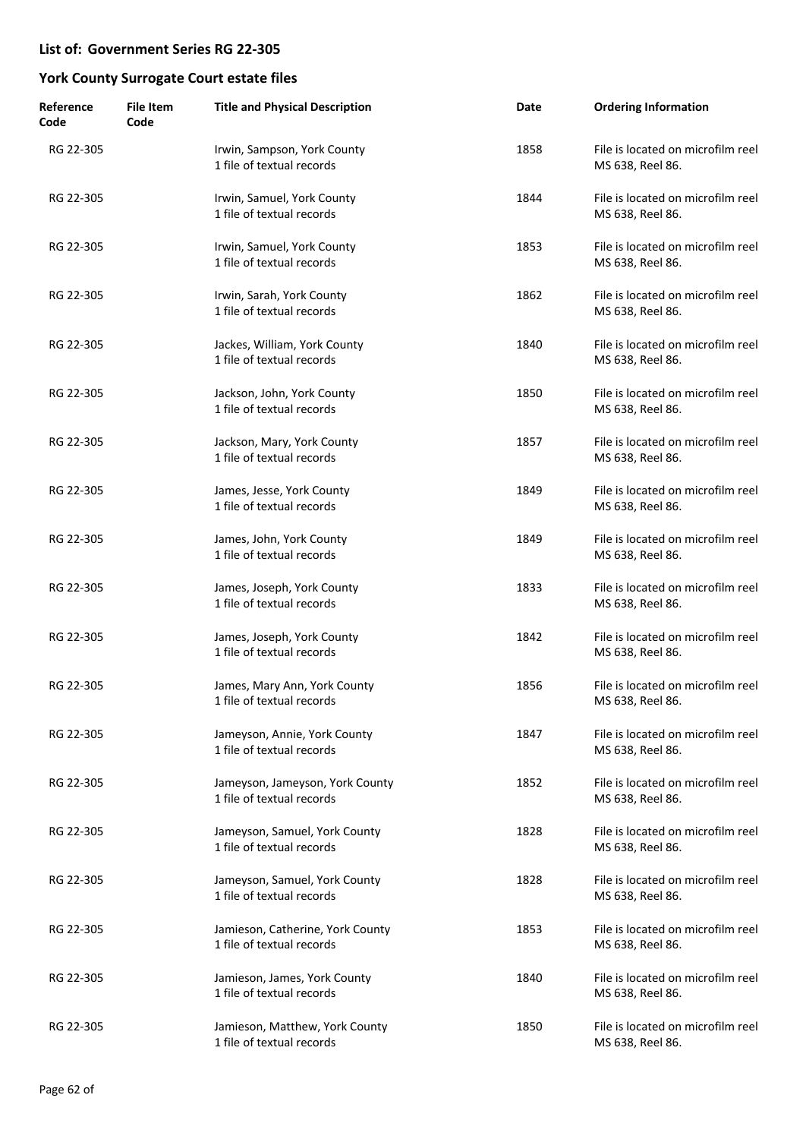| Reference<br>Code | <b>File Item</b><br>Code | <b>Title and Physical Description</b>                         | Date | <b>Ordering Information</b>                           |
|-------------------|--------------------------|---------------------------------------------------------------|------|-------------------------------------------------------|
| RG 22-305         |                          | Irwin, Sampson, York County<br>1 file of textual records      | 1858 | File is located on microfilm reel<br>MS 638, Reel 86. |
| RG 22-305         |                          | Irwin, Samuel, York County<br>1 file of textual records       | 1844 | File is located on microfilm reel<br>MS 638, Reel 86. |
| RG 22-305         |                          | Irwin, Samuel, York County<br>1 file of textual records       | 1853 | File is located on microfilm reel<br>MS 638, Reel 86. |
| RG 22-305         |                          | Irwin, Sarah, York County<br>1 file of textual records        | 1862 | File is located on microfilm reel<br>MS 638, Reel 86. |
| RG 22-305         |                          | Jackes, William, York County<br>1 file of textual records     | 1840 | File is located on microfilm reel<br>MS 638, Reel 86. |
| RG 22-305         |                          | Jackson, John, York County<br>1 file of textual records       | 1850 | File is located on microfilm reel<br>MS 638, Reel 86. |
| RG 22-305         |                          | Jackson, Mary, York County<br>1 file of textual records       | 1857 | File is located on microfilm reel<br>MS 638, Reel 86. |
| RG 22-305         |                          | James, Jesse, York County<br>1 file of textual records        | 1849 | File is located on microfilm reel<br>MS 638, Reel 86. |
| RG 22-305         |                          | James, John, York County<br>1 file of textual records         | 1849 | File is located on microfilm reel<br>MS 638, Reel 86. |
| RG 22-305         |                          | James, Joseph, York County<br>1 file of textual records       | 1833 | File is located on microfilm reel<br>MS 638, Reel 86. |
| RG 22-305         |                          | James, Joseph, York County<br>1 file of textual records       | 1842 | File is located on microfilm reel<br>MS 638, Reel 86. |
| RG 22-305         |                          | James, Mary Ann, York County<br>1 file of textual records     | 1856 | File is located on microfilm reel<br>MS 638, Reel 86. |
| RG 22-305         |                          | Jameyson, Annie, York County<br>1 file of textual records     | 1847 | File is located on microfilm reel<br>MS 638, Reel 86. |
| RG 22-305         |                          | Jameyson, Jameyson, York County<br>1 file of textual records  | 1852 | File is located on microfilm reel<br>MS 638, Reel 86. |
| RG 22-305         |                          | Jameyson, Samuel, York County<br>1 file of textual records    | 1828 | File is located on microfilm reel<br>MS 638, Reel 86. |
| RG 22-305         |                          | Jameyson, Samuel, York County<br>1 file of textual records    | 1828 | File is located on microfilm reel<br>MS 638, Reel 86. |
| RG 22-305         |                          | Jamieson, Catherine, York County<br>1 file of textual records | 1853 | File is located on microfilm reel<br>MS 638, Reel 86. |
| RG 22-305         |                          | Jamieson, James, York County<br>1 file of textual records     | 1840 | File is located on microfilm reel<br>MS 638, Reel 86. |
| RG 22-305         |                          | Jamieson, Matthew, York County<br>1 file of textual records   | 1850 | File is located on microfilm reel<br>MS 638, Reel 86. |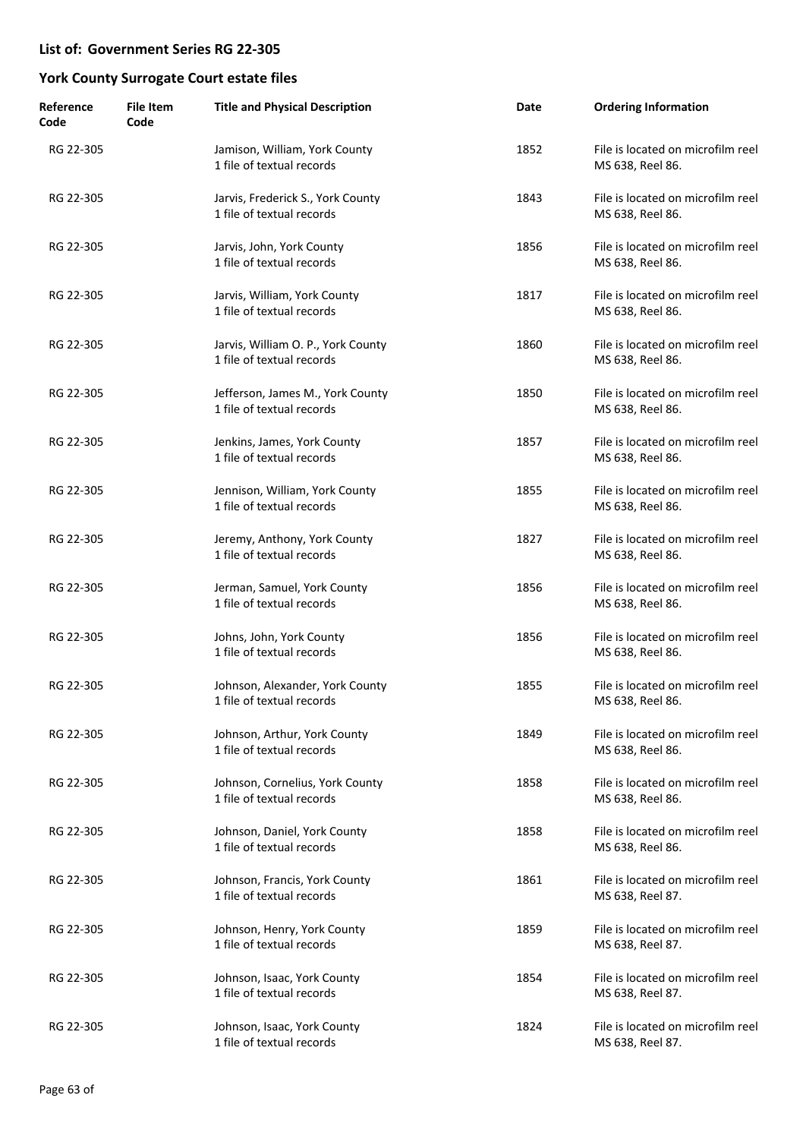| Reference<br>Code | <b>File Item</b><br>Code | <b>Title and Physical Description</b>                           | Date | <b>Ordering Information</b>                           |
|-------------------|--------------------------|-----------------------------------------------------------------|------|-------------------------------------------------------|
| RG 22-305         |                          | Jamison, William, York County<br>1 file of textual records      | 1852 | File is located on microfilm reel<br>MS 638, Reel 86. |
| RG 22-305         |                          | Jarvis, Frederick S., York County<br>1 file of textual records  | 1843 | File is located on microfilm reel<br>MS 638, Reel 86. |
| RG 22-305         |                          | Jarvis, John, York County<br>1 file of textual records          | 1856 | File is located on microfilm reel<br>MS 638, Reel 86. |
| RG 22-305         |                          | Jarvis, William, York County<br>1 file of textual records       | 1817 | File is located on microfilm reel<br>MS 638, Reel 86. |
| RG 22-305         |                          | Jarvis, William O. P., York County<br>1 file of textual records | 1860 | File is located on microfilm reel<br>MS 638, Reel 86. |
| RG 22-305         |                          | Jefferson, James M., York County<br>1 file of textual records   | 1850 | File is located on microfilm reel<br>MS 638, Reel 86. |
| RG 22-305         |                          | Jenkins, James, York County<br>1 file of textual records        | 1857 | File is located on microfilm reel<br>MS 638, Reel 86. |
| RG 22-305         |                          | Jennison, William, York County<br>1 file of textual records     | 1855 | File is located on microfilm reel<br>MS 638, Reel 86. |
| RG 22-305         |                          | Jeremy, Anthony, York County<br>1 file of textual records       | 1827 | File is located on microfilm reel<br>MS 638, Reel 86. |
| RG 22-305         |                          | Jerman, Samuel, York County<br>1 file of textual records        | 1856 | File is located on microfilm reel<br>MS 638, Reel 86. |
| RG 22-305         |                          | Johns, John, York County<br>1 file of textual records           | 1856 | File is located on microfilm reel<br>MS 638, Reel 86. |
| RG 22-305         |                          | Johnson, Alexander, York County<br>1 file of textual records    | 1855 | File is located on microfilm reel<br>MS 638, Reel 86. |
| RG 22-305         |                          | Johnson, Arthur, York County<br>1 file of textual records       | 1849 | File is located on microfilm reel<br>MS 638, Reel 86. |
| RG 22-305         |                          | Johnson, Cornelius, York County<br>1 file of textual records    | 1858 | File is located on microfilm reel<br>MS 638, Reel 86. |
| RG 22-305         |                          | Johnson, Daniel, York County<br>1 file of textual records       | 1858 | File is located on microfilm reel<br>MS 638, Reel 86. |
| RG 22-305         |                          | Johnson, Francis, York County<br>1 file of textual records      | 1861 | File is located on microfilm reel<br>MS 638, Reel 87. |
| RG 22-305         |                          | Johnson, Henry, York County<br>1 file of textual records        | 1859 | File is located on microfilm reel<br>MS 638, Reel 87. |
| RG 22-305         |                          | Johnson, Isaac, York County<br>1 file of textual records        | 1854 | File is located on microfilm reel<br>MS 638, Reel 87. |
| RG 22-305         |                          | Johnson, Isaac, York County<br>1 file of textual records        | 1824 | File is located on microfilm reel<br>MS 638, Reel 87. |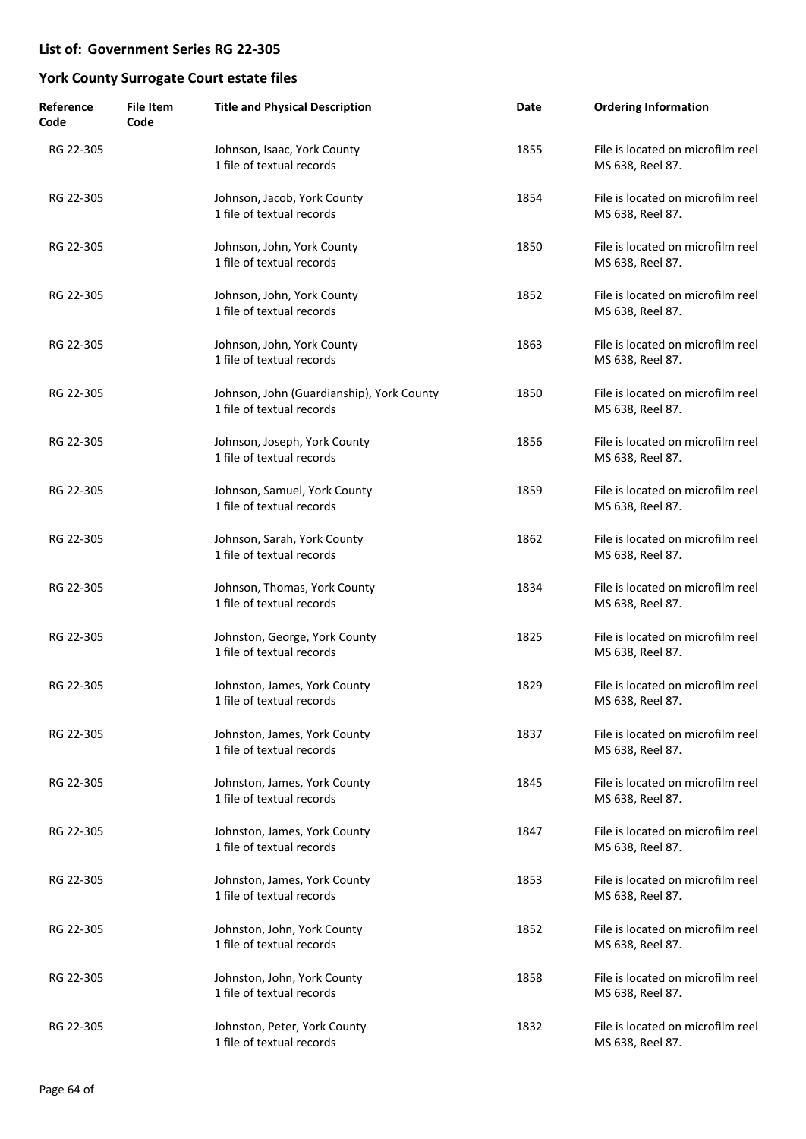| Reference<br>Code | <b>File Item</b><br>Code | <b>Title and Physical Description</b>                                  | Date | <b>Ordering Information</b>                           |
|-------------------|--------------------------|------------------------------------------------------------------------|------|-------------------------------------------------------|
| RG 22-305         |                          | Johnson, Isaac, York County<br>1 file of textual records               | 1855 | File is located on microfilm reel<br>MS 638, Reel 87. |
| RG 22-305         |                          | Johnson, Jacob, York County<br>1 file of textual records               | 1854 | File is located on microfilm reel<br>MS 638, Reel 87. |
| RG 22-305         |                          | Johnson, John, York County<br>1 file of textual records                | 1850 | File is located on microfilm reel<br>MS 638, Reel 87. |
| RG 22-305         |                          | Johnson, John, York County<br>1 file of textual records                | 1852 | File is located on microfilm reel<br>MS 638, Reel 87. |
| RG 22-305         |                          | Johnson, John, York County<br>1 file of textual records                | 1863 | File is located on microfilm reel<br>MS 638, Reel 87. |
| RG 22-305         |                          | Johnson, John (Guardianship), York County<br>1 file of textual records | 1850 | File is located on microfilm reel<br>MS 638, Reel 87. |
| RG 22-305         |                          | Johnson, Joseph, York County<br>1 file of textual records              | 1856 | File is located on microfilm reel<br>MS 638, Reel 87. |
| RG 22-305         |                          | Johnson, Samuel, York County<br>1 file of textual records              | 1859 | File is located on microfilm reel<br>MS 638, Reel 87. |
| RG 22-305         |                          | Johnson, Sarah, York County<br>1 file of textual records               | 1862 | File is located on microfilm reel<br>MS 638, Reel 87. |
| RG 22-305         |                          | Johnson, Thomas, York County<br>1 file of textual records              | 1834 | File is located on microfilm reel<br>MS 638, Reel 87. |
| RG 22-305         |                          | Johnston, George, York County<br>1 file of textual records             | 1825 | File is located on microfilm reel<br>MS 638, Reel 87. |
| RG 22-305         |                          | Johnston, James, York County<br>1 file of textual records              | 1829 | File is located on microfilm reel<br>MS 638, Reel 87. |
| RG 22-305         |                          | Johnston, James, York County<br>1 file of textual records              | 1837 | File is located on microfilm reel<br>MS 638, Reel 87. |
| RG 22-305         |                          | Johnston, James, York County<br>1 file of textual records              | 1845 | File is located on microfilm reel<br>MS 638, Reel 87. |
| RG 22-305         |                          | Johnston, James, York County<br>1 file of textual records              | 1847 | File is located on microfilm reel<br>MS 638, Reel 87. |
| RG 22-305         |                          | Johnston, James, York County<br>1 file of textual records              | 1853 | File is located on microfilm reel<br>MS 638, Reel 87. |
| RG 22-305         |                          | Johnston, John, York County<br>1 file of textual records               | 1852 | File is located on microfilm reel<br>MS 638, Reel 87. |
| RG 22-305         |                          | Johnston, John, York County<br>1 file of textual records               | 1858 | File is located on microfilm reel<br>MS 638, Reel 87. |
| RG 22-305         |                          | Johnston, Peter, York County<br>1 file of textual records              | 1832 | File is located on microfilm reel<br>MS 638, Reel 87. |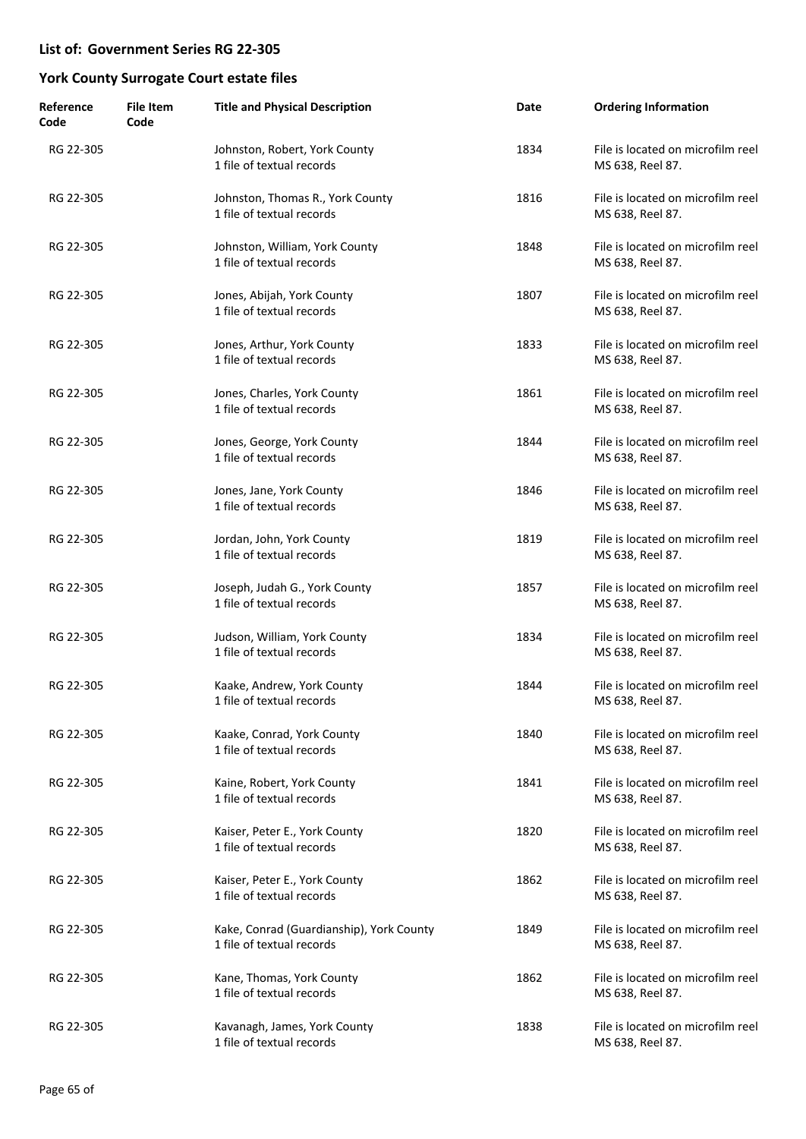| Reference<br>Code | <b>File Item</b><br>Code | <b>Title and Physical Description</b>                                 | Date | <b>Ordering Information</b>                           |
|-------------------|--------------------------|-----------------------------------------------------------------------|------|-------------------------------------------------------|
| RG 22-305         |                          | Johnston, Robert, York County<br>1 file of textual records            | 1834 | File is located on microfilm reel<br>MS 638, Reel 87. |
| RG 22-305         |                          | Johnston, Thomas R., York County<br>1 file of textual records         | 1816 | File is located on microfilm reel<br>MS 638, Reel 87. |
| RG 22-305         |                          | Johnston, William, York County<br>1 file of textual records           | 1848 | File is located on microfilm reel<br>MS 638, Reel 87. |
| RG 22-305         |                          | Jones, Abijah, York County<br>1 file of textual records               | 1807 | File is located on microfilm reel<br>MS 638, Reel 87. |
| RG 22-305         |                          | Jones, Arthur, York County<br>1 file of textual records               | 1833 | File is located on microfilm reel<br>MS 638, Reel 87. |
| RG 22-305         |                          | Jones, Charles, York County<br>1 file of textual records              | 1861 | File is located on microfilm reel<br>MS 638, Reel 87. |
| RG 22-305         |                          | Jones, George, York County<br>1 file of textual records               | 1844 | File is located on microfilm reel<br>MS 638, Reel 87. |
| RG 22-305         |                          | Jones, Jane, York County<br>1 file of textual records                 | 1846 | File is located on microfilm reel<br>MS 638, Reel 87. |
| RG 22-305         |                          | Jordan, John, York County<br>1 file of textual records                | 1819 | File is located on microfilm reel<br>MS 638, Reel 87. |
| RG 22-305         |                          | Joseph, Judah G., York County<br>1 file of textual records            | 1857 | File is located on microfilm reel<br>MS 638, Reel 87. |
| RG 22-305         |                          | Judson, William, York County<br>1 file of textual records             | 1834 | File is located on microfilm reel<br>MS 638, Reel 87. |
| RG 22-305         |                          | Kaake, Andrew, York County<br>1 file of textual records               | 1844 | File is located on microfilm reel<br>MS 638, Reel 87. |
| RG 22-305         |                          | Kaake, Conrad, York County<br>1 file of textual records               | 1840 | File is located on microfilm reel<br>MS 638, Reel 87. |
| RG 22-305         |                          | Kaine, Robert, York County<br>1 file of textual records               | 1841 | File is located on microfilm reel<br>MS 638, Reel 87. |
| RG 22-305         |                          | Kaiser, Peter E., York County<br>1 file of textual records            | 1820 | File is located on microfilm reel<br>MS 638, Reel 87. |
| RG 22-305         |                          | Kaiser, Peter E., York County<br>1 file of textual records            | 1862 | File is located on microfilm reel<br>MS 638, Reel 87. |
| RG 22-305         |                          | Kake, Conrad (Guardianship), York County<br>1 file of textual records | 1849 | File is located on microfilm reel<br>MS 638, Reel 87. |
| RG 22-305         |                          | Kane, Thomas, York County<br>1 file of textual records                | 1862 | File is located on microfilm reel<br>MS 638, Reel 87. |
| RG 22-305         |                          | Kavanagh, James, York County<br>1 file of textual records             | 1838 | File is located on microfilm reel<br>MS 638, Reel 87. |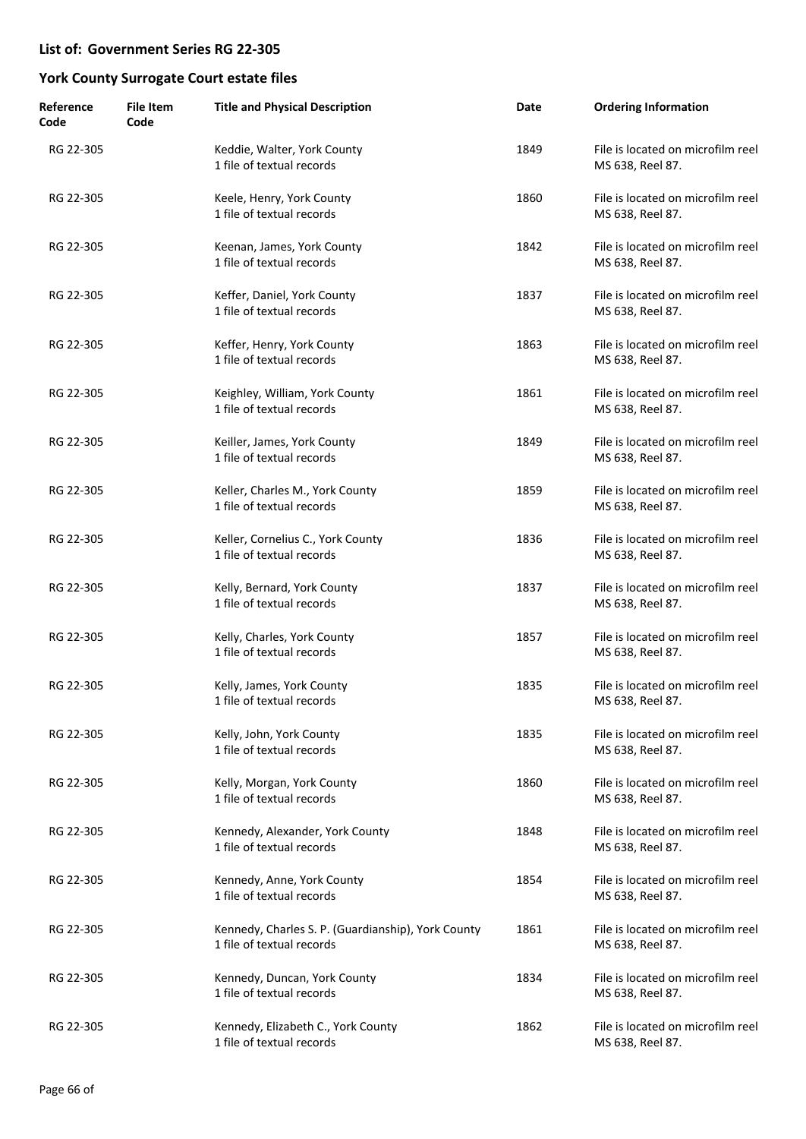| Reference<br>Code | <b>File Item</b><br>Code | <b>Title and Physical Description</b>                                           | Date | <b>Ordering Information</b>                           |
|-------------------|--------------------------|---------------------------------------------------------------------------------|------|-------------------------------------------------------|
| RG 22-305         |                          | Keddie, Walter, York County<br>1 file of textual records                        | 1849 | File is located on microfilm reel<br>MS 638, Reel 87. |
| RG 22-305         |                          | Keele, Henry, York County<br>1 file of textual records                          | 1860 | File is located on microfilm reel<br>MS 638, Reel 87. |
| RG 22-305         |                          | Keenan, James, York County<br>1 file of textual records                         | 1842 | File is located on microfilm reel<br>MS 638, Reel 87. |
| RG 22-305         |                          | Keffer, Daniel, York County<br>1 file of textual records                        | 1837 | File is located on microfilm reel<br>MS 638, Reel 87. |
| RG 22-305         |                          | Keffer, Henry, York County<br>1 file of textual records                         | 1863 | File is located on microfilm reel<br>MS 638, Reel 87. |
| RG 22-305         |                          | Keighley, William, York County<br>1 file of textual records                     | 1861 | File is located on microfilm reel<br>MS 638, Reel 87. |
| RG 22-305         |                          | Keiller, James, York County<br>1 file of textual records                        | 1849 | File is located on microfilm reel<br>MS 638, Reel 87. |
| RG 22-305         |                          | Keller, Charles M., York County<br>1 file of textual records                    | 1859 | File is located on microfilm reel<br>MS 638, Reel 87. |
| RG 22-305         |                          | Keller, Cornelius C., York County<br>1 file of textual records                  | 1836 | File is located on microfilm reel<br>MS 638, Reel 87. |
| RG 22-305         |                          | Kelly, Bernard, York County<br>1 file of textual records                        | 1837 | File is located on microfilm reel<br>MS 638, Reel 87. |
| RG 22-305         |                          | Kelly, Charles, York County<br>1 file of textual records                        | 1857 | File is located on microfilm reel<br>MS 638, Reel 87. |
| RG 22-305         |                          | Kelly, James, York County<br>1 file of textual records                          | 1835 | File is located on microfilm reel<br>MS 638, Reel 87. |
| RG 22-305         |                          | Kelly, John, York County<br>1 file of textual records                           | 1835 | File is located on microfilm reel<br>MS 638, Reel 87. |
| RG 22-305         |                          | Kelly, Morgan, York County<br>1 file of textual records                         | 1860 | File is located on microfilm reel<br>MS 638, Reel 87. |
| RG 22-305         |                          | Kennedy, Alexander, York County<br>1 file of textual records                    | 1848 | File is located on microfilm reel<br>MS 638, Reel 87. |
| RG 22-305         |                          | Kennedy, Anne, York County<br>1 file of textual records                         | 1854 | File is located on microfilm reel<br>MS 638, Reel 87. |
| RG 22-305         |                          | Kennedy, Charles S. P. (Guardianship), York County<br>1 file of textual records | 1861 | File is located on microfilm reel<br>MS 638, Reel 87. |
| RG 22-305         |                          | Kennedy, Duncan, York County<br>1 file of textual records                       | 1834 | File is located on microfilm reel<br>MS 638, Reel 87. |
| RG 22-305         |                          | Kennedy, Elizabeth C., York County<br>1 file of textual records                 | 1862 | File is located on microfilm reel<br>MS 638, Reel 87. |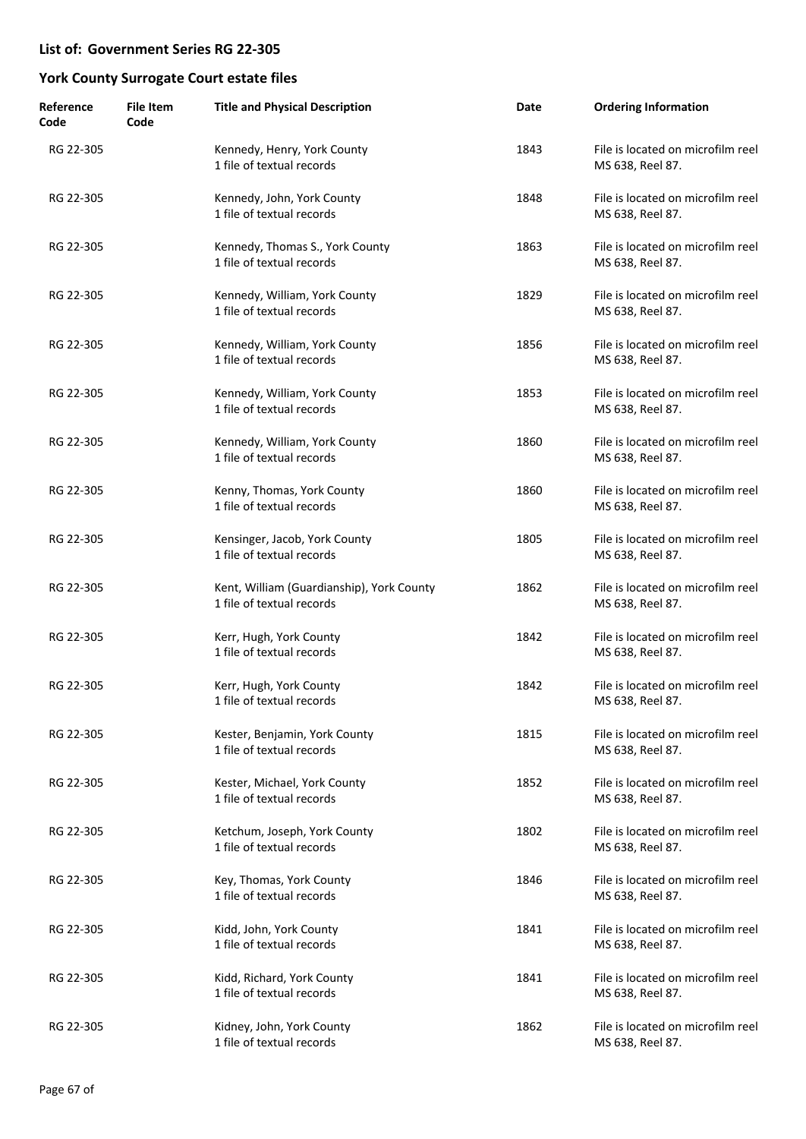| Reference<br>Code | <b>File Item</b><br>Code | <b>Title and Physical Description</b>                                  | Date | <b>Ordering Information</b>                           |
|-------------------|--------------------------|------------------------------------------------------------------------|------|-------------------------------------------------------|
| RG 22-305         |                          | Kennedy, Henry, York County<br>1 file of textual records               | 1843 | File is located on microfilm reel<br>MS 638, Reel 87. |
| RG 22-305         |                          | Kennedy, John, York County<br>1 file of textual records                | 1848 | File is located on microfilm reel<br>MS 638, Reel 87. |
| RG 22-305         |                          | Kennedy, Thomas S., York County<br>1 file of textual records           | 1863 | File is located on microfilm reel<br>MS 638, Reel 87. |
| RG 22-305         |                          | Kennedy, William, York County<br>1 file of textual records             | 1829 | File is located on microfilm reel<br>MS 638, Reel 87. |
| RG 22-305         |                          | Kennedy, William, York County<br>1 file of textual records             | 1856 | File is located on microfilm reel<br>MS 638, Reel 87. |
| RG 22-305         |                          | Kennedy, William, York County<br>1 file of textual records             | 1853 | File is located on microfilm reel<br>MS 638, Reel 87. |
| RG 22-305         |                          | Kennedy, William, York County<br>1 file of textual records             | 1860 | File is located on microfilm reel<br>MS 638, Reel 87. |
| RG 22-305         |                          | Kenny, Thomas, York County<br>1 file of textual records                | 1860 | File is located on microfilm reel<br>MS 638, Reel 87. |
| RG 22-305         |                          | Kensinger, Jacob, York County<br>1 file of textual records             | 1805 | File is located on microfilm reel<br>MS 638, Reel 87. |
| RG 22-305         |                          | Kent, William (Guardianship), York County<br>1 file of textual records | 1862 | File is located on microfilm reel<br>MS 638, Reel 87. |
| RG 22-305         |                          | Kerr, Hugh, York County<br>1 file of textual records                   | 1842 | File is located on microfilm reel<br>MS 638, Reel 87. |
| RG 22-305         |                          | Kerr, Hugh, York County<br>1 file of textual records                   | 1842 | File is located on microfilm reel<br>MS 638, Reel 87. |
| RG 22-305         |                          | Kester, Benjamin, York County<br>1 file of textual records             | 1815 | File is located on microfilm reel<br>MS 638, Reel 87. |
| RG 22-305         |                          | Kester, Michael, York County<br>1 file of textual records              | 1852 | File is located on microfilm reel<br>MS 638, Reel 87. |
| RG 22-305         |                          | Ketchum, Joseph, York County<br>1 file of textual records              | 1802 | File is located on microfilm reel<br>MS 638, Reel 87. |
| RG 22-305         |                          | Key, Thomas, York County<br>1 file of textual records                  | 1846 | File is located on microfilm reel<br>MS 638, Reel 87. |
| RG 22-305         |                          | Kidd, John, York County<br>1 file of textual records                   | 1841 | File is located on microfilm reel<br>MS 638, Reel 87. |
| RG 22-305         |                          | Kidd, Richard, York County<br>1 file of textual records                | 1841 | File is located on microfilm reel<br>MS 638, Reel 87. |
| RG 22-305         |                          | Kidney, John, York County<br>1 file of textual records                 | 1862 | File is located on microfilm reel<br>MS 638, Reel 87. |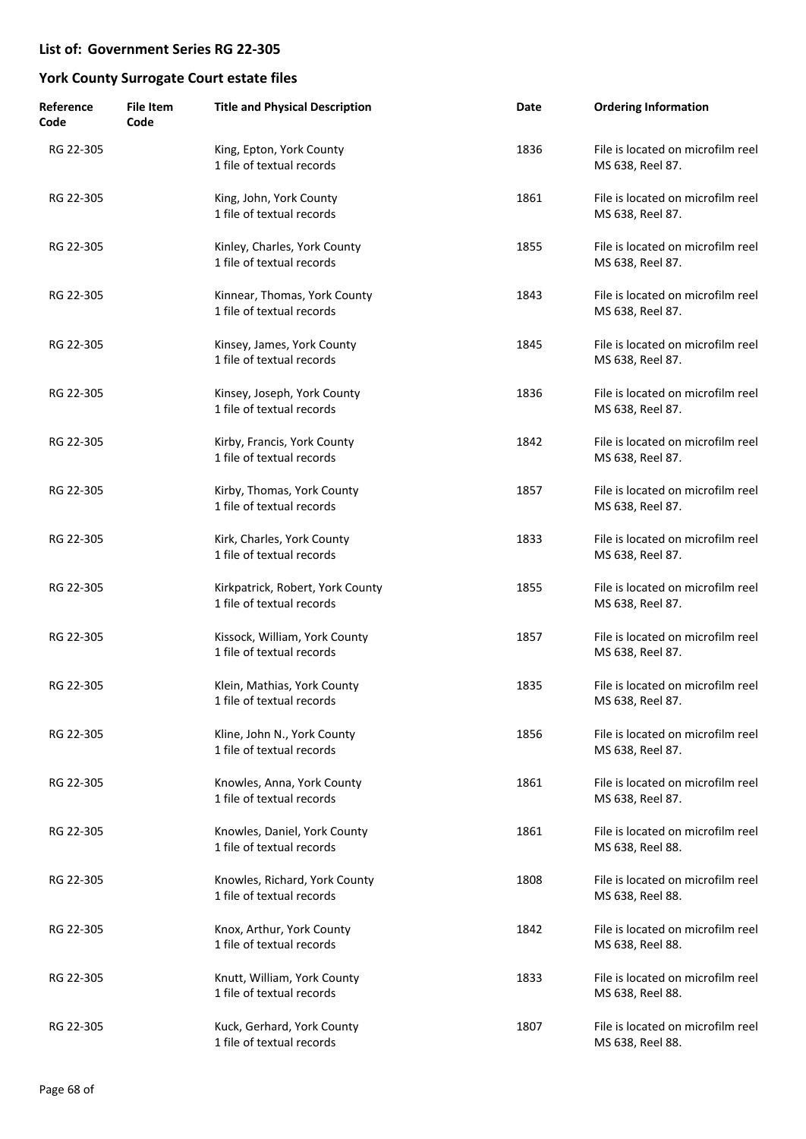| Reference<br>Code | <b>File Item</b><br>Code | <b>Title and Physical Description</b>                         | Date | <b>Ordering Information</b>                           |
|-------------------|--------------------------|---------------------------------------------------------------|------|-------------------------------------------------------|
| RG 22-305         |                          | King, Epton, York County<br>1 file of textual records         | 1836 | File is located on microfilm reel<br>MS 638, Reel 87. |
| RG 22-305         |                          | King, John, York County<br>1 file of textual records          | 1861 | File is located on microfilm reel<br>MS 638, Reel 87. |
| RG 22-305         |                          | Kinley, Charles, York County<br>1 file of textual records     | 1855 | File is located on microfilm reel<br>MS 638, Reel 87. |
| RG 22-305         |                          | Kinnear, Thomas, York County<br>1 file of textual records     | 1843 | File is located on microfilm reel<br>MS 638, Reel 87. |
| RG 22-305         |                          | Kinsey, James, York County<br>1 file of textual records       | 1845 | File is located on microfilm reel<br>MS 638, Reel 87. |
| RG 22-305         |                          | Kinsey, Joseph, York County<br>1 file of textual records      | 1836 | File is located on microfilm reel<br>MS 638, Reel 87. |
| RG 22-305         |                          | Kirby, Francis, York County<br>1 file of textual records      | 1842 | File is located on microfilm reel<br>MS 638, Reel 87. |
| RG 22-305         |                          | Kirby, Thomas, York County<br>1 file of textual records       | 1857 | File is located on microfilm reel<br>MS 638, Reel 87. |
| RG 22-305         |                          | Kirk, Charles, York County<br>1 file of textual records       | 1833 | File is located on microfilm reel<br>MS 638, Reel 87. |
| RG 22-305         |                          | Kirkpatrick, Robert, York County<br>1 file of textual records | 1855 | File is located on microfilm reel<br>MS 638, Reel 87. |
| RG 22-305         |                          | Kissock, William, York County<br>1 file of textual records    | 1857 | File is located on microfilm reel<br>MS 638, Reel 87. |
| RG 22-305         |                          | Klein, Mathias, York County<br>1 file of textual records      | 1835 | File is located on microfilm reel<br>MS 638, Reel 87. |
| RG 22-305         |                          | Kline, John N., York County<br>1 file of textual records      | 1856 | File is located on microfilm reel<br>MS 638, Reel 87. |
| RG 22-305         |                          | Knowles, Anna, York County<br>1 file of textual records       | 1861 | File is located on microfilm reel<br>MS 638, Reel 87. |
| RG 22-305         |                          | Knowles, Daniel, York County<br>1 file of textual records     | 1861 | File is located on microfilm reel<br>MS 638, Reel 88. |
| RG 22-305         |                          | Knowles, Richard, York County<br>1 file of textual records    | 1808 | File is located on microfilm reel<br>MS 638, Reel 88. |
| RG 22-305         |                          | Knox, Arthur, York County<br>1 file of textual records        | 1842 | File is located on microfilm reel<br>MS 638, Reel 88. |
| RG 22-305         |                          | Knutt, William, York County<br>1 file of textual records      | 1833 | File is located on microfilm reel<br>MS 638, Reel 88. |
| RG 22-305         |                          | Kuck, Gerhard, York County<br>1 file of textual records       | 1807 | File is located on microfilm reel<br>MS 638, Reel 88. |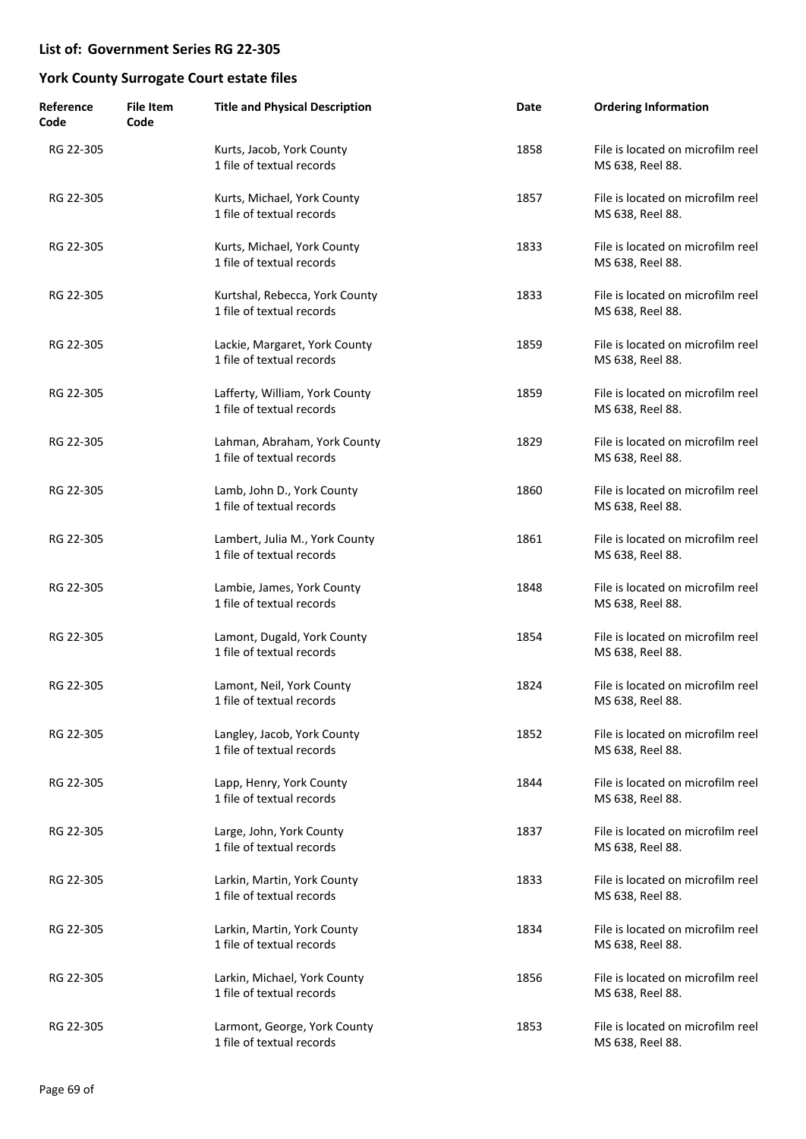| Reference<br>Code | <b>File Item</b><br>Code | <b>Title and Physical Description</b>                       | Date | <b>Ordering Information</b>                           |
|-------------------|--------------------------|-------------------------------------------------------------|------|-------------------------------------------------------|
| RG 22-305         |                          | Kurts, Jacob, York County<br>1 file of textual records      | 1858 | File is located on microfilm reel<br>MS 638, Reel 88. |
| RG 22-305         |                          | Kurts, Michael, York County<br>1 file of textual records    | 1857 | File is located on microfilm reel<br>MS 638, Reel 88. |
| RG 22-305         |                          | Kurts, Michael, York County<br>1 file of textual records    | 1833 | File is located on microfilm reel<br>MS 638, Reel 88. |
| RG 22-305         |                          | Kurtshal, Rebecca, York County<br>1 file of textual records | 1833 | File is located on microfilm reel<br>MS 638, Reel 88. |
| RG 22-305         |                          | Lackie, Margaret, York County<br>1 file of textual records  | 1859 | File is located on microfilm reel<br>MS 638, Reel 88. |
| RG 22-305         |                          | Lafferty, William, York County<br>1 file of textual records | 1859 | File is located on microfilm reel<br>MS 638, Reel 88. |
| RG 22-305         |                          | Lahman, Abraham, York County<br>1 file of textual records   | 1829 | File is located on microfilm reel<br>MS 638, Reel 88. |
| RG 22-305         |                          | Lamb, John D., York County<br>1 file of textual records     | 1860 | File is located on microfilm reel<br>MS 638, Reel 88. |
| RG 22-305         |                          | Lambert, Julia M., York County<br>1 file of textual records | 1861 | File is located on microfilm reel<br>MS 638, Reel 88. |
| RG 22-305         |                          | Lambie, James, York County<br>1 file of textual records     | 1848 | File is located on microfilm reel<br>MS 638, Reel 88. |
| RG 22-305         |                          | Lamont, Dugald, York County<br>1 file of textual records    | 1854 | File is located on microfilm reel<br>MS 638, Reel 88. |
| RG 22-305         |                          | Lamont, Neil, York County<br>1 file of textual records      | 1824 | File is located on microfilm reel<br>MS 638, Reel 88. |
| RG 22-305         |                          | Langley, Jacob, York County<br>1 file of textual records    | 1852 | File is located on microfilm reel<br>MS 638, Reel 88. |
| RG 22-305         |                          | Lapp, Henry, York County<br>1 file of textual records       | 1844 | File is located on microfilm reel<br>MS 638, Reel 88. |
| RG 22-305         |                          | Large, John, York County<br>1 file of textual records       | 1837 | File is located on microfilm reel<br>MS 638, Reel 88. |
| RG 22-305         |                          | Larkin, Martin, York County<br>1 file of textual records    | 1833 | File is located on microfilm reel<br>MS 638, Reel 88. |
| RG 22-305         |                          | Larkin, Martin, York County<br>1 file of textual records    | 1834 | File is located on microfilm reel<br>MS 638, Reel 88. |
| RG 22-305         |                          | Larkin, Michael, York County<br>1 file of textual records   | 1856 | File is located on microfilm reel<br>MS 638, Reel 88. |
| RG 22-305         |                          | Larmont, George, York County<br>1 file of textual records   | 1853 | File is located on microfilm reel<br>MS 638, Reel 88. |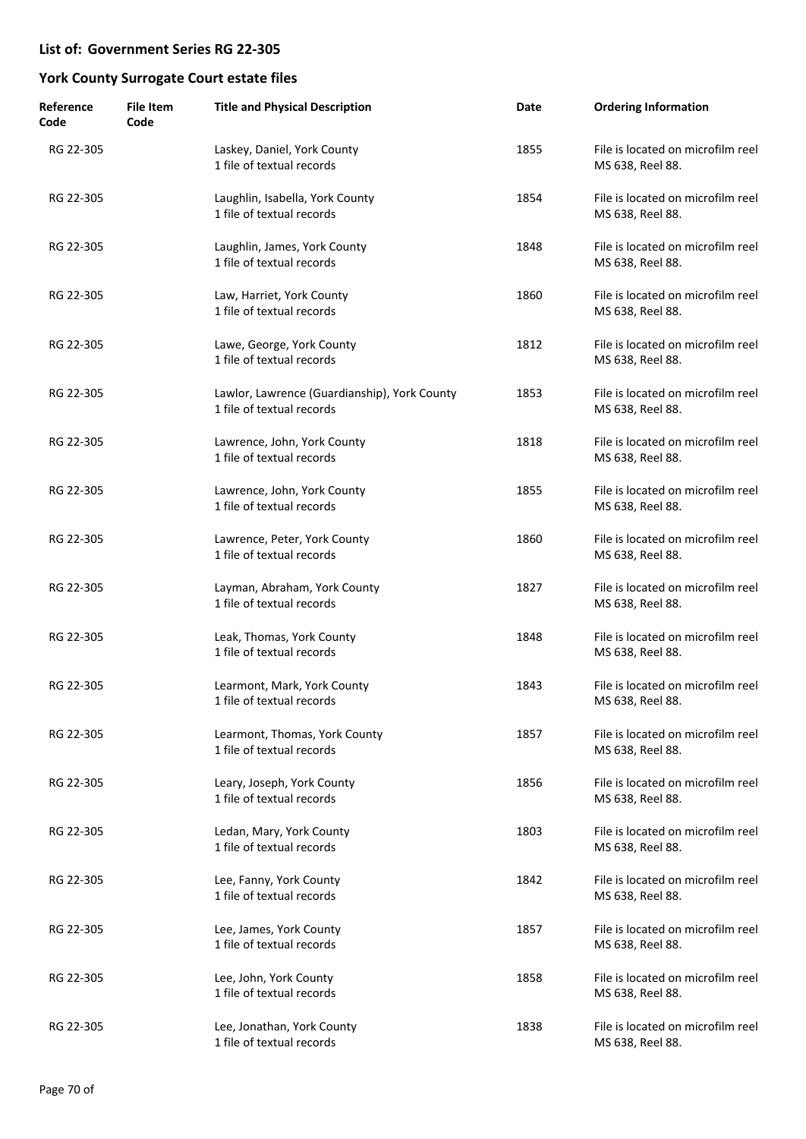| Reference<br>Code | <b>File Item</b><br>Code | <b>Title and Physical Description</b>                                     | Date | <b>Ordering Information</b>                           |
|-------------------|--------------------------|---------------------------------------------------------------------------|------|-------------------------------------------------------|
| RG 22-305         |                          | Laskey, Daniel, York County<br>1 file of textual records                  | 1855 | File is located on microfilm reel<br>MS 638, Reel 88. |
| RG 22-305         |                          | Laughlin, Isabella, York County<br>1 file of textual records              | 1854 | File is located on microfilm reel<br>MS 638, Reel 88. |
| RG 22-305         |                          | Laughlin, James, York County<br>1 file of textual records                 | 1848 | File is located on microfilm reel<br>MS 638, Reel 88. |
| RG 22-305         |                          | Law, Harriet, York County<br>1 file of textual records                    | 1860 | File is located on microfilm reel<br>MS 638, Reel 88. |
| RG 22-305         |                          | Lawe, George, York County<br>1 file of textual records                    | 1812 | File is located on microfilm reel<br>MS 638, Reel 88. |
| RG 22-305         |                          | Lawlor, Lawrence (Guardianship), York County<br>1 file of textual records | 1853 | File is located on microfilm reel<br>MS 638, Reel 88. |
| RG 22-305         |                          | Lawrence, John, York County<br>1 file of textual records                  | 1818 | File is located on microfilm reel<br>MS 638, Reel 88. |
| RG 22-305         |                          | Lawrence, John, York County<br>1 file of textual records                  | 1855 | File is located on microfilm reel<br>MS 638, Reel 88. |
| RG 22-305         |                          | Lawrence, Peter, York County<br>1 file of textual records                 | 1860 | File is located on microfilm reel<br>MS 638, Reel 88. |
| RG 22-305         |                          | Layman, Abraham, York County<br>1 file of textual records                 | 1827 | File is located on microfilm reel<br>MS 638, Reel 88. |
| RG 22-305         |                          | Leak, Thomas, York County<br>1 file of textual records                    | 1848 | File is located on microfilm reel<br>MS 638, Reel 88. |
| RG 22-305         |                          | Learmont, Mark, York County<br>1 file of textual records                  | 1843 | File is located on microfilm reel<br>MS 638, Reel 88. |
| RG 22-305         |                          | Learmont, Thomas, York County<br>1 file of textual records                | 1857 | File is located on microfilm reel<br>MS 638, Reel 88. |
| RG 22-305         |                          | Leary, Joseph, York County<br>1 file of textual records                   | 1856 | File is located on microfilm reel<br>MS 638, Reel 88. |
| RG 22-305         |                          | Ledan, Mary, York County<br>1 file of textual records                     | 1803 | File is located on microfilm reel<br>MS 638, Reel 88. |
| RG 22-305         |                          | Lee, Fanny, York County<br>1 file of textual records                      | 1842 | File is located on microfilm reel<br>MS 638, Reel 88. |
| RG 22-305         |                          | Lee, James, York County<br>1 file of textual records                      | 1857 | File is located on microfilm reel<br>MS 638, Reel 88. |
| RG 22-305         |                          | Lee, John, York County<br>1 file of textual records                       | 1858 | File is located on microfilm reel<br>MS 638, Reel 88. |
| RG 22-305         |                          | Lee, Jonathan, York County<br>1 file of textual records                   | 1838 | File is located on microfilm reel<br>MS 638, Reel 88. |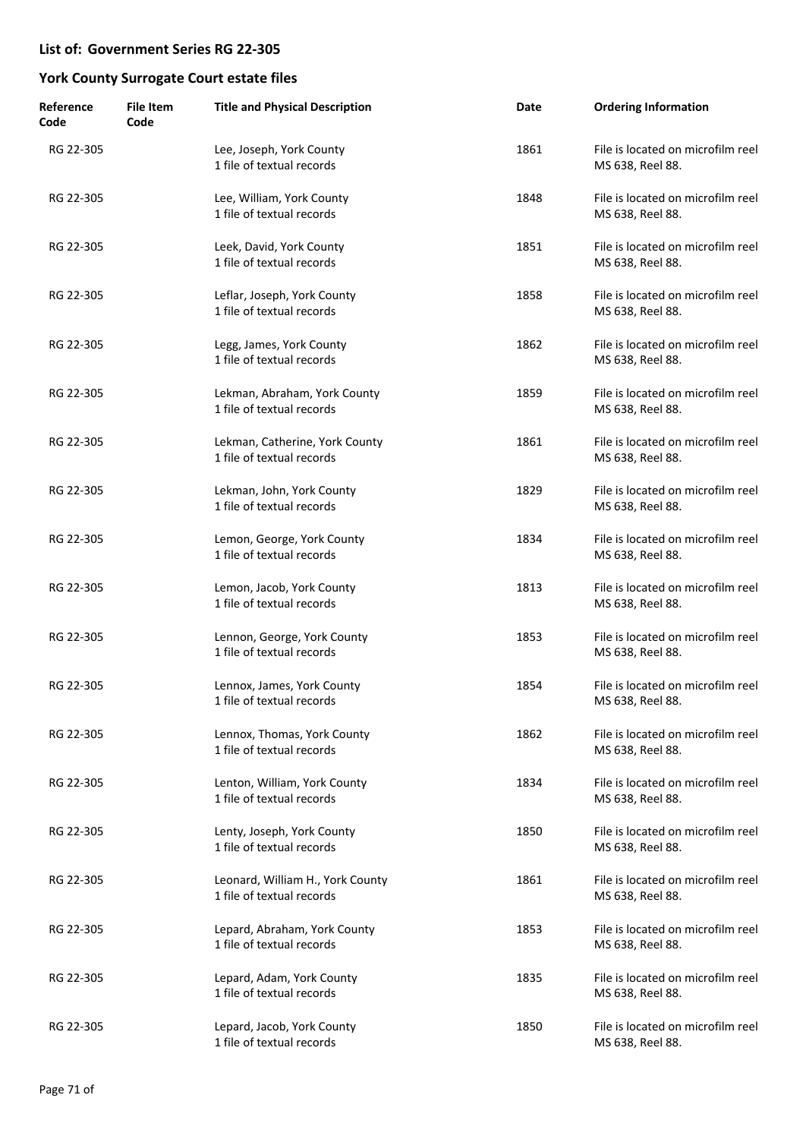| Reference<br>Code | <b>File Item</b><br>Code | <b>Title and Physical Description</b>                         | Date | <b>Ordering Information</b>                           |
|-------------------|--------------------------|---------------------------------------------------------------|------|-------------------------------------------------------|
| RG 22-305         |                          | Lee, Joseph, York County<br>1 file of textual records         | 1861 | File is located on microfilm reel<br>MS 638, Reel 88. |
| RG 22-305         |                          | Lee, William, York County<br>1 file of textual records        | 1848 | File is located on microfilm reel<br>MS 638, Reel 88. |
| RG 22-305         |                          | Leek, David, York County<br>1 file of textual records         | 1851 | File is located on microfilm reel<br>MS 638, Reel 88. |
| RG 22-305         |                          | Leflar, Joseph, York County<br>1 file of textual records      | 1858 | File is located on microfilm reel<br>MS 638, Reel 88. |
| RG 22-305         |                          | Legg, James, York County<br>1 file of textual records         | 1862 | File is located on microfilm reel<br>MS 638, Reel 88. |
| RG 22-305         |                          | Lekman, Abraham, York County<br>1 file of textual records     | 1859 | File is located on microfilm reel<br>MS 638, Reel 88. |
| RG 22-305         |                          | Lekman, Catherine, York County<br>1 file of textual records   | 1861 | File is located on microfilm reel<br>MS 638, Reel 88. |
| RG 22-305         |                          | Lekman, John, York County<br>1 file of textual records        | 1829 | File is located on microfilm reel<br>MS 638, Reel 88. |
| RG 22-305         |                          | Lemon, George, York County<br>1 file of textual records       | 1834 | File is located on microfilm reel<br>MS 638, Reel 88. |
| RG 22-305         |                          | Lemon, Jacob, York County<br>1 file of textual records        | 1813 | File is located on microfilm reel<br>MS 638, Reel 88. |
| RG 22-305         |                          | Lennon, George, York County<br>1 file of textual records      | 1853 | File is located on microfilm reel<br>MS 638, Reel 88. |
| RG 22-305         |                          | Lennox, James, York County<br>1 file of textual records       | 1854 | File is located on microfilm reel<br>MS 638, Reel 88. |
| RG 22-305         |                          | Lennox, Thomas, York County<br>1 file of textual records      | 1862 | File is located on microfilm reel<br>MS 638, Reel 88. |
| RG 22-305         |                          | Lenton, William, York County<br>1 file of textual records     | 1834 | File is located on microfilm reel<br>MS 638, Reel 88. |
| RG 22-305         |                          | Lenty, Joseph, York County<br>1 file of textual records       | 1850 | File is located on microfilm reel<br>MS 638, Reel 88. |
| RG 22-305         |                          | Leonard, William H., York County<br>1 file of textual records | 1861 | File is located on microfilm reel<br>MS 638, Reel 88. |
| RG 22-305         |                          | Lepard, Abraham, York County<br>1 file of textual records     | 1853 | File is located on microfilm reel<br>MS 638, Reel 88. |
| RG 22-305         |                          | Lepard, Adam, York County<br>1 file of textual records        | 1835 | File is located on microfilm reel<br>MS 638, Reel 88. |
| RG 22-305         |                          | Lepard, Jacob, York County<br>1 file of textual records       | 1850 | File is located on microfilm reel<br>MS 638, Reel 88. |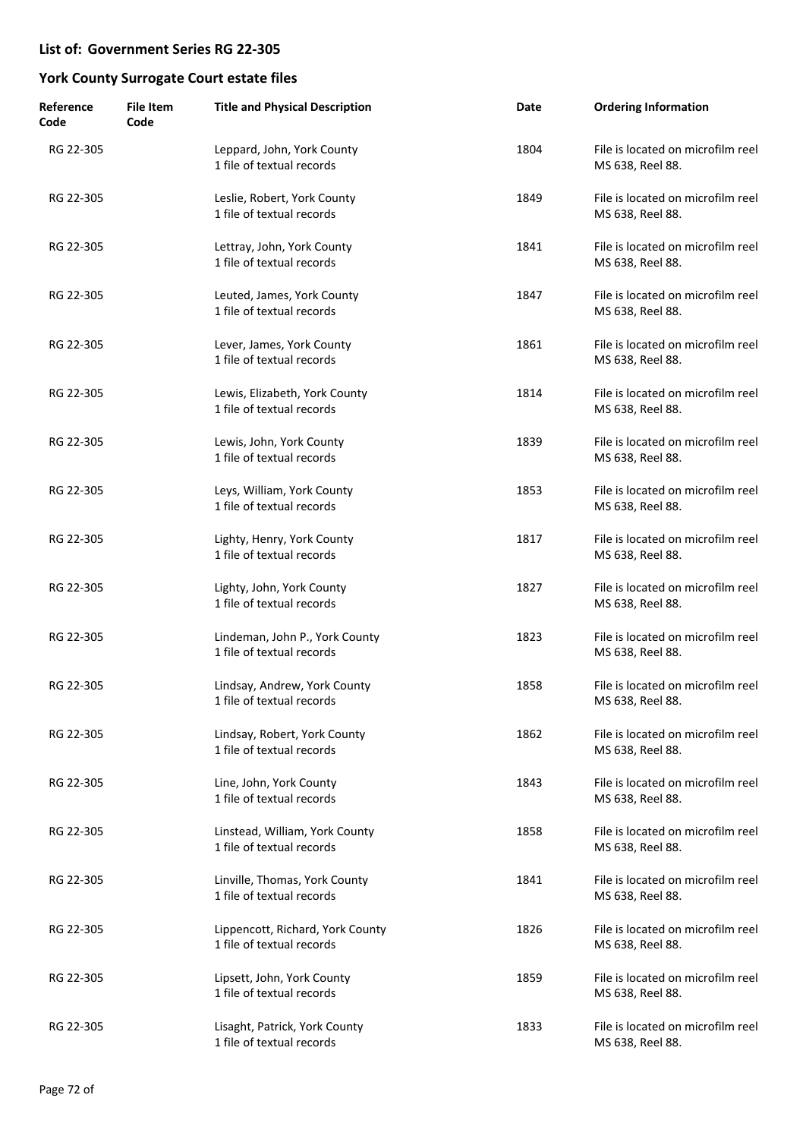| Reference<br>Code | <b>File Item</b><br>Code | <b>Title and Physical Description</b>                         | Date | <b>Ordering Information</b>                           |
|-------------------|--------------------------|---------------------------------------------------------------|------|-------------------------------------------------------|
| RG 22-305         |                          | Leppard, John, York County<br>1 file of textual records       | 1804 | File is located on microfilm reel<br>MS 638, Reel 88. |
| RG 22-305         |                          | Leslie, Robert, York County<br>1 file of textual records      | 1849 | File is located on microfilm reel<br>MS 638, Reel 88. |
| RG 22-305         |                          | Lettray, John, York County<br>1 file of textual records       | 1841 | File is located on microfilm reel<br>MS 638, Reel 88. |
| RG 22-305         |                          | Leuted, James, York County<br>1 file of textual records       | 1847 | File is located on microfilm reel<br>MS 638, Reel 88. |
| RG 22-305         |                          | Lever, James, York County<br>1 file of textual records        | 1861 | File is located on microfilm reel<br>MS 638, Reel 88. |
| RG 22-305         |                          | Lewis, Elizabeth, York County<br>1 file of textual records    | 1814 | File is located on microfilm reel<br>MS 638, Reel 88. |
| RG 22-305         |                          | Lewis, John, York County<br>1 file of textual records         | 1839 | File is located on microfilm reel<br>MS 638, Reel 88. |
| RG 22-305         |                          | Leys, William, York County<br>1 file of textual records       | 1853 | File is located on microfilm reel<br>MS 638, Reel 88. |
| RG 22-305         |                          | Lighty, Henry, York County<br>1 file of textual records       | 1817 | File is located on microfilm reel<br>MS 638, Reel 88. |
| RG 22-305         |                          | Lighty, John, York County<br>1 file of textual records        | 1827 | File is located on microfilm reel<br>MS 638, Reel 88. |
| RG 22-305         |                          | Lindeman, John P., York County<br>1 file of textual records   | 1823 | File is located on microfilm reel<br>MS 638, Reel 88. |
| RG 22-305         |                          | Lindsay, Andrew, York County<br>1 file of textual records     | 1858 | File is located on microfilm reel<br>MS 638, Reel 88. |
| RG 22-305         |                          | Lindsay, Robert, York County<br>1 file of textual records     | 1862 | File is located on microfilm reel<br>MS 638, Reel 88. |
| RG 22-305         |                          | Line, John, York County<br>1 file of textual records          | 1843 | File is located on microfilm reel<br>MS 638, Reel 88. |
| RG 22-305         |                          | Linstead, William, York County<br>1 file of textual records   | 1858 | File is located on microfilm reel<br>MS 638, Reel 88. |
| RG 22-305         |                          | Linville, Thomas, York County<br>1 file of textual records    | 1841 | File is located on microfilm reel<br>MS 638, Reel 88. |
| RG 22-305         |                          | Lippencott, Richard, York County<br>1 file of textual records | 1826 | File is located on microfilm reel<br>MS 638, Reel 88. |
| RG 22-305         |                          | Lipsett, John, York County<br>1 file of textual records       | 1859 | File is located on microfilm reel<br>MS 638, Reel 88. |
| RG 22-305         |                          | Lisaght, Patrick, York County<br>1 file of textual records    | 1833 | File is located on microfilm reel<br>MS 638, Reel 88. |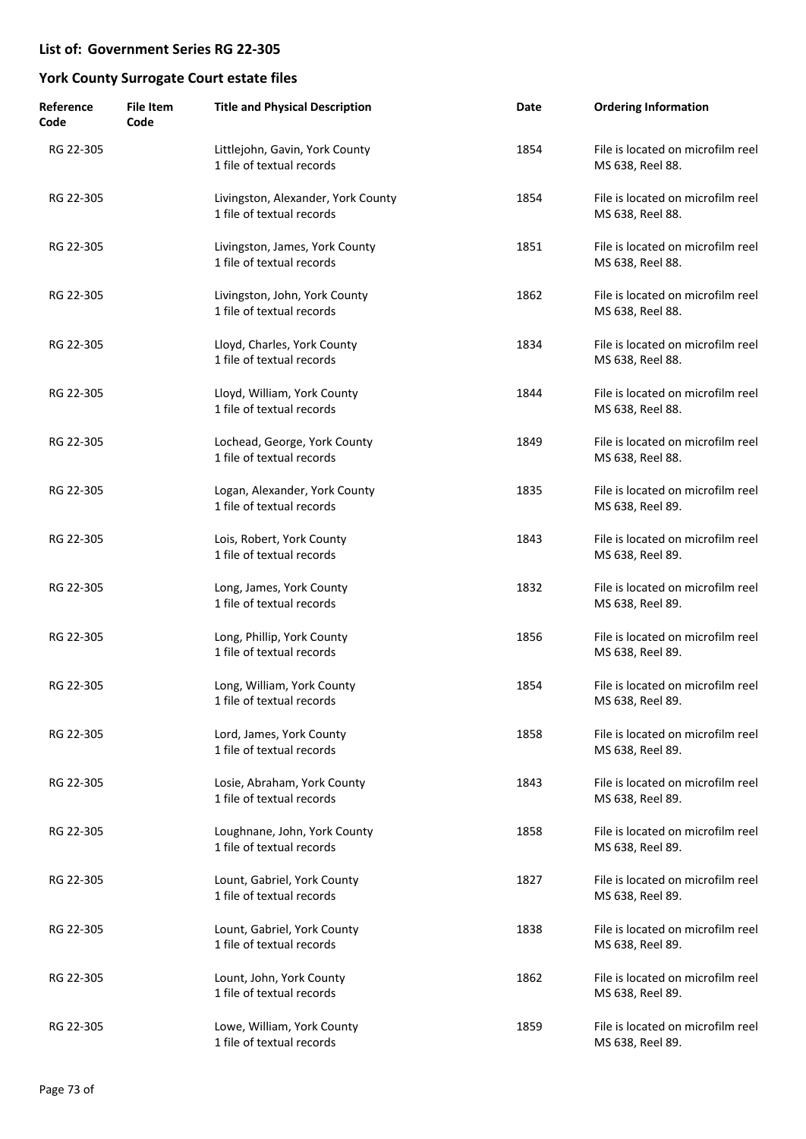| Reference<br>Code | <b>File Item</b><br>Code | <b>Title and Physical Description</b>                           | Date | <b>Ordering Information</b>                           |
|-------------------|--------------------------|-----------------------------------------------------------------|------|-------------------------------------------------------|
| RG 22-305         |                          | Littlejohn, Gavin, York County<br>1 file of textual records     | 1854 | File is located on microfilm reel<br>MS 638, Reel 88. |
| RG 22-305         |                          | Livingston, Alexander, York County<br>1 file of textual records | 1854 | File is located on microfilm reel<br>MS 638, Reel 88. |
| RG 22-305         |                          | Livingston, James, York County<br>1 file of textual records     | 1851 | File is located on microfilm reel<br>MS 638, Reel 88. |
| RG 22-305         |                          | Livingston, John, York County<br>1 file of textual records      | 1862 | File is located on microfilm reel<br>MS 638, Reel 88. |
| RG 22-305         |                          | Lloyd, Charles, York County<br>1 file of textual records        | 1834 | File is located on microfilm reel<br>MS 638, Reel 88. |
| RG 22-305         |                          | Lloyd, William, York County<br>1 file of textual records        | 1844 | File is located on microfilm reel<br>MS 638, Reel 88. |
| RG 22-305         |                          | Lochead, George, York County<br>1 file of textual records       | 1849 | File is located on microfilm reel<br>MS 638, Reel 88. |
| RG 22-305         |                          | Logan, Alexander, York County<br>1 file of textual records      | 1835 | File is located on microfilm reel<br>MS 638, Reel 89. |
| RG 22-305         |                          | Lois, Robert, York County<br>1 file of textual records          | 1843 | File is located on microfilm reel<br>MS 638, Reel 89. |
| RG 22-305         |                          | Long, James, York County<br>1 file of textual records           | 1832 | File is located on microfilm reel<br>MS 638, Reel 89. |
| RG 22-305         |                          | Long, Phillip, York County<br>1 file of textual records         | 1856 | File is located on microfilm reel<br>MS 638, Reel 89. |
| RG 22-305         |                          | Long, William, York County<br>1 file of textual records         | 1854 | File is located on microfilm reel<br>MS 638, Reel 89. |
| RG 22-305         |                          | Lord, James, York County<br>1 file of textual records           | 1858 | File is located on microfilm reel<br>MS 638, Reel 89. |
| RG 22-305         |                          | Losie, Abraham, York County<br>1 file of textual records        | 1843 | File is located on microfilm reel<br>MS 638, Reel 89. |
| RG 22-305         |                          | Loughnane, John, York County<br>1 file of textual records       | 1858 | File is located on microfilm reel<br>MS 638, Reel 89. |
| RG 22-305         |                          | Lount, Gabriel, York County<br>1 file of textual records        | 1827 | File is located on microfilm reel<br>MS 638, Reel 89. |
| RG 22-305         |                          | Lount, Gabriel, York County<br>1 file of textual records        | 1838 | File is located on microfilm reel<br>MS 638, Reel 89. |
| RG 22-305         |                          | Lount, John, York County<br>1 file of textual records           | 1862 | File is located on microfilm reel<br>MS 638, Reel 89. |
| RG 22-305         |                          | Lowe, William, York County<br>1 file of textual records         | 1859 | File is located on microfilm reel<br>MS 638, Reel 89. |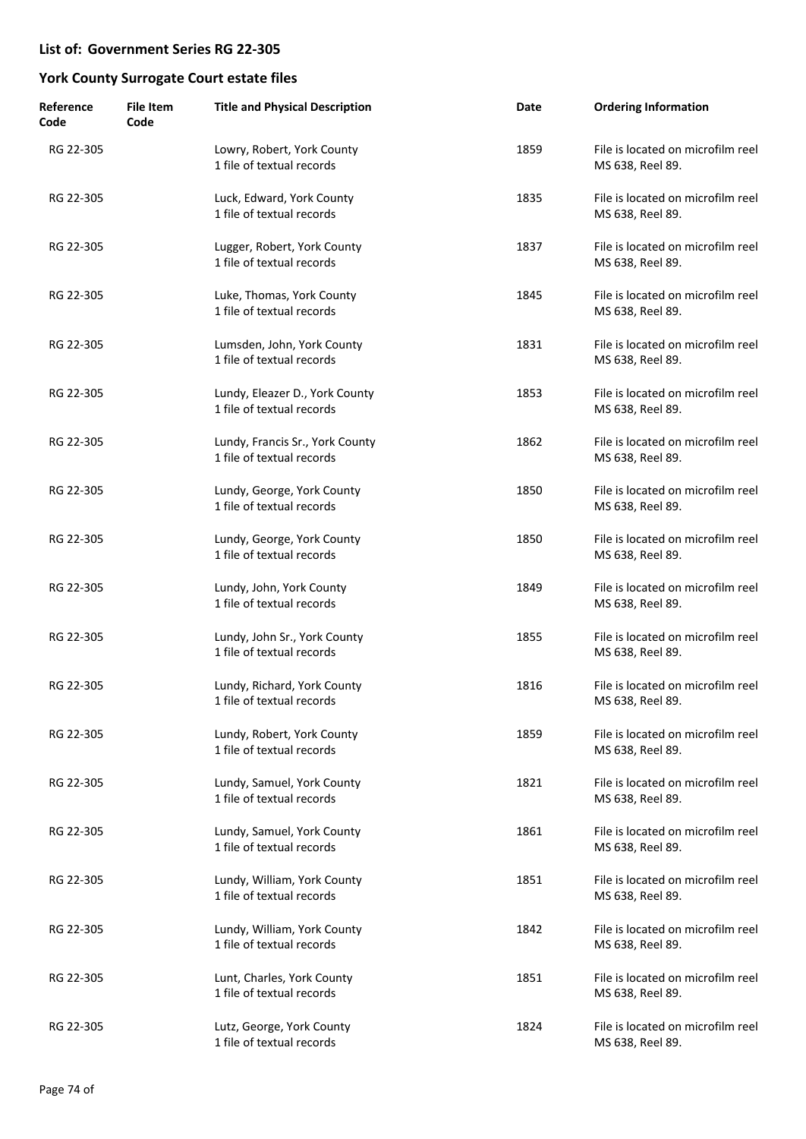| Reference<br>Code | <b>File Item</b><br>Code | <b>Title and Physical Description</b>                        | Date | <b>Ordering Information</b>                           |
|-------------------|--------------------------|--------------------------------------------------------------|------|-------------------------------------------------------|
| RG 22-305         |                          | Lowry, Robert, York County<br>1 file of textual records      | 1859 | File is located on microfilm reel<br>MS 638, Reel 89. |
| RG 22-305         |                          | Luck, Edward, York County<br>1 file of textual records       | 1835 | File is located on microfilm reel<br>MS 638, Reel 89. |
| RG 22-305         |                          | Lugger, Robert, York County<br>1 file of textual records     | 1837 | File is located on microfilm reel<br>MS 638, Reel 89. |
| RG 22-305         |                          | Luke, Thomas, York County<br>1 file of textual records       | 1845 | File is located on microfilm reel<br>MS 638, Reel 89. |
| RG 22-305         |                          | Lumsden, John, York County<br>1 file of textual records      | 1831 | File is located on microfilm reel<br>MS 638, Reel 89. |
| RG 22-305         |                          | Lundy, Eleazer D., York County<br>1 file of textual records  | 1853 | File is located on microfilm reel<br>MS 638, Reel 89. |
| RG 22-305         |                          | Lundy, Francis Sr., York County<br>1 file of textual records | 1862 | File is located on microfilm reel<br>MS 638, Reel 89. |
| RG 22-305         |                          | Lundy, George, York County<br>1 file of textual records      | 1850 | File is located on microfilm reel<br>MS 638, Reel 89. |
| RG 22-305         |                          | Lundy, George, York County<br>1 file of textual records      | 1850 | File is located on microfilm reel<br>MS 638, Reel 89. |
| RG 22-305         |                          | Lundy, John, York County<br>1 file of textual records        | 1849 | File is located on microfilm reel<br>MS 638, Reel 89. |
| RG 22-305         |                          | Lundy, John Sr., York County<br>1 file of textual records    | 1855 | File is located on microfilm reel<br>MS 638, Reel 89. |
| RG 22-305         |                          | Lundy, Richard, York County<br>1 file of textual records     | 1816 | File is located on microfilm reel<br>MS 638, Reel 89. |
| RG 22-305         |                          | Lundy, Robert, York County<br>1 file of textual records      | 1859 | File is located on microfilm reel<br>MS 638, Reel 89. |
| RG 22-305         |                          | Lundy, Samuel, York County<br>1 file of textual records      | 1821 | File is located on microfilm reel<br>MS 638, Reel 89. |
| RG 22-305         |                          | Lundy, Samuel, York County<br>1 file of textual records      | 1861 | File is located on microfilm reel<br>MS 638, Reel 89. |
| RG 22-305         |                          | Lundy, William, York County<br>1 file of textual records     | 1851 | File is located on microfilm reel<br>MS 638, Reel 89. |
| RG 22-305         |                          | Lundy, William, York County<br>1 file of textual records     | 1842 | File is located on microfilm reel<br>MS 638, Reel 89. |
| RG 22-305         |                          | Lunt, Charles, York County<br>1 file of textual records      | 1851 | File is located on microfilm reel<br>MS 638, Reel 89. |
| RG 22-305         |                          | Lutz, George, York County<br>1 file of textual records       | 1824 | File is located on microfilm reel<br>MS 638, Reel 89. |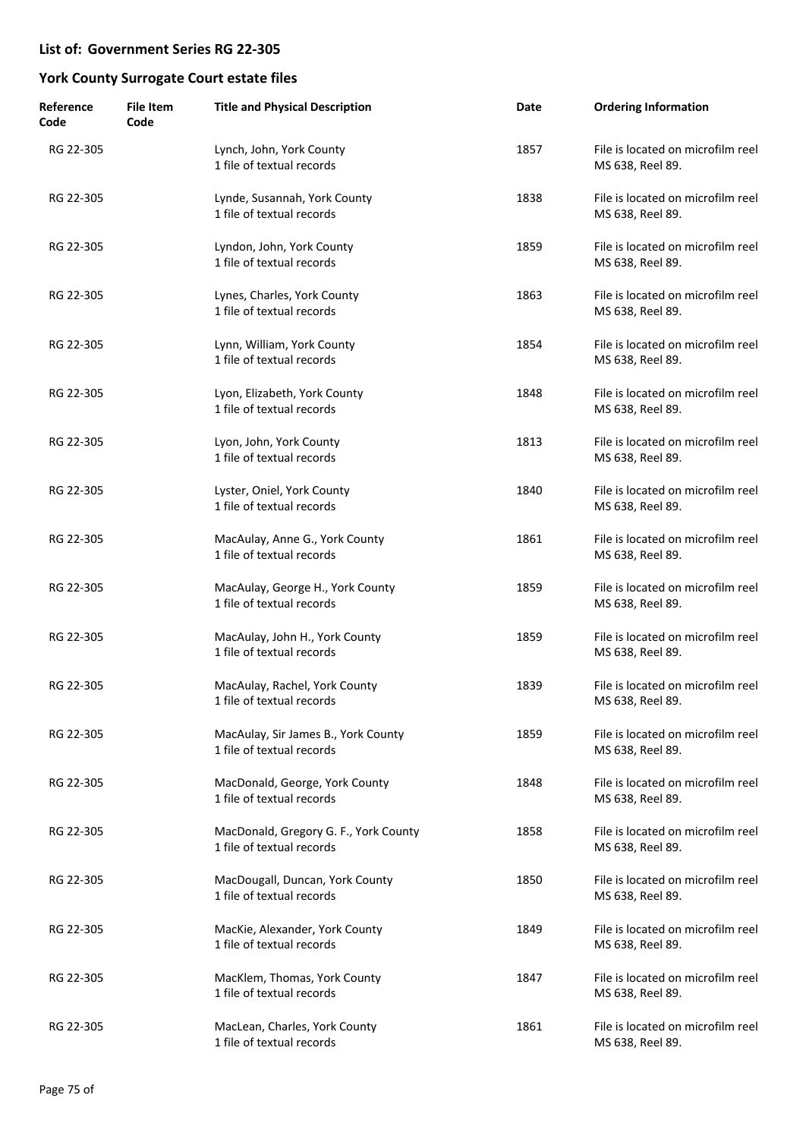| Reference<br>Code | <b>File Item</b><br>Code | <b>Title and Physical Description</b>                              | Date | <b>Ordering Information</b>                           |
|-------------------|--------------------------|--------------------------------------------------------------------|------|-------------------------------------------------------|
| RG 22-305         |                          | Lynch, John, York County<br>1 file of textual records              | 1857 | File is located on microfilm reel<br>MS 638, Reel 89. |
| RG 22-305         |                          | Lynde, Susannah, York County<br>1 file of textual records          | 1838 | File is located on microfilm reel<br>MS 638, Reel 89. |
| RG 22-305         |                          | Lyndon, John, York County<br>1 file of textual records             | 1859 | File is located on microfilm reel<br>MS 638, Reel 89. |
| RG 22-305         |                          | Lynes, Charles, York County<br>1 file of textual records           | 1863 | File is located on microfilm reel<br>MS 638, Reel 89. |
| RG 22-305         |                          | Lynn, William, York County<br>1 file of textual records            | 1854 | File is located on microfilm reel<br>MS 638, Reel 89. |
| RG 22-305         |                          | Lyon, Elizabeth, York County<br>1 file of textual records          | 1848 | File is located on microfilm reel<br>MS 638, Reel 89. |
| RG 22-305         |                          | Lyon, John, York County<br>1 file of textual records               | 1813 | File is located on microfilm reel<br>MS 638, Reel 89. |
| RG 22-305         |                          | Lyster, Oniel, York County<br>1 file of textual records            | 1840 | File is located on microfilm reel<br>MS 638, Reel 89. |
| RG 22-305         |                          | MacAulay, Anne G., York County<br>1 file of textual records        | 1861 | File is located on microfilm reel<br>MS 638, Reel 89. |
| RG 22-305         |                          | MacAulay, George H., York County<br>1 file of textual records      | 1859 | File is located on microfilm reel<br>MS 638, Reel 89. |
| RG 22-305         |                          | MacAulay, John H., York County<br>1 file of textual records        | 1859 | File is located on microfilm reel<br>MS 638, Reel 89. |
| RG 22-305         |                          | MacAulay, Rachel, York County<br>1 file of textual records         | 1839 | File is located on microfilm reel<br>MS 638, Reel 89. |
| RG 22-305         |                          | MacAulay, Sir James B., York County<br>1 file of textual records   | 1859 | File is located on microfilm reel<br>MS 638, Reel 89. |
| RG 22-305         |                          | MacDonald, George, York County<br>1 file of textual records        | 1848 | File is located on microfilm reel<br>MS 638, Reel 89. |
| RG 22-305         |                          | MacDonald, Gregory G. F., York County<br>1 file of textual records | 1858 | File is located on microfilm reel<br>MS 638, Reel 89. |
| RG 22-305         |                          | MacDougall, Duncan, York County<br>1 file of textual records       | 1850 | File is located on microfilm reel<br>MS 638, Reel 89. |
| RG 22-305         |                          | MacKie, Alexander, York County<br>1 file of textual records        | 1849 | File is located on microfilm reel<br>MS 638, Reel 89. |
| RG 22-305         |                          | MacKlem, Thomas, York County<br>1 file of textual records          | 1847 | File is located on microfilm reel<br>MS 638, Reel 89. |
| RG 22-305         |                          | MacLean, Charles, York County<br>1 file of textual records         | 1861 | File is located on microfilm reel<br>MS 638, Reel 89. |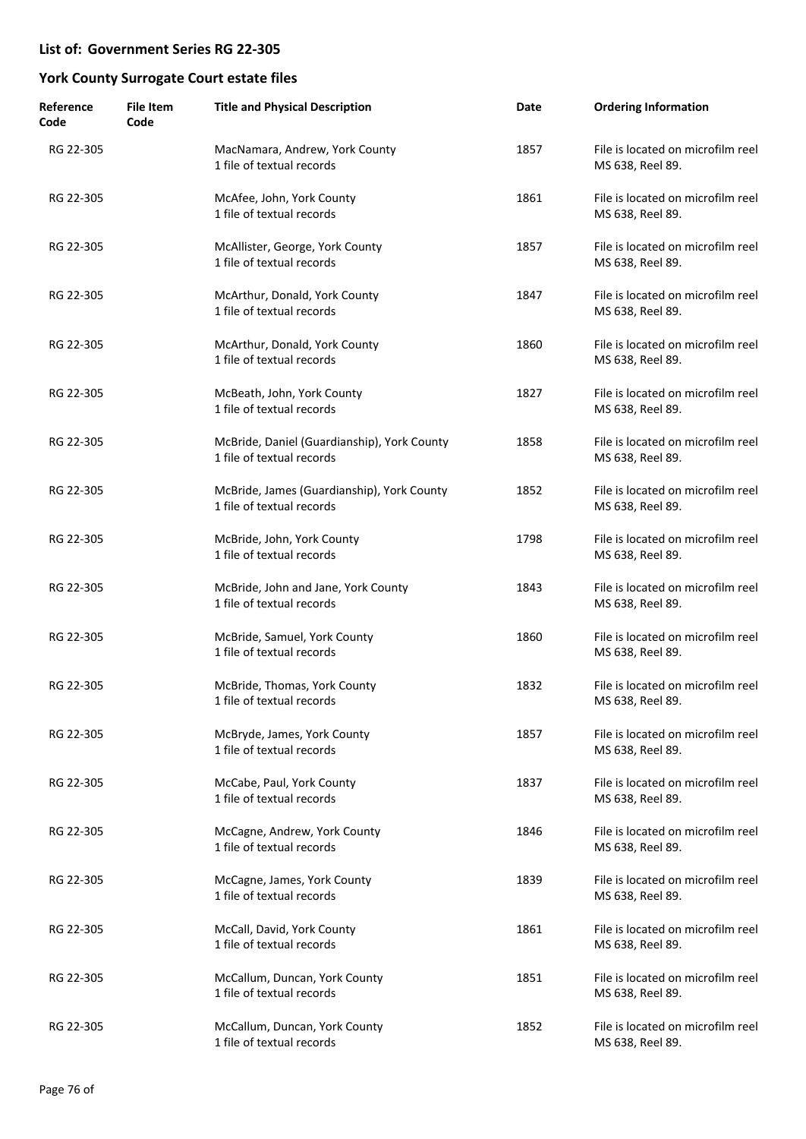| Reference<br>Code | <b>File Item</b><br>Code | <b>Title and Physical Description</b>                                    | Date | <b>Ordering Information</b>                           |
|-------------------|--------------------------|--------------------------------------------------------------------------|------|-------------------------------------------------------|
| RG 22-305         |                          | MacNamara, Andrew, York County<br>1 file of textual records              | 1857 | File is located on microfilm reel<br>MS 638, Reel 89. |
| RG 22-305         |                          | McAfee, John, York County<br>1 file of textual records                   | 1861 | File is located on microfilm reel<br>MS 638, Reel 89. |
| RG 22-305         |                          | McAllister, George, York County<br>1 file of textual records             | 1857 | File is located on microfilm reel<br>MS 638, Reel 89. |
| RG 22-305         |                          | McArthur, Donald, York County<br>1 file of textual records               | 1847 | File is located on microfilm reel<br>MS 638, Reel 89. |
| RG 22-305         |                          | McArthur, Donald, York County<br>1 file of textual records               | 1860 | File is located on microfilm reel<br>MS 638, Reel 89. |
| RG 22-305         |                          | McBeath, John, York County<br>1 file of textual records                  | 1827 | File is located on microfilm reel<br>MS 638, Reel 89. |
| RG 22-305         |                          | McBride, Daniel (Guardianship), York County<br>1 file of textual records | 1858 | File is located on microfilm reel<br>MS 638, Reel 89. |
| RG 22-305         |                          | McBride, James (Guardianship), York County<br>1 file of textual records  | 1852 | File is located on microfilm reel<br>MS 638, Reel 89. |
| RG 22-305         |                          | McBride, John, York County<br>1 file of textual records                  | 1798 | File is located on microfilm reel<br>MS 638, Reel 89. |
| RG 22-305         |                          | McBride, John and Jane, York County<br>1 file of textual records         | 1843 | File is located on microfilm reel<br>MS 638, Reel 89. |
| RG 22-305         |                          | McBride, Samuel, York County<br>1 file of textual records                | 1860 | File is located on microfilm reel<br>MS 638, Reel 89. |
| RG 22-305         |                          | McBride, Thomas, York County<br>1 file of textual records                | 1832 | File is located on microfilm reel<br>MS 638, Reel 89. |
| RG 22-305         |                          | McBryde, James, York County<br>1 file of textual records                 | 1857 | File is located on microfilm reel<br>MS 638, Reel 89. |
| RG 22-305         |                          | McCabe, Paul, York County<br>1 file of textual records                   | 1837 | File is located on microfilm reel<br>MS 638, Reel 89. |
| RG 22-305         |                          | McCagne, Andrew, York County<br>1 file of textual records                | 1846 | File is located on microfilm reel<br>MS 638, Reel 89. |
| RG 22-305         |                          | McCagne, James, York County<br>1 file of textual records                 | 1839 | File is located on microfilm reel<br>MS 638, Reel 89. |
| RG 22-305         |                          | McCall, David, York County<br>1 file of textual records                  | 1861 | File is located on microfilm reel<br>MS 638, Reel 89. |
| RG 22-305         |                          | McCallum, Duncan, York County<br>1 file of textual records               | 1851 | File is located on microfilm reel<br>MS 638, Reel 89. |
| RG 22-305         |                          | McCallum, Duncan, York County<br>1 file of textual records               | 1852 | File is located on microfilm reel<br>MS 638, Reel 89. |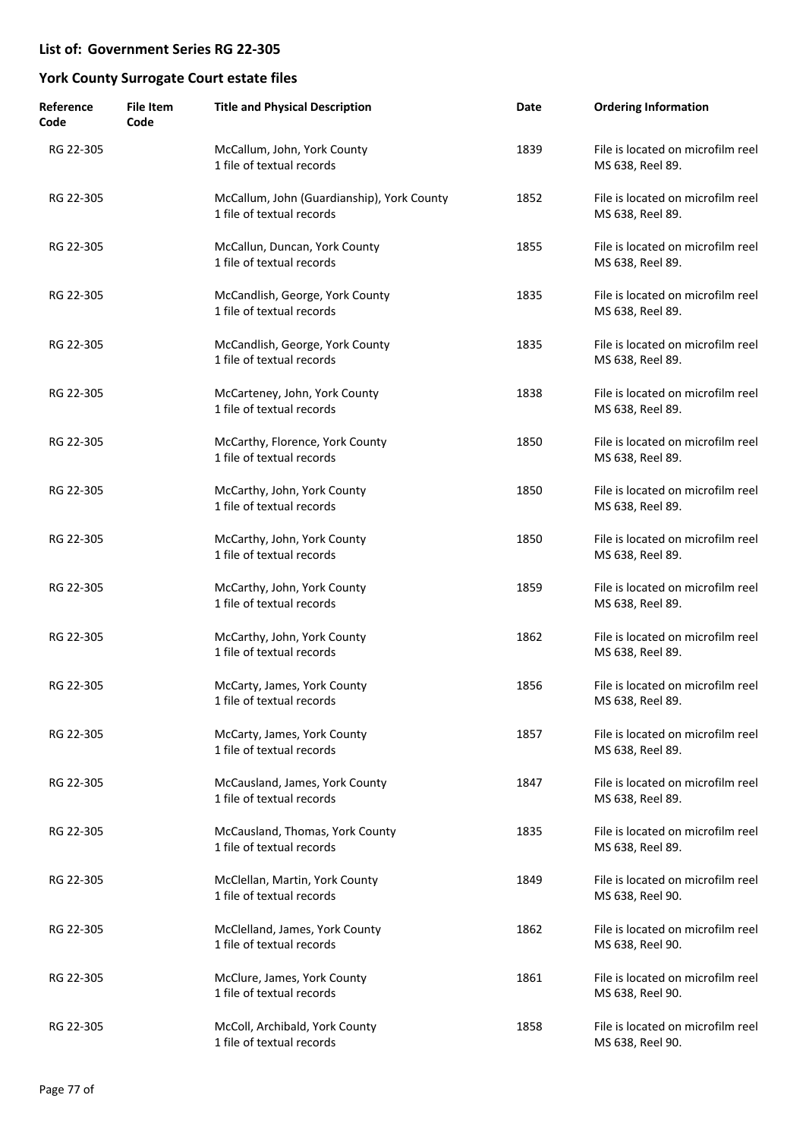| Reference<br>Code | <b>File Item</b><br>Code | <b>Title and Physical Description</b>                                   | Date | <b>Ordering Information</b>                           |
|-------------------|--------------------------|-------------------------------------------------------------------------|------|-------------------------------------------------------|
| RG 22-305         |                          | McCallum, John, York County<br>1 file of textual records                | 1839 | File is located on microfilm reel<br>MS 638, Reel 89. |
| RG 22-305         |                          | McCallum, John (Guardianship), York County<br>1 file of textual records | 1852 | File is located on microfilm reel<br>MS 638, Reel 89. |
| RG 22-305         |                          | McCallun, Duncan, York County<br>1 file of textual records              | 1855 | File is located on microfilm reel<br>MS 638, Reel 89. |
| RG 22-305         |                          | McCandlish, George, York County<br>1 file of textual records            | 1835 | File is located on microfilm reel<br>MS 638, Reel 89. |
| RG 22-305         |                          | McCandlish, George, York County<br>1 file of textual records            | 1835 | File is located on microfilm reel<br>MS 638, Reel 89. |
| RG 22-305         |                          | McCarteney, John, York County<br>1 file of textual records              | 1838 | File is located on microfilm reel<br>MS 638, Reel 89. |
| RG 22-305         |                          | McCarthy, Florence, York County<br>1 file of textual records            | 1850 | File is located on microfilm reel<br>MS 638, Reel 89. |
| RG 22-305         |                          | McCarthy, John, York County<br>1 file of textual records                | 1850 | File is located on microfilm reel<br>MS 638, Reel 89. |
| RG 22-305         |                          | McCarthy, John, York County<br>1 file of textual records                | 1850 | File is located on microfilm reel<br>MS 638, Reel 89. |
| RG 22-305         |                          | McCarthy, John, York County<br>1 file of textual records                | 1859 | File is located on microfilm reel<br>MS 638, Reel 89. |
| RG 22-305         |                          | McCarthy, John, York County<br>1 file of textual records                | 1862 | File is located on microfilm reel<br>MS 638, Reel 89. |
| RG 22-305         |                          | McCarty, James, York County<br>1 file of textual records                | 1856 | File is located on microfilm reel<br>MS 638, Reel 89. |
| RG 22-305         |                          | McCarty, James, York County<br>1 file of textual records                | 1857 | File is located on microfilm reel<br>MS 638, Reel 89. |
| RG 22-305         |                          | McCausland, James, York County<br>1 file of textual records             | 1847 | File is located on microfilm reel<br>MS 638, Reel 89. |
| RG 22-305         |                          | McCausland, Thomas, York County<br>1 file of textual records            | 1835 | File is located on microfilm reel<br>MS 638, Reel 89. |
| RG 22-305         |                          | McClellan, Martin, York County<br>1 file of textual records             | 1849 | File is located on microfilm reel<br>MS 638, Reel 90. |
| RG 22-305         |                          | McClelland, James, York County<br>1 file of textual records             | 1862 | File is located on microfilm reel<br>MS 638, Reel 90. |
| RG 22-305         |                          | McClure, James, York County<br>1 file of textual records                | 1861 | File is located on microfilm reel<br>MS 638, Reel 90. |
| RG 22-305         |                          | McColl, Archibald, York County<br>1 file of textual records             | 1858 | File is located on microfilm reel<br>MS 638, Reel 90. |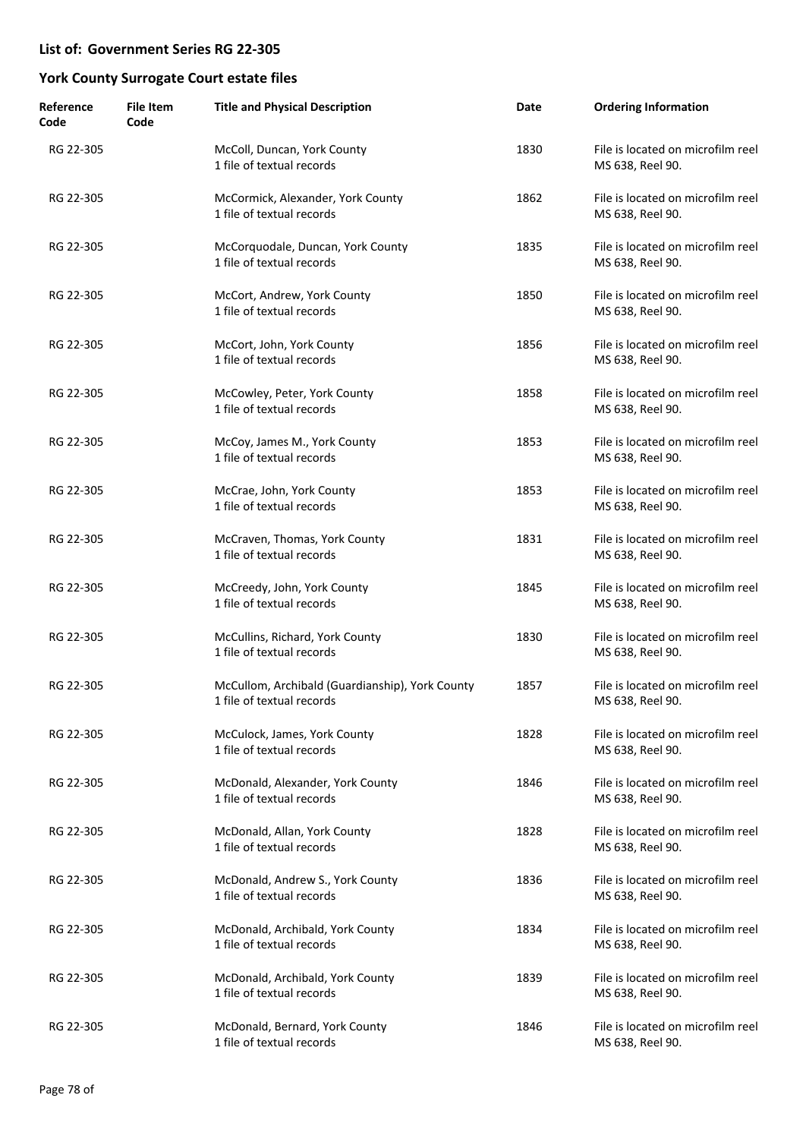| Reference<br>Code | <b>File Item</b><br>Code | <b>Title and Physical Description</b>                                        | Date | <b>Ordering Information</b>                           |
|-------------------|--------------------------|------------------------------------------------------------------------------|------|-------------------------------------------------------|
| RG 22-305         |                          | McColl, Duncan, York County<br>1 file of textual records                     | 1830 | File is located on microfilm reel<br>MS 638, Reel 90. |
| RG 22-305         |                          | McCormick, Alexander, York County<br>1 file of textual records               | 1862 | File is located on microfilm reel<br>MS 638, Reel 90. |
| RG 22-305         |                          | McCorquodale, Duncan, York County<br>1 file of textual records               | 1835 | File is located on microfilm reel<br>MS 638, Reel 90. |
| RG 22-305         |                          | McCort, Andrew, York County<br>1 file of textual records                     | 1850 | File is located on microfilm reel<br>MS 638, Reel 90. |
| RG 22-305         |                          | McCort, John, York County<br>1 file of textual records                       | 1856 | File is located on microfilm reel<br>MS 638, Reel 90. |
| RG 22-305         |                          | McCowley, Peter, York County<br>1 file of textual records                    | 1858 | File is located on microfilm reel<br>MS 638, Reel 90. |
| RG 22-305         |                          | McCoy, James M., York County<br>1 file of textual records                    | 1853 | File is located on microfilm reel<br>MS 638, Reel 90. |
| RG 22-305         |                          | McCrae, John, York County<br>1 file of textual records                       | 1853 | File is located on microfilm reel<br>MS 638, Reel 90. |
| RG 22-305         |                          | McCraven, Thomas, York County<br>1 file of textual records                   | 1831 | File is located on microfilm reel<br>MS 638, Reel 90. |
| RG 22-305         |                          | McCreedy, John, York County<br>1 file of textual records                     | 1845 | File is located on microfilm reel<br>MS 638, Reel 90. |
| RG 22-305         |                          | McCullins, Richard, York County<br>1 file of textual records                 | 1830 | File is located on microfilm reel<br>MS 638, Reel 90. |
| RG 22-305         |                          | McCullom, Archibald (Guardianship), York County<br>1 file of textual records | 1857 | File is located on microfilm reel<br>MS 638, Reel 90. |
| RG 22-305         |                          | McCulock, James, York County<br>1 file of textual records                    | 1828 | File is located on microfilm reel<br>MS 638, Reel 90. |
| RG 22-305         |                          | McDonald, Alexander, York County<br>1 file of textual records                | 1846 | File is located on microfilm reel<br>MS 638, Reel 90. |
| RG 22-305         |                          | McDonald, Allan, York County<br>1 file of textual records                    | 1828 | File is located on microfilm reel<br>MS 638, Reel 90. |
| RG 22-305         |                          | McDonald, Andrew S., York County<br>1 file of textual records                | 1836 | File is located on microfilm reel<br>MS 638, Reel 90. |
| RG 22-305         |                          | McDonald, Archibald, York County<br>1 file of textual records                | 1834 | File is located on microfilm reel<br>MS 638, Reel 90. |
| RG 22-305         |                          | McDonald, Archibald, York County<br>1 file of textual records                | 1839 | File is located on microfilm reel<br>MS 638, Reel 90. |
| RG 22-305         |                          | McDonald, Bernard, York County<br>1 file of textual records                  | 1846 | File is located on microfilm reel<br>MS 638, Reel 90. |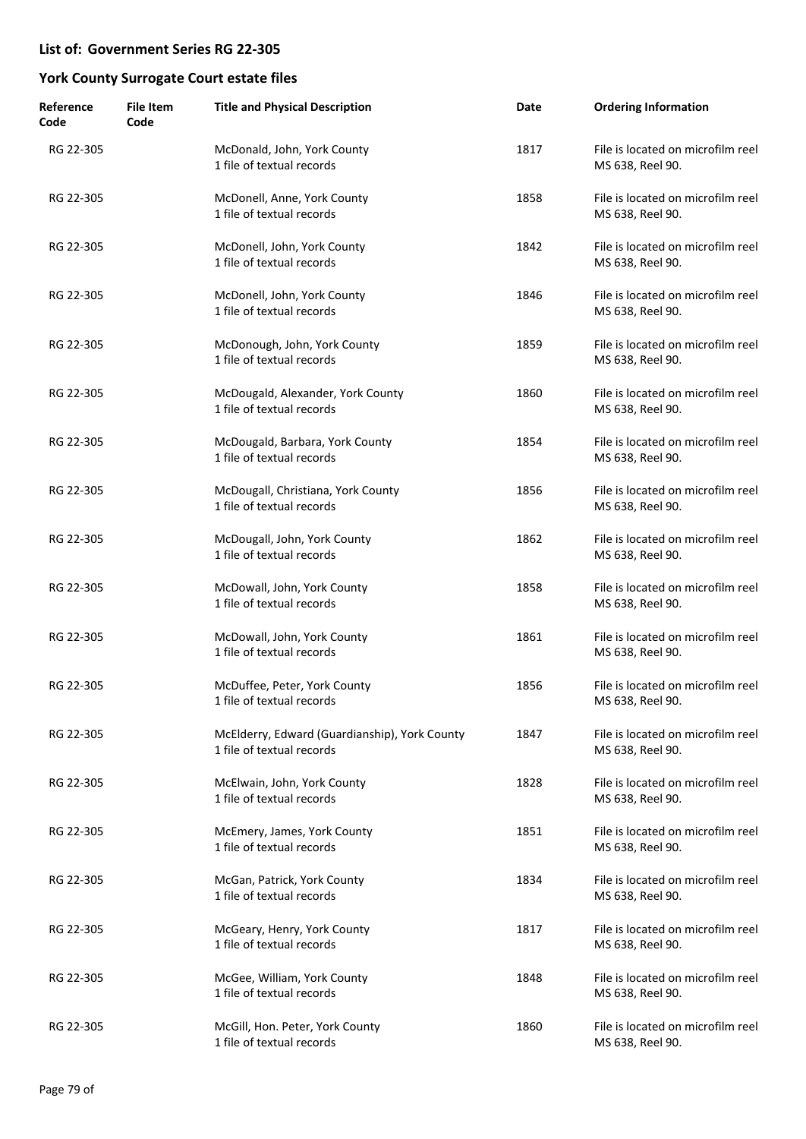| Reference<br>Code | <b>File Item</b><br>Code | <b>Title and Physical Description</b>                                      | Date | <b>Ordering Information</b>                           |
|-------------------|--------------------------|----------------------------------------------------------------------------|------|-------------------------------------------------------|
| RG 22-305         |                          | McDonald, John, York County<br>1 file of textual records                   | 1817 | File is located on microfilm reel<br>MS 638, Reel 90. |
| RG 22-305         |                          | McDonell, Anne, York County<br>1 file of textual records                   | 1858 | File is located on microfilm reel<br>MS 638, Reel 90. |
| RG 22-305         |                          | McDonell, John, York County<br>1 file of textual records                   | 1842 | File is located on microfilm reel<br>MS 638, Reel 90. |
| RG 22-305         |                          | McDonell, John, York County<br>1 file of textual records                   | 1846 | File is located on microfilm reel<br>MS 638, Reel 90. |
| RG 22-305         |                          | McDonough, John, York County<br>1 file of textual records                  | 1859 | File is located on microfilm reel<br>MS 638, Reel 90. |
| RG 22-305         |                          | McDougald, Alexander, York County<br>1 file of textual records             | 1860 | File is located on microfilm reel<br>MS 638, Reel 90. |
| RG 22-305         |                          | McDougald, Barbara, York County<br>1 file of textual records               | 1854 | File is located on microfilm reel<br>MS 638, Reel 90. |
| RG 22-305         |                          | McDougall, Christiana, York County<br>1 file of textual records            | 1856 | File is located on microfilm reel<br>MS 638, Reel 90. |
| RG 22-305         |                          | McDougall, John, York County<br>1 file of textual records                  | 1862 | File is located on microfilm reel<br>MS 638, Reel 90. |
| RG 22-305         |                          | McDowall, John, York County<br>1 file of textual records                   | 1858 | File is located on microfilm reel<br>MS 638, Reel 90. |
| RG 22-305         |                          | McDowall, John, York County<br>1 file of textual records                   | 1861 | File is located on microfilm reel<br>MS 638, Reel 90. |
| RG 22-305         |                          | McDuffee, Peter, York County<br>1 file of textual records                  | 1856 | File is located on microfilm reel<br>MS 638, Reel 90. |
| RG 22-305         |                          | McElderry, Edward (Guardianship), York County<br>1 file of textual records | 1847 | File is located on microfilm reel<br>MS 638, Reel 90. |
| RG 22-305         |                          | McElwain, John, York County<br>1 file of textual records                   | 1828 | File is located on microfilm reel<br>MS 638, Reel 90. |
| RG 22-305         |                          | McEmery, James, York County<br>1 file of textual records                   | 1851 | File is located on microfilm reel<br>MS 638, Reel 90. |
| RG 22-305         |                          | McGan, Patrick, York County<br>1 file of textual records                   | 1834 | File is located on microfilm reel<br>MS 638, Reel 90. |
| RG 22-305         |                          | McGeary, Henry, York County<br>1 file of textual records                   | 1817 | File is located on microfilm reel<br>MS 638, Reel 90. |
| RG 22-305         |                          | McGee, William, York County<br>1 file of textual records                   | 1848 | File is located on microfilm reel<br>MS 638, Reel 90. |
| RG 22-305         |                          | McGill, Hon. Peter, York County<br>1 file of textual records               | 1860 | File is located on microfilm reel<br>MS 638, Reel 90. |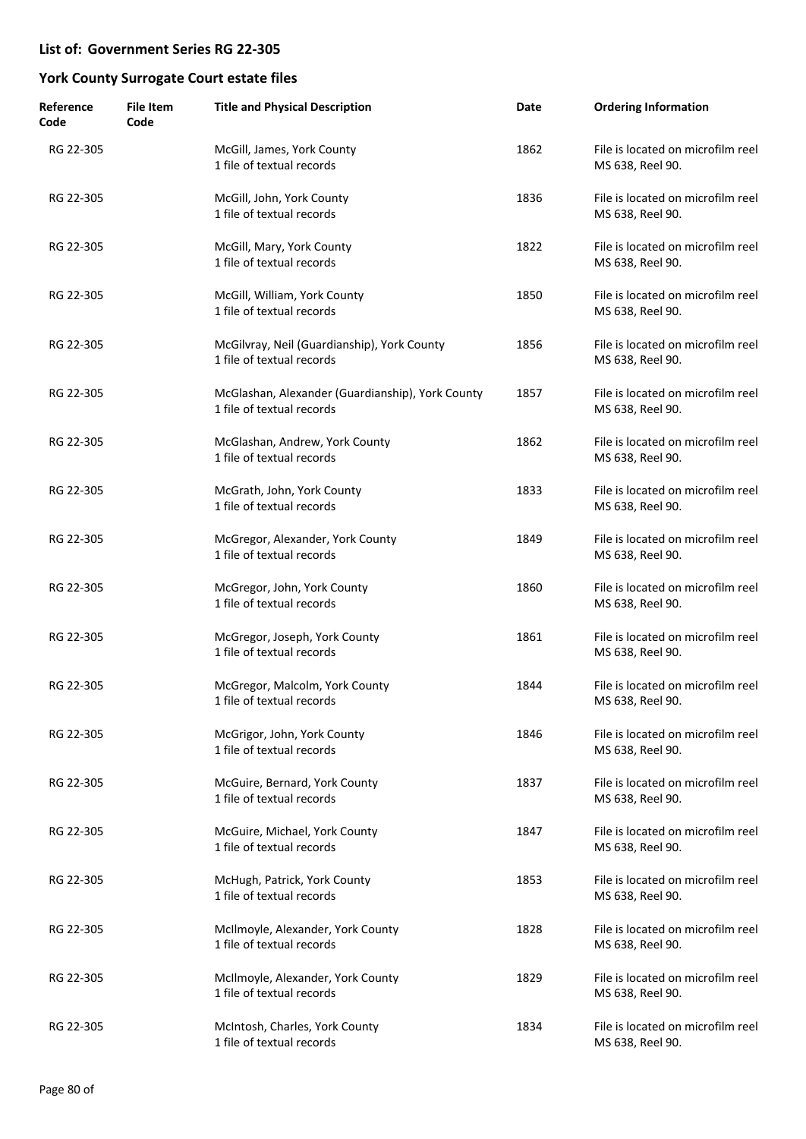| Reference<br>Code | <b>File Item</b><br>Code | <b>Title and Physical Description</b>                                         | Date | <b>Ordering Information</b>                           |
|-------------------|--------------------------|-------------------------------------------------------------------------------|------|-------------------------------------------------------|
| RG 22-305         |                          | McGill, James, York County<br>1 file of textual records                       | 1862 | File is located on microfilm reel<br>MS 638, Reel 90. |
| RG 22-305         |                          | McGill, John, York County<br>1 file of textual records                        | 1836 | File is located on microfilm reel<br>MS 638, Reel 90. |
| RG 22-305         |                          | McGill, Mary, York County<br>1 file of textual records                        | 1822 | File is located on microfilm reel<br>MS 638, Reel 90. |
| RG 22-305         |                          | McGill, William, York County<br>1 file of textual records                     | 1850 | File is located on microfilm reel<br>MS 638, Reel 90. |
| RG 22-305         |                          | McGilvray, Neil (Guardianship), York County<br>1 file of textual records      | 1856 | File is located on microfilm reel<br>MS 638, Reel 90. |
| RG 22-305         |                          | McGlashan, Alexander (Guardianship), York County<br>1 file of textual records | 1857 | File is located on microfilm reel<br>MS 638, Reel 90. |
| RG 22-305         |                          | McGlashan, Andrew, York County<br>1 file of textual records                   | 1862 | File is located on microfilm reel<br>MS 638, Reel 90. |
| RG 22-305         |                          | McGrath, John, York County<br>1 file of textual records                       | 1833 | File is located on microfilm reel<br>MS 638, Reel 90. |
| RG 22-305         |                          | McGregor, Alexander, York County<br>1 file of textual records                 | 1849 | File is located on microfilm reel<br>MS 638, Reel 90. |
| RG 22-305         |                          | McGregor, John, York County<br>1 file of textual records                      | 1860 | File is located on microfilm reel<br>MS 638, Reel 90. |
| RG 22-305         |                          | McGregor, Joseph, York County<br>1 file of textual records                    | 1861 | File is located on microfilm reel<br>MS 638, Reel 90. |
| RG 22-305         |                          | McGregor, Malcolm, York County<br>1 file of textual records                   | 1844 | File is located on microfilm reel<br>MS 638, Reel 90. |
| RG 22-305         |                          | McGrigor, John, York County<br>1 file of textual records                      | 1846 | File is located on microfilm reel<br>MS 638, Reel 90. |
| RG 22-305         |                          | McGuire, Bernard, York County<br>1 file of textual records                    | 1837 | File is located on microfilm reel<br>MS 638, Reel 90. |
| RG 22-305         |                          | McGuire, Michael, York County<br>1 file of textual records                    | 1847 | File is located on microfilm reel<br>MS 638, Reel 90. |
| RG 22-305         |                          | McHugh, Patrick, York County<br>1 file of textual records                     | 1853 | File is located on microfilm reel<br>MS 638, Reel 90. |
| RG 22-305         |                          | McIlmoyle, Alexander, York County<br>1 file of textual records                | 1828 | File is located on microfilm reel<br>MS 638, Reel 90. |
| RG 22-305         |                          | McIlmoyle, Alexander, York County<br>1 file of textual records                | 1829 | File is located on microfilm reel<br>MS 638, Reel 90. |
| RG 22-305         |                          | McIntosh, Charles, York County<br>1 file of textual records                   | 1834 | File is located on microfilm reel<br>MS 638, Reel 90. |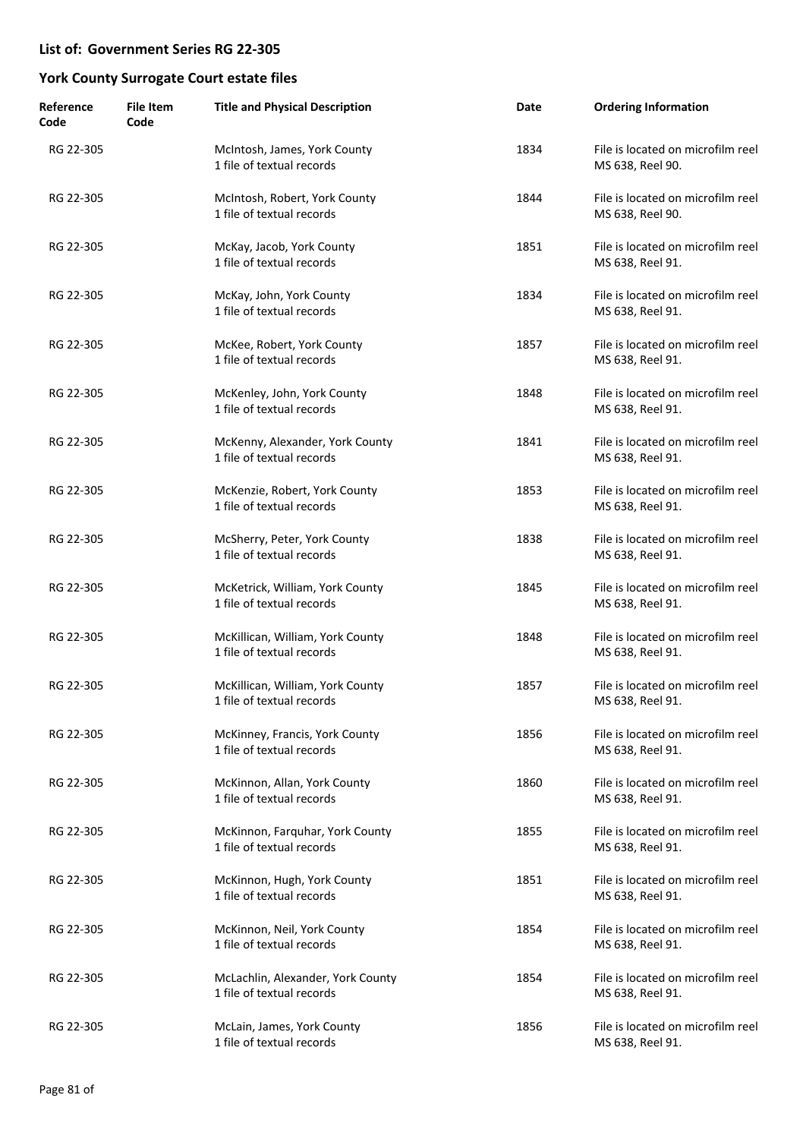| Reference<br>Code | <b>File Item</b><br>Code | <b>Title and Physical Description</b>                          | Date | <b>Ordering Information</b>                           |
|-------------------|--------------------------|----------------------------------------------------------------|------|-------------------------------------------------------|
| RG 22-305         |                          | McIntosh, James, York County<br>1 file of textual records      | 1834 | File is located on microfilm reel<br>MS 638, Reel 90. |
| RG 22-305         |                          | McIntosh, Robert, York County<br>1 file of textual records     | 1844 | File is located on microfilm reel<br>MS 638, Reel 90. |
| RG 22-305         |                          | McKay, Jacob, York County<br>1 file of textual records         | 1851 | File is located on microfilm reel<br>MS 638, Reel 91. |
| RG 22-305         |                          | McKay, John, York County<br>1 file of textual records          | 1834 | File is located on microfilm reel<br>MS 638, Reel 91. |
| RG 22-305         |                          | McKee, Robert, York County<br>1 file of textual records        | 1857 | File is located on microfilm reel<br>MS 638, Reel 91. |
| RG 22-305         |                          | McKenley, John, York County<br>1 file of textual records       | 1848 | File is located on microfilm reel<br>MS 638, Reel 91. |
| RG 22-305         |                          | McKenny, Alexander, York County<br>1 file of textual records   | 1841 | File is located on microfilm reel<br>MS 638, Reel 91. |
| RG 22-305         |                          | McKenzie, Robert, York County<br>1 file of textual records     | 1853 | File is located on microfilm reel<br>MS 638, Reel 91. |
| RG 22-305         |                          | McSherry, Peter, York County<br>1 file of textual records      | 1838 | File is located on microfilm reel<br>MS 638, Reel 91. |
| RG 22-305         |                          | McKetrick, William, York County<br>1 file of textual records   | 1845 | File is located on microfilm reel<br>MS 638, Reel 91. |
| RG 22-305         |                          | McKillican, William, York County<br>1 file of textual records  | 1848 | File is located on microfilm reel<br>MS 638, Reel 91. |
| RG 22-305         |                          | McKillican, William, York County<br>1 file of textual records  | 1857 | File is located on microfilm reel<br>MS 638, Reel 91. |
| RG 22-305         |                          | McKinney, Francis, York County<br>1 file of textual records    | 1856 | File is located on microfilm reel<br>MS 638, Reel 91. |
| RG 22-305         |                          | McKinnon, Allan, York County<br>1 file of textual records      | 1860 | File is located on microfilm reel<br>MS 638, Reel 91. |
| RG 22-305         |                          | McKinnon, Farquhar, York County<br>1 file of textual records   | 1855 | File is located on microfilm reel<br>MS 638, Reel 91. |
| RG 22-305         |                          | McKinnon, Hugh, York County<br>1 file of textual records       | 1851 | File is located on microfilm reel<br>MS 638, Reel 91. |
| RG 22-305         |                          | McKinnon, Neil, York County<br>1 file of textual records       | 1854 | File is located on microfilm reel<br>MS 638, Reel 91. |
| RG 22-305         |                          | McLachlin, Alexander, York County<br>1 file of textual records | 1854 | File is located on microfilm reel<br>MS 638, Reel 91. |
| RG 22-305         |                          | McLain, James, York County<br>1 file of textual records        | 1856 | File is located on microfilm reel<br>MS 638, Reel 91. |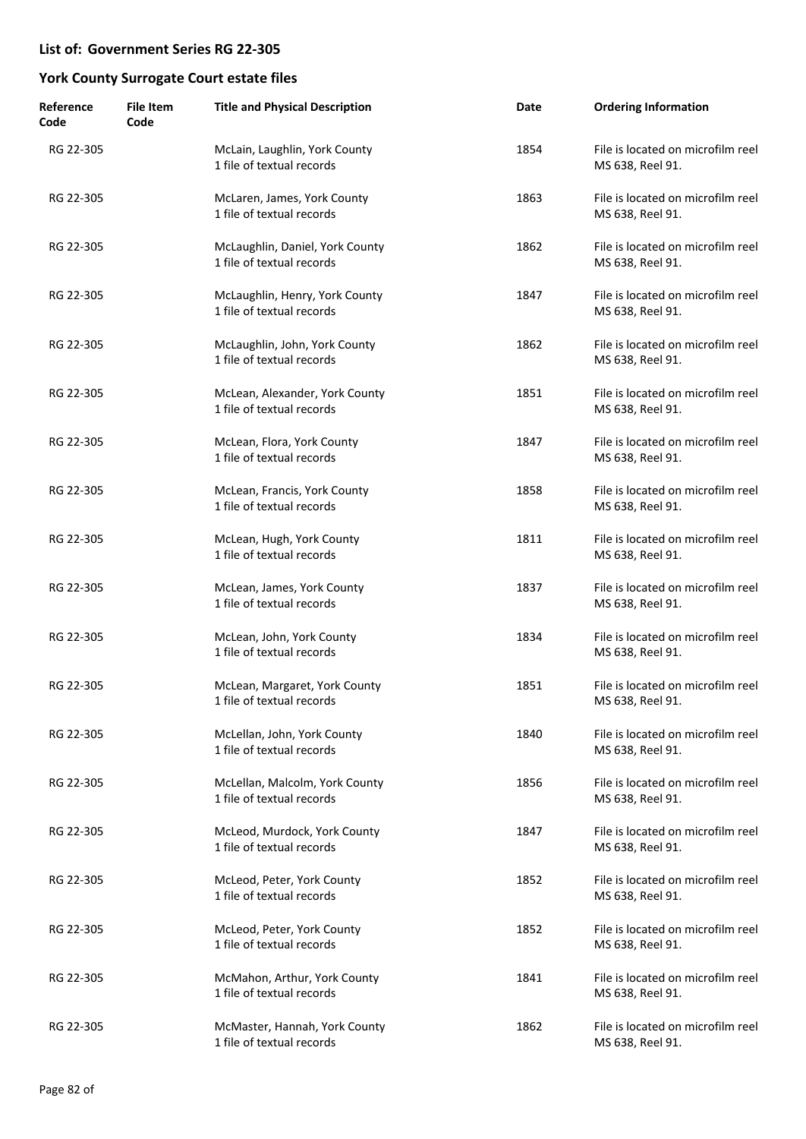| Reference<br>Code | <b>File Item</b><br>Code | <b>Title and Physical Description</b>                        | Date | <b>Ordering Information</b>                           |
|-------------------|--------------------------|--------------------------------------------------------------|------|-------------------------------------------------------|
| RG 22-305         |                          | McLain, Laughlin, York County<br>1 file of textual records   | 1854 | File is located on microfilm reel<br>MS 638, Reel 91. |
| RG 22-305         |                          | McLaren, James, York County<br>1 file of textual records     | 1863 | File is located on microfilm reel<br>MS 638, Reel 91. |
| RG 22-305         |                          | McLaughlin, Daniel, York County<br>1 file of textual records | 1862 | File is located on microfilm reel<br>MS 638, Reel 91. |
| RG 22-305         |                          | McLaughlin, Henry, York County<br>1 file of textual records  | 1847 | File is located on microfilm reel<br>MS 638, Reel 91. |
| RG 22-305         |                          | McLaughlin, John, York County<br>1 file of textual records   | 1862 | File is located on microfilm reel<br>MS 638, Reel 91. |
| RG 22-305         |                          | McLean, Alexander, York County<br>1 file of textual records  | 1851 | File is located on microfilm reel<br>MS 638, Reel 91. |
| RG 22-305         |                          | McLean, Flora, York County<br>1 file of textual records      | 1847 | File is located on microfilm reel<br>MS 638, Reel 91. |
| RG 22-305         |                          | McLean, Francis, York County<br>1 file of textual records    | 1858 | File is located on microfilm reel<br>MS 638, Reel 91. |
| RG 22-305         |                          | McLean, Hugh, York County<br>1 file of textual records       | 1811 | File is located on microfilm reel<br>MS 638, Reel 91. |
| RG 22-305         |                          | McLean, James, York County<br>1 file of textual records      | 1837 | File is located on microfilm reel<br>MS 638, Reel 91. |
| RG 22-305         |                          | McLean, John, York County<br>1 file of textual records       | 1834 | File is located on microfilm reel<br>MS 638, Reel 91. |
| RG 22-305         |                          | McLean, Margaret, York County<br>1 file of textual records   | 1851 | File is located on microfilm reel<br>MS 638, Reel 91. |
| RG 22-305         |                          | McLellan, John, York County<br>1 file of textual records     | 1840 | File is located on microfilm reel<br>MS 638, Reel 91. |
| RG 22-305         |                          | McLellan, Malcolm, York County<br>1 file of textual records  | 1856 | File is located on microfilm reel<br>MS 638, Reel 91. |
| RG 22-305         |                          | McLeod, Murdock, York County<br>1 file of textual records    | 1847 | File is located on microfilm reel<br>MS 638, Reel 91. |
| RG 22-305         |                          | McLeod, Peter, York County<br>1 file of textual records      | 1852 | File is located on microfilm reel<br>MS 638, Reel 91. |
| RG 22-305         |                          | McLeod, Peter, York County<br>1 file of textual records      | 1852 | File is located on microfilm reel<br>MS 638, Reel 91. |
| RG 22-305         |                          | McMahon, Arthur, York County<br>1 file of textual records    | 1841 | File is located on microfilm reel<br>MS 638, Reel 91. |
| RG 22-305         |                          | McMaster, Hannah, York County<br>1 file of textual records   | 1862 | File is located on microfilm reel<br>MS 638, Reel 91. |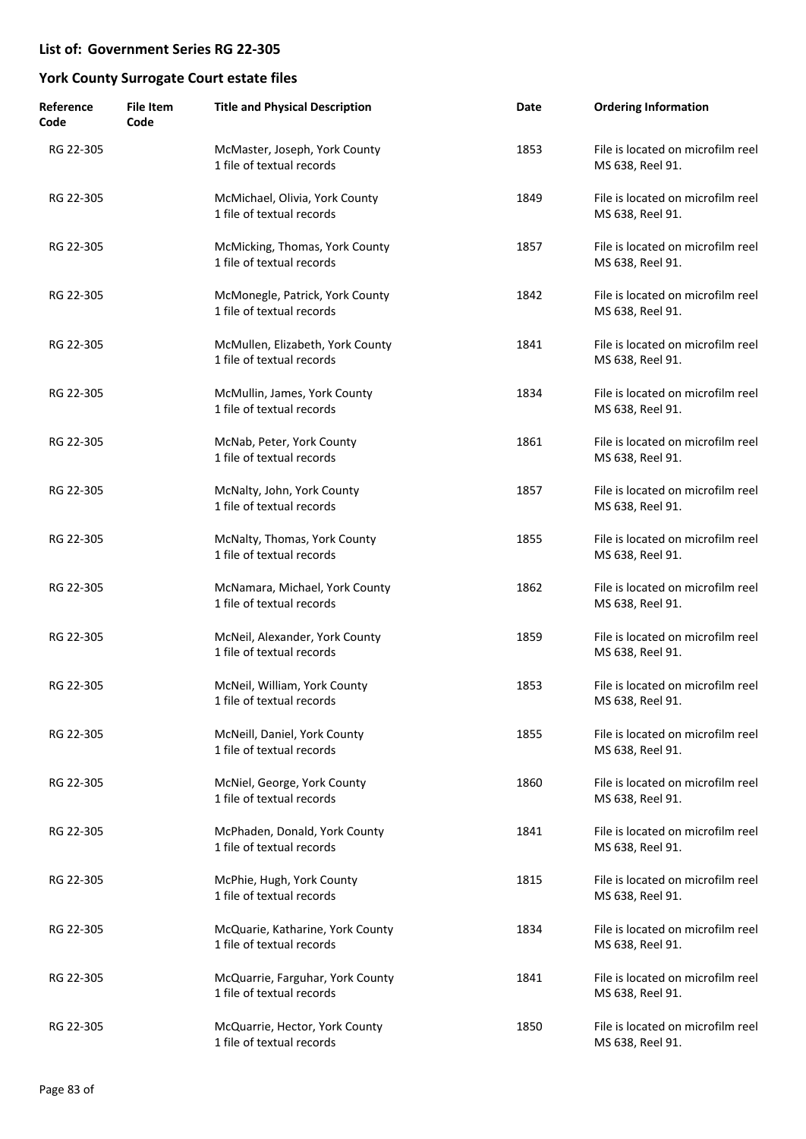| Reference<br>Code | <b>File Item</b><br>Code | <b>Title and Physical Description</b>                         | Date | <b>Ordering Information</b>                           |
|-------------------|--------------------------|---------------------------------------------------------------|------|-------------------------------------------------------|
| RG 22-305         |                          | McMaster, Joseph, York County<br>1 file of textual records    | 1853 | File is located on microfilm reel<br>MS 638, Reel 91. |
| RG 22-305         |                          | McMichael, Olivia, York County<br>1 file of textual records   | 1849 | File is located on microfilm reel<br>MS 638, Reel 91. |
| RG 22-305         |                          | McMicking, Thomas, York County<br>1 file of textual records   | 1857 | File is located on microfilm reel<br>MS 638, Reel 91. |
| RG 22-305         |                          | McMonegle, Patrick, York County<br>1 file of textual records  | 1842 | File is located on microfilm reel<br>MS 638, Reel 91. |
| RG 22-305         |                          | McMullen, Elizabeth, York County<br>1 file of textual records | 1841 | File is located on microfilm reel<br>MS 638, Reel 91. |
| RG 22-305         |                          | McMullin, James, York County<br>1 file of textual records     | 1834 | File is located on microfilm reel<br>MS 638, Reel 91. |
| RG 22-305         |                          | McNab, Peter, York County<br>1 file of textual records        | 1861 | File is located on microfilm reel<br>MS 638, Reel 91. |
| RG 22-305         |                          | McNalty, John, York County<br>1 file of textual records       | 1857 | File is located on microfilm reel<br>MS 638, Reel 91. |
| RG 22-305         |                          | McNalty, Thomas, York County<br>1 file of textual records     | 1855 | File is located on microfilm reel<br>MS 638, Reel 91. |
| RG 22-305         |                          | McNamara, Michael, York County<br>1 file of textual records   | 1862 | File is located on microfilm reel<br>MS 638, Reel 91. |
| RG 22-305         |                          | McNeil, Alexander, York County<br>1 file of textual records   | 1859 | File is located on microfilm reel<br>MS 638, Reel 91. |
| RG 22-305         |                          | McNeil, William, York County<br>1 file of textual records     | 1853 | File is located on microfilm reel<br>MS 638, Reel 91. |
| RG 22-305         |                          | McNeill, Daniel, York County<br>1 file of textual records     | 1855 | File is located on microfilm reel<br>MS 638, Reel 91. |
| RG 22-305         |                          | McNiel, George, York County<br>1 file of textual records      | 1860 | File is located on microfilm reel<br>MS 638, Reel 91. |
| RG 22-305         |                          | McPhaden, Donald, York County<br>1 file of textual records    | 1841 | File is located on microfilm reel<br>MS 638, Reel 91. |
| RG 22-305         |                          | McPhie, Hugh, York County<br>1 file of textual records        | 1815 | File is located on microfilm reel<br>MS 638, Reel 91. |
| RG 22-305         |                          | McQuarie, Katharine, York County<br>1 file of textual records | 1834 | File is located on microfilm reel<br>MS 638, Reel 91. |
| RG 22-305         |                          | McQuarrie, Farguhar, York County<br>1 file of textual records | 1841 | File is located on microfilm reel<br>MS 638, Reel 91. |
| RG 22-305         |                          | McQuarrie, Hector, York County<br>1 file of textual records   | 1850 | File is located on microfilm reel<br>MS 638, Reel 91. |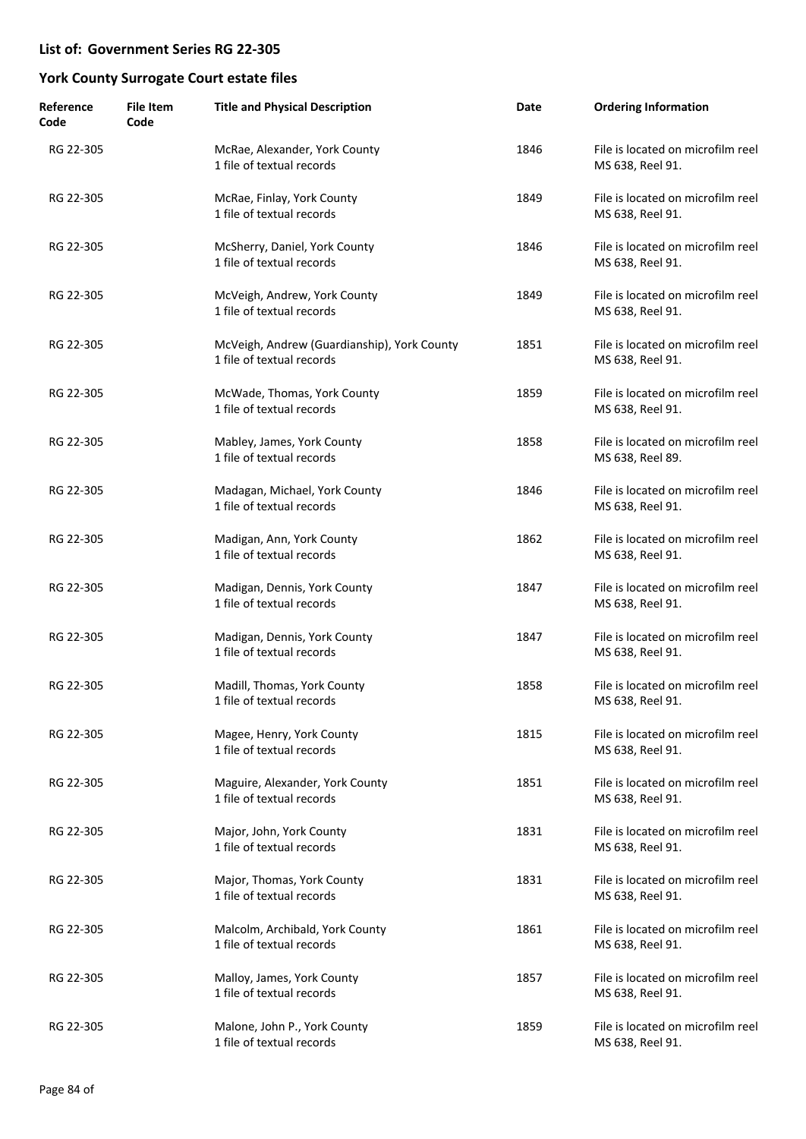| Reference<br>Code | <b>File Item</b><br>Code | <b>Title and Physical Description</b>                                    | Date | <b>Ordering Information</b>                           |
|-------------------|--------------------------|--------------------------------------------------------------------------|------|-------------------------------------------------------|
| RG 22-305         |                          | McRae, Alexander, York County<br>1 file of textual records               | 1846 | File is located on microfilm reel<br>MS 638, Reel 91. |
| RG 22-305         |                          | McRae, Finlay, York County<br>1 file of textual records                  | 1849 | File is located on microfilm reel<br>MS 638, Reel 91. |
| RG 22-305         |                          | McSherry, Daniel, York County<br>1 file of textual records               | 1846 | File is located on microfilm reel<br>MS 638, Reel 91. |
| RG 22-305         |                          | McVeigh, Andrew, York County<br>1 file of textual records                | 1849 | File is located on microfilm reel<br>MS 638, Reel 91. |
| RG 22-305         |                          | McVeigh, Andrew (Guardianship), York County<br>1 file of textual records | 1851 | File is located on microfilm reel<br>MS 638, Reel 91. |
| RG 22-305         |                          | McWade, Thomas, York County<br>1 file of textual records                 | 1859 | File is located on microfilm reel<br>MS 638, Reel 91. |
| RG 22-305         |                          | Mabley, James, York County<br>1 file of textual records                  | 1858 | File is located on microfilm reel<br>MS 638, Reel 89. |
| RG 22-305         |                          | Madagan, Michael, York County<br>1 file of textual records               | 1846 | File is located on microfilm reel<br>MS 638, Reel 91. |
| RG 22-305         |                          | Madigan, Ann, York County<br>1 file of textual records                   | 1862 | File is located on microfilm reel<br>MS 638, Reel 91. |
| RG 22-305         |                          | Madigan, Dennis, York County<br>1 file of textual records                | 1847 | File is located on microfilm reel<br>MS 638, Reel 91. |
| RG 22-305         |                          | Madigan, Dennis, York County<br>1 file of textual records                | 1847 | File is located on microfilm reel<br>MS 638, Reel 91. |
| RG 22-305         |                          | Madill, Thomas, York County<br>1 file of textual records                 | 1858 | File is located on microfilm reel<br>MS 638, Reel 91. |
| RG 22-305         |                          | Magee, Henry, York County<br>1 file of textual records                   | 1815 | File is located on microfilm reel<br>MS 638, Reel 91. |
| RG 22-305         |                          | Maguire, Alexander, York County<br>1 file of textual records             | 1851 | File is located on microfilm reel<br>MS 638, Reel 91. |
| RG 22-305         |                          | Major, John, York County<br>1 file of textual records                    | 1831 | File is located on microfilm reel<br>MS 638, Reel 91. |
| RG 22-305         |                          | Major, Thomas, York County<br>1 file of textual records                  | 1831 | File is located on microfilm reel<br>MS 638, Reel 91. |
| RG 22-305         |                          | Malcolm, Archibald, York County<br>1 file of textual records             | 1861 | File is located on microfilm reel<br>MS 638, Reel 91. |
| RG 22-305         |                          | Malloy, James, York County<br>1 file of textual records                  | 1857 | File is located on microfilm reel<br>MS 638, Reel 91. |
| RG 22-305         |                          | Malone, John P., York County<br>1 file of textual records                | 1859 | File is located on microfilm reel<br>MS 638, Reel 91. |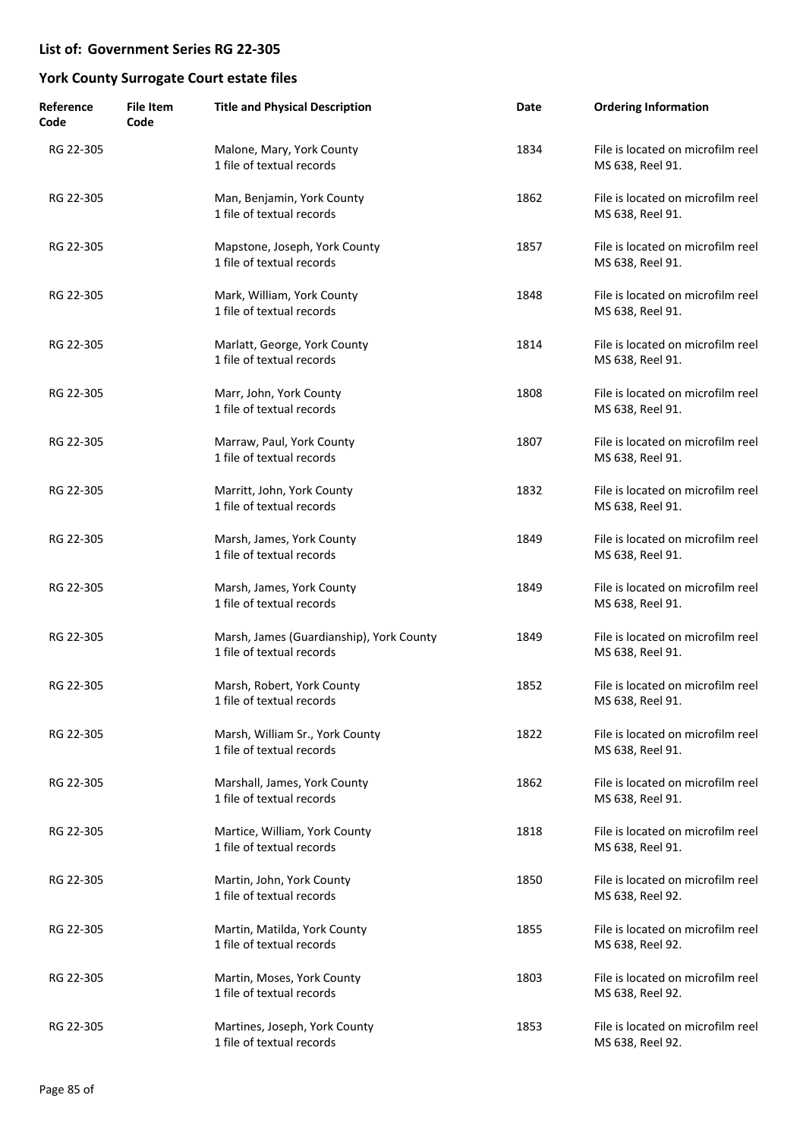| Reference<br>Code | <b>File Item</b><br>Code | <b>Title and Physical Description</b>                                 | Date | <b>Ordering Information</b>                           |
|-------------------|--------------------------|-----------------------------------------------------------------------|------|-------------------------------------------------------|
| RG 22-305         |                          | Malone, Mary, York County<br>1 file of textual records                | 1834 | File is located on microfilm reel<br>MS 638, Reel 91. |
| RG 22-305         |                          | Man, Benjamin, York County<br>1 file of textual records               | 1862 | File is located on microfilm reel<br>MS 638, Reel 91. |
| RG 22-305         |                          | Mapstone, Joseph, York County<br>1 file of textual records            | 1857 | File is located on microfilm reel<br>MS 638, Reel 91. |
| RG 22-305         |                          | Mark, William, York County<br>1 file of textual records               | 1848 | File is located on microfilm reel<br>MS 638, Reel 91. |
| RG 22-305         |                          | Marlatt, George, York County<br>1 file of textual records             | 1814 | File is located on microfilm reel<br>MS 638, Reel 91. |
| RG 22-305         |                          | Marr, John, York County<br>1 file of textual records                  | 1808 | File is located on microfilm reel<br>MS 638, Reel 91. |
| RG 22-305         |                          | Marraw, Paul, York County<br>1 file of textual records                | 1807 | File is located on microfilm reel<br>MS 638, Reel 91. |
| RG 22-305         |                          | Marritt, John, York County<br>1 file of textual records               | 1832 | File is located on microfilm reel<br>MS 638, Reel 91. |
| RG 22-305         |                          | Marsh, James, York County<br>1 file of textual records                | 1849 | File is located on microfilm reel<br>MS 638, Reel 91. |
| RG 22-305         |                          | Marsh, James, York County<br>1 file of textual records                | 1849 | File is located on microfilm reel<br>MS 638, Reel 91. |
| RG 22-305         |                          | Marsh, James (Guardianship), York County<br>1 file of textual records | 1849 | File is located on microfilm reel<br>MS 638, Reel 91. |
| RG 22-305         |                          | Marsh, Robert, York County<br>1 file of textual records               | 1852 | File is located on microfilm reel<br>MS 638, Reel 91. |
| RG 22-305         |                          | Marsh, William Sr., York County<br>1 file of textual records          | 1822 | File is located on microfilm reel<br>MS 638, Reel 91. |
| RG 22-305         |                          | Marshall, James, York County<br>1 file of textual records             | 1862 | File is located on microfilm reel<br>MS 638, Reel 91. |
| RG 22-305         |                          | Martice, William, York County<br>1 file of textual records            | 1818 | File is located on microfilm reel<br>MS 638, Reel 91. |
| RG 22-305         |                          | Martin, John, York County<br>1 file of textual records                | 1850 | File is located on microfilm reel<br>MS 638, Reel 92. |
| RG 22-305         |                          | Martin, Matilda, York County<br>1 file of textual records             | 1855 | File is located on microfilm reel<br>MS 638, Reel 92. |
| RG 22-305         |                          | Martin, Moses, York County<br>1 file of textual records               | 1803 | File is located on microfilm reel<br>MS 638, Reel 92. |
| RG 22-305         |                          | Martines, Joseph, York County<br>1 file of textual records            | 1853 | File is located on microfilm reel<br>MS 638, Reel 92. |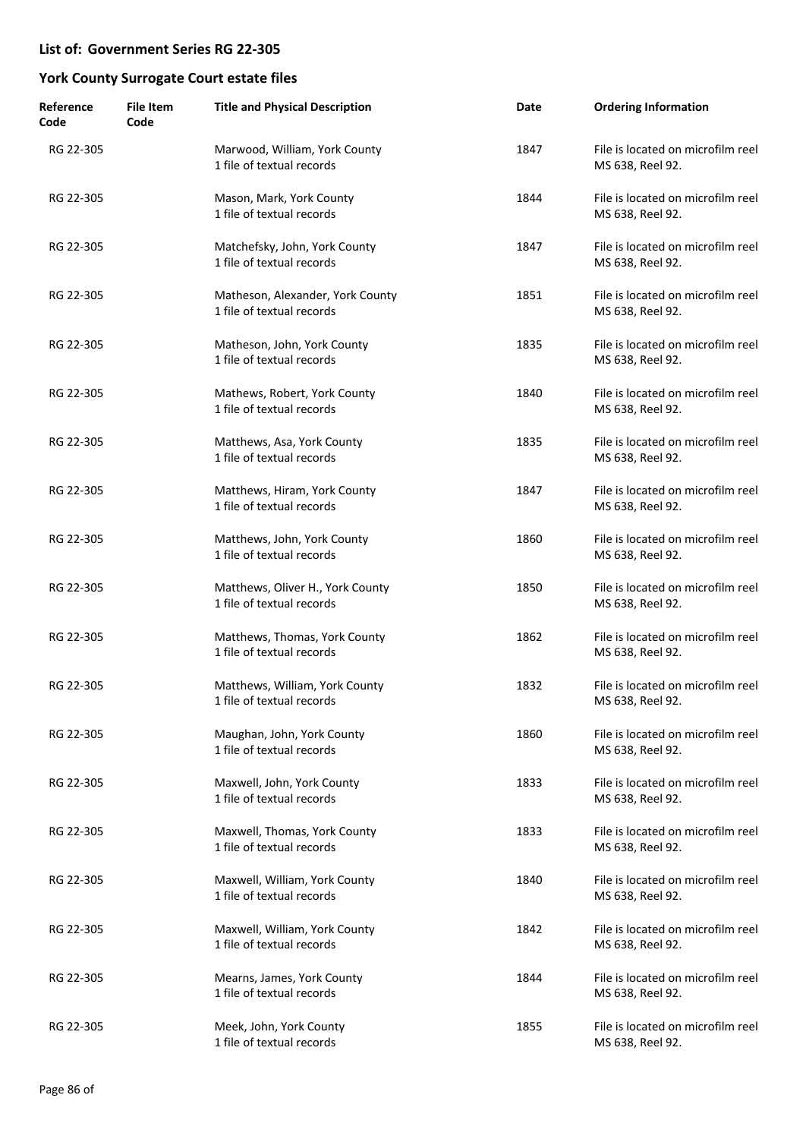| Reference<br>Code | <b>File Item</b><br>Code | <b>Title and Physical Description</b>                         | Date | <b>Ordering Information</b>                           |
|-------------------|--------------------------|---------------------------------------------------------------|------|-------------------------------------------------------|
| RG 22-305         |                          | Marwood, William, York County<br>1 file of textual records    | 1847 | File is located on microfilm reel<br>MS 638, Reel 92. |
| RG 22-305         |                          | Mason, Mark, York County<br>1 file of textual records         | 1844 | File is located on microfilm reel<br>MS 638, Reel 92. |
| RG 22-305         |                          | Matchefsky, John, York County<br>1 file of textual records    | 1847 | File is located on microfilm reel<br>MS 638, Reel 92. |
| RG 22-305         |                          | Matheson, Alexander, York County<br>1 file of textual records | 1851 | File is located on microfilm reel<br>MS 638, Reel 92. |
| RG 22-305         |                          | Matheson, John, York County<br>1 file of textual records      | 1835 | File is located on microfilm reel<br>MS 638, Reel 92. |
| RG 22-305         |                          | Mathews, Robert, York County<br>1 file of textual records     | 1840 | File is located on microfilm reel<br>MS 638, Reel 92. |
| RG 22-305         |                          | Matthews, Asa, York County<br>1 file of textual records       | 1835 | File is located on microfilm reel<br>MS 638, Reel 92. |
| RG 22-305         |                          | Matthews, Hiram, York County<br>1 file of textual records     | 1847 | File is located on microfilm reel<br>MS 638, Reel 92. |
| RG 22-305         |                          | Matthews, John, York County<br>1 file of textual records      | 1860 | File is located on microfilm reel<br>MS 638, Reel 92. |
| RG 22-305         |                          | Matthews, Oliver H., York County<br>1 file of textual records | 1850 | File is located on microfilm reel<br>MS 638, Reel 92. |
| RG 22-305         |                          | Matthews, Thomas, York County<br>1 file of textual records    | 1862 | File is located on microfilm reel<br>MS 638, Reel 92. |
| RG 22-305         |                          | Matthews, William, York County<br>1 file of textual records   | 1832 | File is located on microfilm reel<br>MS 638, Reel 92. |
| RG 22-305         |                          | Maughan, John, York County<br>1 file of textual records       | 1860 | File is located on microfilm reel<br>MS 638, Reel 92. |
| RG 22-305         |                          | Maxwell, John, York County<br>1 file of textual records       | 1833 | File is located on microfilm reel<br>MS 638, Reel 92. |
| RG 22-305         |                          | Maxwell, Thomas, York County<br>1 file of textual records     | 1833 | File is located on microfilm reel<br>MS 638, Reel 92. |
| RG 22-305         |                          | Maxwell, William, York County<br>1 file of textual records    | 1840 | File is located on microfilm reel<br>MS 638, Reel 92. |
| RG 22-305         |                          | Maxwell, William, York County<br>1 file of textual records    | 1842 | File is located on microfilm reel<br>MS 638, Reel 92. |
| RG 22-305         |                          | Mearns, James, York County<br>1 file of textual records       | 1844 | File is located on microfilm reel<br>MS 638, Reel 92. |
| RG 22-305         |                          | Meek, John, York County<br>1 file of textual records          | 1855 | File is located on microfilm reel<br>MS 638, Reel 92. |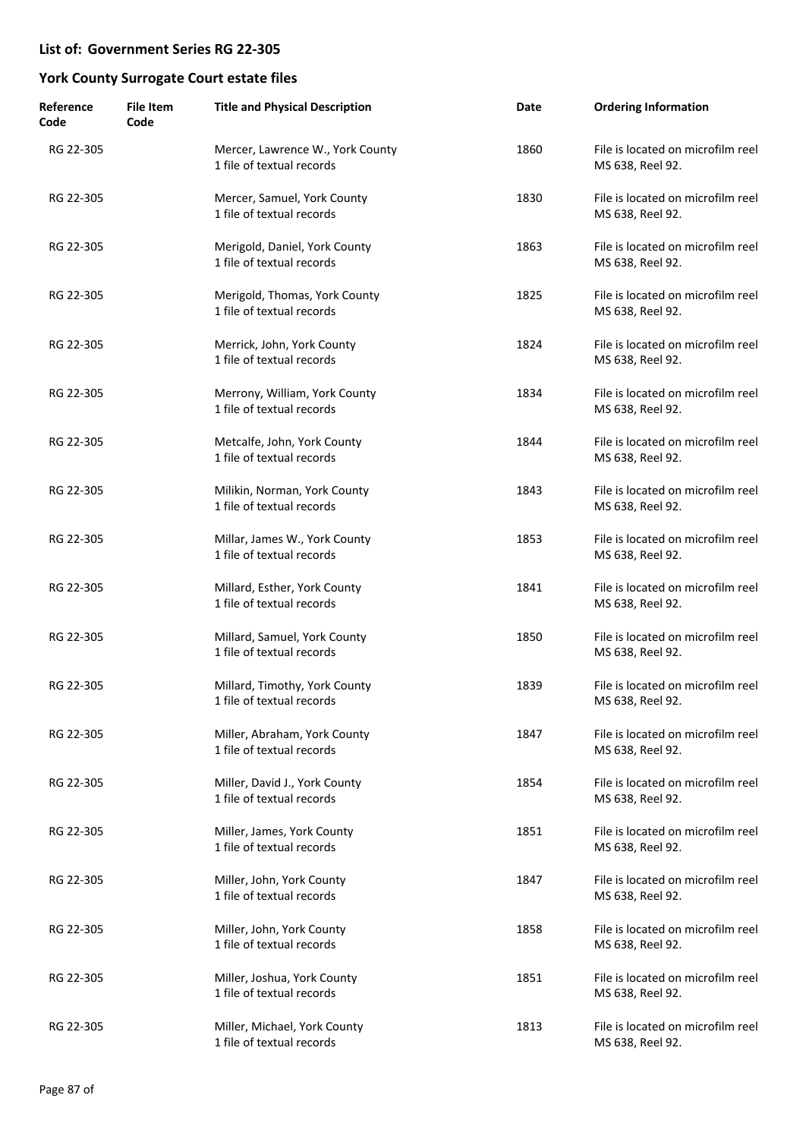| Reference<br>Code | <b>File Item</b><br>Code | <b>Title and Physical Description</b>                         | Date | <b>Ordering Information</b>                           |
|-------------------|--------------------------|---------------------------------------------------------------|------|-------------------------------------------------------|
| RG 22-305         |                          | Mercer, Lawrence W., York County<br>1 file of textual records | 1860 | File is located on microfilm reel<br>MS 638, Reel 92. |
| RG 22-305         |                          | Mercer, Samuel, York County<br>1 file of textual records      | 1830 | File is located on microfilm reel<br>MS 638, Reel 92. |
| RG 22-305         |                          | Merigold, Daniel, York County<br>1 file of textual records    | 1863 | File is located on microfilm reel<br>MS 638, Reel 92. |
| RG 22-305         |                          | Merigold, Thomas, York County<br>1 file of textual records    | 1825 | File is located on microfilm reel<br>MS 638, Reel 92. |
| RG 22-305         |                          | Merrick, John, York County<br>1 file of textual records       | 1824 | File is located on microfilm reel<br>MS 638, Reel 92. |
| RG 22-305         |                          | Merrony, William, York County<br>1 file of textual records    | 1834 | File is located on microfilm reel<br>MS 638, Reel 92. |
| RG 22-305         |                          | Metcalfe, John, York County<br>1 file of textual records      | 1844 | File is located on microfilm reel<br>MS 638, Reel 92. |
| RG 22-305         |                          | Milikin, Norman, York County<br>1 file of textual records     | 1843 | File is located on microfilm reel<br>MS 638, Reel 92. |
| RG 22-305         |                          | Millar, James W., York County<br>1 file of textual records    | 1853 | File is located on microfilm reel<br>MS 638, Reel 92. |
| RG 22-305         |                          | Millard, Esther, York County<br>1 file of textual records     | 1841 | File is located on microfilm reel<br>MS 638, Reel 92. |
| RG 22-305         |                          | Millard, Samuel, York County<br>1 file of textual records     | 1850 | File is located on microfilm reel<br>MS 638, Reel 92. |
| RG 22-305         |                          | Millard, Timothy, York County<br>1 file of textual records    | 1839 | File is located on microfilm reel<br>MS 638, Reel 92. |
| RG 22-305         |                          | Miller, Abraham, York County<br>1 file of textual records     | 1847 | File is located on microfilm reel<br>MS 638, Reel 92. |
| RG 22-305         |                          | Miller, David J., York County<br>1 file of textual records    | 1854 | File is located on microfilm reel<br>MS 638, Reel 92. |
| RG 22-305         |                          | Miller, James, York County<br>1 file of textual records       | 1851 | File is located on microfilm reel<br>MS 638, Reel 92. |
| RG 22-305         |                          | Miller, John, York County<br>1 file of textual records        | 1847 | File is located on microfilm reel<br>MS 638, Reel 92. |
| RG 22-305         |                          | Miller, John, York County<br>1 file of textual records        | 1858 | File is located on microfilm reel<br>MS 638, Reel 92. |
| RG 22-305         |                          | Miller, Joshua, York County<br>1 file of textual records      | 1851 | File is located on microfilm reel<br>MS 638, Reel 92. |
| RG 22-305         |                          | Miller, Michael, York County<br>1 file of textual records     | 1813 | File is located on microfilm reel<br>MS 638, Reel 92. |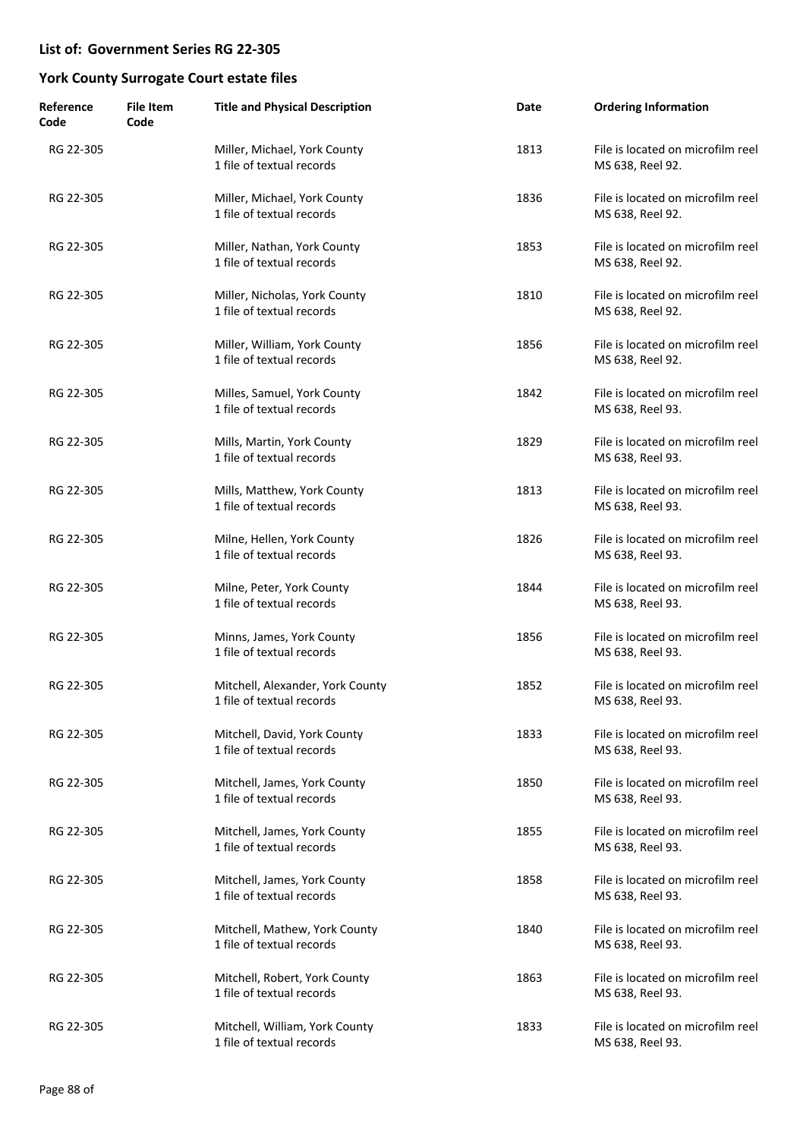| Reference<br>Code | <b>File Item</b><br>Code | <b>Title and Physical Description</b>                         | Date | <b>Ordering Information</b>                           |
|-------------------|--------------------------|---------------------------------------------------------------|------|-------------------------------------------------------|
| RG 22-305         |                          | Miller, Michael, York County<br>1 file of textual records     | 1813 | File is located on microfilm reel<br>MS 638, Reel 92. |
| RG 22-305         |                          | Miller, Michael, York County<br>1 file of textual records     | 1836 | File is located on microfilm reel<br>MS 638, Reel 92. |
| RG 22-305         |                          | Miller, Nathan, York County<br>1 file of textual records      | 1853 | File is located on microfilm reel<br>MS 638, Reel 92. |
| RG 22-305         |                          | Miller, Nicholas, York County<br>1 file of textual records    | 1810 | File is located on microfilm reel<br>MS 638, Reel 92. |
| RG 22-305         |                          | Miller, William, York County<br>1 file of textual records     | 1856 | File is located on microfilm reel<br>MS 638, Reel 92. |
| RG 22-305         |                          | Milles, Samuel, York County<br>1 file of textual records      | 1842 | File is located on microfilm reel<br>MS 638, Reel 93. |
| RG 22-305         |                          | Mills, Martin, York County<br>1 file of textual records       | 1829 | File is located on microfilm reel<br>MS 638, Reel 93. |
| RG 22-305         |                          | Mills, Matthew, York County<br>1 file of textual records      | 1813 | File is located on microfilm reel<br>MS 638, Reel 93. |
| RG 22-305         |                          | Milne, Hellen, York County<br>1 file of textual records       | 1826 | File is located on microfilm reel<br>MS 638, Reel 93. |
| RG 22-305         |                          | Milne, Peter, York County<br>1 file of textual records        | 1844 | File is located on microfilm reel<br>MS 638, Reel 93. |
| RG 22-305         |                          | Minns, James, York County<br>1 file of textual records        | 1856 | File is located on microfilm reel<br>MS 638, Reel 93. |
| RG 22-305         |                          | Mitchell, Alexander, York County<br>1 file of textual records | 1852 | File is located on microfilm reel<br>MS 638, Reel 93. |
| RG 22-305         |                          | Mitchell, David, York County<br>1 file of textual records     | 1833 | File is located on microfilm reel<br>MS 638, Reel 93. |
| RG 22-305         |                          | Mitchell, James, York County<br>1 file of textual records     | 1850 | File is located on microfilm reel<br>MS 638, Reel 93. |
| RG 22-305         |                          | Mitchell, James, York County<br>1 file of textual records     | 1855 | File is located on microfilm reel<br>MS 638, Reel 93. |
| RG 22-305         |                          | Mitchell, James, York County<br>1 file of textual records     | 1858 | File is located on microfilm reel<br>MS 638, Reel 93. |
| RG 22-305         |                          | Mitchell, Mathew, York County<br>1 file of textual records    | 1840 | File is located on microfilm reel<br>MS 638, Reel 93. |
| RG 22-305         |                          | Mitchell, Robert, York County<br>1 file of textual records    | 1863 | File is located on microfilm reel<br>MS 638, Reel 93. |
| RG 22-305         |                          | Mitchell, William, York County<br>1 file of textual records   | 1833 | File is located on microfilm reel<br>MS 638, Reel 93. |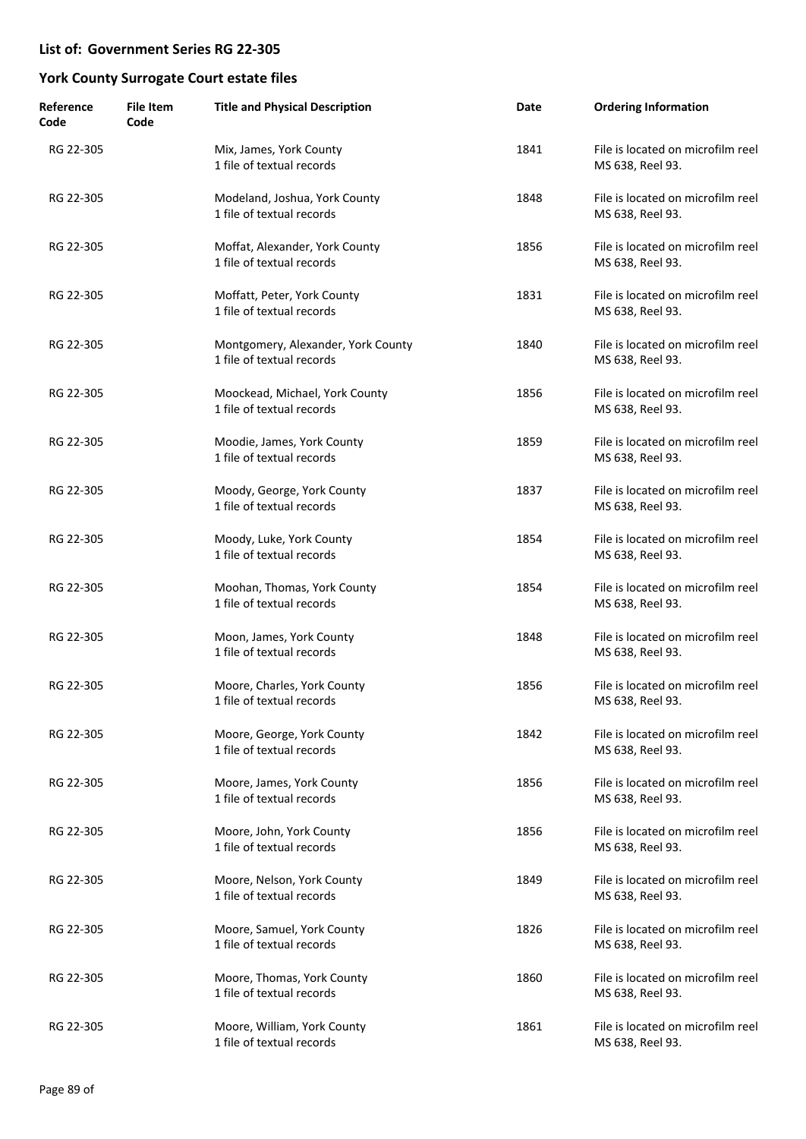| Reference<br>Code | <b>File Item</b><br>Code | <b>Title and Physical Description</b>                           | Date | <b>Ordering Information</b>                           |
|-------------------|--------------------------|-----------------------------------------------------------------|------|-------------------------------------------------------|
| RG 22-305         |                          | Mix, James, York County<br>1 file of textual records            | 1841 | File is located on microfilm reel<br>MS 638, Reel 93. |
| RG 22-305         |                          | Modeland, Joshua, York County<br>1 file of textual records      | 1848 | File is located on microfilm reel<br>MS 638, Reel 93. |
| RG 22-305         |                          | Moffat, Alexander, York County<br>1 file of textual records     | 1856 | File is located on microfilm reel<br>MS 638, Reel 93. |
| RG 22-305         |                          | Moffatt, Peter, York County<br>1 file of textual records        | 1831 | File is located on microfilm reel<br>MS 638, Reel 93. |
| RG 22-305         |                          | Montgomery, Alexander, York County<br>1 file of textual records | 1840 | File is located on microfilm reel<br>MS 638, Reel 93. |
| RG 22-305         |                          | Moockead, Michael, York County<br>1 file of textual records     | 1856 | File is located on microfilm reel<br>MS 638, Reel 93. |
| RG 22-305         |                          | Moodie, James, York County<br>1 file of textual records         | 1859 | File is located on microfilm reel<br>MS 638, Reel 93. |
| RG 22-305         |                          | Moody, George, York County<br>1 file of textual records         | 1837 | File is located on microfilm reel<br>MS 638, Reel 93. |
| RG 22-305         |                          | Moody, Luke, York County<br>1 file of textual records           | 1854 | File is located on microfilm reel<br>MS 638, Reel 93. |
| RG 22-305         |                          | Moohan, Thomas, York County<br>1 file of textual records        | 1854 | File is located on microfilm reel<br>MS 638, Reel 93. |
| RG 22-305         |                          | Moon, James, York County<br>1 file of textual records           | 1848 | File is located on microfilm reel<br>MS 638, Reel 93. |
| RG 22-305         |                          | Moore, Charles, York County<br>1 file of textual records        | 1856 | File is located on microfilm reel<br>MS 638, Reel 93. |
| RG 22-305         |                          | Moore, George, York County<br>1 file of textual records         | 1842 | File is located on microfilm reel<br>MS 638, Reel 93. |
| RG 22-305         |                          | Moore, James, York County<br>1 file of textual records          | 1856 | File is located on microfilm reel<br>MS 638, Reel 93. |
| RG 22-305         |                          | Moore, John, York County<br>1 file of textual records           | 1856 | File is located on microfilm reel<br>MS 638, Reel 93. |
| RG 22-305         |                          | Moore, Nelson, York County<br>1 file of textual records         | 1849 | File is located on microfilm reel<br>MS 638, Reel 93. |
| RG 22-305         |                          | Moore, Samuel, York County<br>1 file of textual records         | 1826 | File is located on microfilm reel<br>MS 638, Reel 93. |
| RG 22-305         |                          | Moore, Thomas, York County<br>1 file of textual records         | 1860 | File is located on microfilm reel<br>MS 638, Reel 93. |
| RG 22-305         |                          | Moore, William, York County<br>1 file of textual records        | 1861 | File is located on microfilm reel<br>MS 638, Reel 93. |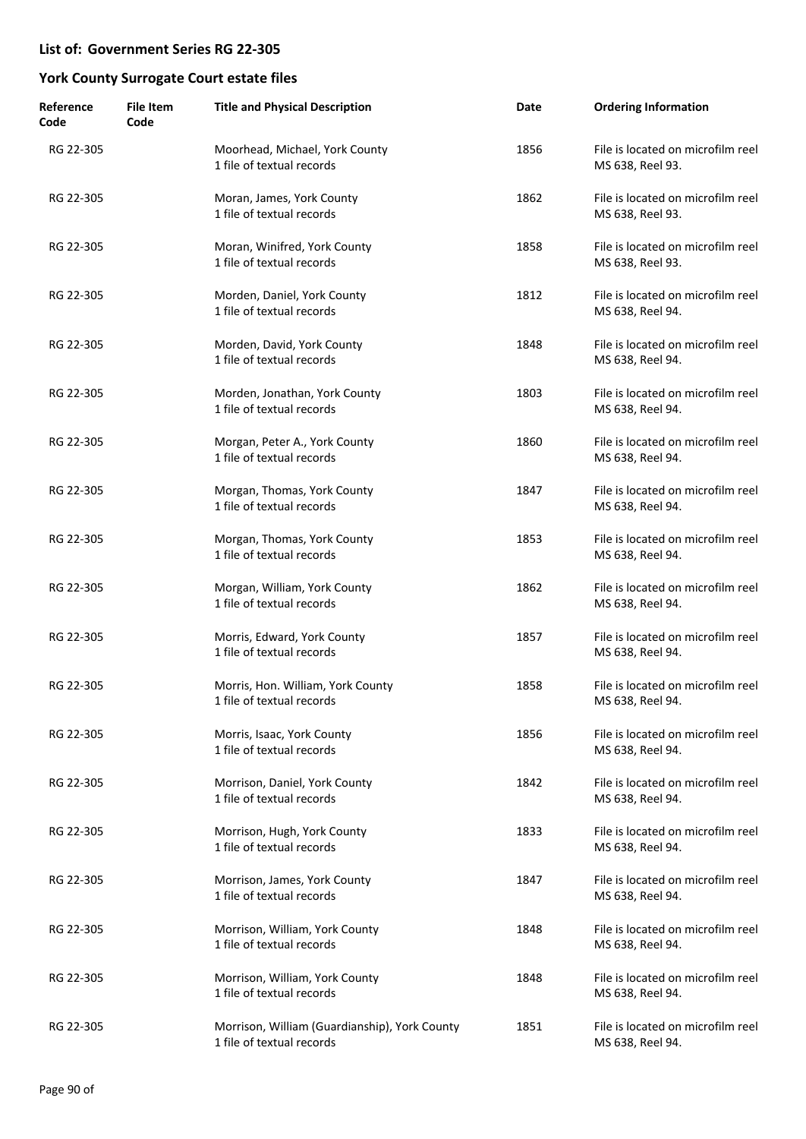| Reference<br>Code | <b>File Item</b><br>Code | <b>Title and Physical Description</b>                                      | Date | <b>Ordering Information</b>                           |
|-------------------|--------------------------|----------------------------------------------------------------------------|------|-------------------------------------------------------|
| RG 22-305         |                          | Moorhead, Michael, York County<br>1 file of textual records                | 1856 | File is located on microfilm reel<br>MS 638, Reel 93. |
| RG 22-305         |                          | Moran, James, York County<br>1 file of textual records                     | 1862 | File is located on microfilm reel<br>MS 638, Reel 93. |
| RG 22-305         |                          | Moran, Winifred, York County<br>1 file of textual records                  | 1858 | File is located on microfilm reel<br>MS 638, Reel 93. |
| RG 22-305         |                          | Morden, Daniel, York County<br>1 file of textual records                   | 1812 | File is located on microfilm reel<br>MS 638, Reel 94. |
| RG 22-305         |                          | Morden, David, York County<br>1 file of textual records                    | 1848 | File is located on microfilm reel<br>MS 638, Reel 94. |
| RG 22-305         |                          | Morden, Jonathan, York County<br>1 file of textual records                 | 1803 | File is located on microfilm reel<br>MS 638, Reel 94. |
| RG 22-305         |                          | Morgan, Peter A., York County<br>1 file of textual records                 | 1860 | File is located on microfilm reel<br>MS 638, Reel 94. |
| RG 22-305         |                          | Morgan, Thomas, York County<br>1 file of textual records                   | 1847 | File is located on microfilm reel<br>MS 638, Reel 94. |
| RG 22-305         |                          | Morgan, Thomas, York County<br>1 file of textual records                   | 1853 | File is located on microfilm reel<br>MS 638, Reel 94. |
| RG 22-305         |                          | Morgan, William, York County<br>1 file of textual records                  | 1862 | File is located on microfilm reel<br>MS 638, Reel 94. |
| RG 22-305         |                          | Morris, Edward, York County<br>1 file of textual records                   | 1857 | File is located on microfilm reel<br>MS 638, Reel 94. |
| RG 22-305         |                          | Morris, Hon. William, York County<br>1 file of textual records             | 1858 | File is located on microfilm reel<br>MS 638, Reel 94. |
| RG 22-305         |                          | Morris, Isaac, York County<br>1 file of textual records                    | 1856 | File is located on microfilm reel<br>MS 638, Reel 94. |
| RG 22-305         |                          | Morrison, Daniel, York County<br>1 file of textual records                 | 1842 | File is located on microfilm reel<br>MS 638, Reel 94. |
| RG 22-305         |                          | Morrison, Hugh, York County<br>1 file of textual records                   | 1833 | File is located on microfilm reel<br>MS 638, Reel 94. |
| RG 22-305         |                          | Morrison, James, York County<br>1 file of textual records                  | 1847 | File is located on microfilm reel<br>MS 638, Reel 94. |
| RG 22-305         |                          | Morrison, William, York County<br>1 file of textual records                | 1848 | File is located on microfilm reel<br>MS 638, Reel 94. |
| RG 22-305         |                          | Morrison, William, York County<br>1 file of textual records                | 1848 | File is located on microfilm reel<br>MS 638, Reel 94. |
| RG 22-305         |                          | Morrison, William (Guardianship), York County<br>1 file of textual records | 1851 | File is located on microfilm reel<br>MS 638, Reel 94. |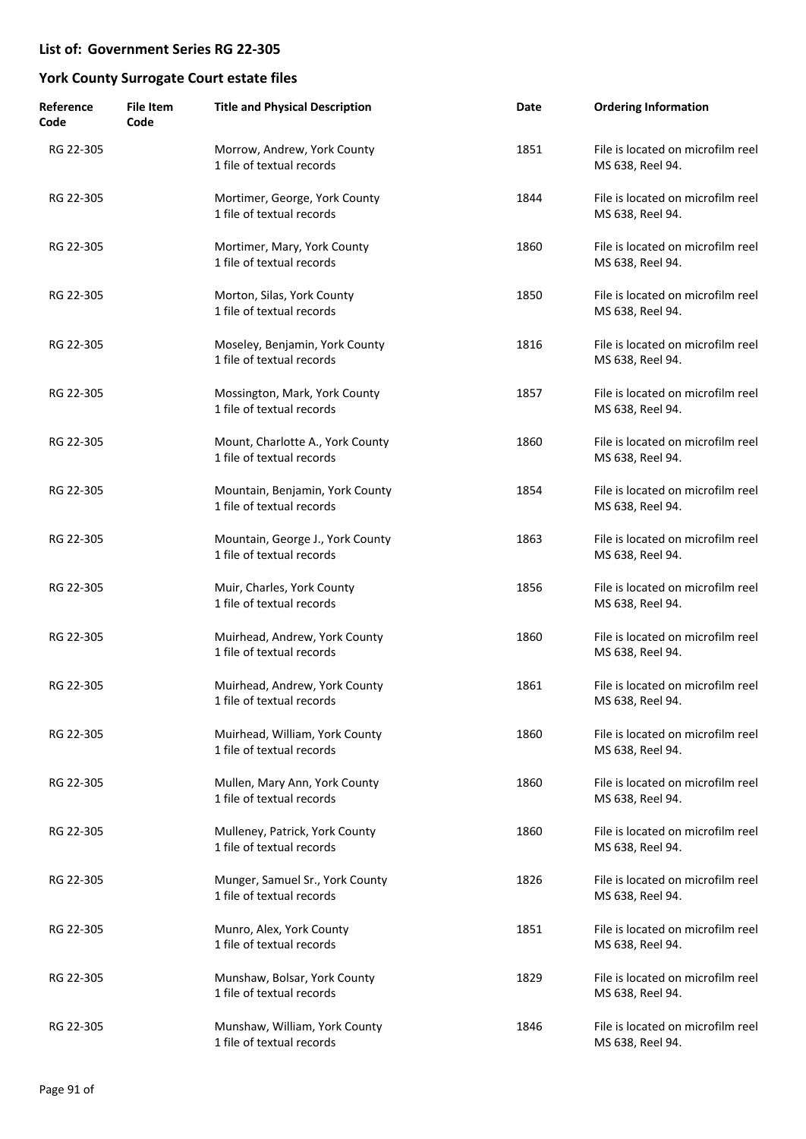| Reference<br>Code | <b>File Item</b><br>Code | <b>Title and Physical Description</b>                         | Date | <b>Ordering Information</b>                           |
|-------------------|--------------------------|---------------------------------------------------------------|------|-------------------------------------------------------|
| RG 22-305         |                          | Morrow, Andrew, York County<br>1 file of textual records      | 1851 | File is located on microfilm reel<br>MS 638, Reel 94. |
| RG 22-305         |                          | Mortimer, George, York County<br>1 file of textual records    | 1844 | File is located on microfilm reel<br>MS 638, Reel 94. |
| RG 22-305         |                          | Mortimer, Mary, York County<br>1 file of textual records      | 1860 | File is located on microfilm reel<br>MS 638, Reel 94. |
| RG 22-305         |                          | Morton, Silas, York County<br>1 file of textual records       | 1850 | File is located on microfilm reel<br>MS 638, Reel 94. |
| RG 22-305         |                          | Moseley, Benjamin, York County<br>1 file of textual records   | 1816 | File is located on microfilm reel<br>MS 638, Reel 94. |
| RG 22-305         |                          | Mossington, Mark, York County<br>1 file of textual records    | 1857 | File is located on microfilm reel<br>MS 638, Reel 94. |
| RG 22-305         |                          | Mount, Charlotte A., York County<br>1 file of textual records | 1860 | File is located on microfilm reel<br>MS 638, Reel 94. |
| RG 22-305         |                          | Mountain, Benjamin, York County<br>1 file of textual records  | 1854 | File is located on microfilm reel<br>MS 638, Reel 94. |
| RG 22-305         |                          | Mountain, George J., York County<br>1 file of textual records | 1863 | File is located on microfilm reel<br>MS 638, Reel 94. |
| RG 22-305         |                          | Muir, Charles, York County<br>1 file of textual records       | 1856 | File is located on microfilm reel<br>MS 638, Reel 94. |
| RG 22-305         |                          | Muirhead, Andrew, York County<br>1 file of textual records    | 1860 | File is located on microfilm reel<br>MS 638, Reel 94. |
| RG 22-305         |                          | Muirhead, Andrew, York County<br>1 file of textual records    | 1861 | File is located on microfilm reel<br>MS 638, Reel 94. |
| RG 22-305         |                          | Muirhead, William, York County<br>1 file of textual records   | 1860 | File is located on microfilm reel<br>MS 638, Reel 94. |
| RG 22-305         |                          | Mullen, Mary Ann, York County<br>1 file of textual records    | 1860 | File is located on microfilm reel<br>MS 638, Reel 94. |
| RG 22-305         |                          | Mulleney, Patrick, York County<br>1 file of textual records   | 1860 | File is located on microfilm reel<br>MS 638, Reel 94. |
| RG 22-305         |                          | Munger, Samuel Sr., York County<br>1 file of textual records  | 1826 | File is located on microfilm reel<br>MS 638, Reel 94. |
| RG 22-305         |                          | Munro, Alex, York County<br>1 file of textual records         | 1851 | File is located on microfilm reel<br>MS 638, Reel 94. |
| RG 22-305         |                          | Munshaw, Bolsar, York County<br>1 file of textual records     | 1829 | File is located on microfilm reel<br>MS 638, Reel 94. |
| RG 22-305         |                          | Munshaw, William, York County<br>1 file of textual records    | 1846 | File is located on microfilm reel<br>MS 638, Reel 94. |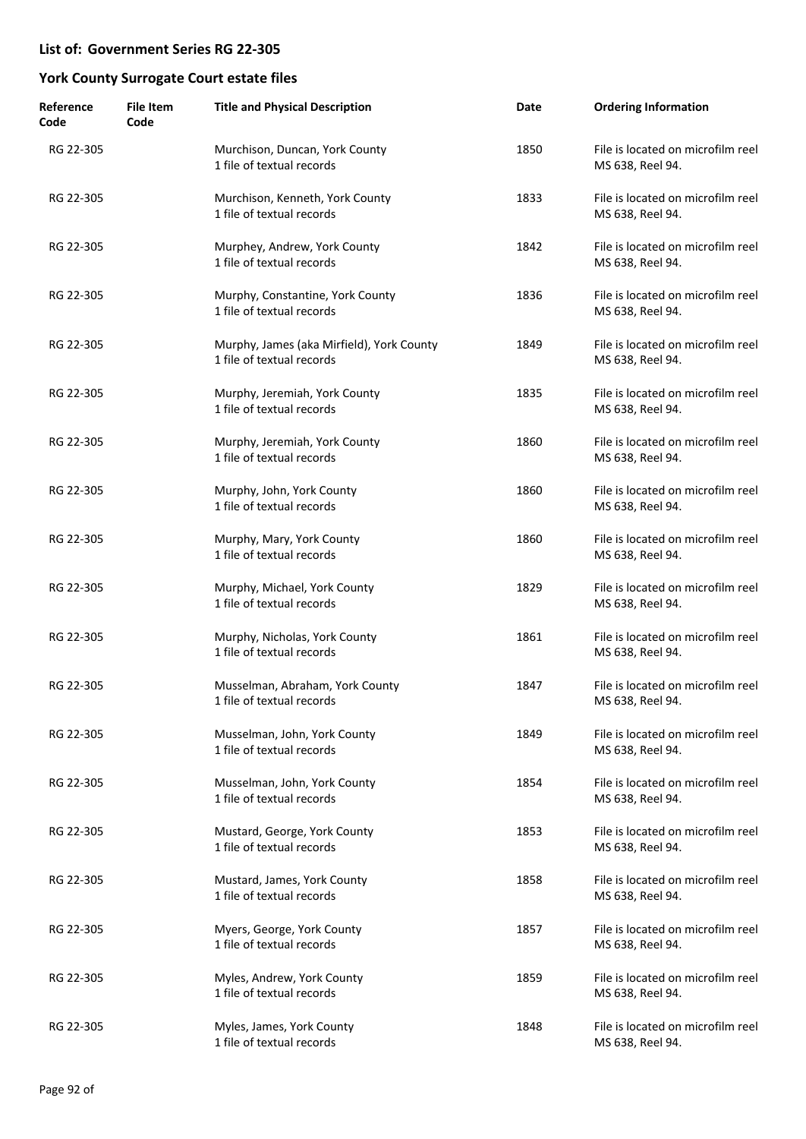| Reference<br>Code | <b>File Item</b><br>Code | <b>Title and Physical Description</b>                                  | Date | <b>Ordering Information</b>                           |
|-------------------|--------------------------|------------------------------------------------------------------------|------|-------------------------------------------------------|
| RG 22-305         |                          | Murchison, Duncan, York County<br>1 file of textual records            | 1850 | File is located on microfilm reel<br>MS 638, Reel 94. |
| RG 22-305         |                          | Murchison, Kenneth, York County<br>1 file of textual records           | 1833 | File is located on microfilm reel<br>MS 638, Reel 94. |
| RG 22-305         |                          | Murphey, Andrew, York County<br>1 file of textual records              | 1842 | File is located on microfilm reel<br>MS 638, Reel 94. |
| RG 22-305         |                          | Murphy, Constantine, York County<br>1 file of textual records          | 1836 | File is located on microfilm reel<br>MS 638, Reel 94. |
| RG 22-305         |                          | Murphy, James (aka Mirfield), York County<br>1 file of textual records | 1849 | File is located on microfilm reel<br>MS 638, Reel 94. |
| RG 22-305         |                          | Murphy, Jeremiah, York County<br>1 file of textual records             | 1835 | File is located on microfilm reel<br>MS 638, Reel 94. |
| RG 22-305         |                          | Murphy, Jeremiah, York County<br>1 file of textual records             | 1860 | File is located on microfilm reel<br>MS 638, Reel 94. |
| RG 22-305         |                          | Murphy, John, York County<br>1 file of textual records                 | 1860 | File is located on microfilm reel<br>MS 638, Reel 94. |
| RG 22-305         |                          | Murphy, Mary, York County<br>1 file of textual records                 | 1860 | File is located on microfilm reel<br>MS 638, Reel 94. |
| RG 22-305         |                          | Murphy, Michael, York County<br>1 file of textual records              | 1829 | File is located on microfilm reel<br>MS 638, Reel 94. |
| RG 22-305         |                          | Murphy, Nicholas, York County<br>1 file of textual records             | 1861 | File is located on microfilm reel<br>MS 638, Reel 94. |
| RG 22-305         |                          | Musselman, Abraham, York County<br>1 file of textual records           | 1847 | File is located on microfilm reel<br>MS 638, Reel 94. |
| RG 22-305         |                          | Musselman, John, York County<br>1 file of textual records              | 1849 | File is located on microfilm reel<br>MS 638, Reel 94. |
| RG 22-305         |                          | Musselman, John, York County<br>1 file of textual records              | 1854 | File is located on microfilm reel<br>MS 638, Reel 94. |
| RG 22-305         |                          | Mustard, George, York County<br>1 file of textual records              | 1853 | File is located on microfilm reel<br>MS 638, Reel 94. |
| RG 22-305         |                          | Mustard, James, York County<br>1 file of textual records               | 1858 | File is located on microfilm reel<br>MS 638, Reel 94. |
| RG 22-305         |                          | Myers, George, York County<br>1 file of textual records                | 1857 | File is located on microfilm reel<br>MS 638, Reel 94. |
| RG 22-305         |                          | Myles, Andrew, York County<br>1 file of textual records                | 1859 | File is located on microfilm reel<br>MS 638, Reel 94. |
| RG 22-305         |                          | Myles, James, York County<br>1 file of textual records                 | 1848 | File is located on microfilm reel<br>MS 638, Reel 94. |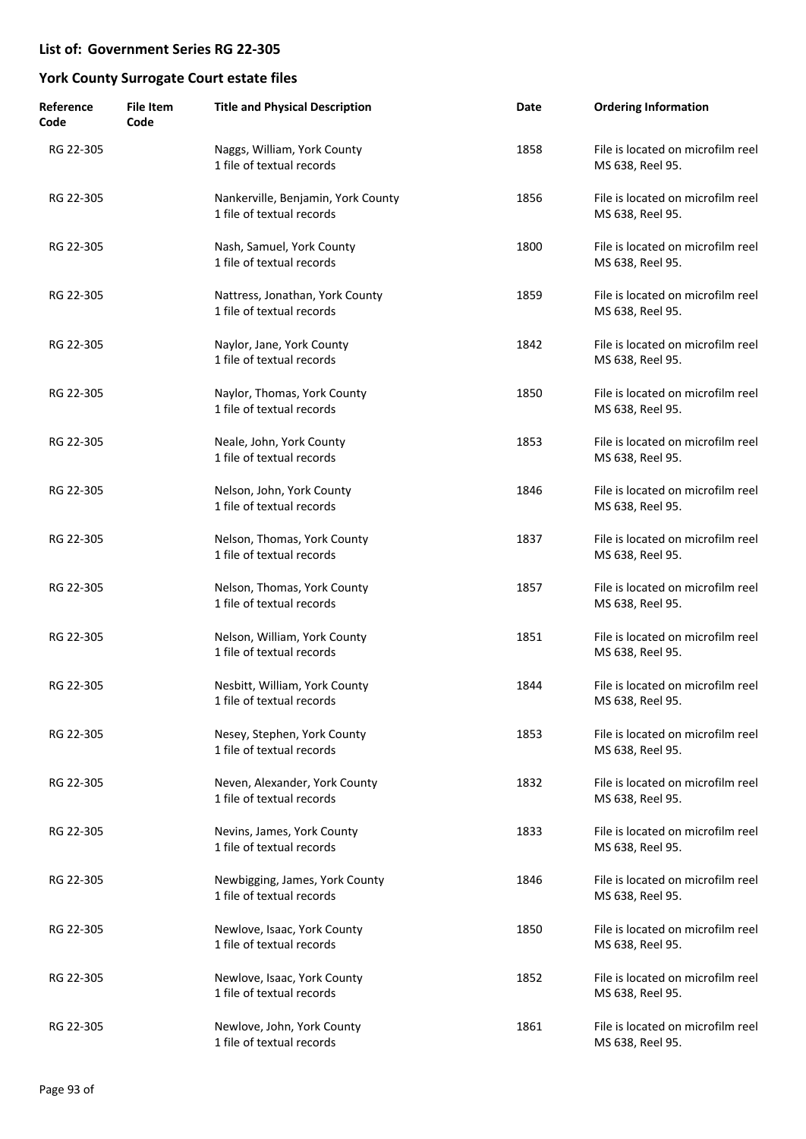| Reference<br>Code | <b>File Item</b><br>Code | <b>Title and Physical Description</b>                           | Date | <b>Ordering Information</b>                           |
|-------------------|--------------------------|-----------------------------------------------------------------|------|-------------------------------------------------------|
| RG 22-305         |                          | Naggs, William, York County<br>1 file of textual records        | 1858 | File is located on microfilm reel<br>MS 638, Reel 95. |
| RG 22-305         |                          | Nankerville, Benjamin, York County<br>1 file of textual records | 1856 | File is located on microfilm reel<br>MS 638, Reel 95. |
| RG 22-305         |                          | Nash, Samuel, York County<br>1 file of textual records          | 1800 | File is located on microfilm reel<br>MS 638, Reel 95. |
| RG 22-305         |                          | Nattress, Jonathan, York County<br>1 file of textual records    | 1859 | File is located on microfilm reel<br>MS 638, Reel 95. |
| RG 22-305         |                          | Naylor, Jane, York County<br>1 file of textual records          | 1842 | File is located on microfilm reel<br>MS 638, Reel 95. |
| RG 22-305         |                          | Naylor, Thomas, York County<br>1 file of textual records        | 1850 | File is located on microfilm reel<br>MS 638, Reel 95. |
| RG 22-305         |                          | Neale, John, York County<br>1 file of textual records           | 1853 | File is located on microfilm reel<br>MS 638, Reel 95. |
| RG 22-305         |                          | Nelson, John, York County<br>1 file of textual records          | 1846 | File is located on microfilm reel<br>MS 638, Reel 95. |
| RG 22-305         |                          | Nelson, Thomas, York County<br>1 file of textual records        | 1837 | File is located on microfilm reel<br>MS 638, Reel 95. |
| RG 22-305         |                          | Nelson, Thomas, York County<br>1 file of textual records        | 1857 | File is located on microfilm reel<br>MS 638, Reel 95. |
| RG 22-305         |                          | Nelson, William, York County<br>1 file of textual records       | 1851 | File is located on microfilm reel<br>MS 638, Reel 95. |
| RG 22-305         |                          | Nesbitt, William, York County<br>1 file of textual records      | 1844 | File is located on microfilm reel<br>MS 638, Reel 95. |
| RG 22-305         |                          | Nesey, Stephen, York County<br>1 file of textual records        | 1853 | File is located on microfilm reel<br>MS 638, Reel 95. |
| RG 22-305         |                          | Neven, Alexander, York County<br>1 file of textual records      | 1832 | File is located on microfilm reel<br>MS 638, Reel 95. |
| RG 22-305         |                          | Nevins, James, York County<br>1 file of textual records         | 1833 | File is located on microfilm reel<br>MS 638, Reel 95. |
| RG 22-305         |                          | Newbigging, James, York County<br>1 file of textual records     | 1846 | File is located on microfilm reel<br>MS 638, Reel 95. |
| RG 22-305         |                          | Newlove, Isaac, York County<br>1 file of textual records        | 1850 | File is located on microfilm reel<br>MS 638, Reel 95. |
| RG 22-305         |                          | Newlove, Isaac, York County<br>1 file of textual records        | 1852 | File is located on microfilm reel<br>MS 638, Reel 95. |
| RG 22-305         |                          | Newlove, John, York County<br>1 file of textual records         | 1861 | File is located on microfilm reel<br>MS 638, Reel 95. |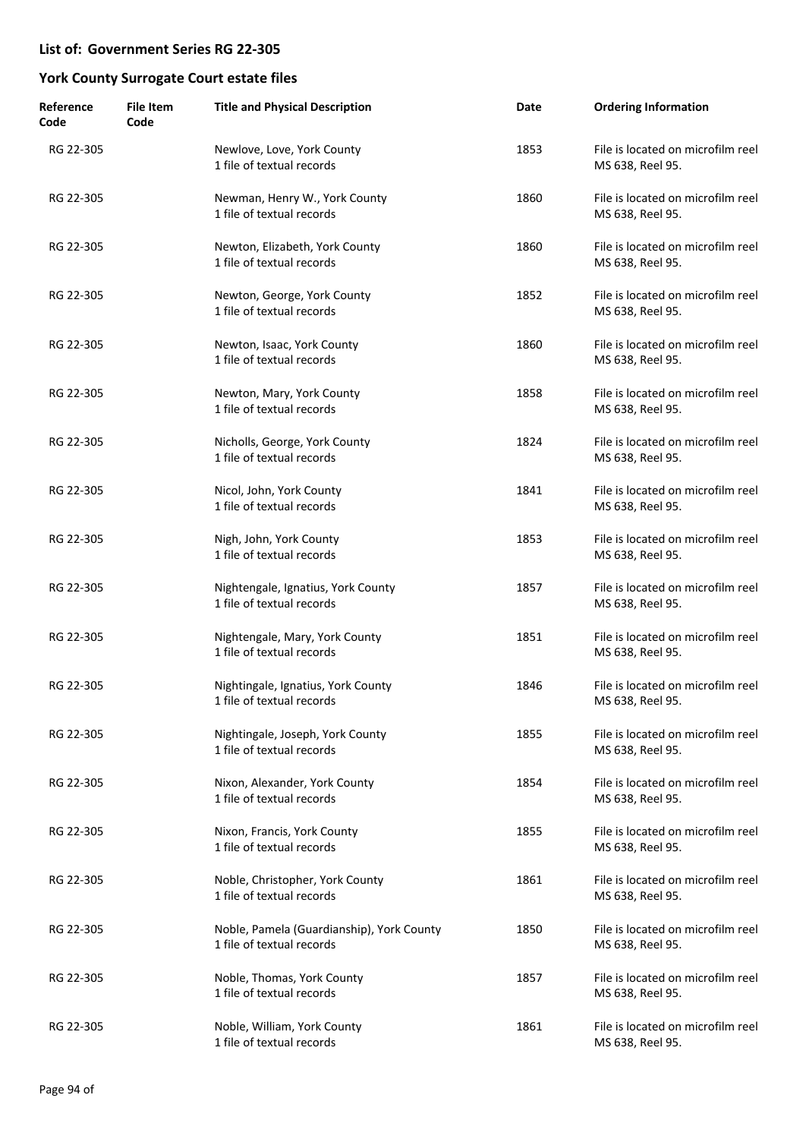| Reference<br>Code | <b>File Item</b><br>Code | <b>Title and Physical Description</b>                                  | Date | <b>Ordering Information</b>                           |
|-------------------|--------------------------|------------------------------------------------------------------------|------|-------------------------------------------------------|
| RG 22-305         |                          | Newlove, Love, York County<br>1 file of textual records                | 1853 | File is located on microfilm reel<br>MS 638, Reel 95. |
| RG 22-305         |                          | Newman, Henry W., York County<br>1 file of textual records             | 1860 | File is located on microfilm reel<br>MS 638, Reel 95. |
| RG 22-305         |                          | Newton, Elizabeth, York County<br>1 file of textual records            | 1860 | File is located on microfilm reel<br>MS 638, Reel 95. |
| RG 22-305         |                          | Newton, George, York County<br>1 file of textual records               | 1852 | File is located on microfilm reel<br>MS 638, Reel 95. |
| RG 22-305         |                          | Newton, Isaac, York County<br>1 file of textual records                | 1860 | File is located on microfilm reel<br>MS 638, Reel 95. |
| RG 22-305         |                          | Newton, Mary, York County<br>1 file of textual records                 | 1858 | File is located on microfilm reel<br>MS 638, Reel 95. |
| RG 22-305         |                          | Nicholls, George, York County<br>1 file of textual records             | 1824 | File is located on microfilm reel<br>MS 638, Reel 95. |
| RG 22-305         |                          | Nicol, John, York County<br>1 file of textual records                  | 1841 | File is located on microfilm reel<br>MS 638, Reel 95. |
| RG 22-305         |                          | Nigh, John, York County<br>1 file of textual records                   | 1853 | File is located on microfilm reel<br>MS 638, Reel 95. |
| RG 22-305         |                          | Nightengale, Ignatius, York County<br>1 file of textual records        | 1857 | File is located on microfilm reel<br>MS 638, Reel 95. |
| RG 22-305         |                          | Nightengale, Mary, York County<br>1 file of textual records            | 1851 | File is located on microfilm reel<br>MS 638, Reel 95. |
| RG 22-305         |                          | Nightingale, Ignatius, York County<br>1 file of textual records        | 1846 | File is located on microfilm reel<br>MS 638, Reel 95. |
| RG 22-305         |                          | Nightingale, Joseph, York County<br>1 file of textual records          | 1855 | File is located on microfilm reel<br>MS 638, Reel 95. |
| RG 22-305         |                          | Nixon, Alexander, York County<br>1 file of textual records             | 1854 | File is located on microfilm reel<br>MS 638, Reel 95. |
| RG 22-305         |                          | Nixon, Francis, York County<br>1 file of textual records               | 1855 | File is located on microfilm reel<br>MS 638, Reel 95. |
| RG 22-305         |                          | Noble, Christopher, York County<br>1 file of textual records           | 1861 | File is located on microfilm reel<br>MS 638, Reel 95. |
| RG 22-305         |                          | Noble, Pamela (Guardianship), York County<br>1 file of textual records | 1850 | File is located on microfilm reel<br>MS 638, Reel 95. |
| RG 22-305         |                          | Noble, Thomas, York County<br>1 file of textual records                | 1857 | File is located on microfilm reel<br>MS 638, Reel 95. |
| RG 22-305         |                          | Noble, William, York County<br>1 file of textual records               | 1861 | File is located on microfilm reel<br>MS 638, Reel 95. |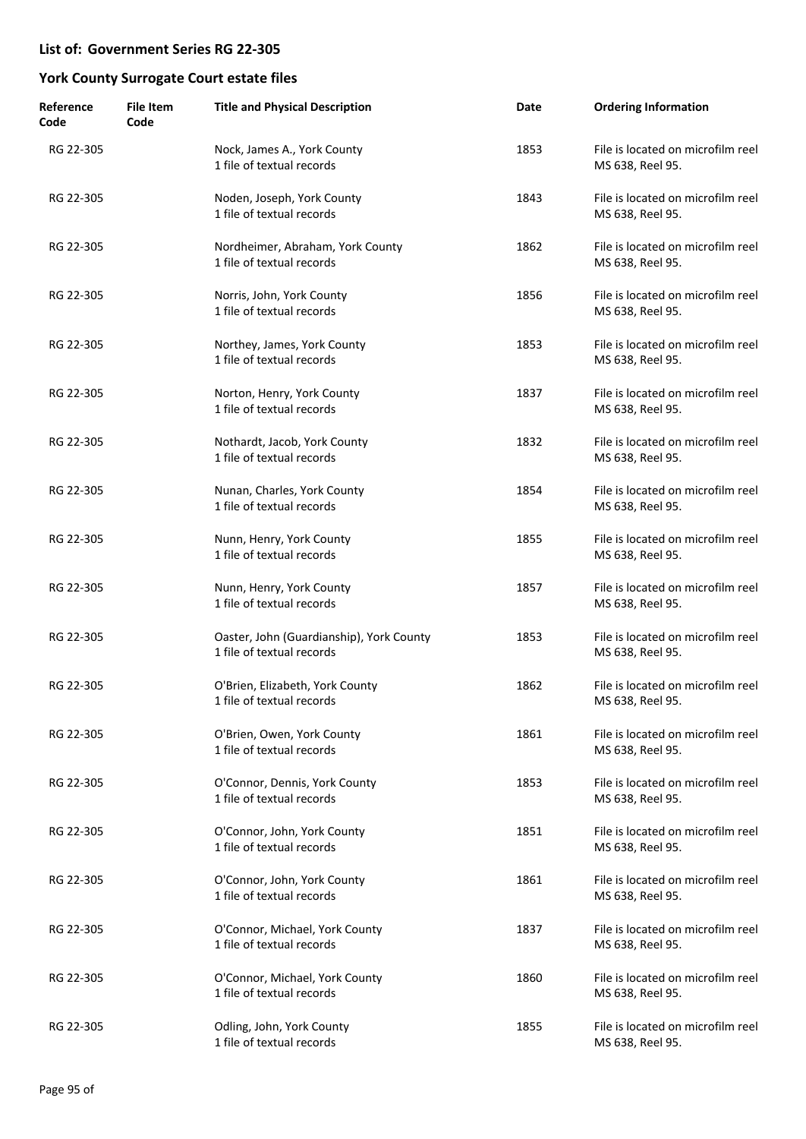| Reference<br>Code | <b>File Item</b><br>Code | <b>Title and Physical Description</b>                                 | Date | <b>Ordering Information</b>                           |
|-------------------|--------------------------|-----------------------------------------------------------------------|------|-------------------------------------------------------|
| RG 22-305         |                          | Nock, James A., York County<br>1 file of textual records              | 1853 | File is located on microfilm reel<br>MS 638, Reel 95. |
| RG 22-305         |                          | Noden, Joseph, York County<br>1 file of textual records               | 1843 | File is located on microfilm reel<br>MS 638, Reel 95. |
| RG 22-305         |                          | Nordheimer, Abraham, York County<br>1 file of textual records         | 1862 | File is located on microfilm reel<br>MS 638, Reel 95. |
| RG 22-305         |                          | Norris, John, York County<br>1 file of textual records                | 1856 | File is located on microfilm reel<br>MS 638, Reel 95. |
| RG 22-305         |                          | Northey, James, York County<br>1 file of textual records              | 1853 | File is located on microfilm reel<br>MS 638, Reel 95. |
| RG 22-305         |                          | Norton, Henry, York County<br>1 file of textual records               | 1837 | File is located on microfilm reel<br>MS 638, Reel 95. |
| RG 22-305         |                          | Nothardt, Jacob, York County<br>1 file of textual records             | 1832 | File is located on microfilm reel<br>MS 638, Reel 95. |
| RG 22-305         |                          | Nunan, Charles, York County<br>1 file of textual records              | 1854 | File is located on microfilm reel<br>MS 638, Reel 95. |
| RG 22-305         |                          | Nunn, Henry, York County<br>1 file of textual records                 | 1855 | File is located on microfilm reel<br>MS 638, Reel 95. |
| RG 22-305         |                          | Nunn, Henry, York County<br>1 file of textual records                 | 1857 | File is located on microfilm reel<br>MS 638, Reel 95. |
| RG 22-305         |                          | Oaster, John (Guardianship), York County<br>1 file of textual records | 1853 | File is located on microfilm reel<br>MS 638, Reel 95. |
| RG 22-305         |                          | O'Brien, Elizabeth, York County<br>1 file of textual records          | 1862 | File is located on microfilm reel<br>MS 638, Reel 95. |
| RG 22-305         |                          | O'Brien, Owen, York County<br>1 file of textual records               | 1861 | File is located on microfilm reel<br>MS 638, Reel 95. |
| RG 22-305         |                          | O'Connor, Dennis, York County<br>1 file of textual records            | 1853 | File is located on microfilm reel<br>MS 638, Reel 95. |
| RG 22-305         |                          | O'Connor, John, York County<br>1 file of textual records              | 1851 | File is located on microfilm reel<br>MS 638, Reel 95. |
| RG 22-305         |                          | O'Connor, John, York County<br>1 file of textual records              | 1861 | File is located on microfilm reel<br>MS 638, Reel 95. |
| RG 22-305         |                          | O'Connor, Michael, York County<br>1 file of textual records           | 1837 | File is located on microfilm reel<br>MS 638, Reel 95. |
| RG 22-305         |                          | O'Connor, Michael, York County<br>1 file of textual records           | 1860 | File is located on microfilm reel<br>MS 638, Reel 95. |
| RG 22-305         |                          | Odling, John, York County<br>1 file of textual records                | 1855 | File is located on microfilm reel<br>MS 638, Reel 95. |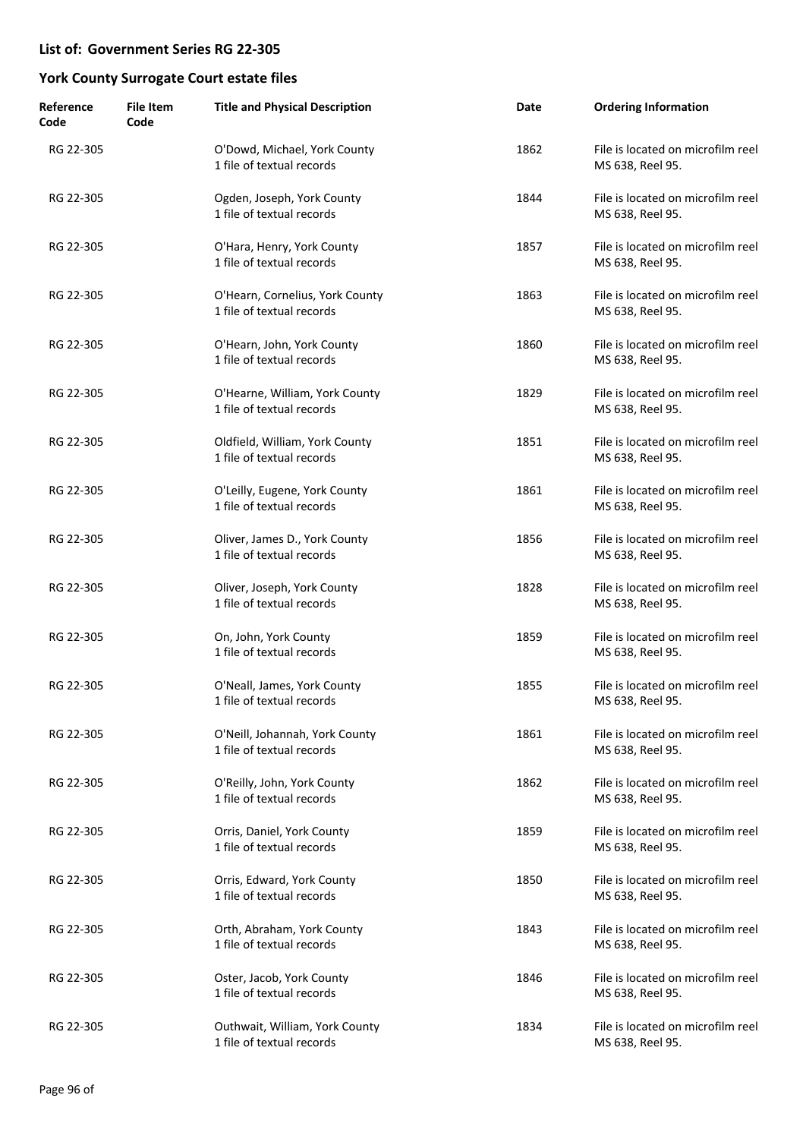| Reference<br>Code | <b>File Item</b><br>Code | <b>Title and Physical Description</b>                        | Date | <b>Ordering Information</b>                           |
|-------------------|--------------------------|--------------------------------------------------------------|------|-------------------------------------------------------|
| RG 22-305         |                          | O'Dowd, Michael, York County<br>1 file of textual records    | 1862 | File is located on microfilm reel<br>MS 638, Reel 95. |
| RG 22-305         |                          | Ogden, Joseph, York County<br>1 file of textual records      | 1844 | File is located on microfilm reel<br>MS 638, Reel 95. |
| RG 22-305         |                          | O'Hara, Henry, York County<br>1 file of textual records      | 1857 | File is located on microfilm reel<br>MS 638, Reel 95. |
| RG 22-305         |                          | O'Hearn, Cornelius, York County<br>1 file of textual records | 1863 | File is located on microfilm reel<br>MS 638, Reel 95. |
| RG 22-305         |                          | O'Hearn, John, York County<br>1 file of textual records      | 1860 | File is located on microfilm reel<br>MS 638, Reel 95. |
| RG 22-305         |                          | O'Hearne, William, York County<br>1 file of textual records  | 1829 | File is located on microfilm reel<br>MS 638, Reel 95. |
| RG 22-305         |                          | Oldfield, William, York County<br>1 file of textual records  | 1851 | File is located on microfilm reel<br>MS 638, Reel 95. |
| RG 22-305         |                          | O'Leilly, Eugene, York County<br>1 file of textual records   | 1861 | File is located on microfilm reel<br>MS 638, Reel 95. |
| RG 22-305         |                          | Oliver, James D., York County<br>1 file of textual records   | 1856 | File is located on microfilm reel<br>MS 638, Reel 95. |
| RG 22-305         |                          | Oliver, Joseph, York County<br>1 file of textual records     | 1828 | File is located on microfilm reel<br>MS 638, Reel 95. |
| RG 22-305         |                          | On, John, York County<br>1 file of textual records           | 1859 | File is located on microfilm reel<br>MS 638, Reel 95. |
| RG 22-305         |                          | O'Neall, James, York County<br>1 file of textual records     | 1855 | File is located on microfilm reel<br>MS 638, Reel 95. |
| RG 22-305         |                          | O'Neill, Johannah, York County<br>1 file of textual records  | 1861 | File is located on microfilm reel<br>MS 638, Reel 95. |
| RG 22-305         |                          | O'Reilly, John, York County<br>1 file of textual records     | 1862 | File is located on microfilm reel<br>MS 638, Reel 95. |
| RG 22-305         |                          | Orris, Daniel, York County<br>1 file of textual records      | 1859 | File is located on microfilm reel<br>MS 638, Reel 95. |
| RG 22-305         |                          | Orris, Edward, York County<br>1 file of textual records      | 1850 | File is located on microfilm reel<br>MS 638, Reel 95. |
| RG 22-305         |                          | Orth, Abraham, York County<br>1 file of textual records      | 1843 | File is located on microfilm reel<br>MS 638, Reel 95. |
| RG 22-305         |                          | Oster, Jacob, York County<br>1 file of textual records       | 1846 | File is located on microfilm reel<br>MS 638, Reel 95. |
| RG 22-305         |                          | Outhwait, William, York County<br>1 file of textual records  | 1834 | File is located on microfilm reel<br>MS 638, Reel 95. |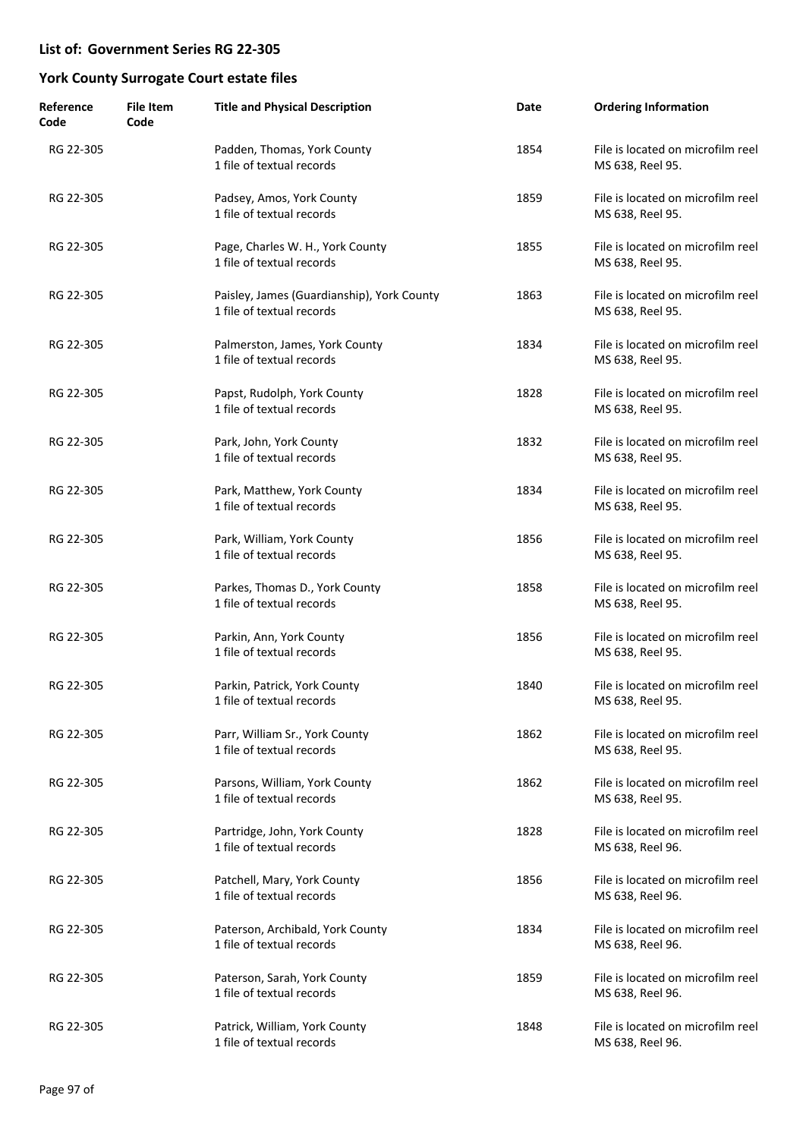| Reference<br>Code | <b>File Item</b><br>Code | <b>Title and Physical Description</b>                                   | Date | <b>Ordering Information</b>                           |
|-------------------|--------------------------|-------------------------------------------------------------------------|------|-------------------------------------------------------|
| RG 22-305         |                          | Padden, Thomas, York County<br>1 file of textual records                | 1854 | File is located on microfilm reel<br>MS 638, Reel 95. |
| RG 22-305         |                          | Padsey, Amos, York County<br>1 file of textual records                  | 1859 | File is located on microfilm reel<br>MS 638, Reel 95. |
| RG 22-305         |                          | Page, Charles W. H., York County<br>1 file of textual records           | 1855 | File is located on microfilm reel<br>MS 638, Reel 95. |
| RG 22-305         |                          | Paisley, James (Guardianship), York County<br>1 file of textual records | 1863 | File is located on microfilm reel<br>MS 638, Reel 95. |
| RG 22-305         |                          | Palmerston, James, York County<br>1 file of textual records             | 1834 | File is located on microfilm reel<br>MS 638, Reel 95. |
| RG 22-305         |                          | Papst, Rudolph, York County<br>1 file of textual records                | 1828 | File is located on microfilm reel<br>MS 638, Reel 95. |
| RG 22-305         |                          | Park, John, York County<br>1 file of textual records                    | 1832 | File is located on microfilm reel<br>MS 638, Reel 95. |
| RG 22-305         |                          | Park, Matthew, York County<br>1 file of textual records                 | 1834 | File is located on microfilm reel<br>MS 638, Reel 95. |
| RG 22-305         |                          | Park, William, York County<br>1 file of textual records                 | 1856 | File is located on microfilm reel<br>MS 638, Reel 95. |
| RG 22-305         |                          | Parkes, Thomas D., York County<br>1 file of textual records             | 1858 | File is located on microfilm reel<br>MS 638, Reel 95. |
| RG 22-305         |                          | Parkin, Ann, York County<br>1 file of textual records                   | 1856 | File is located on microfilm reel<br>MS 638, Reel 95. |
| RG 22-305         |                          | Parkin, Patrick, York County<br>1 file of textual records               | 1840 | File is located on microfilm reel<br>MS 638, Reel 95. |
| RG 22-305         |                          | Parr, William Sr., York County<br>1 file of textual records             | 1862 | File is located on microfilm reel<br>MS 638, Reel 95. |
| RG 22-305         |                          | Parsons, William, York County<br>1 file of textual records              | 1862 | File is located on microfilm reel<br>MS 638, Reel 95. |
| RG 22-305         |                          | Partridge, John, York County<br>1 file of textual records               | 1828 | File is located on microfilm reel<br>MS 638, Reel 96. |
| RG 22-305         |                          | Patchell, Mary, York County<br>1 file of textual records                | 1856 | File is located on microfilm reel<br>MS 638, Reel 96. |
| RG 22-305         |                          | Paterson, Archibald, York County<br>1 file of textual records           | 1834 | File is located on microfilm reel<br>MS 638, Reel 96. |
| RG 22-305         |                          | Paterson, Sarah, York County<br>1 file of textual records               | 1859 | File is located on microfilm reel<br>MS 638, Reel 96. |
| RG 22-305         |                          | Patrick, William, York County<br>1 file of textual records              | 1848 | File is located on microfilm reel<br>MS 638, Reel 96. |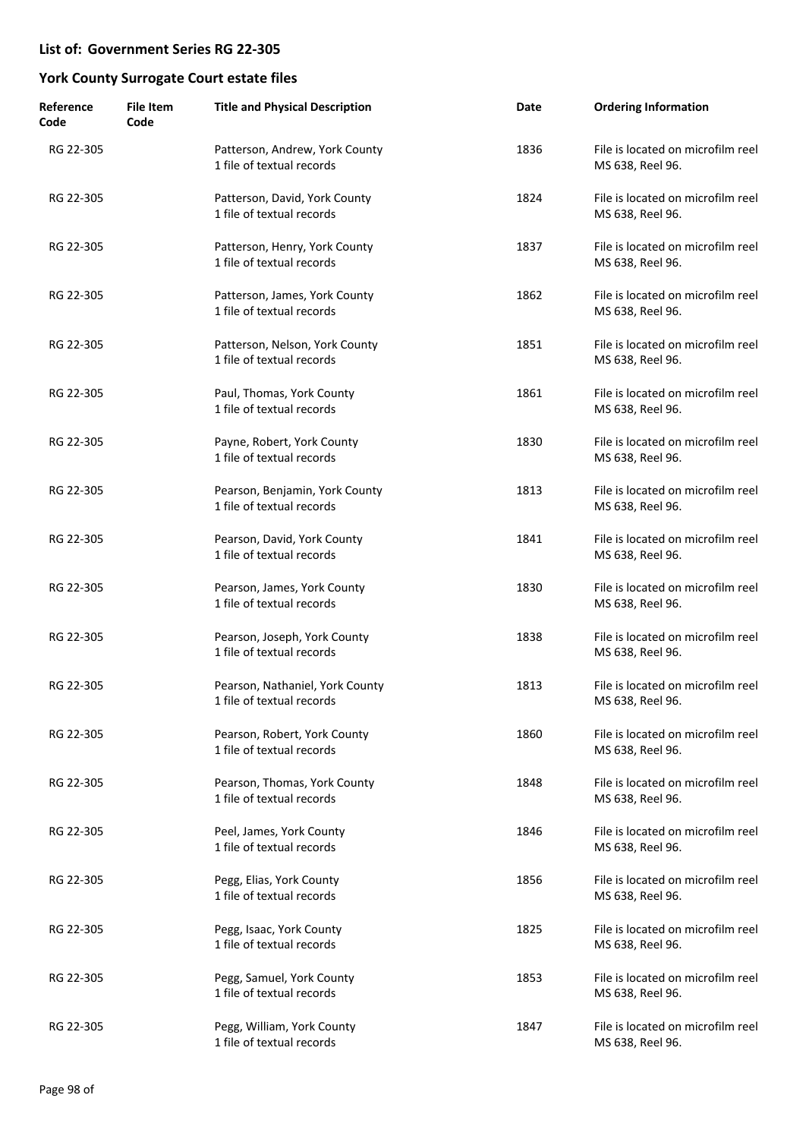| Reference<br>Code | <b>File Item</b><br>Code | <b>Title and Physical Description</b>                        | Date | <b>Ordering Information</b>                           |
|-------------------|--------------------------|--------------------------------------------------------------|------|-------------------------------------------------------|
| RG 22-305         |                          | Patterson, Andrew, York County<br>1 file of textual records  | 1836 | File is located on microfilm reel<br>MS 638, Reel 96. |
| RG 22-305         |                          | Patterson, David, York County<br>1 file of textual records   | 1824 | File is located on microfilm reel<br>MS 638, Reel 96. |
| RG 22-305         |                          | Patterson, Henry, York County<br>1 file of textual records   | 1837 | File is located on microfilm reel<br>MS 638, Reel 96. |
| RG 22-305         |                          | Patterson, James, York County<br>1 file of textual records   | 1862 | File is located on microfilm reel<br>MS 638, Reel 96. |
| RG 22-305         |                          | Patterson, Nelson, York County<br>1 file of textual records  | 1851 | File is located on microfilm reel<br>MS 638, Reel 96. |
| RG 22-305         |                          | Paul, Thomas, York County<br>1 file of textual records       | 1861 | File is located on microfilm reel<br>MS 638, Reel 96. |
| RG 22-305         |                          | Payne, Robert, York County<br>1 file of textual records      | 1830 | File is located on microfilm reel<br>MS 638, Reel 96. |
| RG 22-305         |                          | Pearson, Benjamin, York County<br>1 file of textual records  | 1813 | File is located on microfilm reel<br>MS 638, Reel 96. |
| RG 22-305         |                          | Pearson, David, York County<br>1 file of textual records     | 1841 | File is located on microfilm reel<br>MS 638, Reel 96. |
| RG 22-305         |                          | Pearson, James, York County<br>1 file of textual records     | 1830 | File is located on microfilm reel<br>MS 638, Reel 96. |
| RG 22-305         |                          | Pearson, Joseph, York County<br>1 file of textual records    | 1838 | File is located on microfilm reel<br>MS 638, Reel 96. |
| RG 22-305         |                          | Pearson, Nathaniel, York County<br>1 file of textual records | 1813 | File is located on microfilm reel<br>MS 638, Reel 96. |
| RG 22-305         |                          | Pearson, Robert, York County<br>1 file of textual records    | 1860 | File is located on microfilm reel<br>MS 638, Reel 96. |
| RG 22-305         |                          | Pearson, Thomas, York County<br>1 file of textual records    | 1848 | File is located on microfilm reel<br>MS 638, Reel 96. |
| RG 22-305         |                          | Peel, James, York County<br>1 file of textual records        | 1846 | File is located on microfilm reel<br>MS 638, Reel 96. |
| RG 22-305         |                          | Pegg, Elias, York County<br>1 file of textual records        | 1856 | File is located on microfilm reel<br>MS 638, Reel 96. |
| RG 22-305         |                          | Pegg, Isaac, York County<br>1 file of textual records        | 1825 | File is located on microfilm reel<br>MS 638, Reel 96. |
| RG 22-305         |                          | Pegg, Samuel, York County<br>1 file of textual records       | 1853 | File is located on microfilm reel<br>MS 638, Reel 96. |
| RG 22-305         |                          | Pegg, William, York County<br>1 file of textual records      | 1847 | File is located on microfilm reel<br>MS 638, Reel 96. |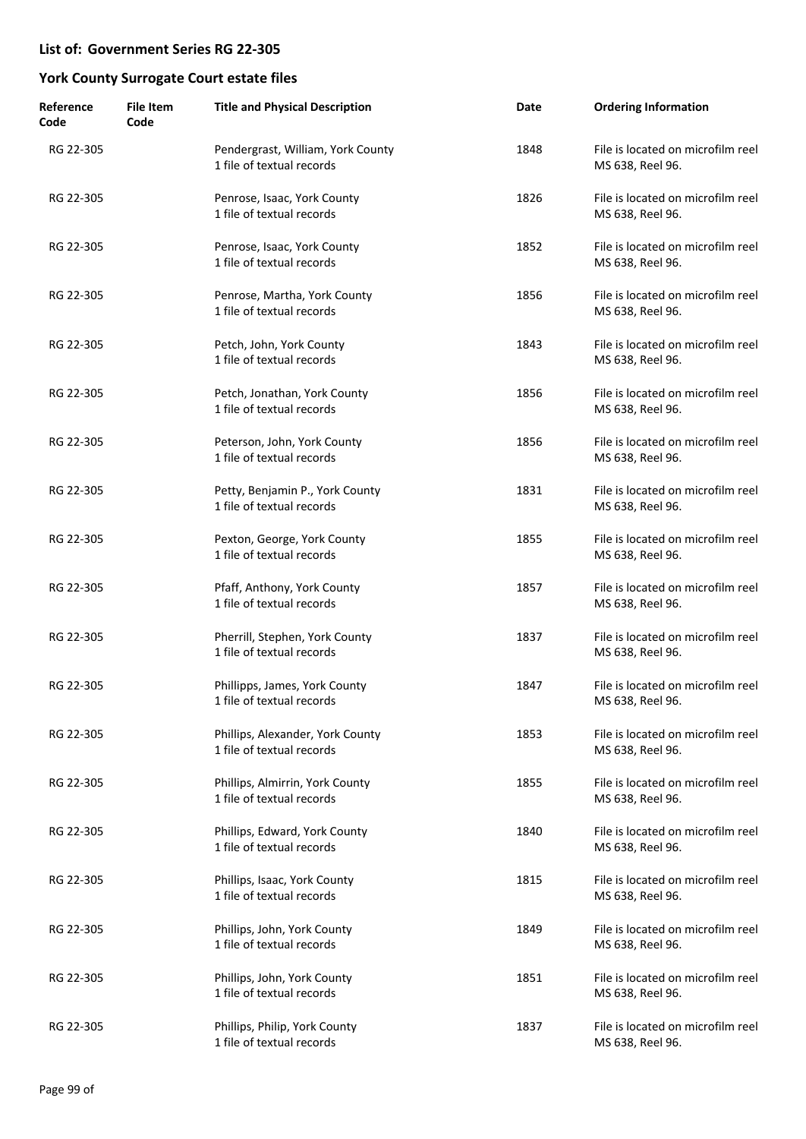| Reference<br>Code | <b>File Item</b><br>Code | <b>Title and Physical Description</b>                          | Date | <b>Ordering Information</b>                           |
|-------------------|--------------------------|----------------------------------------------------------------|------|-------------------------------------------------------|
| RG 22-305         |                          | Pendergrast, William, York County<br>1 file of textual records | 1848 | File is located on microfilm reel<br>MS 638, Reel 96. |
| RG 22-305         |                          | Penrose, Isaac, York County<br>1 file of textual records       | 1826 | File is located on microfilm reel<br>MS 638, Reel 96. |
| RG 22-305         |                          | Penrose, Isaac, York County<br>1 file of textual records       | 1852 | File is located on microfilm reel<br>MS 638, Reel 96. |
| RG 22-305         |                          | Penrose, Martha, York County<br>1 file of textual records      | 1856 | File is located on microfilm reel<br>MS 638, Reel 96. |
| RG 22-305         |                          | Petch, John, York County<br>1 file of textual records          | 1843 | File is located on microfilm reel<br>MS 638, Reel 96. |
| RG 22-305         |                          | Petch, Jonathan, York County<br>1 file of textual records      | 1856 | File is located on microfilm reel<br>MS 638, Reel 96. |
| RG 22-305         |                          | Peterson, John, York County<br>1 file of textual records       | 1856 | File is located on microfilm reel<br>MS 638, Reel 96. |
| RG 22-305         |                          | Petty, Benjamin P., York County<br>1 file of textual records   | 1831 | File is located on microfilm reel<br>MS 638, Reel 96. |
| RG 22-305         |                          | Pexton, George, York County<br>1 file of textual records       | 1855 | File is located on microfilm reel<br>MS 638, Reel 96. |
| RG 22-305         |                          | Pfaff, Anthony, York County<br>1 file of textual records       | 1857 | File is located on microfilm reel<br>MS 638, Reel 96. |
| RG 22-305         |                          | Pherrill, Stephen, York County<br>1 file of textual records    | 1837 | File is located on microfilm reel<br>MS 638, Reel 96. |
| RG 22-305         |                          | Phillipps, James, York County<br>1 file of textual records     | 1847 | File is located on microfilm reel<br>MS 638, Reel 96. |
| RG 22-305         |                          | Phillips, Alexander, York County<br>1 file of textual records  | 1853 | File is located on microfilm reel<br>MS 638, Reel 96. |
| RG 22-305         |                          | Phillips, Almirrin, York County<br>1 file of textual records   | 1855 | File is located on microfilm reel<br>MS 638, Reel 96. |
| RG 22-305         |                          | Phillips, Edward, York County<br>1 file of textual records     | 1840 | File is located on microfilm reel<br>MS 638, Reel 96. |
| RG 22-305         |                          | Phillips, Isaac, York County<br>1 file of textual records      | 1815 | File is located on microfilm reel<br>MS 638, Reel 96. |
| RG 22-305         |                          | Phillips, John, York County<br>1 file of textual records       | 1849 | File is located on microfilm reel<br>MS 638, Reel 96. |
| RG 22-305         |                          | Phillips, John, York County<br>1 file of textual records       | 1851 | File is located on microfilm reel<br>MS 638, Reel 96. |
| RG 22-305         |                          | Phillips, Philip, York County<br>1 file of textual records     | 1837 | File is located on microfilm reel<br>MS 638, Reel 96. |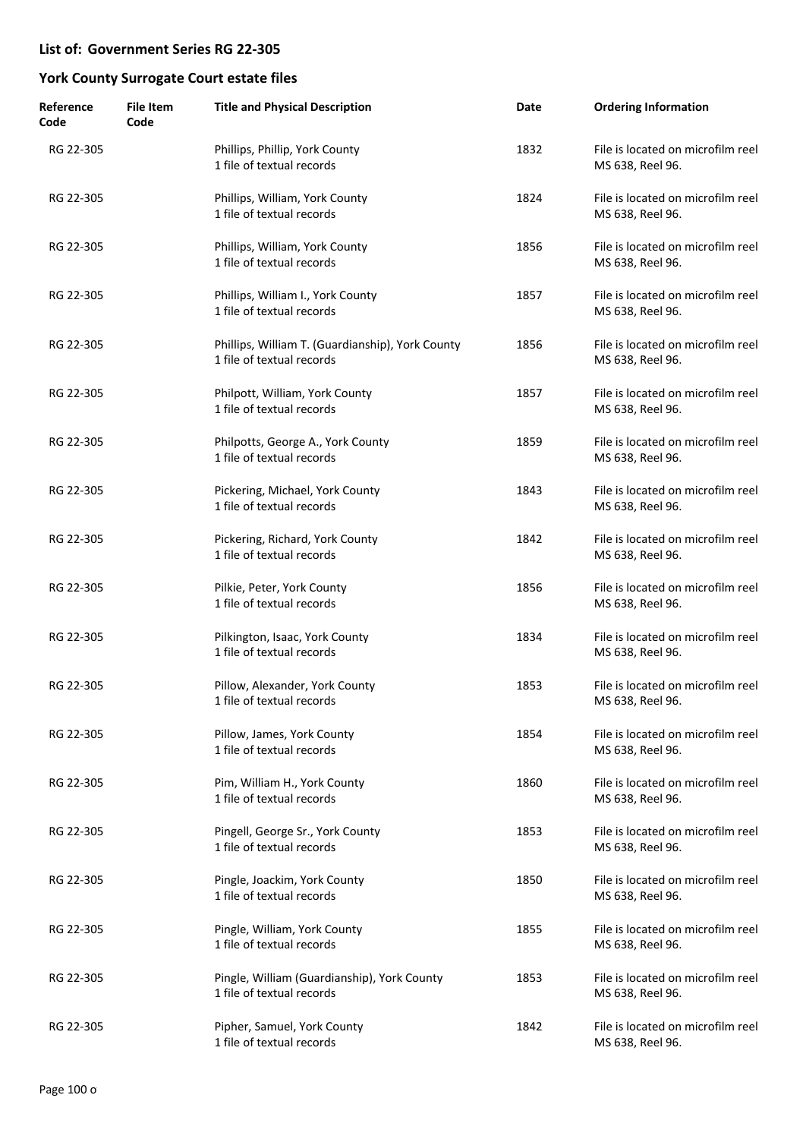| Reference<br>Code | <b>File Item</b><br>Code | <b>Title and Physical Description</b>                                         | Date | <b>Ordering Information</b>                           |
|-------------------|--------------------------|-------------------------------------------------------------------------------|------|-------------------------------------------------------|
| RG 22-305         |                          | Phillips, Phillip, York County<br>1 file of textual records                   | 1832 | File is located on microfilm reel<br>MS 638, Reel 96. |
| RG 22-305         |                          | Phillips, William, York County<br>1 file of textual records                   | 1824 | File is located on microfilm reel<br>MS 638, Reel 96. |
| RG 22-305         |                          | Phillips, William, York County<br>1 file of textual records                   | 1856 | File is located on microfilm reel<br>MS 638, Reel 96. |
| RG 22-305         |                          | Phillips, William I., York County<br>1 file of textual records                | 1857 | File is located on microfilm reel<br>MS 638, Reel 96. |
| RG 22-305         |                          | Phillips, William T. (Guardianship), York County<br>1 file of textual records | 1856 | File is located on microfilm reel<br>MS 638, Reel 96. |
| RG 22-305         |                          | Philpott, William, York County<br>1 file of textual records                   | 1857 | File is located on microfilm reel<br>MS 638, Reel 96. |
| RG 22-305         |                          | Philpotts, George A., York County<br>1 file of textual records                | 1859 | File is located on microfilm reel<br>MS 638, Reel 96. |
| RG 22-305         |                          | Pickering, Michael, York County<br>1 file of textual records                  | 1843 | File is located on microfilm reel<br>MS 638, Reel 96. |
| RG 22-305         |                          | Pickering, Richard, York County<br>1 file of textual records                  | 1842 | File is located on microfilm reel<br>MS 638, Reel 96. |
| RG 22-305         |                          | Pilkie, Peter, York County<br>1 file of textual records                       | 1856 | File is located on microfilm reel<br>MS 638, Reel 96. |
| RG 22-305         |                          | Pilkington, Isaac, York County<br>1 file of textual records                   | 1834 | File is located on microfilm reel<br>MS 638, Reel 96. |
| RG 22-305         |                          | Pillow, Alexander, York County<br>1 file of textual records                   | 1853 | File is located on microfilm reel<br>MS 638, Reel 96. |
| RG 22-305         |                          | Pillow, James, York County<br>1 file of textual records                       | 1854 | File is located on microfilm reel<br>MS 638, Reel 96. |
| RG 22-305         |                          | Pim, William H., York County<br>1 file of textual records                     | 1860 | File is located on microfilm reel<br>MS 638, Reel 96. |
| RG 22-305         |                          | Pingell, George Sr., York County<br>1 file of textual records                 | 1853 | File is located on microfilm reel<br>MS 638, Reel 96. |
| RG 22-305         |                          | Pingle, Joackim, York County<br>1 file of textual records                     | 1850 | File is located on microfilm reel<br>MS 638, Reel 96. |
| RG 22-305         |                          | Pingle, William, York County<br>1 file of textual records                     | 1855 | File is located on microfilm reel<br>MS 638, Reel 96. |
| RG 22-305         |                          | Pingle, William (Guardianship), York County<br>1 file of textual records      | 1853 | File is located on microfilm reel<br>MS 638, Reel 96. |
| RG 22-305         |                          | Pipher, Samuel, York County<br>1 file of textual records                      | 1842 | File is located on microfilm reel<br>MS 638, Reel 96. |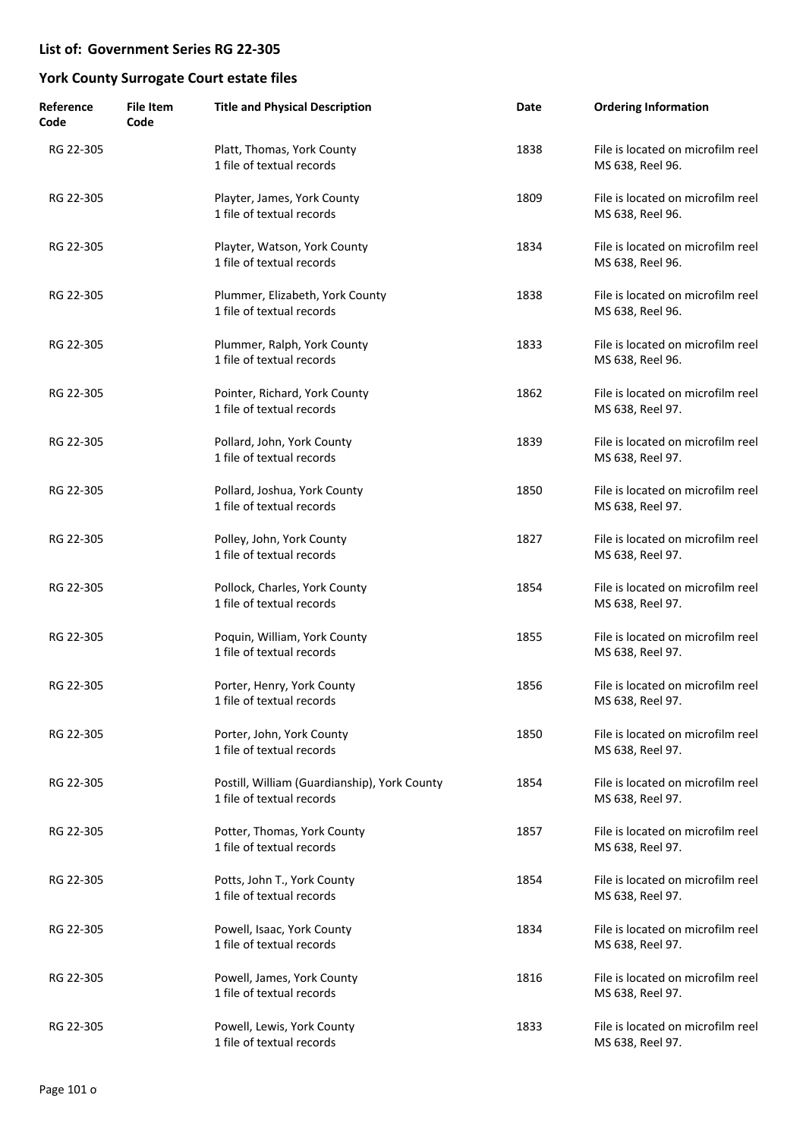| Reference<br>Code | <b>File Item</b><br>Code | <b>Title and Physical Description</b>                                     | Date | <b>Ordering Information</b>                           |
|-------------------|--------------------------|---------------------------------------------------------------------------|------|-------------------------------------------------------|
| RG 22-305         |                          | Platt, Thomas, York County<br>1 file of textual records                   | 1838 | File is located on microfilm reel<br>MS 638, Reel 96. |
| RG 22-305         |                          | Playter, James, York County<br>1 file of textual records                  | 1809 | File is located on microfilm reel<br>MS 638, Reel 96. |
| RG 22-305         |                          | Playter, Watson, York County<br>1 file of textual records                 | 1834 | File is located on microfilm reel<br>MS 638, Reel 96. |
| RG 22-305         |                          | Plummer, Elizabeth, York County<br>1 file of textual records              | 1838 | File is located on microfilm reel<br>MS 638, Reel 96. |
| RG 22-305         |                          | Plummer, Ralph, York County<br>1 file of textual records                  | 1833 | File is located on microfilm reel<br>MS 638, Reel 96. |
| RG 22-305         |                          | Pointer, Richard, York County<br>1 file of textual records                | 1862 | File is located on microfilm reel<br>MS 638, Reel 97. |
| RG 22-305         |                          | Pollard, John, York County<br>1 file of textual records                   | 1839 | File is located on microfilm reel<br>MS 638, Reel 97. |
| RG 22-305         |                          | Pollard, Joshua, York County<br>1 file of textual records                 | 1850 | File is located on microfilm reel<br>MS 638, Reel 97. |
| RG 22-305         |                          | Polley, John, York County<br>1 file of textual records                    | 1827 | File is located on microfilm reel<br>MS 638, Reel 97. |
| RG 22-305         |                          | Pollock, Charles, York County<br>1 file of textual records                | 1854 | File is located on microfilm reel<br>MS 638, Reel 97. |
| RG 22-305         |                          | Poquin, William, York County<br>1 file of textual records                 | 1855 | File is located on microfilm reel<br>MS 638, Reel 97. |
| RG 22-305         |                          | Porter, Henry, York County<br>1 file of textual records                   | 1856 | File is located on microfilm reel<br>MS 638, Reel 97. |
| RG 22-305         |                          | Porter, John, York County<br>1 file of textual records                    | 1850 | File is located on microfilm reel<br>MS 638, Reel 97. |
| RG 22-305         |                          | Postill, William (Guardianship), York County<br>1 file of textual records | 1854 | File is located on microfilm reel<br>MS 638, Reel 97. |
| RG 22-305         |                          | Potter, Thomas, York County<br>1 file of textual records                  | 1857 | File is located on microfilm reel<br>MS 638, Reel 97. |
| RG 22-305         |                          | Potts, John T., York County<br>1 file of textual records                  | 1854 | File is located on microfilm reel<br>MS 638, Reel 97. |
| RG 22-305         |                          | Powell, Isaac, York County<br>1 file of textual records                   | 1834 | File is located on microfilm reel<br>MS 638, Reel 97. |
| RG 22-305         |                          | Powell, James, York County<br>1 file of textual records                   | 1816 | File is located on microfilm reel<br>MS 638, Reel 97. |
| RG 22-305         |                          | Powell, Lewis, York County<br>1 file of textual records                   | 1833 | File is located on microfilm reel<br>MS 638, Reel 97. |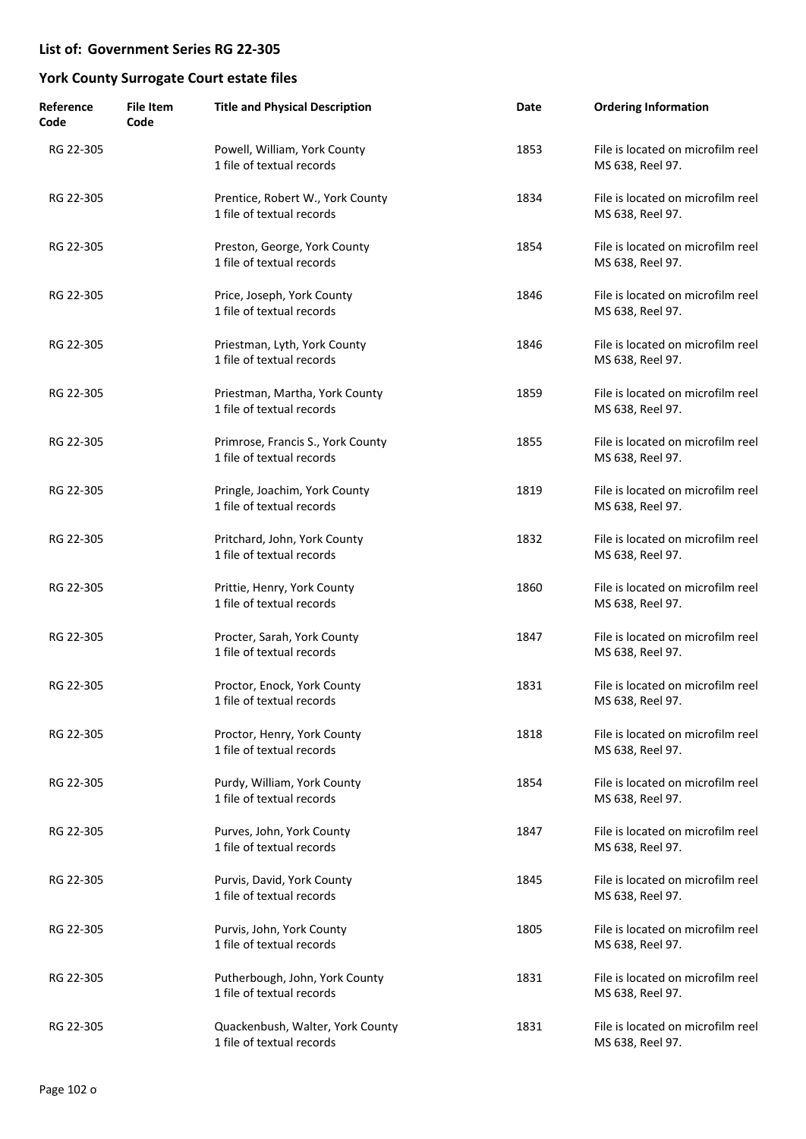| Reference<br>Code | <b>File Item</b><br>Code | <b>Title and Physical Description</b>                          | Date | <b>Ordering Information</b>                           |
|-------------------|--------------------------|----------------------------------------------------------------|------|-------------------------------------------------------|
| RG 22-305         |                          | Powell, William, York County<br>1 file of textual records      | 1853 | File is located on microfilm reel<br>MS 638, Reel 97. |
| RG 22-305         |                          | Prentice, Robert W., York County<br>1 file of textual records  | 1834 | File is located on microfilm reel<br>MS 638, Reel 97. |
| RG 22-305         |                          | Preston, George, York County<br>1 file of textual records      | 1854 | File is located on microfilm reel<br>MS 638, Reel 97. |
| RG 22-305         |                          | Price, Joseph, York County<br>1 file of textual records        | 1846 | File is located on microfilm reel<br>MS 638, Reel 97. |
| RG 22-305         |                          | Priestman, Lyth, York County<br>1 file of textual records      | 1846 | File is located on microfilm reel<br>MS 638, Reel 97. |
| RG 22-305         |                          | Priestman, Martha, York County<br>1 file of textual records    | 1859 | File is located on microfilm reel<br>MS 638, Reel 97. |
| RG 22-305         |                          | Primrose, Francis S., York County<br>1 file of textual records | 1855 | File is located on microfilm reel<br>MS 638, Reel 97. |
| RG 22-305         |                          | Pringle, Joachim, York County<br>1 file of textual records     | 1819 | File is located on microfilm reel<br>MS 638, Reel 97. |
| RG 22-305         |                          | Pritchard, John, York County<br>1 file of textual records      | 1832 | File is located on microfilm reel<br>MS 638, Reel 97. |
| RG 22-305         |                          | Prittie, Henry, York County<br>1 file of textual records       | 1860 | File is located on microfilm reel<br>MS 638, Reel 97. |
| RG 22-305         |                          | Procter, Sarah, York County<br>1 file of textual records       | 1847 | File is located on microfilm reel<br>MS 638, Reel 97. |
| RG 22-305         |                          | Proctor, Enock, York County<br>1 file of textual records       | 1831 | File is located on microfilm reel<br>MS 638, Reel 97. |
| RG 22-305         |                          | Proctor, Henry, York County<br>1 file of textual records       | 1818 | File is located on microfilm reel<br>MS 638, Reel 97. |
| RG 22-305         |                          | Purdy, William, York County<br>1 file of textual records       | 1854 | File is located on microfilm reel<br>MS 638, Reel 97. |
| RG 22-305         |                          | Purves, John, York County<br>1 file of textual records         | 1847 | File is located on microfilm reel<br>MS 638, Reel 97. |
| RG 22-305         |                          | Purvis, David, York County<br>1 file of textual records        | 1845 | File is located on microfilm reel<br>MS 638, Reel 97. |
| RG 22-305         |                          | Purvis, John, York County<br>1 file of textual records         | 1805 | File is located on microfilm reel<br>MS 638, Reel 97. |
| RG 22-305         |                          | Putherbough, John, York County<br>1 file of textual records    | 1831 | File is located on microfilm reel<br>MS 638, Reel 97. |
| RG 22-305         |                          | Quackenbush, Walter, York County<br>1 file of textual records  | 1831 | File is located on microfilm reel<br>MS 638, Reel 97. |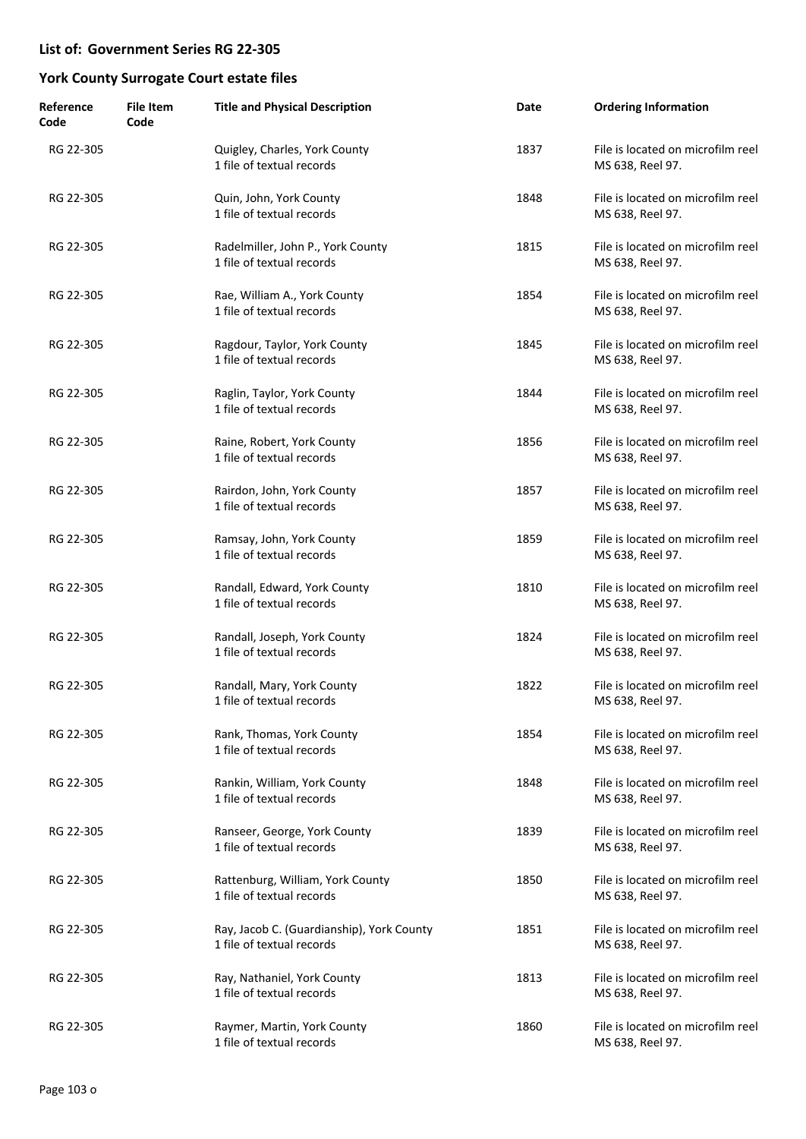| Reference<br>Code | <b>File Item</b><br>Code | <b>Title and Physical Description</b>                                  | Date | <b>Ordering Information</b>                           |
|-------------------|--------------------------|------------------------------------------------------------------------|------|-------------------------------------------------------|
| RG 22-305         |                          | Quigley, Charles, York County<br>1 file of textual records             | 1837 | File is located on microfilm reel<br>MS 638, Reel 97. |
| RG 22-305         |                          | Quin, John, York County<br>1 file of textual records                   | 1848 | File is located on microfilm reel<br>MS 638, Reel 97. |
| RG 22-305         |                          | Radelmiller, John P., York County<br>1 file of textual records         | 1815 | File is located on microfilm reel<br>MS 638, Reel 97. |
| RG 22-305         |                          | Rae, William A., York County<br>1 file of textual records              | 1854 | File is located on microfilm reel<br>MS 638, Reel 97. |
| RG 22-305         |                          | Ragdour, Taylor, York County<br>1 file of textual records              | 1845 | File is located on microfilm reel<br>MS 638, Reel 97. |
| RG 22-305         |                          | Raglin, Taylor, York County<br>1 file of textual records               | 1844 | File is located on microfilm reel<br>MS 638, Reel 97. |
| RG 22-305         |                          | Raine, Robert, York County<br>1 file of textual records                | 1856 | File is located on microfilm reel<br>MS 638, Reel 97. |
| RG 22-305         |                          | Rairdon, John, York County<br>1 file of textual records                | 1857 | File is located on microfilm reel<br>MS 638, Reel 97. |
| RG 22-305         |                          | Ramsay, John, York County<br>1 file of textual records                 | 1859 | File is located on microfilm reel<br>MS 638, Reel 97. |
| RG 22-305         |                          | Randall, Edward, York County<br>1 file of textual records              | 1810 | File is located on microfilm reel<br>MS 638, Reel 97. |
| RG 22-305         |                          | Randall, Joseph, York County<br>1 file of textual records              | 1824 | File is located on microfilm reel<br>MS 638, Reel 97. |
| RG 22-305         |                          | Randall, Mary, York County<br>1 file of textual records                | 1822 | File is located on microfilm reel<br>MS 638, Reel 97. |
| RG 22-305         |                          | Rank, Thomas, York County<br>1 file of textual records                 | 1854 | File is located on microfilm reel<br>MS 638, Reel 97. |
| RG 22-305         |                          | Rankin, William, York County<br>1 file of textual records              | 1848 | File is located on microfilm reel<br>MS 638, Reel 97. |
| RG 22-305         |                          | Ranseer, George, York County<br>1 file of textual records              | 1839 | File is located on microfilm reel<br>MS 638, Reel 97. |
| RG 22-305         |                          | Rattenburg, William, York County<br>1 file of textual records          | 1850 | File is located on microfilm reel<br>MS 638, Reel 97. |
| RG 22-305         |                          | Ray, Jacob C. (Guardianship), York County<br>1 file of textual records | 1851 | File is located on microfilm reel<br>MS 638, Reel 97. |
| RG 22-305         |                          | Ray, Nathaniel, York County<br>1 file of textual records               | 1813 | File is located on microfilm reel<br>MS 638, Reel 97. |
| RG 22-305         |                          | Raymer, Martin, York County<br>1 file of textual records               | 1860 | File is located on microfilm reel<br>MS 638, Reel 97. |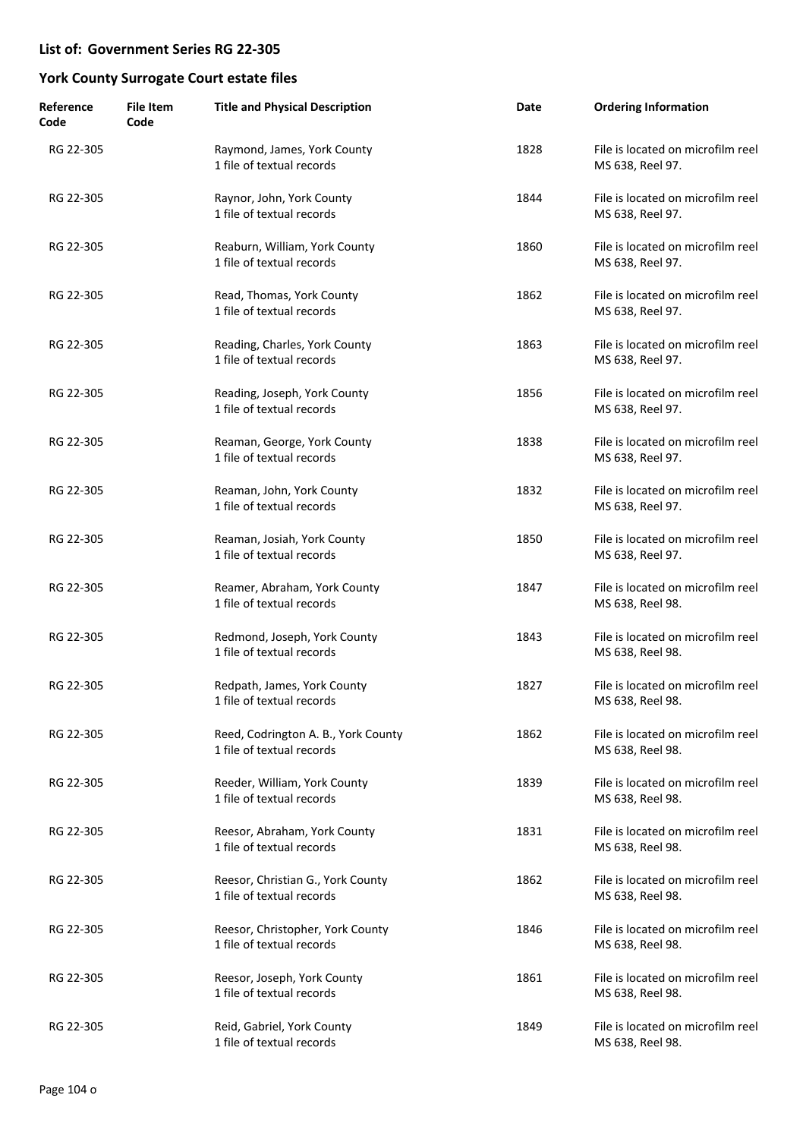| Reference<br>Code | <b>File Item</b><br>Code | <b>Title and Physical Description</b>                            | Date | <b>Ordering Information</b>                           |
|-------------------|--------------------------|------------------------------------------------------------------|------|-------------------------------------------------------|
| RG 22-305         |                          | Raymond, James, York County<br>1 file of textual records         | 1828 | File is located on microfilm reel<br>MS 638, Reel 97. |
| RG 22-305         |                          | Raynor, John, York County<br>1 file of textual records           | 1844 | File is located on microfilm reel<br>MS 638, Reel 97. |
| RG 22-305         |                          | Reaburn, William, York County<br>1 file of textual records       | 1860 | File is located on microfilm reel<br>MS 638, Reel 97. |
| RG 22-305         |                          | Read, Thomas, York County<br>1 file of textual records           | 1862 | File is located on microfilm reel<br>MS 638, Reel 97. |
| RG 22-305         |                          | Reading, Charles, York County<br>1 file of textual records       | 1863 | File is located on microfilm reel<br>MS 638, Reel 97. |
| RG 22-305         |                          | Reading, Joseph, York County<br>1 file of textual records        | 1856 | File is located on microfilm reel<br>MS 638, Reel 97. |
| RG 22-305         |                          | Reaman, George, York County<br>1 file of textual records         | 1838 | File is located on microfilm reel<br>MS 638, Reel 97. |
| RG 22-305         |                          | Reaman, John, York County<br>1 file of textual records           | 1832 | File is located on microfilm reel<br>MS 638, Reel 97. |
| RG 22-305         |                          | Reaman, Josiah, York County<br>1 file of textual records         | 1850 | File is located on microfilm reel<br>MS 638, Reel 97. |
| RG 22-305         |                          | Reamer, Abraham, York County<br>1 file of textual records        | 1847 | File is located on microfilm reel<br>MS 638, Reel 98. |
| RG 22-305         |                          | Redmond, Joseph, York County<br>1 file of textual records        | 1843 | File is located on microfilm reel<br>MS 638, Reel 98. |
| RG 22-305         |                          | Redpath, James, York County<br>1 file of textual records         | 1827 | File is located on microfilm reel<br>MS 638, Reel 98. |
| RG 22-305         |                          | Reed, Codrington A. B., York County<br>1 file of textual records | 1862 | File is located on microfilm reel<br>MS 638, Reel 98. |
| RG 22-305         |                          | Reeder, William, York County<br>1 file of textual records        | 1839 | File is located on microfilm reel<br>MS 638, Reel 98. |
| RG 22-305         |                          | Reesor, Abraham, York County<br>1 file of textual records        | 1831 | File is located on microfilm reel<br>MS 638, Reel 98. |
| RG 22-305         |                          | Reesor, Christian G., York County<br>1 file of textual records   | 1862 | File is located on microfilm reel<br>MS 638, Reel 98. |
| RG 22-305         |                          | Reesor, Christopher, York County<br>1 file of textual records    | 1846 | File is located on microfilm reel<br>MS 638, Reel 98. |
| RG 22-305         |                          | Reesor, Joseph, York County<br>1 file of textual records         | 1861 | File is located on microfilm reel<br>MS 638, Reel 98. |
| RG 22-305         |                          | Reid, Gabriel, York County<br>1 file of textual records          | 1849 | File is located on microfilm reel<br>MS 638, Reel 98. |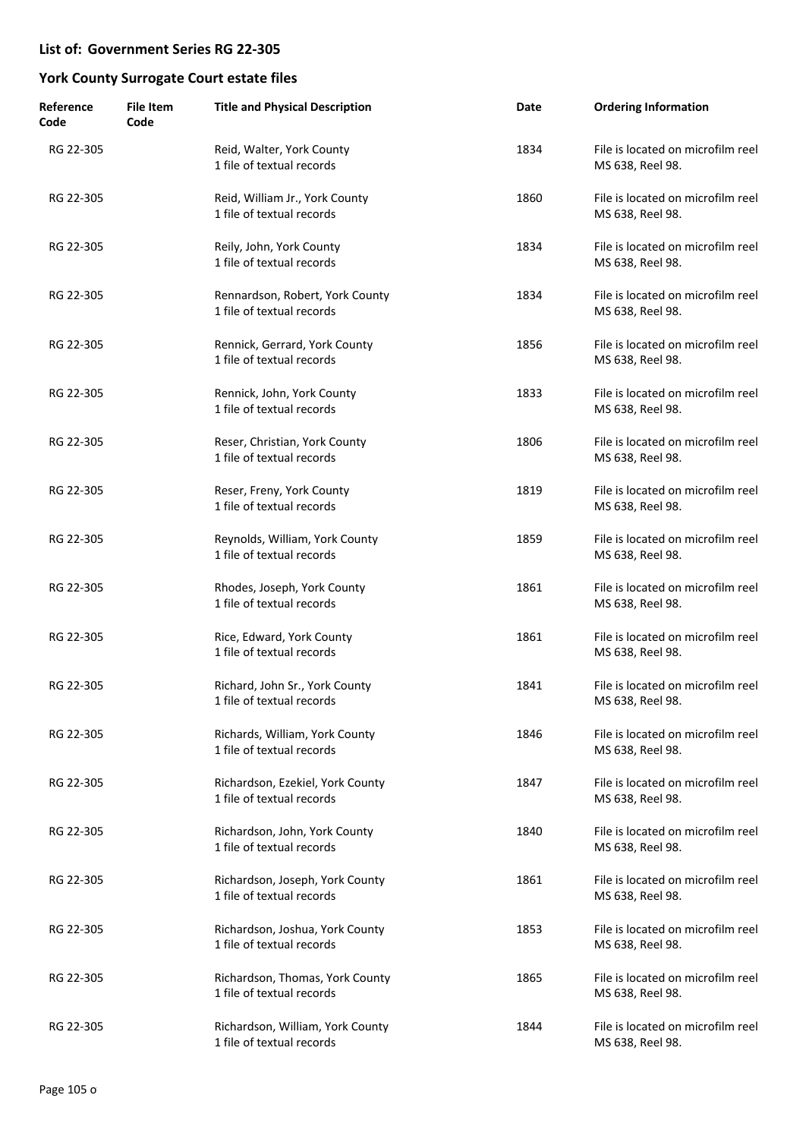| Reference<br>Code | <b>File Item</b><br>Code | <b>Title and Physical Description</b>                         | Date | <b>Ordering Information</b>                           |
|-------------------|--------------------------|---------------------------------------------------------------|------|-------------------------------------------------------|
| RG 22-305         |                          | Reid, Walter, York County<br>1 file of textual records        | 1834 | File is located on microfilm reel<br>MS 638, Reel 98. |
| RG 22-305         |                          | Reid, William Jr., York County<br>1 file of textual records   | 1860 | File is located on microfilm reel<br>MS 638, Reel 98. |
| RG 22-305         |                          | Reily, John, York County<br>1 file of textual records         | 1834 | File is located on microfilm reel<br>MS 638, Reel 98. |
| RG 22-305         |                          | Rennardson, Robert, York County<br>1 file of textual records  | 1834 | File is located on microfilm reel<br>MS 638, Reel 98. |
| RG 22-305         |                          | Rennick, Gerrard, York County<br>1 file of textual records    | 1856 | File is located on microfilm reel<br>MS 638, Reel 98. |
| RG 22-305         |                          | Rennick, John, York County<br>1 file of textual records       | 1833 | File is located on microfilm reel<br>MS 638, Reel 98. |
| RG 22-305         |                          | Reser, Christian, York County<br>1 file of textual records    | 1806 | File is located on microfilm reel<br>MS 638, Reel 98. |
| RG 22-305         |                          | Reser, Freny, York County<br>1 file of textual records        | 1819 | File is located on microfilm reel<br>MS 638, Reel 98. |
| RG 22-305         |                          | Reynolds, William, York County<br>1 file of textual records   | 1859 | File is located on microfilm reel<br>MS 638, Reel 98. |
| RG 22-305         |                          | Rhodes, Joseph, York County<br>1 file of textual records      | 1861 | File is located on microfilm reel<br>MS 638, Reel 98. |
| RG 22-305         |                          | Rice, Edward, York County<br>1 file of textual records        | 1861 | File is located on microfilm reel<br>MS 638, Reel 98. |
| RG 22-305         |                          | Richard, John Sr., York County<br>1 file of textual records   | 1841 | File is located on microfilm reel<br>MS 638, Reel 98. |
| RG 22-305         |                          | Richards, William, York County<br>1 file of textual records   | 1846 | File is located on microfilm reel<br>MS 638, Reel 98. |
| RG 22-305         |                          | Richardson, Ezekiel, York County<br>1 file of textual records | 1847 | File is located on microfilm reel<br>MS 638, Reel 98. |
| RG 22-305         |                          | Richardson, John, York County<br>1 file of textual records    | 1840 | File is located on microfilm reel<br>MS 638, Reel 98. |
| RG 22-305         |                          | Richardson, Joseph, York County<br>1 file of textual records  | 1861 | File is located on microfilm reel<br>MS 638, Reel 98. |
| RG 22-305         |                          | Richardson, Joshua, York County<br>1 file of textual records  | 1853 | File is located on microfilm reel<br>MS 638, Reel 98. |
| RG 22-305         |                          | Richardson, Thomas, York County<br>1 file of textual records  | 1865 | File is located on microfilm reel<br>MS 638, Reel 98. |
| RG 22-305         |                          | Richardson, William, York County<br>1 file of textual records | 1844 | File is located on microfilm reel<br>MS 638, Reel 98. |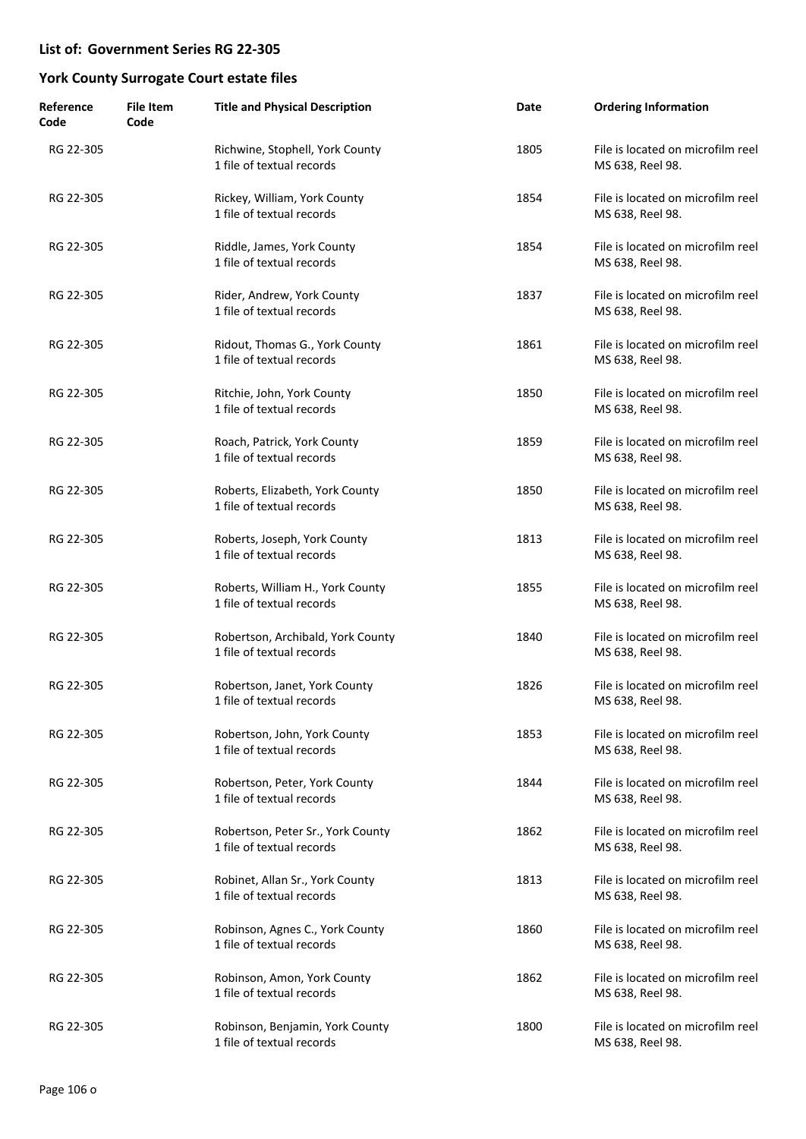| Reference<br>Code | <b>File Item</b><br>Code | <b>Title and Physical Description</b>                          | Date | <b>Ordering Information</b>                           |
|-------------------|--------------------------|----------------------------------------------------------------|------|-------------------------------------------------------|
| RG 22-305         |                          | Richwine, Stophell, York County<br>1 file of textual records   | 1805 | File is located on microfilm reel<br>MS 638, Reel 98. |
| RG 22-305         |                          | Rickey, William, York County<br>1 file of textual records      | 1854 | File is located on microfilm reel<br>MS 638, Reel 98. |
| RG 22-305         |                          | Riddle, James, York County<br>1 file of textual records        | 1854 | File is located on microfilm reel<br>MS 638, Reel 98. |
| RG 22-305         |                          | Rider, Andrew, York County<br>1 file of textual records        | 1837 | File is located on microfilm reel<br>MS 638, Reel 98. |
| RG 22-305         |                          | Ridout, Thomas G., York County<br>1 file of textual records    | 1861 | File is located on microfilm reel<br>MS 638, Reel 98. |
| RG 22-305         |                          | Ritchie, John, York County<br>1 file of textual records        | 1850 | File is located on microfilm reel<br>MS 638, Reel 98. |
| RG 22-305         |                          | Roach, Patrick, York County<br>1 file of textual records       | 1859 | File is located on microfilm reel<br>MS 638, Reel 98. |
| RG 22-305         |                          | Roberts, Elizabeth, York County<br>1 file of textual records   | 1850 | File is located on microfilm reel<br>MS 638, Reel 98. |
| RG 22-305         |                          | Roberts, Joseph, York County<br>1 file of textual records      | 1813 | File is located on microfilm reel<br>MS 638, Reel 98. |
| RG 22-305         |                          | Roberts, William H., York County<br>1 file of textual records  | 1855 | File is located on microfilm reel<br>MS 638, Reel 98. |
| RG 22-305         |                          | Robertson, Archibald, York County<br>1 file of textual records | 1840 | File is located on microfilm reel<br>MS 638, Reel 98. |
| RG 22-305         |                          | Robertson, Janet, York County<br>1 file of textual records     | 1826 | File is located on microfilm reel<br>MS 638, Reel 98. |
| RG 22-305         |                          | Robertson, John, York County<br>1 file of textual records      | 1853 | File is located on microfilm reel<br>MS 638, Reel 98. |
| RG 22-305         |                          | Robertson, Peter, York County<br>1 file of textual records     | 1844 | File is located on microfilm reel<br>MS 638, Reel 98. |
| RG 22-305         |                          | Robertson, Peter Sr., York County<br>1 file of textual records | 1862 | File is located on microfilm reel<br>MS 638, Reel 98. |
| RG 22-305         |                          | Robinet, Allan Sr., York County<br>1 file of textual records   | 1813 | File is located on microfilm reel<br>MS 638, Reel 98. |
| RG 22-305         |                          | Robinson, Agnes C., York County<br>1 file of textual records   | 1860 | File is located on microfilm reel<br>MS 638, Reel 98. |
| RG 22-305         |                          | Robinson, Amon, York County<br>1 file of textual records       | 1862 | File is located on microfilm reel<br>MS 638, Reel 98. |
| RG 22-305         |                          | Robinson, Benjamin, York County<br>1 file of textual records   | 1800 | File is located on microfilm reel<br>MS 638, Reel 98. |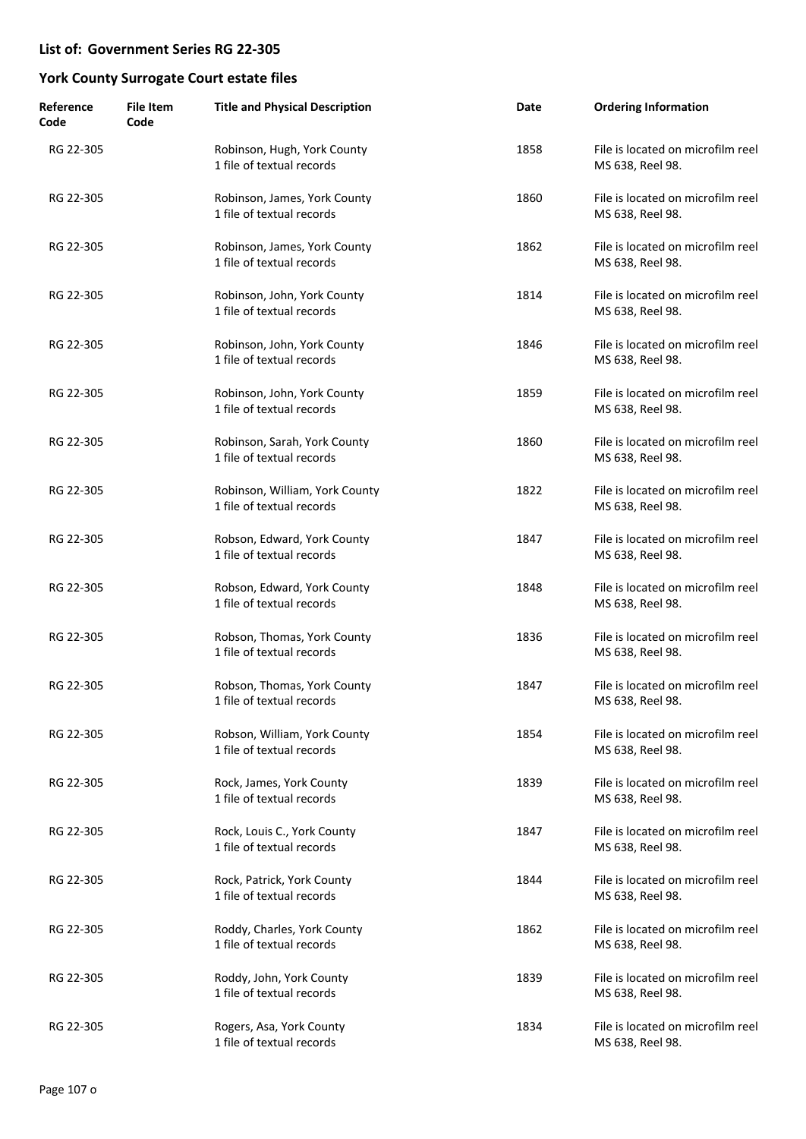| Reference<br>Code | <b>File Item</b><br>Code | <b>Title and Physical Description</b>                       | Date | <b>Ordering Information</b>                           |
|-------------------|--------------------------|-------------------------------------------------------------|------|-------------------------------------------------------|
| RG 22-305         |                          | Robinson, Hugh, York County<br>1 file of textual records    | 1858 | File is located on microfilm reel<br>MS 638, Reel 98. |
| RG 22-305         |                          | Robinson, James, York County<br>1 file of textual records   | 1860 | File is located on microfilm reel<br>MS 638, Reel 98. |
| RG 22-305         |                          | Robinson, James, York County<br>1 file of textual records   | 1862 | File is located on microfilm reel<br>MS 638, Reel 98. |
| RG 22-305         |                          | Robinson, John, York County<br>1 file of textual records    | 1814 | File is located on microfilm reel<br>MS 638, Reel 98. |
| RG 22-305         |                          | Robinson, John, York County<br>1 file of textual records    | 1846 | File is located on microfilm reel<br>MS 638, Reel 98. |
| RG 22-305         |                          | Robinson, John, York County<br>1 file of textual records    | 1859 | File is located on microfilm reel<br>MS 638, Reel 98. |
| RG 22-305         |                          | Robinson, Sarah, York County<br>1 file of textual records   | 1860 | File is located on microfilm reel<br>MS 638, Reel 98. |
| RG 22-305         |                          | Robinson, William, York County<br>1 file of textual records | 1822 | File is located on microfilm reel<br>MS 638, Reel 98. |
| RG 22-305         |                          | Robson, Edward, York County<br>1 file of textual records    | 1847 | File is located on microfilm reel<br>MS 638, Reel 98. |
| RG 22-305         |                          | Robson, Edward, York County<br>1 file of textual records    | 1848 | File is located on microfilm reel<br>MS 638, Reel 98. |
| RG 22-305         |                          | Robson, Thomas, York County<br>1 file of textual records    | 1836 | File is located on microfilm reel<br>MS 638, Reel 98. |
| RG 22-305         |                          | Robson, Thomas, York County<br>1 file of textual records    | 1847 | File is located on microfilm reel<br>MS 638, Reel 98. |
| RG 22-305         |                          | Robson, William, York County<br>1 file of textual records   | 1854 | File is located on microfilm reel<br>MS 638, Reel 98. |
| RG 22-305         |                          | Rock, James, York County<br>1 file of textual records       | 1839 | File is located on microfilm reel<br>MS 638, Reel 98. |
| RG 22-305         |                          | Rock, Louis C., York County<br>1 file of textual records    | 1847 | File is located on microfilm reel<br>MS 638, Reel 98. |
| RG 22-305         |                          | Rock, Patrick, York County<br>1 file of textual records     | 1844 | File is located on microfilm reel<br>MS 638, Reel 98. |
| RG 22-305         |                          | Roddy, Charles, York County<br>1 file of textual records    | 1862 | File is located on microfilm reel<br>MS 638, Reel 98. |
| RG 22-305         |                          | Roddy, John, York County<br>1 file of textual records       | 1839 | File is located on microfilm reel<br>MS 638, Reel 98. |
| RG 22-305         |                          | Rogers, Asa, York County<br>1 file of textual records       | 1834 | File is located on microfilm reel<br>MS 638, Reel 98. |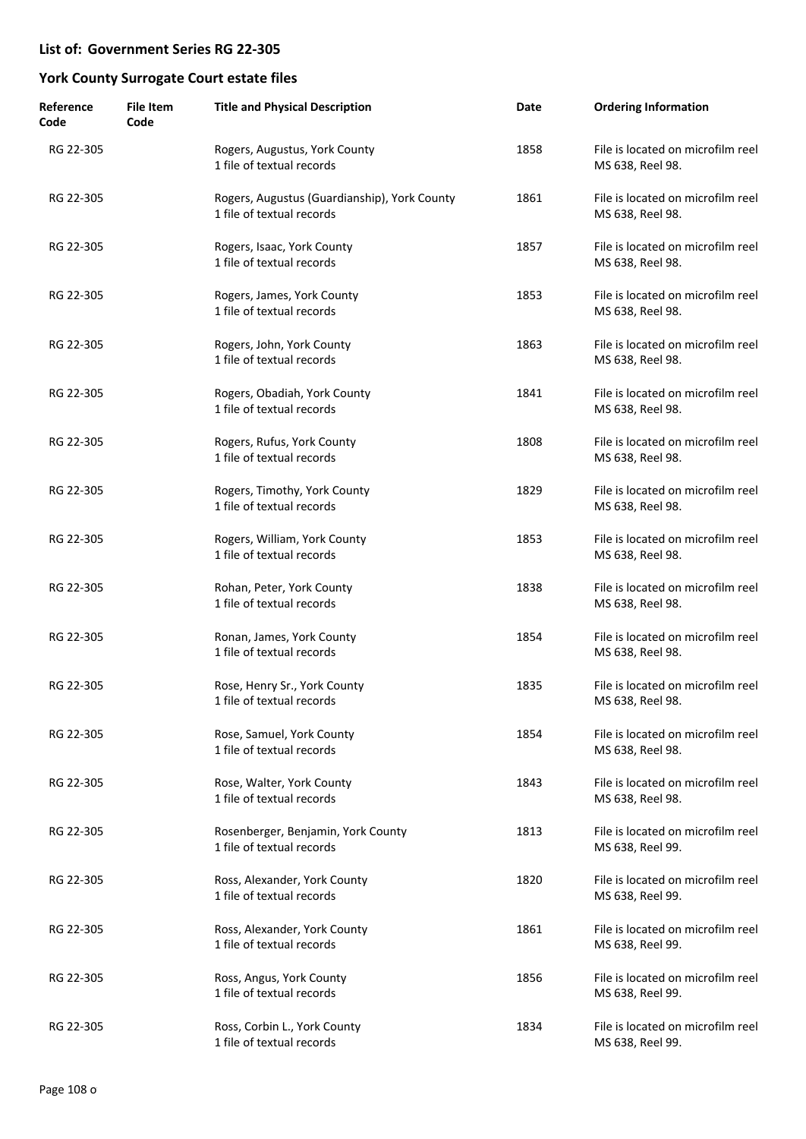| Reference<br>Code | <b>File Item</b><br>Code | <b>Title and Physical Description</b>                                     | Date | <b>Ordering Information</b>                           |
|-------------------|--------------------------|---------------------------------------------------------------------------|------|-------------------------------------------------------|
| RG 22-305         |                          | Rogers, Augustus, York County<br>1 file of textual records                | 1858 | File is located on microfilm reel<br>MS 638, Reel 98. |
| RG 22-305         |                          | Rogers, Augustus (Guardianship), York County<br>1 file of textual records | 1861 | File is located on microfilm reel<br>MS 638, Reel 98. |
| RG 22-305         |                          | Rogers, Isaac, York County<br>1 file of textual records                   | 1857 | File is located on microfilm reel<br>MS 638, Reel 98. |
| RG 22-305         |                          | Rogers, James, York County<br>1 file of textual records                   | 1853 | File is located on microfilm reel<br>MS 638, Reel 98. |
| RG 22-305         |                          | Rogers, John, York County<br>1 file of textual records                    | 1863 | File is located on microfilm reel<br>MS 638, Reel 98. |
| RG 22-305         |                          | Rogers, Obadiah, York County<br>1 file of textual records                 | 1841 | File is located on microfilm reel<br>MS 638, Reel 98. |
| RG 22-305         |                          | Rogers, Rufus, York County<br>1 file of textual records                   | 1808 | File is located on microfilm reel<br>MS 638, Reel 98. |
| RG 22-305         |                          | Rogers, Timothy, York County<br>1 file of textual records                 | 1829 | File is located on microfilm reel<br>MS 638, Reel 98. |
| RG 22-305         |                          | Rogers, William, York County<br>1 file of textual records                 | 1853 | File is located on microfilm reel<br>MS 638, Reel 98. |
| RG 22-305         |                          | Rohan, Peter, York County<br>1 file of textual records                    | 1838 | File is located on microfilm reel<br>MS 638, Reel 98. |
| RG 22-305         |                          | Ronan, James, York County<br>1 file of textual records                    | 1854 | File is located on microfilm reel<br>MS 638, Reel 98. |
| RG 22-305         |                          | Rose, Henry Sr., York County<br>1 file of textual records                 | 1835 | File is located on microfilm reel<br>MS 638, Reel 98. |
| RG 22-305         |                          | Rose, Samuel, York County<br>1 file of textual records                    | 1854 | File is located on microfilm reel<br>MS 638, Reel 98. |
| RG 22-305         |                          | Rose, Walter, York County<br>1 file of textual records                    | 1843 | File is located on microfilm reel<br>MS 638, Reel 98. |
| RG 22-305         |                          | Rosenberger, Benjamin, York County<br>1 file of textual records           | 1813 | File is located on microfilm reel<br>MS 638, Reel 99. |
| RG 22-305         |                          | Ross, Alexander, York County<br>1 file of textual records                 | 1820 | File is located on microfilm reel<br>MS 638, Reel 99. |
| RG 22-305         |                          | Ross, Alexander, York County<br>1 file of textual records                 | 1861 | File is located on microfilm reel<br>MS 638, Reel 99. |
| RG 22-305         |                          | Ross, Angus, York County<br>1 file of textual records                     | 1856 | File is located on microfilm reel<br>MS 638, Reel 99. |
| RG 22-305         |                          | Ross, Corbin L., York County<br>1 file of textual records                 | 1834 | File is located on microfilm reel<br>MS 638, Reel 99. |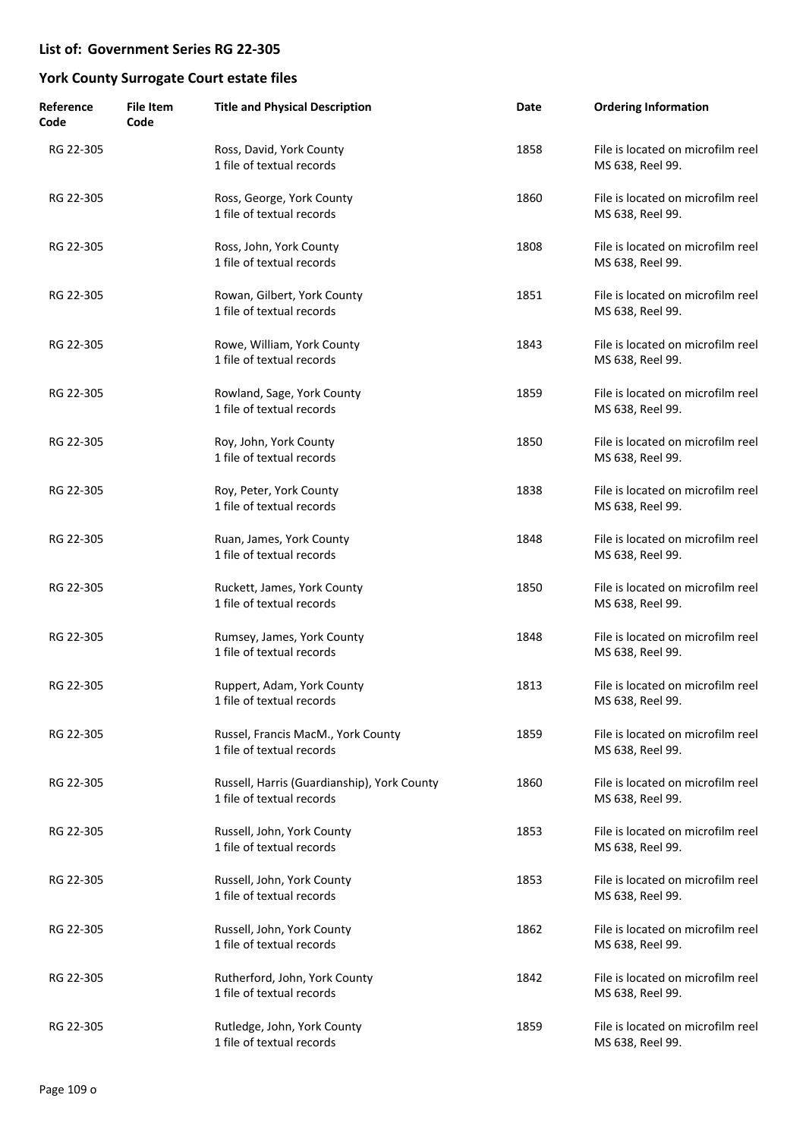| Reference<br>Code | <b>File Item</b><br>Code | <b>Title and Physical Description</b>                                    | Date | <b>Ordering Information</b>                           |
|-------------------|--------------------------|--------------------------------------------------------------------------|------|-------------------------------------------------------|
| RG 22-305         |                          | Ross, David, York County<br>1 file of textual records                    | 1858 | File is located on microfilm reel<br>MS 638, Reel 99. |
| RG 22-305         |                          | Ross, George, York County<br>1 file of textual records                   | 1860 | File is located on microfilm reel<br>MS 638, Reel 99. |
| RG 22-305         |                          | Ross, John, York County<br>1 file of textual records                     | 1808 | File is located on microfilm reel<br>MS 638, Reel 99. |
| RG 22-305         |                          | Rowan, Gilbert, York County<br>1 file of textual records                 | 1851 | File is located on microfilm reel<br>MS 638, Reel 99. |
| RG 22-305         |                          | Rowe, William, York County<br>1 file of textual records                  | 1843 | File is located on microfilm reel<br>MS 638, Reel 99. |
| RG 22-305         |                          | Rowland, Sage, York County<br>1 file of textual records                  | 1859 | File is located on microfilm reel<br>MS 638, Reel 99. |
| RG 22-305         |                          | Roy, John, York County<br>1 file of textual records                      | 1850 | File is located on microfilm reel<br>MS 638, Reel 99. |
| RG 22-305         |                          | Roy, Peter, York County<br>1 file of textual records                     | 1838 | File is located on microfilm reel<br>MS 638, Reel 99. |
| RG 22-305         |                          | Ruan, James, York County<br>1 file of textual records                    | 1848 | File is located on microfilm reel<br>MS 638, Reel 99. |
| RG 22-305         |                          | Ruckett, James, York County<br>1 file of textual records                 | 1850 | File is located on microfilm reel<br>MS 638, Reel 99. |
| RG 22-305         |                          | Rumsey, James, York County<br>1 file of textual records                  | 1848 | File is located on microfilm reel<br>MS 638, Reel 99. |
| RG 22-305         |                          | Ruppert, Adam, York County<br>1 file of textual records                  | 1813 | File is located on microfilm reel<br>MS 638, Reel 99. |
| RG 22-305         |                          | Russel, Francis MacM., York County<br>1 file of textual records          | 1859 | File is located on microfilm reel<br>MS 638, Reel 99. |
| RG 22-305         |                          | Russell, Harris (Guardianship), York County<br>1 file of textual records | 1860 | File is located on microfilm reel<br>MS 638, Reel 99. |
| RG 22-305         |                          | Russell, John, York County<br>1 file of textual records                  | 1853 | File is located on microfilm reel<br>MS 638, Reel 99. |
| RG 22-305         |                          | Russell, John, York County<br>1 file of textual records                  | 1853 | File is located on microfilm reel<br>MS 638, Reel 99. |
| RG 22-305         |                          | Russell, John, York County<br>1 file of textual records                  | 1862 | File is located on microfilm reel<br>MS 638, Reel 99. |
| RG 22-305         |                          | Rutherford, John, York County<br>1 file of textual records               | 1842 | File is located on microfilm reel<br>MS 638, Reel 99. |
| RG 22-305         |                          | Rutledge, John, York County<br>1 file of textual records                 | 1859 | File is located on microfilm reel<br>MS 638, Reel 99. |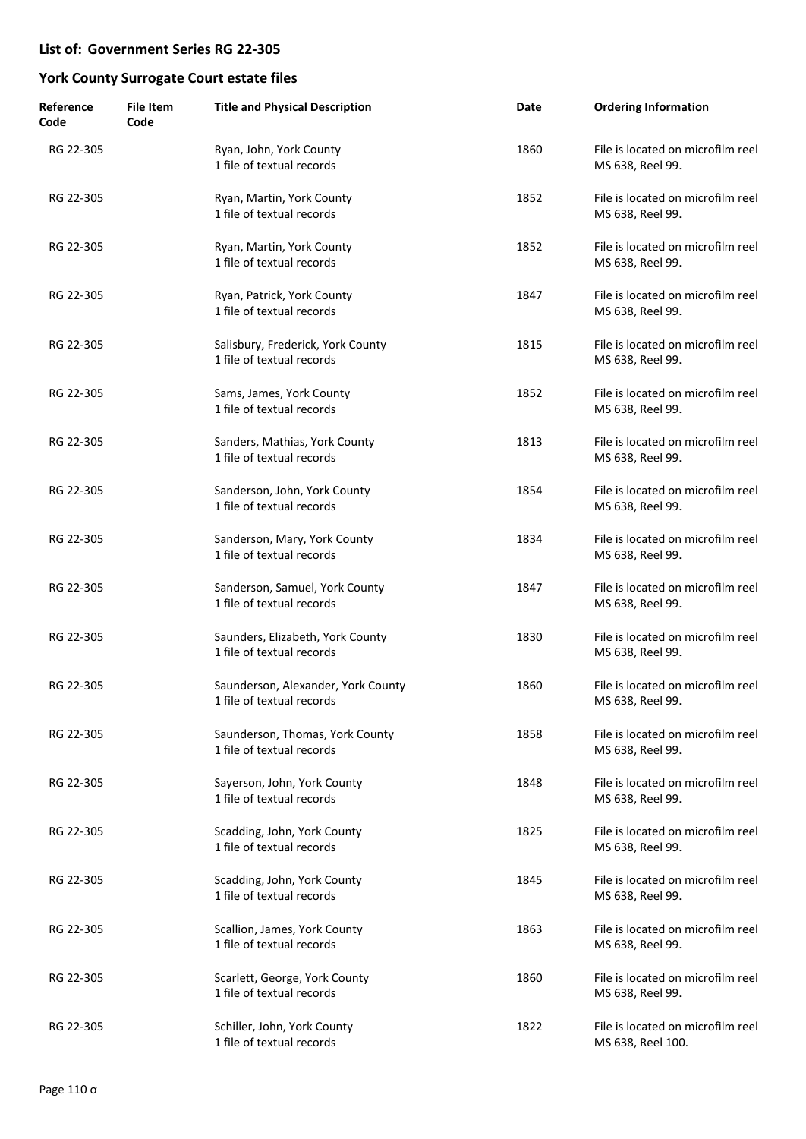| Reference<br>Code | <b>File Item</b><br>Code | <b>Title and Physical Description</b>                           | Date | <b>Ordering Information</b>                            |
|-------------------|--------------------------|-----------------------------------------------------------------|------|--------------------------------------------------------|
| RG 22-305         |                          | Ryan, John, York County<br>1 file of textual records            | 1860 | File is located on microfilm reel<br>MS 638, Reel 99.  |
| RG 22-305         |                          | Ryan, Martin, York County<br>1 file of textual records          | 1852 | File is located on microfilm reel<br>MS 638, Reel 99.  |
| RG 22-305         |                          | Ryan, Martin, York County<br>1 file of textual records          | 1852 | File is located on microfilm reel<br>MS 638, Reel 99.  |
| RG 22-305         |                          | Ryan, Patrick, York County<br>1 file of textual records         | 1847 | File is located on microfilm reel<br>MS 638, Reel 99.  |
| RG 22-305         |                          | Salisbury, Frederick, York County<br>1 file of textual records  | 1815 | File is located on microfilm reel<br>MS 638, Reel 99.  |
| RG 22-305         |                          | Sams, James, York County<br>1 file of textual records           | 1852 | File is located on microfilm reel<br>MS 638, Reel 99.  |
| RG 22-305         |                          | Sanders, Mathias, York County<br>1 file of textual records      | 1813 | File is located on microfilm reel<br>MS 638, Reel 99.  |
| RG 22-305         |                          | Sanderson, John, York County<br>1 file of textual records       | 1854 | File is located on microfilm reel<br>MS 638, Reel 99.  |
| RG 22-305         |                          | Sanderson, Mary, York County<br>1 file of textual records       | 1834 | File is located on microfilm reel<br>MS 638, Reel 99.  |
| RG 22-305         |                          | Sanderson, Samuel, York County<br>1 file of textual records     | 1847 | File is located on microfilm reel<br>MS 638, Reel 99.  |
| RG 22-305         |                          | Saunders, Elizabeth, York County<br>1 file of textual records   | 1830 | File is located on microfilm reel<br>MS 638, Reel 99.  |
| RG 22-305         |                          | Saunderson, Alexander, York County<br>1 file of textual records | 1860 | File is located on microfilm reel<br>MS 638, Reel 99.  |
| RG 22-305         |                          | Saunderson, Thomas, York County<br>1 file of textual records    | 1858 | File is located on microfilm reel<br>MS 638, Reel 99.  |
| RG 22-305         |                          | Sayerson, John, York County<br>1 file of textual records        | 1848 | File is located on microfilm reel<br>MS 638, Reel 99.  |
| RG 22-305         |                          | Scadding, John, York County<br>1 file of textual records        | 1825 | File is located on microfilm reel<br>MS 638, Reel 99.  |
| RG 22-305         |                          | Scadding, John, York County<br>1 file of textual records        | 1845 | File is located on microfilm reel<br>MS 638, Reel 99.  |
| RG 22-305         |                          | Scallion, James, York County<br>1 file of textual records       | 1863 | File is located on microfilm reel<br>MS 638, Reel 99.  |
| RG 22-305         |                          | Scarlett, George, York County<br>1 file of textual records      | 1860 | File is located on microfilm reel<br>MS 638, Reel 99.  |
| RG 22-305         |                          | Schiller, John, York County<br>1 file of textual records        | 1822 | File is located on microfilm reel<br>MS 638, Reel 100. |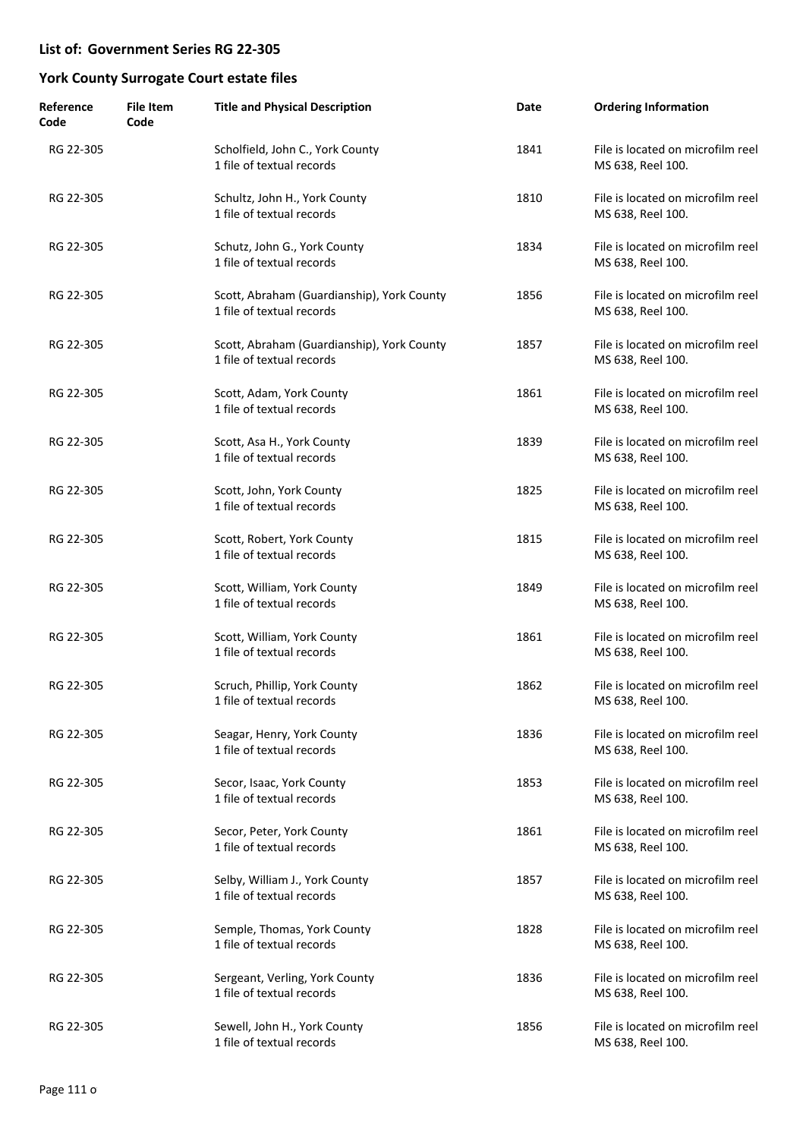| Reference<br>Code | <b>File Item</b><br>Code | <b>Title and Physical Description</b>                                   | Date | <b>Ordering Information</b>                            |
|-------------------|--------------------------|-------------------------------------------------------------------------|------|--------------------------------------------------------|
| RG 22-305         |                          | Scholfield, John C., York County<br>1 file of textual records           | 1841 | File is located on microfilm reel<br>MS 638, Reel 100. |
| RG 22-305         |                          | Schultz, John H., York County<br>1 file of textual records              | 1810 | File is located on microfilm reel<br>MS 638, Reel 100. |
| RG 22-305         |                          | Schutz, John G., York County<br>1 file of textual records               | 1834 | File is located on microfilm reel<br>MS 638, Reel 100. |
| RG 22-305         |                          | Scott, Abraham (Guardianship), York County<br>1 file of textual records | 1856 | File is located on microfilm reel<br>MS 638, Reel 100. |
| RG 22-305         |                          | Scott, Abraham (Guardianship), York County<br>1 file of textual records | 1857 | File is located on microfilm reel<br>MS 638, Reel 100. |
| RG 22-305         |                          | Scott, Adam, York County<br>1 file of textual records                   | 1861 | File is located on microfilm reel<br>MS 638, Reel 100. |
| RG 22-305         |                          | Scott, Asa H., York County<br>1 file of textual records                 | 1839 | File is located on microfilm reel<br>MS 638, Reel 100. |
| RG 22-305         |                          | Scott, John, York County<br>1 file of textual records                   | 1825 | File is located on microfilm reel<br>MS 638, Reel 100. |
| RG 22-305         |                          | Scott, Robert, York County<br>1 file of textual records                 | 1815 | File is located on microfilm reel<br>MS 638, Reel 100. |
| RG 22-305         |                          | Scott, William, York County<br>1 file of textual records                | 1849 | File is located on microfilm reel<br>MS 638, Reel 100. |
| RG 22-305         |                          | Scott, William, York County<br>1 file of textual records                | 1861 | File is located on microfilm reel<br>MS 638, Reel 100. |
| RG 22-305         |                          | Scruch, Phillip, York County<br>1 file of textual records               | 1862 | File is located on microfilm reel<br>MS 638, Reel 100. |
| RG 22-305         |                          | Seagar, Henry, York County<br>1 file of textual records                 | 1836 | File is located on microfilm reel<br>MS 638, Reel 100. |
| RG 22-305         |                          | Secor, Isaac, York County<br>1 file of textual records                  | 1853 | File is located on microfilm reel<br>MS 638, Reel 100. |
| RG 22-305         |                          | Secor, Peter, York County<br>1 file of textual records                  | 1861 | File is located on microfilm reel<br>MS 638, Reel 100. |
| RG 22-305         |                          | Selby, William J., York County<br>1 file of textual records             | 1857 | File is located on microfilm reel<br>MS 638, Reel 100. |
| RG 22-305         |                          | Semple, Thomas, York County<br>1 file of textual records                | 1828 | File is located on microfilm reel<br>MS 638, Reel 100. |
| RG 22-305         |                          | Sergeant, Verling, York County<br>1 file of textual records             | 1836 | File is located on microfilm reel<br>MS 638, Reel 100. |
| RG 22-305         |                          | Sewell, John H., York County<br>1 file of textual records               | 1856 | File is located on microfilm reel<br>MS 638, Reel 100. |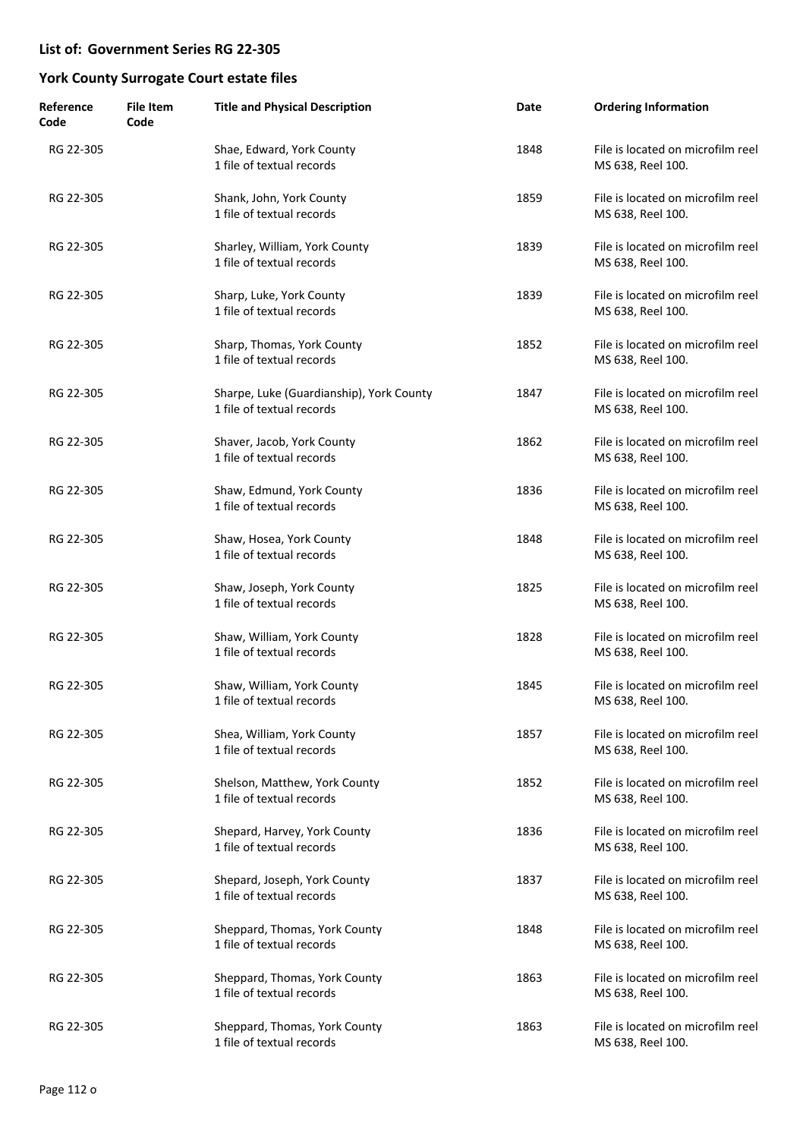| Reference<br>Code | <b>File Item</b><br>Code | <b>Title and Physical Description</b>                                 | Date | <b>Ordering Information</b>                            |
|-------------------|--------------------------|-----------------------------------------------------------------------|------|--------------------------------------------------------|
| RG 22-305         |                          | Shae, Edward, York County<br>1 file of textual records                | 1848 | File is located on microfilm reel<br>MS 638, Reel 100. |
| RG 22-305         |                          | Shank, John, York County<br>1 file of textual records                 | 1859 | File is located on microfilm reel<br>MS 638, Reel 100. |
| RG 22-305         |                          | Sharley, William, York County<br>1 file of textual records            | 1839 | File is located on microfilm reel<br>MS 638, Reel 100. |
| RG 22-305         |                          | Sharp, Luke, York County<br>1 file of textual records                 | 1839 | File is located on microfilm reel<br>MS 638, Reel 100. |
| RG 22-305         |                          | Sharp, Thomas, York County<br>1 file of textual records               | 1852 | File is located on microfilm reel<br>MS 638, Reel 100. |
| RG 22-305         |                          | Sharpe, Luke (Guardianship), York County<br>1 file of textual records | 1847 | File is located on microfilm reel<br>MS 638, Reel 100. |
| RG 22-305         |                          | Shaver, Jacob, York County<br>1 file of textual records               | 1862 | File is located on microfilm reel<br>MS 638, Reel 100. |
| RG 22-305         |                          | Shaw, Edmund, York County<br>1 file of textual records                | 1836 | File is located on microfilm reel<br>MS 638, Reel 100. |
| RG 22-305         |                          | Shaw, Hosea, York County<br>1 file of textual records                 | 1848 | File is located on microfilm reel<br>MS 638, Reel 100. |
| RG 22-305         |                          | Shaw, Joseph, York County<br>1 file of textual records                | 1825 | File is located on microfilm reel<br>MS 638, Reel 100. |
| RG 22-305         |                          | Shaw, William, York County<br>1 file of textual records               | 1828 | File is located on microfilm reel<br>MS 638, Reel 100. |
| RG 22-305         |                          | Shaw, William, York County<br>1 file of textual records               | 1845 | File is located on microfilm reel<br>MS 638, Reel 100. |
| RG 22-305         |                          | Shea, William, York County<br>1 file of textual records               | 1857 | File is located on microfilm reel<br>MS 638, Reel 100. |
| RG 22-305         |                          | Shelson, Matthew, York County<br>1 file of textual records            | 1852 | File is located on microfilm reel<br>MS 638, Reel 100. |
| RG 22-305         |                          | Shepard, Harvey, York County<br>1 file of textual records             | 1836 | File is located on microfilm reel<br>MS 638, Reel 100. |
| RG 22-305         |                          | Shepard, Joseph, York County<br>1 file of textual records             | 1837 | File is located on microfilm reel<br>MS 638, Reel 100. |
| RG 22-305         |                          | Sheppard, Thomas, York County<br>1 file of textual records            | 1848 | File is located on microfilm reel<br>MS 638, Reel 100. |
| RG 22-305         |                          | Sheppard, Thomas, York County<br>1 file of textual records            | 1863 | File is located on microfilm reel<br>MS 638, Reel 100. |
| RG 22-305         |                          | Sheppard, Thomas, York County<br>1 file of textual records            | 1863 | File is located on microfilm reel<br>MS 638, Reel 100. |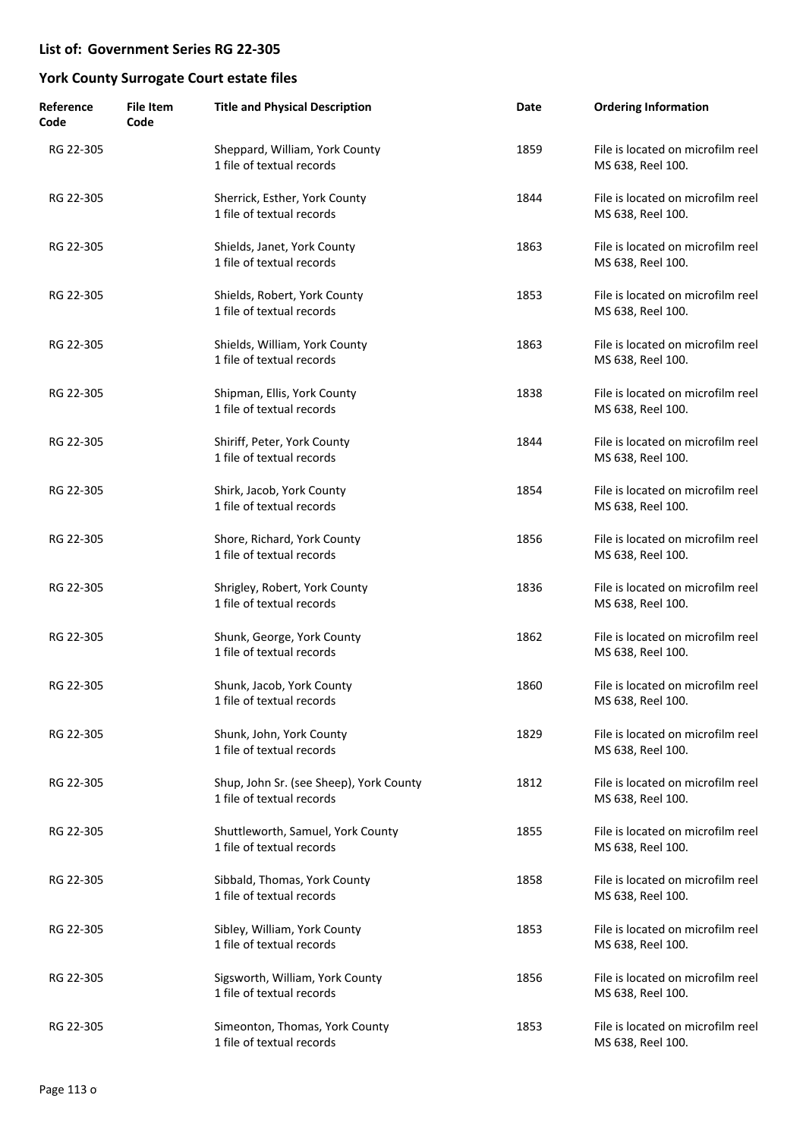| Reference<br>Code | <b>File Item</b><br>Code | <b>Title and Physical Description</b>                                | Date | <b>Ordering Information</b>                            |
|-------------------|--------------------------|----------------------------------------------------------------------|------|--------------------------------------------------------|
| RG 22-305         |                          | Sheppard, William, York County<br>1 file of textual records          | 1859 | File is located on microfilm reel<br>MS 638, Reel 100. |
| RG 22-305         |                          | Sherrick, Esther, York County<br>1 file of textual records           | 1844 | File is located on microfilm reel<br>MS 638, Reel 100. |
| RG 22-305         |                          | Shields, Janet, York County<br>1 file of textual records             | 1863 | File is located on microfilm reel<br>MS 638, Reel 100. |
| RG 22-305         |                          | Shields, Robert, York County<br>1 file of textual records            | 1853 | File is located on microfilm reel<br>MS 638, Reel 100. |
| RG 22-305         |                          | Shields, William, York County<br>1 file of textual records           | 1863 | File is located on microfilm reel<br>MS 638, Reel 100. |
| RG 22-305         |                          | Shipman, Ellis, York County<br>1 file of textual records             | 1838 | File is located on microfilm reel<br>MS 638, Reel 100. |
| RG 22-305         |                          | Shiriff, Peter, York County<br>1 file of textual records             | 1844 | File is located on microfilm reel<br>MS 638, Reel 100. |
| RG 22-305         |                          | Shirk, Jacob, York County<br>1 file of textual records               | 1854 | File is located on microfilm reel<br>MS 638, Reel 100. |
| RG 22-305         |                          | Shore, Richard, York County<br>1 file of textual records             | 1856 | File is located on microfilm reel<br>MS 638, Reel 100. |
| RG 22-305         |                          | Shrigley, Robert, York County<br>1 file of textual records           | 1836 | File is located on microfilm reel<br>MS 638, Reel 100. |
| RG 22-305         |                          | Shunk, George, York County<br>1 file of textual records              | 1862 | File is located on microfilm reel<br>MS 638, Reel 100. |
| RG 22-305         |                          | Shunk, Jacob, York County<br>1 file of textual records               | 1860 | File is located on microfilm reel<br>MS 638, Reel 100. |
| RG 22-305         |                          | Shunk, John, York County<br>1 file of textual records                | 1829 | File is located on microfilm reel<br>MS 638, Reel 100. |
| RG 22-305         |                          | Shup, John Sr. (see Sheep), York County<br>1 file of textual records | 1812 | File is located on microfilm reel<br>MS 638, Reel 100. |
| RG 22-305         |                          | Shuttleworth, Samuel, York County<br>1 file of textual records       | 1855 | File is located on microfilm reel<br>MS 638, Reel 100. |
| RG 22-305         |                          | Sibbald, Thomas, York County<br>1 file of textual records            | 1858 | File is located on microfilm reel<br>MS 638, Reel 100. |
| RG 22-305         |                          | Sibley, William, York County<br>1 file of textual records            | 1853 | File is located on microfilm reel<br>MS 638, Reel 100. |
| RG 22-305         |                          | Sigsworth, William, York County<br>1 file of textual records         | 1856 | File is located on microfilm reel<br>MS 638, Reel 100. |
| RG 22-305         |                          | Simeonton, Thomas, York County<br>1 file of textual records          | 1853 | File is located on microfilm reel<br>MS 638, Reel 100. |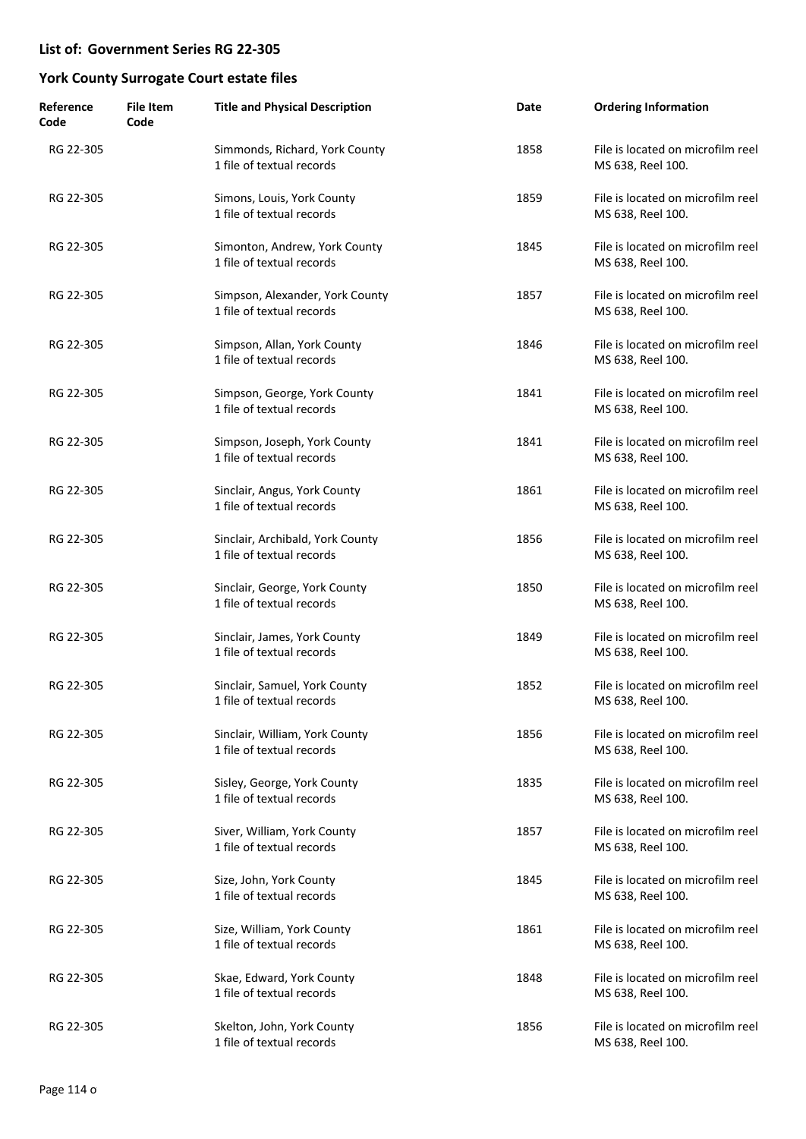| Reference<br>Code | <b>File Item</b><br>Code | <b>Title and Physical Description</b>                         | Date | <b>Ordering Information</b>                            |
|-------------------|--------------------------|---------------------------------------------------------------|------|--------------------------------------------------------|
| RG 22-305         |                          | Simmonds, Richard, York County<br>1 file of textual records   | 1858 | File is located on microfilm reel<br>MS 638, Reel 100. |
| RG 22-305         |                          | Simons, Louis, York County<br>1 file of textual records       | 1859 | File is located on microfilm reel<br>MS 638, Reel 100. |
| RG 22-305         |                          | Simonton, Andrew, York County<br>1 file of textual records    | 1845 | File is located on microfilm reel<br>MS 638, Reel 100. |
| RG 22-305         |                          | Simpson, Alexander, York County<br>1 file of textual records  | 1857 | File is located on microfilm reel<br>MS 638, Reel 100. |
| RG 22-305         |                          | Simpson, Allan, York County<br>1 file of textual records      | 1846 | File is located on microfilm reel<br>MS 638, Reel 100. |
| RG 22-305         |                          | Simpson, George, York County<br>1 file of textual records     | 1841 | File is located on microfilm reel<br>MS 638, Reel 100. |
| RG 22-305         |                          | Simpson, Joseph, York County<br>1 file of textual records     | 1841 | File is located on microfilm reel<br>MS 638, Reel 100. |
| RG 22-305         |                          | Sinclair, Angus, York County<br>1 file of textual records     | 1861 | File is located on microfilm reel<br>MS 638, Reel 100. |
| RG 22-305         |                          | Sinclair, Archibald, York County<br>1 file of textual records | 1856 | File is located on microfilm reel<br>MS 638, Reel 100. |
| RG 22-305         |                          | Sinclair, George, York County<br>1 file of textual records    | 1850 | File is located on microfilm reel<br>MS 638, Reel 100. |
| RG 22-305         |                          | Sinclair, James, York County<br>1 file of textual records     | 1849 | File is located on microfilm reel<br>MS 638, Reel 100. |
| RG 22-305         |                          | Sinclair, Samuel, York County<br>1 file of textual records    | 1852 | File is located on microfilm reel<br>MS 638, Reel 100. |
| RG 22-305         |                          | Sinclair, William, York County<br>1 file of textual records   | 1856 | File is located on microfilm reel<br>MS 638, Reel 100. |
| RG 22-305         |                          | Sisley, George, York County<br>1 file of textual records      | 1835 | File is located on microfilm reel<br>MS 638, Reel 100. |
| RG 22-305         |                          | Siver, William, York County<br>1 file of textual records      | 1857 | File is located on microfilm reel<br>MS 638, Reel 100. |
| RG 22-305         |                          | Size, John, York County<br>1 file of textual records          | 1845 | File is located on microfilm reel<br>MS 638, Reel 100. |
| RG 22-305         |                          | Size, William, York County<br>1 file of textual records       | 1861 | File is located on microfilm reel<br>MS 638, Reel 100. |
| RG 22-305         |                          | Skae, Edward, York County<br>1 file of textual records        | 1848 | File is located on microfilm reel<br>MS 638, Reel 100. |
| RG 22-305         |                          | Skelton, John, York County<br>1 file of textual records       | 1856 | File is located on microfilm reel<br>MS 638, Reel 100. |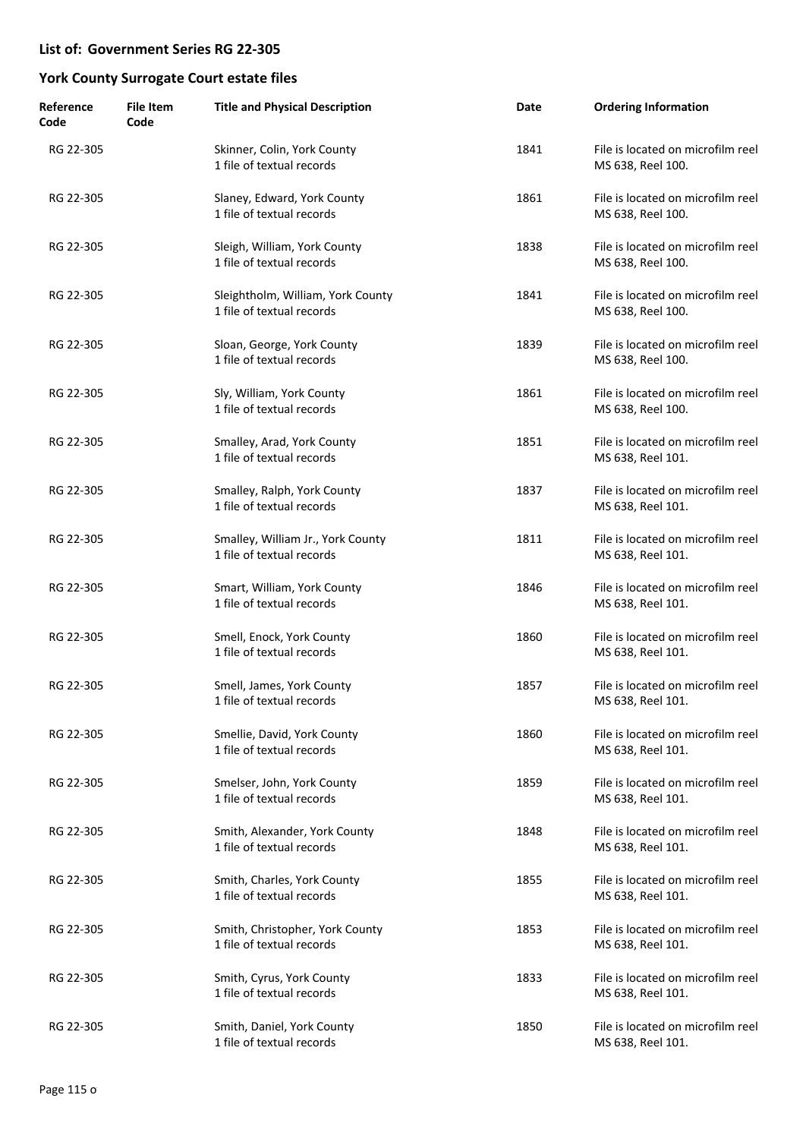| Reference<br>Code | <b>File Item</b><br>Code | <b>Title and Physical Description</b>                          | Date | <b>Ordering Information</b>                            |
|-------------------|--------------------------|----------------------------------------------------------------|------|--------------------------------------------------------|
| RG 22-305         |                          | Skinner, Colin, York County<br>1 file of textual records       | 1841 | File is located on microfilm reel<br>MS 638, Reel 100. |
| RG 22-305         |                          | Slaney, Edward, York County<br>1 file of textual records       | 1861 | File is located on microfilm reel<br>MS 638, Reel 100. |
| RG 22-305         |                          | Sleigh, William, York County<br>1 file of textual records      | 1838 | File is located on microfilm reel<br>MS 638, Reel 100. |
| RG 22-305         |                          | Sleightholm, William, York County<br>1 file of textual records | 1841 | File is located on microfilm reel<br>MS 638, Reel 100. |
| RG 22-305         |                          | Sloan, George, York County<br>1 file of textual records        | 1839 | File is located on microfilm reel<br>MS 638, Reel 100. |
| RG 22-305         |                          | Sly, William, York County<br>1 file of textual records         | 1861 | File is located on microfilm reel<br>MS 638, Reel 100. |
| RG 22-305         |                          | Smalley, Arad, York County<br>1 file of textual records        | 1851 | File is located on microfilm reel<br>MS 638, Reel 101. |
| RG 22-305         |                          | Smalley, Ralph, York County<br>1 file of textual records       | 1837 | File is located on microfilm reel<br>MS 638, Reel 101. |
| RG 22-305         |                          | Smalley, William Jr., York County<br>1 file of textual records | 1811 | File is located on microfilm reel<br>MS 638, Reel 101. |
| RG 22-305         |                          | Smart, William, York County<br>1 file of textual records       | 1846 | File is located on microfilm reel<br>MS 638, Reel 101. |
| RG 22-305         |                          | Smell, Enock, York County<br>1 file of textual records         | 1860 | File is located on microfilm reel<br>MS 638, Reel 101. |
| RG 22-305         |                          | Smell, James, York County<br>1 file of textual records         | 1857 | File is located on microfilm reel<br>MS 638, Reel 101. |
| RG 22-305         |                          | Smellie, David, York County<br>1 file of textual records       | 1860 | File is located on microfilm reel<br>MS 638, Reel 101. |
| RG 22-305         |                          | Smelser, John, York County<br>1 file of textual records        | 1859 | File is located on microfilm reel<br>MS 638, Reel 101. |
| RG 22-305         |                          | Smith, Alexander, York County<br>1 file of textual records     | 1848 | File is located on microfilm reel<br>MS 638, Reel 101. |
| RG 22-305         |                          | Smith, Charles, York County<br>1 file of textual records       | 1855 | File is located on microfilm reel<br>MS 638, Reel 101. |
| RG 22-305         |                          | Smith, Christopher, York County<br>1 file of textual records   | 1853 | File is located on microfilm reel<br>MS 638, Reel 101. |
| RG 22-305         |                          | Smith, Cyrus, York County<br>1 file of textual records         | 1833 | File is located on microfilm reel<br>MS 638, Reel 101. |
| RG 22-305         |                          | Smith, Daniel, York County<br>1 file of textual records        | 1850 | File is located on microfilm reel<br>MS 638, Reel 101. |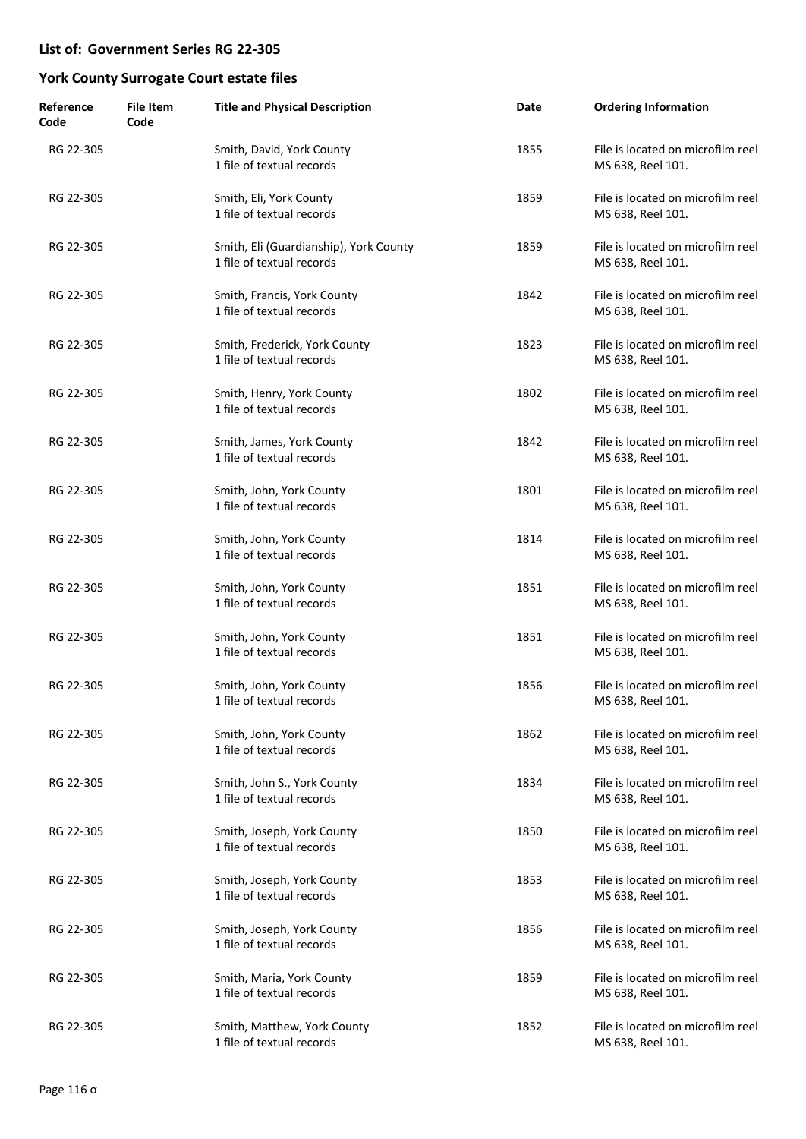| Reference<br>Code | <b>File Item</b><br>Code | <b>Title and Physical Description</b>                               | Date | <b>Ordering Information</b>                            |
|-------------------|--------------------------|---------------------------------------------------------------------|------|--------------------------------------------------------|
| RG 22-305         |                          | Smith, David, York County<br>1 file of textual records              | 1855 | File is located on microfilm reel<br>MS 638, Reel 101. |
| RG 22-305         |                          | Smith, Eli, York County<br>1 file of textual records                | 1859 | File is located on microfilm reel<br>MS 638, Reel 101. |
| RG 22-305         |                          | Smith, Eli (Guardianship), York County<br>1 file of textual records | 1859 | File is located on microfilm reel<br>MS 638, Reel 101. |
| RG 22-305         |                          | Smith, Francis, York County<br>1 file of textual records            | 1842 | File is located on microfilm reel<br>MS 638, Reel 101. |
| RG 22-305         |                          | Smith, Frederick, York County<br>1 file of textual records          | 1823 | File is located on microfilm reel<br>MS 638, Reel 101. |
| RG 22-305         |                          | Smith, Henry, York County<br>1 file of textual records              | 1802 | File is located on microfilm reel<br>MS 638, Reel 101. |
| RG 22-305         |                          | Smith, James, York County<br>1 file of textual records              | 1842 | File is located on microfilm reel<br>MS 638, Reel 101. |
| RG 22-305         |                          | Smith, John, York County<br>1 file of textual records               | 1801 | File is located on microfilm reel<br>MS 638, Reel 101. |
| RG 22-305         |                          | Smith, John, York County<br>1 file of textual records               | 1814 | File is located on microfilm reel<br>MS 638, Reel 101. |
| RG 22-305         |                          | Smith, John, York County<br>1 file of textual records               | 1851 | File is located on microfilm reel<br>MS 638, Reel 101. |
| RG 22-305         |                          | Smith, John, York County<br>1 file of textual records               | 1851 | File is located on microfilm reel<br>MS 638, Reel 101. |
| RG 22-305         |                          | Smith, John, York County<br>1 file of textual records               | 1856 | File is located on microfilm reel<br>MS 638, Reel 101. |
| RG 22-305         |                          | Smith, John, York County<br>1 file of textual records               | 1862 | File is located on microfilm reel<br>MS 638, Reel 101. |
| RG 22-305         |                          | Smith, John S., York County<br>1 file of textual records            | 1834 | File is located on microfilm reel<br>MS 638, Reel 101. |
| RG 22-305         |                          | Smith, Joseph, York County<br>1 file of textual records             | 1850 | File is located on microfilm reel<br>MS 638, Reel 101. |
| RG 22-305         |                          | Smith, Joseph, York County<br>1 file of textual records             | 1853 | File is located on microfilm reel<br>MS 638, Reel 101. |
| RG 22-305         |                          | Smith, Joseph, York County<br>1 file of textual records             | 1856 | File is located on microfilm reel<br>MS 638, Reel 101. |
| RG 22-305         |                          | Smith, Maria, York County<br>1 file of textual records              | 1859 | File is located on microfilm reel<br>MS 638, Reel 101. |
| RG 22-305         |                          | Smith, Matthew, York County<br>1 file of textual records            | 1852 | File is located on microfilm reel<br>MS 638, Reel 101. |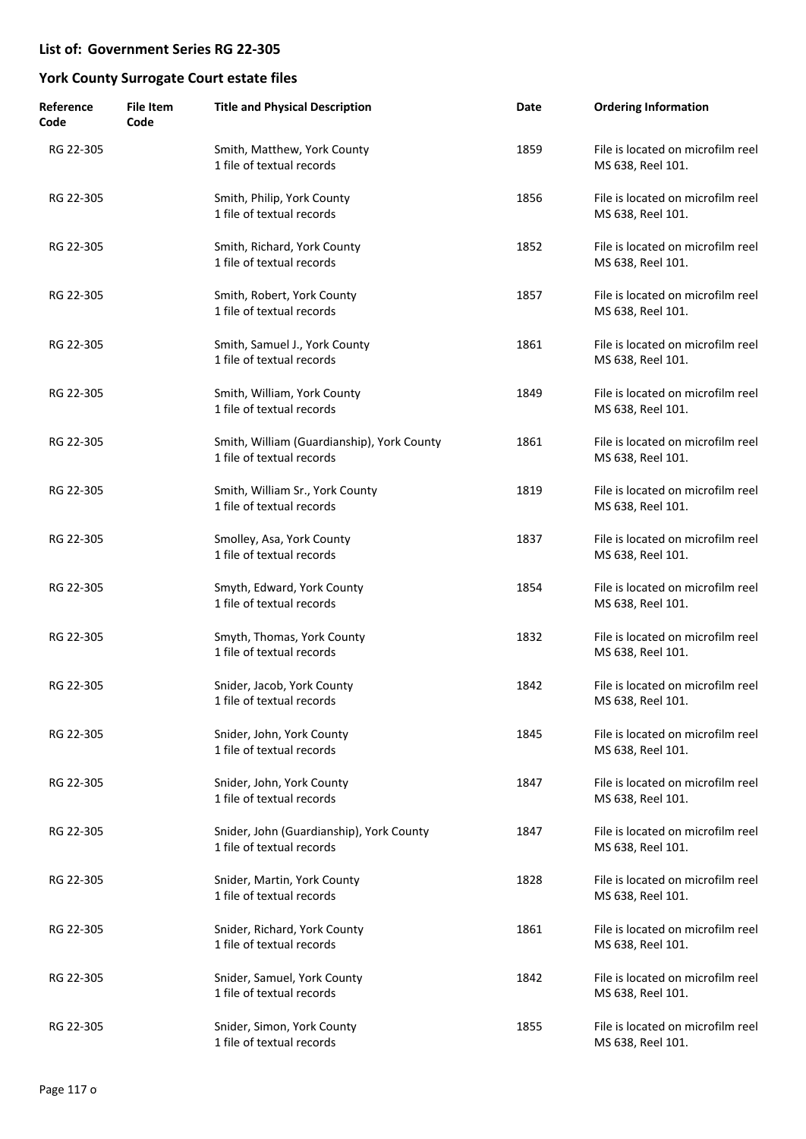| Reference<br>Code | <b>File Item</b><br>Code | <b>Title and Physical Description</b>                                   | Date | <b>Ordering Information</b>                            |
|-------------------|--------------------------|-------------------------------------------------------------------------|------|--------------------------------------------------------|
| RG 22-305         |                          | Smith, Matthew, York County<br>1 file of textual records                | 1859 | File is located on microfilm reel<br>MS 638, Reel 101. |
| RG 22-305         |                          | Smith, Philip, York County<br>1 file of textual records                 | 1856 | File is located on microfilm reel<br>MS 638, Reel 101. |
| RG 22-305         |                          | Smith, Richard, York County<br>1 file of textual records                | 1852 | File is located on microfilm reel<br>MS 638, Reel 101. |
| RG 22-305         |                          | Smith, Robert, York County<br>1 file of textual records                 | 1857 | File is located on microfilm reel<br>MS 638, Reel 101. |
| RG 22-305         |                          | Smith, Samuel J., York County<br>1 file of textual records              | 1861 | File is located on microfilm reel<br>MS 638, Reel 101. |
| RG 22-305         |                          | Smith, William, York County<br>1 file of textual records                | 1849 | File is located on microfilm reel<br>MS 638, Reel 101. |
| RG 22-305         |                          | Smith, William (Guardianship), York County<br>1 file of textual records | 1861 | File is located on microfilm reel<br>MS 638, Reel 101. |
| RG 22-305         |                          | Smith, William Sr., York County<br>1 file of textual records            | 1819 | File is located on microfilm reel<br>MS 638, Reel 101. |
| RG 22-305         |                          | Smolley, Asa, York County<br>1 file of textual records                  | 1837 | File is located on microfilm reel<br>MS 638, Reel 101. |
| RG 22-305         |                          | Smyth, Edward, York County<br>1 file of textual records                 | 1854 | File is located on microfilm reel<br>MS 638, Reel 101. |
| RG 22-305         |                          | Smyth, Thomas, York County<br>1 file of textual records                 | 1832 | File is located on microfilm reel<br>MS 638, Reel 101. |
| RG 22-305         |                          | Snider, Jacob, York County<br>1 file of textual records                 | 1842 | File is located on microfilm reel<br>MS 638, Reel 101. |
| RG 22-305         |                          | Snider, John, York County<br>1 file of textual records                  | 1845 | File is located on microfilm reel<br>MS 638, Reel 101. |
| RG 22-305         |                          | Snider, John, York County<br>1 file of textual records                  | 1847 | File is located on microfilm reel<br>MS 638, Reel 101. |
| RG 22-305         |                          | Snider, John (Guardianship), York County<br>1 file of textual records   | 1847 | File is located on microfilm reel<br>MS 638, Reel 101. |
| RG 22-305         |                          | Snider, Martin, York County<br>1 file of textual records                | 1828 | File is located on microfilm reel<br>MS 638, Reel 101. |
| RG 22-305         |                          | Snider, Richard, York County<br>1 file of textual records               | 1861 | File is located on microfilm reel<br>MS 638, Reel 101. |
| RG 22-305         |                          | Snider, Samuel, York County<br>1 file of textual records                | 1842 | File is located on microfilm reel<br>MS 638, Reel 101. |
| RG 22-305         |                          | Snider, Simon, York County<br>1 file of textual records                 | 1855 | File is located on microfilm reel<br>MS 638, Reel 101. |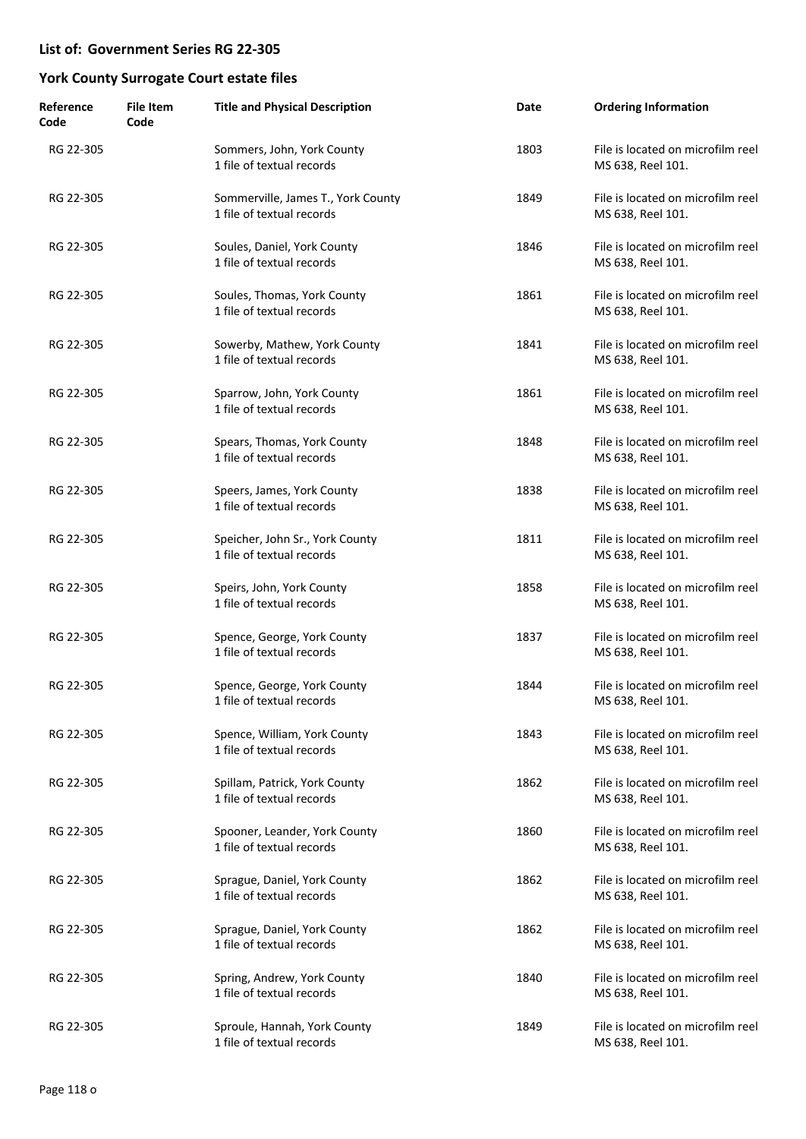| Reference<br>Code | <b>File Item</b><br>Code | <b>Title and Physical Description</b>                           | Date | <b>Ordering Information</b>                            |
|-------------------|--------------------------|-----------------------------------------------------------------|------|--------------------------------------------------------|
| RG 22-305         |                          | Sommers, John, York County<br>1 file of textual records         | 1803 | File is located on microfilm reel<br>MS 638, Reel 101. |
| RG 22-305         |                          | Sommerville, James T., York County<br>1 file of textual records | 1849 | File is located on microfilm reel<br>MS 638, Reel 101. |
| RG 22-305         |                          | Soules, Daniel, York County<br>1 file of textual records        | 1846 | File is located on microfilm reel<br>MS 638, Reel 101. |
| RG 22-305         |                          | Soules, Thomas, York County<br>1 file of textual records        | 1861 | File is located on microfilm reel<br>MS 638, Reel 101. |
| RG 22-305         |                          | Sowerby, Mathew, York County<br>1 file of textual records       | 1841 | File is located on microfilm reel<br>MS 638, Reel 101. |
| RG 22-305         |                          | Sparrow, John, York County<br>1 file of textual records         | 1861 | File is located on microfilm reel<br>MS 638, Reel 101. |
| RG 22-305         |                          | Spears, Thomas, York County<br>1 file of textual records        | 1848 | File is located on microfilm reel<br>MS 638, Reel 101. |
| RG 22-305         |                          | Speers, James, York County<br>1 file of textual records         | 1838 | File is located on microfilm reel<br>MS 638, Reel 101. |
| RG 22-305         |                          | Speicher, John Sr., York County<br>1 file of textual records    | 1811 | File is located on microfilm reel<br>MS 638, Reel 101. |
| RG 22-305         |                          | Speirs, John, York County<br>1 file of textual records          | 1858 | File is located on microfilm reel<br>MS 638, Reel 101. |
| RG 22-305         |                          | Spence, George, York County<br>1 file of textual records        | 1837 | File is located on microfilm reel<br>MS 638, Reel 101. |
| RG 22-305         |                          | Spence, George, York County<br>1 file of textual records        | 1844 | File is located on microfilm reel<br>MS 638, Reel 101. |
| RG 22-305         |                          | Spence, William, York County<br>1 file of textual records       | 1843 | File is located on microfilm reel<br>MS 638, Reel 101. |
| RG 22-305         |                          | Spillam, Patrick, York County<br>1 file of textual records      | 1862 | File is located on microfilm reel<br>MS 638, Reel 101. |
| RG 22-305         |                          | Spooner, Leander, York County<br>1 file of textual records      | 1860 | File is located on microfilm reel<br>MS 638, Reel 101. |
| RG 22-305         |                          | Sprague, Daniel, York County<br>1 file of textual records       | 1862 | File is located on microfilm reel<br>MS 638, Reel 101. |
| RG 22-305         |                          | Sprague, Daniel, York County<br>1 file of textual records       | 1862 | File is located on microfilm reel<br>MS 638, Reel 101. |
| RG 22-305         |                          | Spring, Andrew, York County<br>1 file of textual records        | 1840 | File is located on microfilm reel<br>MS 638, Reel 101. |
| RG 22-305         |                          | Sproule, Hannah, York County<br>1 file of textual records       | 1849 | File is located on microfilm reel<br>MS 638, Reel 101. |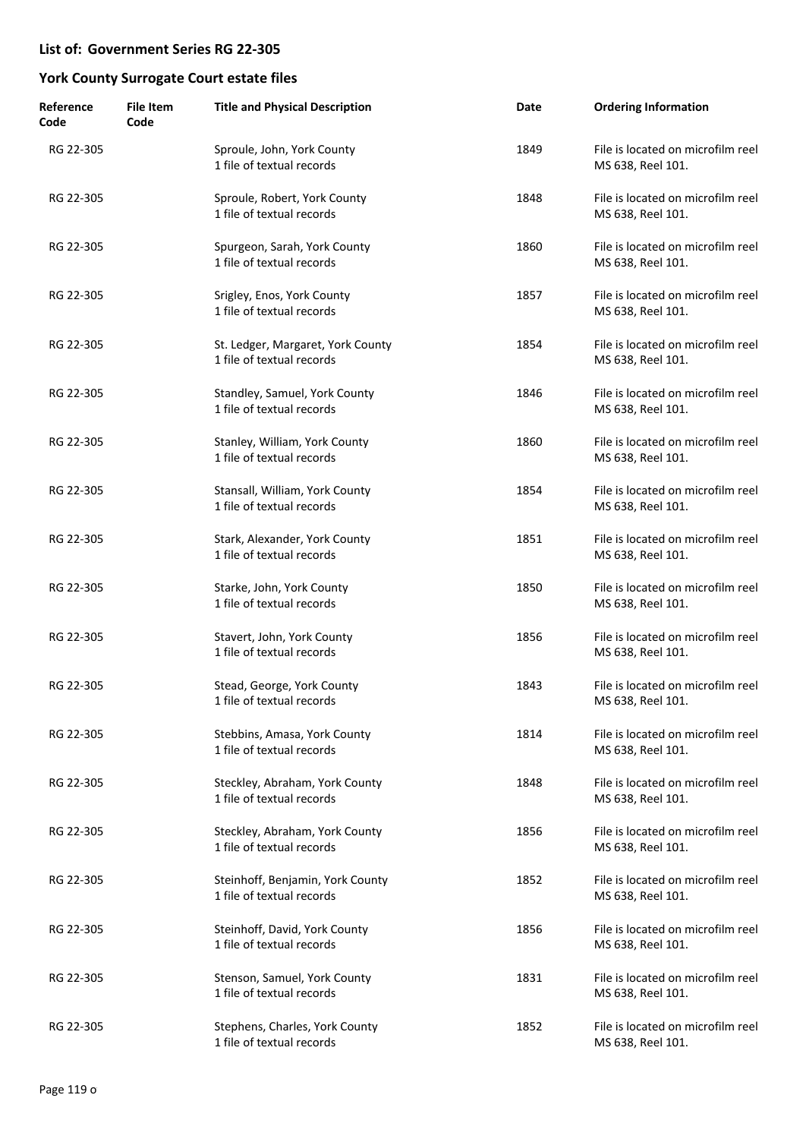| Reference<br>Code | <b>File Item</b><br>Code | <b>Title and Physical Description</b>                          | Date | <b>Ordering Information</b>                            |
|-------------------|--------------------------|----------------------------------------------------------------|------|--------------------------------------------------------|
| RG 22-305         |                          | Sproule, John, York County<br>1 file of textual records        | 1849 | File is located on microfilm reel<br>MS 638, Reel 101. |
| RG 22-305         |                          | Sproule, Robert, York County<br>1 file of textual records      | 1848 | File is located on microfilm reel<br>MS 638, Reel 101. |
| RG 22-305         |                          | Spurgeon, Sarah, York County<br>1 file of textual records      | 1860 | File is located on microfilm reel<br>MS 638, Reel 101. |
| RG 22-305         |                          | Srigley, Enos, York County<br>1 file of textual records        | 1857 | File is located on microfilm reel<br>MS 638, Reel 101. |
| RG 22-305         |                          | St. Ledger, Margaret, York County<br>1 file of textual records | 1854 | File is located on microfilm reel<br>MS 638, Reel 101. |
| RG 22-305         |                          | Standley, Samuel, York County<br>1 file of textual records     | 1846 | File is located on microfilm reel<br>MS 638, Reel 101. |
| RG 22-305         |                          | Stanley, William, York County<br>1 file of textual records     | 1860 | File is located on microfilm reel<br>MS 638, Reel 101. |
| RG 22-305         |                          | Stansall, William, York County<br>1 file of textual records    | 1854 | File is located on microfilm reel<br>MS 638, Reel 101. |
| RG 22-305         |                          | Stark, Alexander, York County<br>1 file of textual records     | 1851 | File is located on microfilm reel<br>MS 638, Reel 101. |
| RG 22-305         |                          | Starke, John, York County<br>1 file of textual records         | 1850 | File is located on microfilm reel<br>MS 638, Reel 101. |
| RG 22-305         |                          | Stavert, John, York County<br>1 file of textual records        | 1856 | File is located on microfilm reel<br>MS 638, Reel 101. |
| RG 22-305         |                          | Stead, George, York County<br>1 file of textual records        | 1843 | File is located on microfilm reel<br>MS 638, Reel 101. |
| RG 22-305         |                          | Stebbins, Amasa, York County<br>1 file of textual records      | 1814 | File is located on microfilm reel<br>MS 638, Reel 101. |
| RG 22-305         |                          | Steckley, Abraham, York County<br>1 file of textual records    | 1848 | File is located on microfilm reel<br>MS 638, Reel 101. |
| RG 22-305         |                          | Steckley, Abraham, York County<br>1 file of textual records    | 1856 | File is located on microfilm reel<br>MS 638, Reel 101. |
| RG 22-305         |                          | Steinhoff, Benjamin, York County<br>1 file of textual records  | 1852 | File is located on microfilm reel<br>MS 638, Reel 101. |
| RG 22-305         |                          | Steinhoff, David, York County<br>1 file of textual records     | 1856 | File is located on microfilm reel<br>MS 638, Reel 101. |
| RG 22-305         |                          | Stenson, Samuel, York County<br>1 file of textual records      | 1831 | File is located on microfilm reel<br>MS 638, Reel 101. |
| RG 22-305         |                          | Stephens, Charles, York County<br>1 file of textual records    | 1852 | File is located on microfilm reel<br>MS 638, Reel 101. |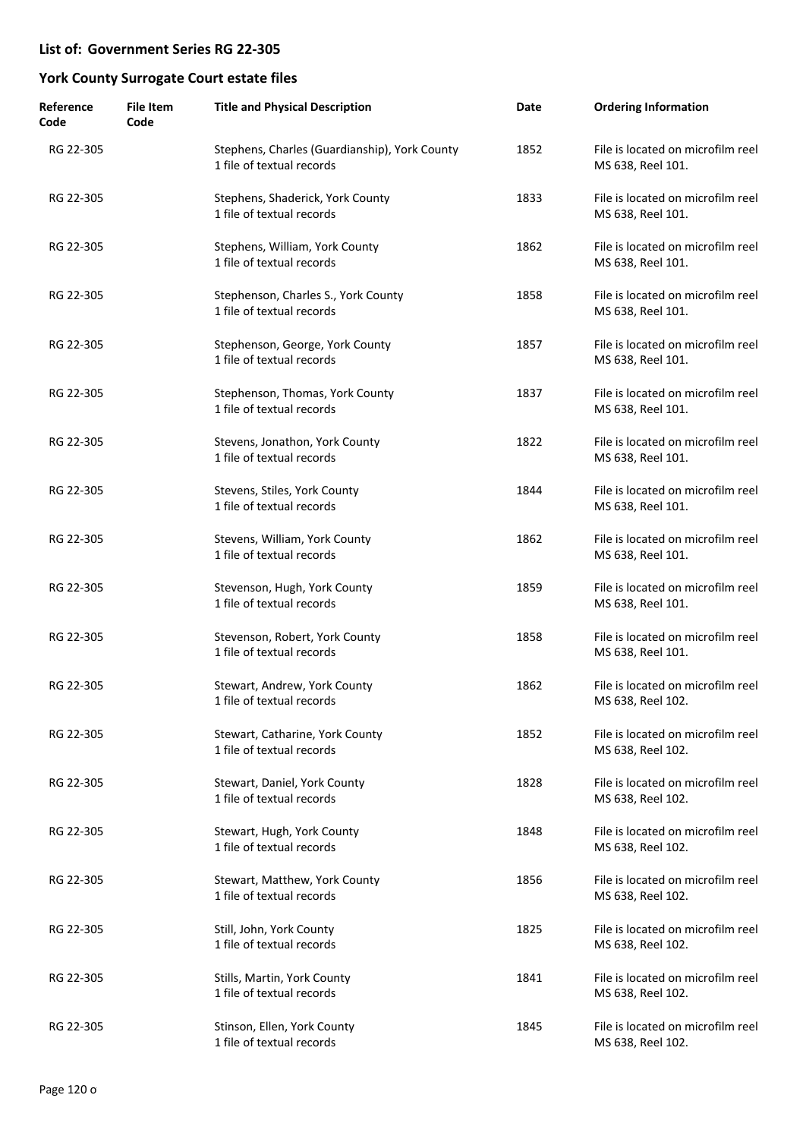| Reference<br>Code | <b>File Item</b><br>Code | <b>Title and Physical Description</b>                                      | Date | <b>Ordering Information</b>                            |
|-------------------|--------------------------|----------------------------------------------------------------------------|------|--------------------------------------------------------|
| RG 22-305         |                          | Stephens, Charles (Guardianship), York County<br>1 file of textual records | 1852 | File is located on microfilm reel<br>MS 638, Reel 101. |
| RG 22-305         |                          | Stephens, Shaderick, York County<br>1 file of textual records              | 1833 | File is located on microfilm reel<br>MS 638, Reel 101. |
| RG 22-305         |                          | Stephens, William, York County<br>1 file of textual records                | 1862 | File is located on microfilm reel<br>MS 638, Reel 101. |
| RG 22-305         |                          | Stephenson, Charles S., York County<br>1 file of textual records           | 1858 | File is located on microfilm reel<br>MS 638, Reel 101. |
| RG 22-305         |                          | Stephenson, George, York County<br>1 file of textual records               | 1857 | File is located on microfilm reel<br>MS 638, Reel 101. |
| RG 22-305         |                          | Stephenson, Thomas, York County<br>1 file of textual records               | 1837 | File is located on microfilm reel<br>MS 638, Reel 101. |
| RG 22-305         |                          | Stevens, Jonathon, York County<br>1 file of textual records                | 1822 | File is located on microfilm reel<br>MS 638, Reel 101. |
| RG 22-305         |                          | Stevens, Stiles, York County<br>1 file of textual records                  | 1844 | File is located on microfilm reel<br>MS 638, Reel 101. |
| RG 22-305         |                          | Stevens, William, York County<br>1 file of textual records                 | 1862 | File is located on microfilm reel<br>MS 638, Reel 101. |
| RG 22-305         |                          | Stevenson, Hugh, York County<br>1 file of textual records                  | 1859 | File is located on microfilm reel<br>MS 638, Reel 101. |
| RG 22-305         |                          | Stevenson, Robert, York County<br>1 file of textual records                | 1858 | File is located on microfilm reel<br>MS 638, Reel 101. |
| RG 22-305         |                          | Stewart, Andrew, York County<br>1 file of textual records                  | 1862 | File is located on microfilm reel<br>MS 638, Reel 102. |
| RG 22-305         |                          | Stewart, Catharine, York County<br>1 file of textual records               | 1852 | File is located on microfilm reel<br>MS 638, Reel 102. |
| RG 22-305         |                          | Stewart, Daniel, York County<br>1 file of textual records                  | 1828 | File is located on microfilm reel<br>MS 638, Reel 102. |
| RG 22-305         |                          | Stewart, Hugh, York County<br>1 file of textual records                    | 1848 | File is located on microfilm reel<br>MS 638, Reel 102. |
| RG 22-305         |                          | Stewart, Matthew, York County<br>1 file of textual records                 | 1856 | File is located on microfilm reel<br>MS 638, Reel 102. |
| RG 22-305         |                          | Still, John, York County<br>1 file of textual records                      | 1825 | File is located on microfilm reel<br>MS 638, Reel 102. |
| RG 22-305         |                          | Stills, Martin, York County<br>1 file of textual records                   | 1841 | File is located on microfilm reel<br>MS 638, Reel 102. |
| RG 22-305         |                          | Stinson, Ellen, York County<br>1 file of textual records                   | 1845 | File is located on microfilm reel<br>MS 638, Reel 102. |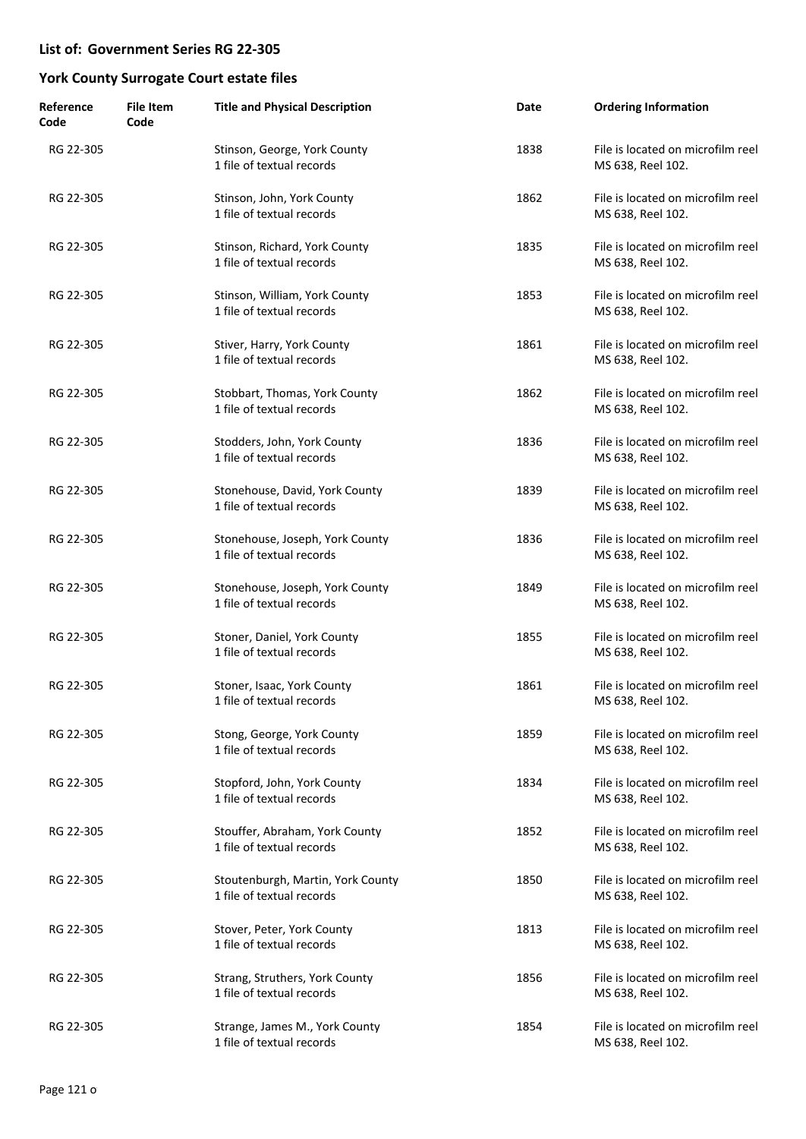| Reference<br>Code | <b>File Item</b><br>Code | <b>Title and Physical Description</b>                          | Date | <b>Ordering Information</b>                            |
|-------------------|--------------------------|----------------------------------------------------------------|------|--------------------------------------------------------|
| RG 22-305         |                          | Stinson, George, York County<br>1 file of textual records      | 1838 | File is located on microfilm reel<br>MS 638, Reel 102. |
| RG 22-305         |                          | Stinson, John, York County<br>1 file of textual records        | 1862 | File is located on microfilm reel<br>MS 638, Reel 102. |
| RG 22-305         |                          | Stinson, Richard, York County<br>1 file of textual records     | 1835 | File is located on microfilm reel<br>MS 638, Reel 102. |
| RG 22-305         |                          | Stinson, William, York County<br>1 file of textual records     | 1853 | File is located on microfilm reel<br>MS 638, Reel 102. |
| RG 22-305         |                          | Stiver, Harry, York County<br>1 file of textual records        | 1861 | File is located on microfilm reel<br>MS 638, Reel 102. |
| RG 22-305         |                          | Stobbart, Thomas, York County<br>1 file of textual records     | 1862 | File is located on microfilm reel<br>MS 638, Reel 102. |
| RG 22-305         |                          | Stodders, John, York County<br>1 file of textual records       | 1836 | File is located on microfilm reel<br>MS 638, Reel 102. |
| RG 22-305         |                          | Stonehouse, David, York County<br>1 file of textual records    | 1839 | File is located on microfilm reel<br>MS 638, Reel 102. |
| RG 22-305         |                          | Stonehouse, Joseph, York County<br>1 file of textual records   | 1836 | File is located on microfilm reel<br>MS 638, Reel 102. |
| RG 22-305         |                          | Stonehouse, Joseph, York County<br>1 file of textual records   | 1849 | File is located on microfilm reel<br>MS 638, Reel 102. |
| RG 22-305         |                          | Stoner, Daniel, York County<br>1 file of textual records       | 1855 | File is located on microfilm reel<br>MS 638, Reel 102. |
| RG 22-305         |                          | Stoner, Isaac, York County<br>1 file of textual records        | 1861 | File is located on microfilm reel<br>MS 638, Reel 102. |
| RG 22-305         |                          | Stong, George, York County<br>1 file of textual records        | 1859 | File is located on microfilm reel<br>MS 638, Reel 102. |
| RG 22-305         |                          | Stopford, John, York County<br>1 file of textual records       | 1834 | File is located on microfilm reel<br>MS 638, Reel 102. |
| RG 22-305         |                          | Stouffer, Abraham, York County<br>1 file of textual records    | 1852 | File is located on microfilm reel<br>MS 638, Reel 102. |
| RG 22-305         |                          | Stoutenburgh, Martin, York County<br>1 file of textual records | 1850 | File is located on microfilm reel<br>MS 638, Reel 102. |
| RG 22-305         |                          | Stover, Peter, York County<br>1 file of textual records        | 1813 | File is located on microfilm reel<br>MS 638, Reel 102. |
| RG 22-305         |                          | Strang, Struthers, York County<br>1 file of textual records    | 1856 | File is located on microfilm reel<br>MS 638, Reel 102. |
| RG 22-305         |                          | Strange, James M., York County<br>1 file of textual records    | 1854 | File is located on microfilm reel<br>MS 638, Reel 102. |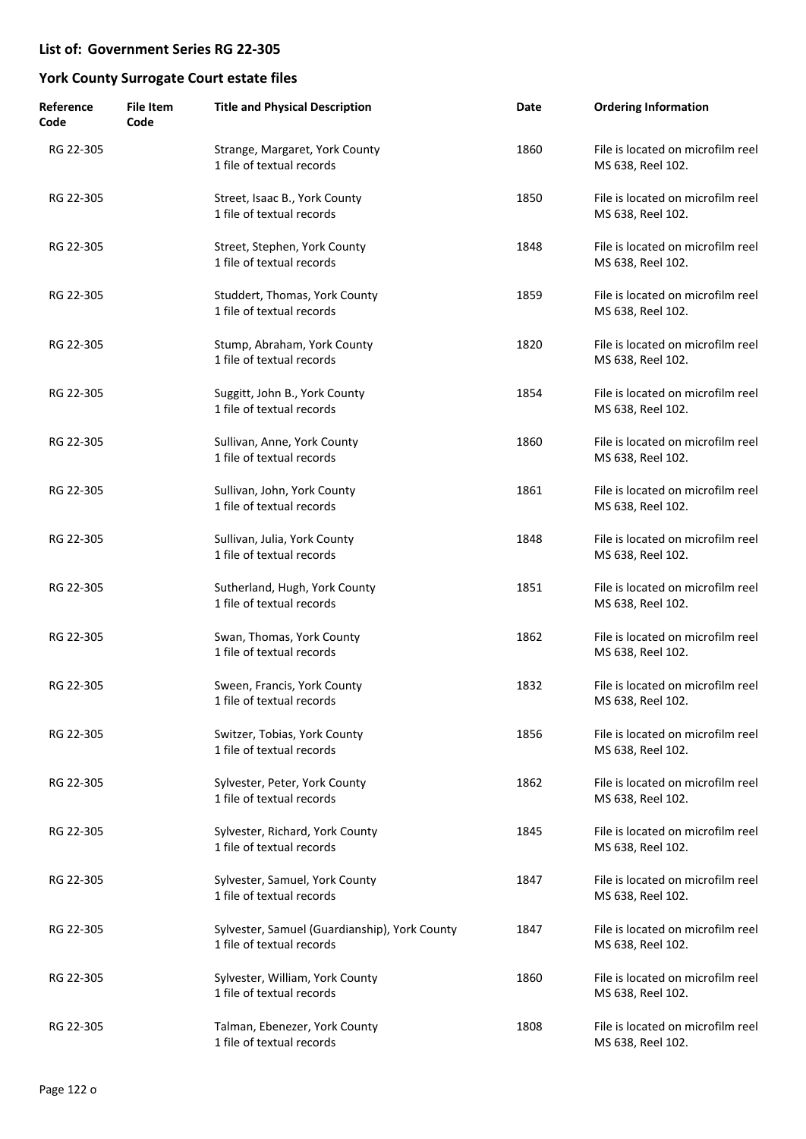| Reference<br>Code | <b>File Item</b><br>Code | <b>Title and Physical Description</b>                                      | Date | <b>Ordering Information</b>                            |
|-------------------|--------------------------|----------------------------------------------------------------------------|------|--------------------------------------------------------|
| RG 22-305         |                          | Strange, Margaret, York County<br>1 file of textual records                | 1860 | File is located on microfilm reel<br>MS 638, Reel 102. |
| RG 22-305         |                          | Street, Isaac B., York County<br>1 file of textual records                 | 1850 | File is located on microfilm reel<br>MS 638, Reel 102. |
| RG 22-305         |                          | Street, Stephen, York County<br>1 file of textual records                  | 1848 | File is located on microfilm reel<br>MS 638, Reel 102. |
| RG 22-305         |                          | Studdert, Thomas, York County<br>1 file of textual records                 | 1859 | File is located on microfilm reel<br>MS 638, Reel 102. |
| RG 22-305         |                          | Stump, Abraham, York County<br>1 file of textual records                   | 1820 | File is located on microfilm reel<br>MS 638, Reel 102. |
| RG 22-305         |                          | Suggitt, John B., York County<br>1 file of textual records                 | 1854 | File is located on microfilm reel<br>MS 638, Reel 102. |
| RG 22-305         |                          | Sullivan, Anne, York County<br>1 file of textual records                   | 1860 | File is located on microfilm reel<br>MS 638, Reel 102. |
| RG 22-305         |                          | Sullivan, John, York County<br>1 file of textual records                   | 1861 | File is located on microfilm reel<br>MS 638, Reel 102. |
| RG 22-305         |                          | Sullivan, Julia, York County<br>1 file of textual records                  | 1848 | File is located on microfilm reel<br>MS 638, Reel 102. |
| RG 22-305         |                          | Sutherland, Hugh, York County<br>1 file of textual records                 | 1851 | File is located on microfilm reel<br>MS 638, Reel 102. |
| RG 22-305         |                          | Swan, Thomas, York County<br>1 file of textual records                     | 1862 | File is located on microfilm reel<br>MS 638, Reel 102. |
| RG 22-305         |                          | Sween, Francis, York County<br>1 file of textual records                   | 1832 | File is located on microfilm reel<br>MS 638, Reel 102. |
| RG 22-305         |                          | Switzer, Tobias, York County<br>1 file of textual records                  | 1856 | File is located on microfilm reel<br>MS 638, Reel 102. |
| RG 22-305         |                          | Sylvester, Peter, York County<br>1 file of textual records                 | 1862 | File is located on microfilm reel<br>MS 638, Reel 102. |
| RG 22-305         |                          | Sylvester, Richard, York County<br>1 file of textual records               | 1845 | File is located on microfilm reel<br>MS 638, Reel 102. |
| RG 22-305         |                          | Sylvester, Samuel, York County<br>1 file of textual records                | 1847 | File is located on microfilm reel<br>MS 638, Reel 102. |
| RG 22-305         |                          | Sylvester, Samuel (Guardianship), York County<br>1 file of textual records | 1847 | File is located on microfilm reel<br>MS 638, Reel 102. |
| RG 22-305         |                          | Sylvester, William, York County<br>1 file of textual records               | 1860 | File is located on microfilm reel<br>MS 638, Reel 102. |
| RG 22-305         |                          | Talman, Ebenezer, York County<br>1 file of textual records                 | 1808 | File is located on microfilm reel<br>MS 638, Reel 102. |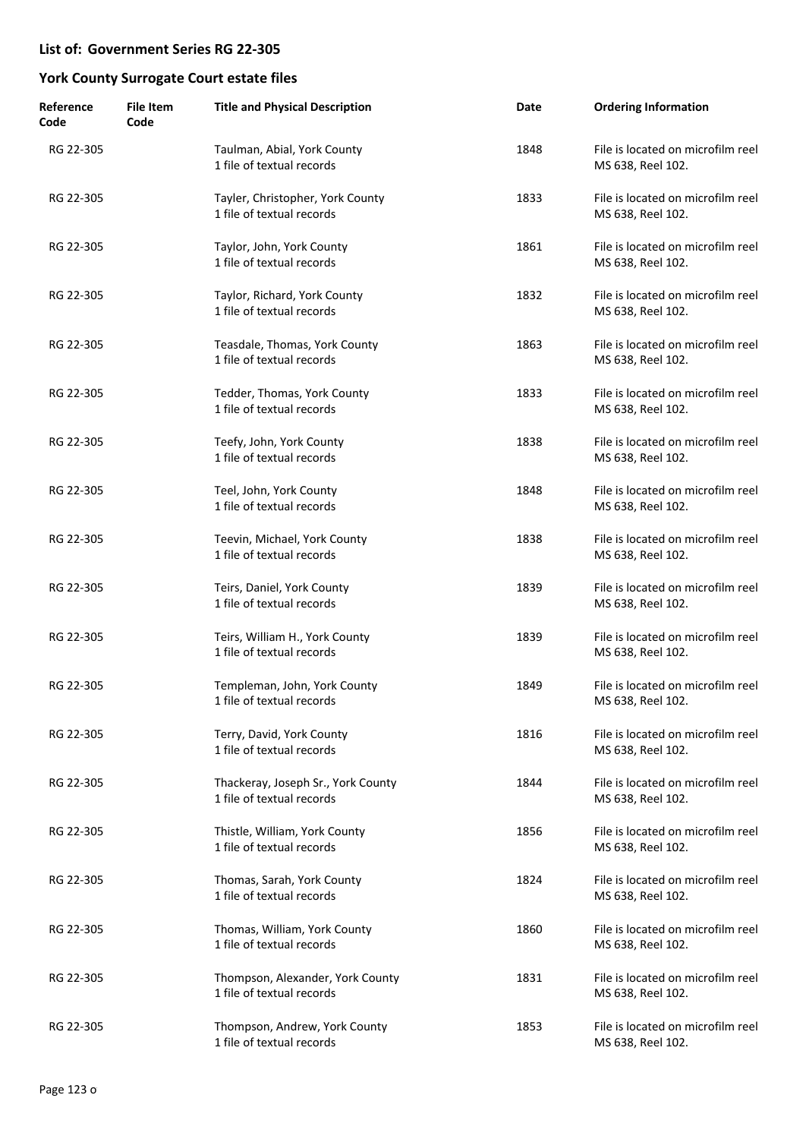| Reference<br>Code | <b>File Item</b><br>Code | <b>Title and Physical Description</b>                           | Date | <b>Ordering Information</b>                            |
|-------------------|--------------------------|-----------------------------------------------------------------|------|--------------------------------------------------------|
| RG 22-305         |                          | Taulman, Abial, York County<br>1 file of textual records        | 1848 | File is located on microfilm reel<br>MS 638, Reel 102. |
| RG 22-305         |                          | Tayler, Christopher, York County<br>1 file of textual records   | 1833 | File is located on microfilm reel<br>MS 638, Reel 102. |
| RG 22-305         |                          | Taylor, John, York County<br>1 file of textual records          | 1861 | File is located on microfilm reel<br>MS 638, Reel 102. |
| RG 22-305         |                          | Taylor, Richard, York County<br>1 file of textual records       | 1832 | File is located on microfilm reel<br>MS 638, Reel 102. |
| RG 22-305         |                          | Teasdale, Thomas, York County<br>1 file of textual records      | 1863 | File is located on microfilm reel<br>MS 638, Reel 102. |
| RG 22-305         |                          | Tedder, Thomas, York County<br>1 file of textual records        | 1833 | File is located on microfilm reel<br>MS 638, Reel 102. |
| RG 22-305         |                          | Teefy, John, York County<br>1 file of textual records           | 1838 | File is located on microfilm reel<br>MS 638, Reel 102. |
| RG 22-305         |                          | Teel, John, York County<br>1 file of textual records            | 1848 | File is located on microfilm reel<br>MS 638, Reel 102. |
| RG 22-305         |                          | Teevin, Michael, York County<br>1 file of textual records       | 1838 | File is located on microfilm reel<br>MS 638, Reel 102. |
| RG 22-305         |                          | Teirs, Daniel, York County<br>1 file of textual records         | 1839 | File is located on microfilm reel<br>MS 638, Reel 102. |
| RG 22-305         |                          | Teirs, William H., York County<br>1 file of textual records     | 1839 | File is located on microfilm reel<br>MS 638, Reel 102. |
| RG 22-305         |                          | Templeman, John, York County<br>1 file of textual records       | 1849 | File is located on microfilm reel<br>MS 638, Reel 102. |
| RG 22-305         |                          | Terry, David, York County<br>1 file of textual records          | 1816 | File is located on microfilm reel<br>MS 638, Reel 102. |
| RG 22-305         |                          | Thackeray, Joseph Sr., York County<br>1 file of textual records | 1844 | File is located on microfilm reel<br>MS 638, Reel 102. |
| RG 22-305         |                          | Thistle, William, York County<br>1 file of textual records      | 1856 | File is located on microfilm reel<br>MS 638, Reel 102. |
| RG 22-305         |                          | Thomas, Sarah, York County<br>1 file of textual records         | 1824 | File is located on microfilm reel<br>MS 638, Reel 102. |
| RG 22-305         |                          | Thomas, William, York County<br>1 file of textual records       | 1860 | File is located on microfilm reel<br>MS 638, Reel 102. |
| RG 22-305         |                          | Thompson, Alexander, York County<br>1 file of textual records   | 1831 | File is located on microfilm reel<br>MS 638, Reel 102. |
| RG 22-305         |                          | Thompson, Andrew, York County<br>1 file of textual records      | 1853 | File is located on microfilm reel<br>MS 638, Reel 102. |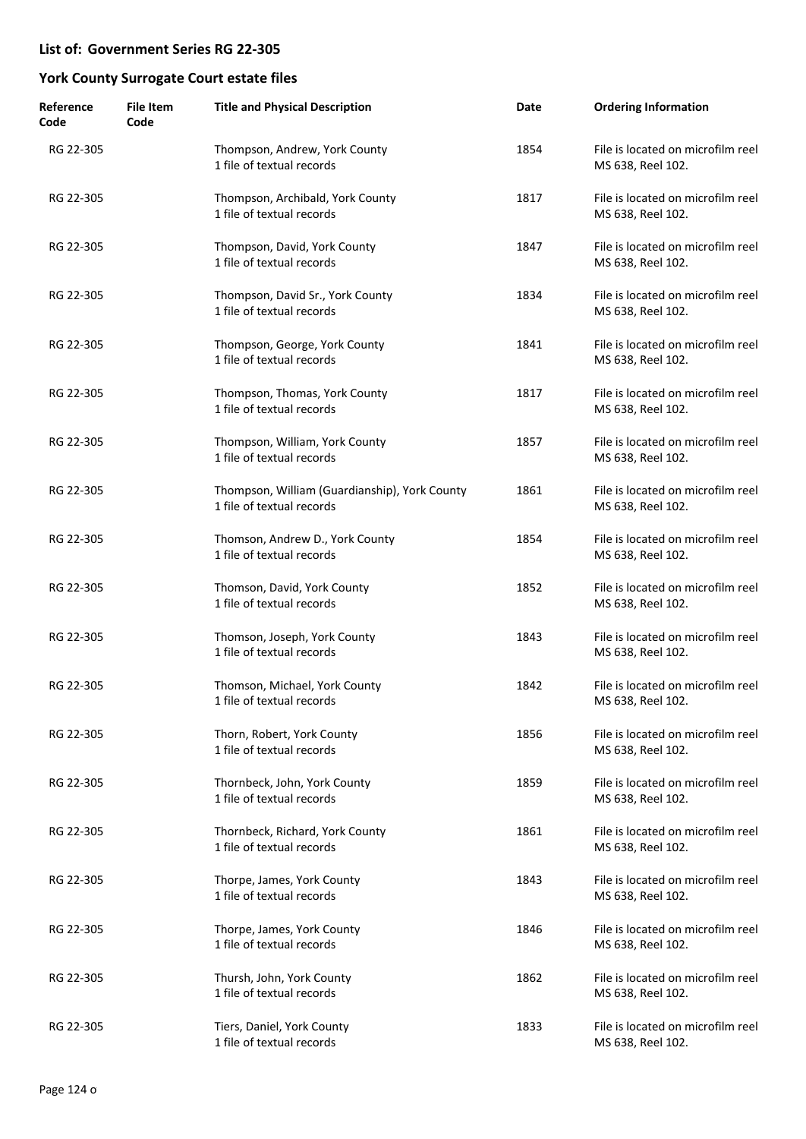| Reference<br>Code | <b>File Item</b><br>Code | <b>Title and Physical Description</b>                                      | Date | <b>Ordering Information</b>                            |
|-------------------|--------------------------|----------------------------------------------------------------------------|------|--------------------------------------------------------|
| RG 22-305         |                          | Thompson, Andrew, York County<br>1 file of textual records                 | 1854 | File is located on microfilm reel<br>MS 638, Reel 102. |
| RG 22-305         |                          | Thompson, Archibald, York County<br>1 file of textual records              | 1817 | File is located on microfilm reel<br>MS 638, Reel 102. |
| RG 22-305         |                          | Thompson, David, York County<br>1 file of textual records                  | 1847 | File is located on microfilm reel<br>MS 638, Reel 102. |
| RG 22-305         |                          | Thompson, David Sr., York County<br>1 file of textual records              | 1834 | File is located on microfilm reel<br>MS 638, Reel 102. |
| RG 22-305         |                          | Thompson, George, York County<br>1 file of textual records                 | 1841 | File is located on microfilm reel<br>MS 638, Reel 102. |
| RG 22-305         |                          | Thompson, Thomas, York County<br>1 file of textual records                 | 1817 | File is located on microfilm reel<br>MS 638, Reel 102. |
| RG 22-305         |                          | Thompson, William, York County<br>1 file of textual records                | 1857 | File is located on microfilm reel<br>MS 638, Reel 102. |
| RG 22-305         |                          | Thompson, William (Guardianship), York County<br>1 file of textual records | 1861 | File is located on microfilm reel<br>MS 638, Reel 102. |
| RG 22-305         |                          | Thomson, Andrew D., York County<br>1 file of textual records               | 1854 | File is located on microfilm reel<br>MS 638, Reel 102. |
| RG 22-305         |                          | Thomson, David, York County<br>1 file of textual records                   | 1852 | File is located on microfilm reel<br>MS 638, Reel 102. |
| RG 22-305         |                          | Thomson, Joseph, York County<br>1 file of textual records                  | 1843 | File is located on microfilm reel<br>MS 638, Reel 102. |
| RG 22-305         |                          | Thomson, Michael, York County<br>1 file of textual records                 | 1842 | File is located on microfilm reel<br>MS 638, Reel 102. |
| RG 22-305         |                          | Thorn, Robert, York County<br>1 file of textual records                    | 1856 | File is located on microfilm reel<br>MS 638, Reel 102. |
| RG 22-305         |                          | Thornbeck, John, York County<br>1 file of textual records                  | 1859 | File is located on microfilm reel<br>MS 638, Reel 102. |
| RG 22-305         |                          | Thornbeck, Richard, York County<br>1 file of textual records               | 1861 | File is located on microfilm reel<br>MS 638, Reel 102. |
| RG 22-305         |                          | Thorpe, James, York County<br>1 file of textual records                    | 1843 | File is located on microfilm reel<br>MS 638, Reel 102. |
| RG 22-305         |                          | Thorpe, James, York County<br>1 file of textual records                    | 1846 | File is located on microfilm reel<br>MS 638, Reel 102. |
| RG 22-305         |                          | Thursh, John, York County<br>1 file of textual records                     | 1862 | File is located on microfilm reel<br>MS 638, Reel 102. |
| RG 22-305         |                          | Tiers, Daniel, York County<br>1 file of textual records                    | 1833 | File is located on microfilm reel<br>MS 638, Reel 102. |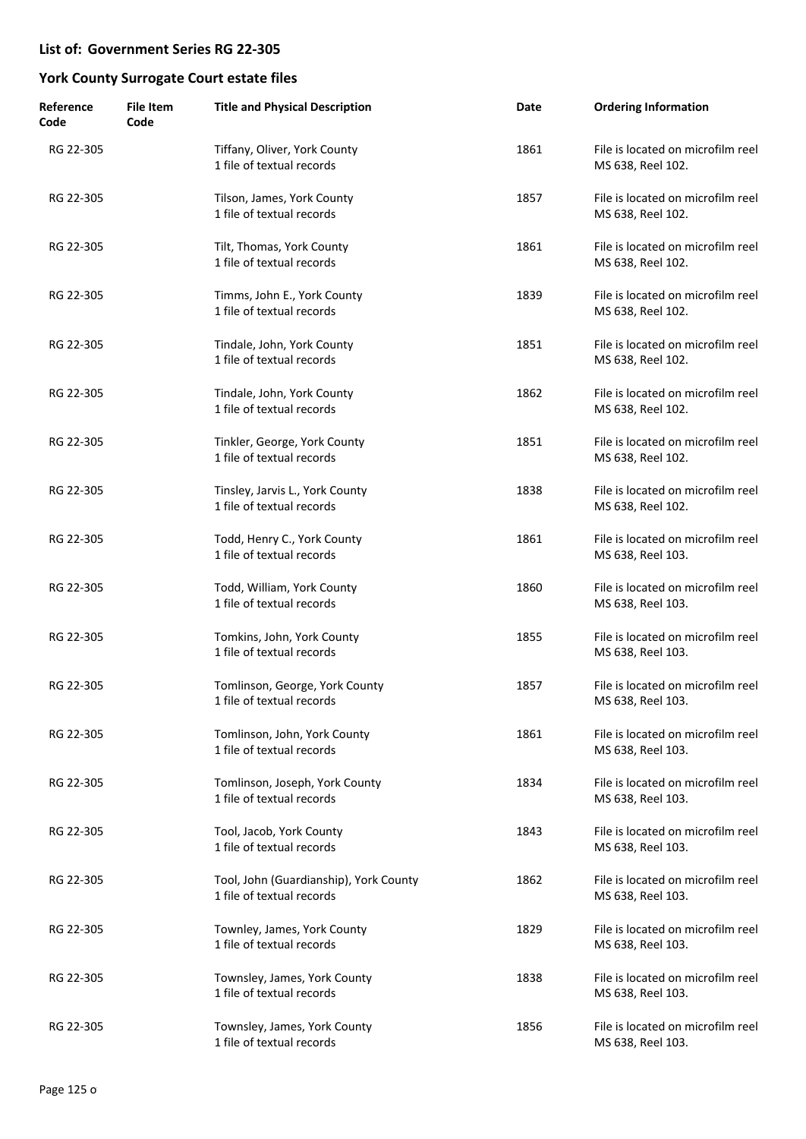| Reference<br>Code | <b>File Item</b><br>Code | <b>Title and Physical Description</b>                               | Date | <b>Ordering Information</b>                            |
|-------------------|--------------------------|---------------------------------------------------------------------|------|--------------------------------------------------------|
| RG 22-305         |                          | Tiffany, Oliver, York County<br>1 file of textual records           | 1861 | File is located on microfilm reel<br>MS 638, Reel 102. |
| RG 22-305         |                          | Tilson, James, York County<br>1 file of textual records             | 1857 | File is located on microfilm reel<br>MS 638, Reel 102. |
| RG 22-305         |                          | Tilt, Thomas, York County<br>1 file of textual records              | 1861 | File is located on microfilm reel<br>MS 638, Reel 102. |
| RG 22-305         |                          | Timms, John E., York County<br>1 file of textual records            | 1839 | File is located on microfilm reel<br>MS 638, Reel 102. |
| RG 22-305         |                          | Tindale, John, York County<br>1 file of textual records             | 1851 | File is located on microfilm reel<br>MS 638, Reel 102. |
| RG 22-305         |                          | Tindale, John, York County<br>1 file of textual records             | 1862 | File is located on microfilm reel<br>MS 638, Reel 102. |
| RG 22-305         |                          | Tinkler, George, York County<br>1 file of textual records           | 1851 | File is located on microfilm reel<br>MS 638, Reel 102. |
| RG 22-305         |                          | Tinsley, Jarvis L., York County<br>1 file of textual records        | 1838 | File is located on microfilm reel<br>MS 638, Reel 102. |
| RG 22-305         |                          | Todd, Henry C., York County<br>1 file of textual records            | 1861 | File is located on microfilm reel<br>MS 638, Reel 103. |
| RG 22-305         |                          | Todd, William, York County<br>1 file of textual records             | 1860 | File is located on microfilm reel<br>MS 638, Reel 103. |
| RG 22-305         |                          | Tomkins, John, York County<br>1 file of textual records             | 1855 | File is located on microfilm reel<br>MS 638, Reel 103. |
| RG 22-305         |                          | Tomlinson, George, York County<br>1 file of textual records         | 1857 | File is located on microfilm reel<br>MS 638, Reel 103. |
| RG 22-305         |                          | Tomlinson, John, York County<br>1 file of textual records           | 1861 | File is located on microfilm reel<br>MS 638, Reel 103. |
| RG 22-305         |                          | Tomlinson, Joseph, York County<br>1 file of textual records         | 1834 | File is located on microfilm reel<br>MS 638, Reel 103. |
| RG 22-305         |                          | Tool, Jacob, York County<br>1 file of textual records               | 1843 | File is located on microfilm reel<br>MS 638, Reel 103. |
| RG 22-305         |                          | Tool, John (Guardianship), York County<br>1 file of textual records | 1862 | File is located on microfilm reel<br>MS 638, Reel 103. |
| RG 22-305         |                          | Townley, James, York County<br>1 file of textual records            | 1829 | File is located on microfilm reel<br>MS 638, Reel 103. |
| RG 22-305         |                          | Townsley, James, York County<br>1 file of textual records           | 1838 | File is located on microfilm reel<br>MS 638, Reel 103. |
| RG 22-305         |                          | Townsley, James, York County<br>1 file of textual records           | 1856 | File is located on microfilm reel<br>MS 638, Reel 103. |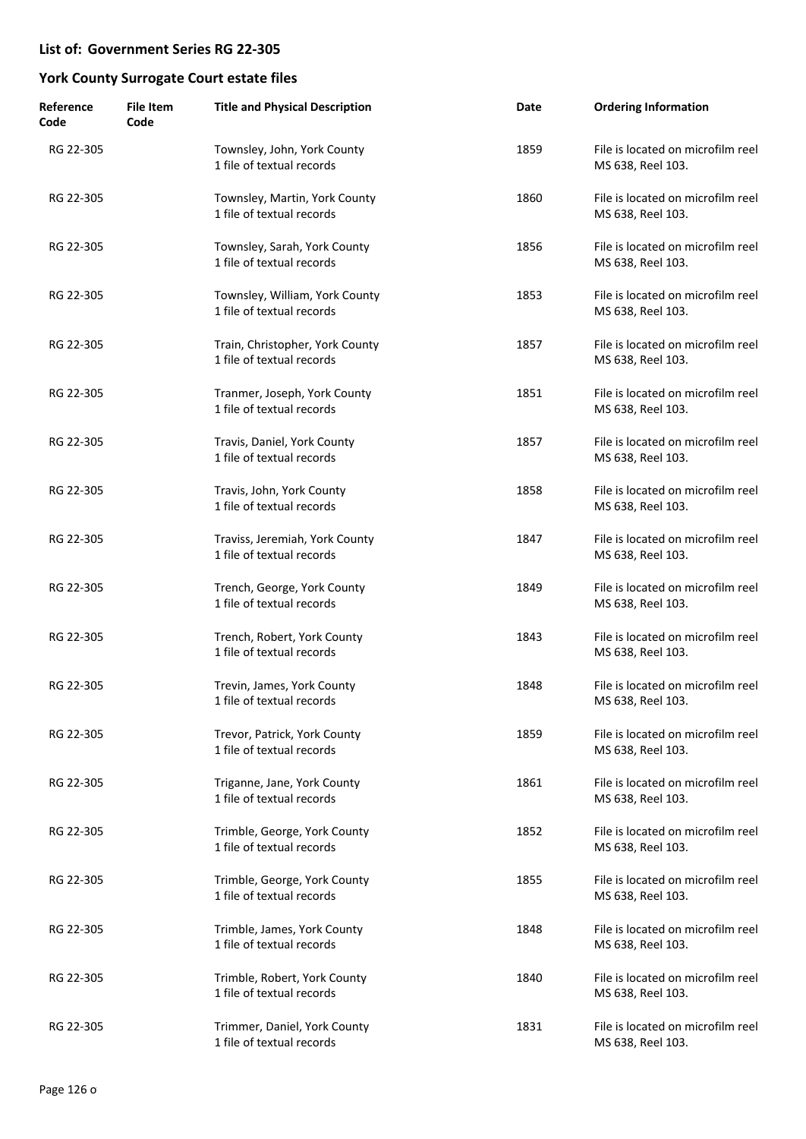| Reference<br>Code | <b>File Item</b><br>Code | <b>Title and Physical Description</b>                        | Date | <b>Ordering Information</b>                            |
|-------------------|--------------------------|--------------------------------------------------------------|------|--------------------------------------------------------|
| RG 22-305         |                          | Townsley, John, York County<br>1 file of textual records     | 1859 | File is located on microfilm reel<br>MS 638, Reel 103. |
| RG 22-305         |                          | Townsley, Martin, York County<br>1 file of textual records   | 1860 | File is located on microfilm reel<br>MS 638, Reel 103. |
| RG 22-305         |                          | Townsley, Sarah, York County<br>1 file of textual records    | 1856 | File is located on microfilm reel<br>MS 638, Reel 103. |
| RG 22-305         |                          | Townsley, William, York County<br>1 file of textual records  | 1853 | File is located on microfilm reel<br>MS 638, Reel 103. |
| RG 22-305         |                          | Train, Christopher, York County<br>1 file of textual records | 1857 | File is located on microfilm reel<br>MS 638, Reel 103. |
| RG 22-305         |                          | Tranmer, Joseph, York County<br>1 file of textual records    | 1851 | File is located on microfilm reel<br>MS 638, Reel 103. |
| RG 22-305         |                          | Travis, Daniel, York County<br>1 file of textual records     | 1857 | File is located on microfilm reel<br>MS 638, Reel 103. |
| RG 22-305         |                          | Travis, John, York County<br>1 file of textual records       | 1858 | File is located on microfilm reel<br>MS 638, Reel 103. |
| RG 22-305         |                          | Traviss, Jeremiah, York County<br>1 file of textual records  | 1847 | File is located on microfilm reel<br>MS 638, Reel 103. |
| RG 22-305         |                          | Trench, George, York County<br>1 file of textual records     | 1849 | File is located on microfilm reel<br>MS 638, Reel 103. |
| RG 22-305         |                          | Trench, Robert, York County<br>1 file of textual records     | 1843 | File is located on microfilm reel<br>MS 638, Reel 103. |
| RG 22-305         |                          | Trevin, James, York County<br>1 file of textual records      | 1848 | File is located on microfilm reel<br>MS 638, Reel 103. |
| RG 22-305         |                          | Trevor, Patrick, York County<br>1 file of textual records    | 1859 | File is located on microfilm reel<br>MS 638, Reel 103. |
| RG 22-305         |                          | Triganne, Jane, York County<br>1 file of textual records     | 1861 | File is located on microfilm reel<br>MS 638, Reel 103. |
| RG 22-305         |                          | Trimble, George, York County<br>1 file of textual records    | 1852 | File is located on microfilm reel<br>MS 638, Reel 103. |
| RG 22-305         |                          | Trimble, George, York County<br>1 file of textual records    | 1855 | File is located on microfilm reel<br>MS 638, Reel 103. |
| RG 22-305         |                          | Trimble, James, York County<br>1 file of textual records     | 1848 | File is located on microfilm reel<br>MS 638, Reel 103. |
| RG 22-305         |                          | Trimble, Robert, York County<br>1 file of textual records    | 1840 | File is located on microfilm reel<br>MS 638, Reel 103. |
| RG 22-305         |                          | Trimmer, Daniel, York County<br>1 file of textual records    | 1831 | File is located on microfilm reel<br>MS 638, Reel 103. |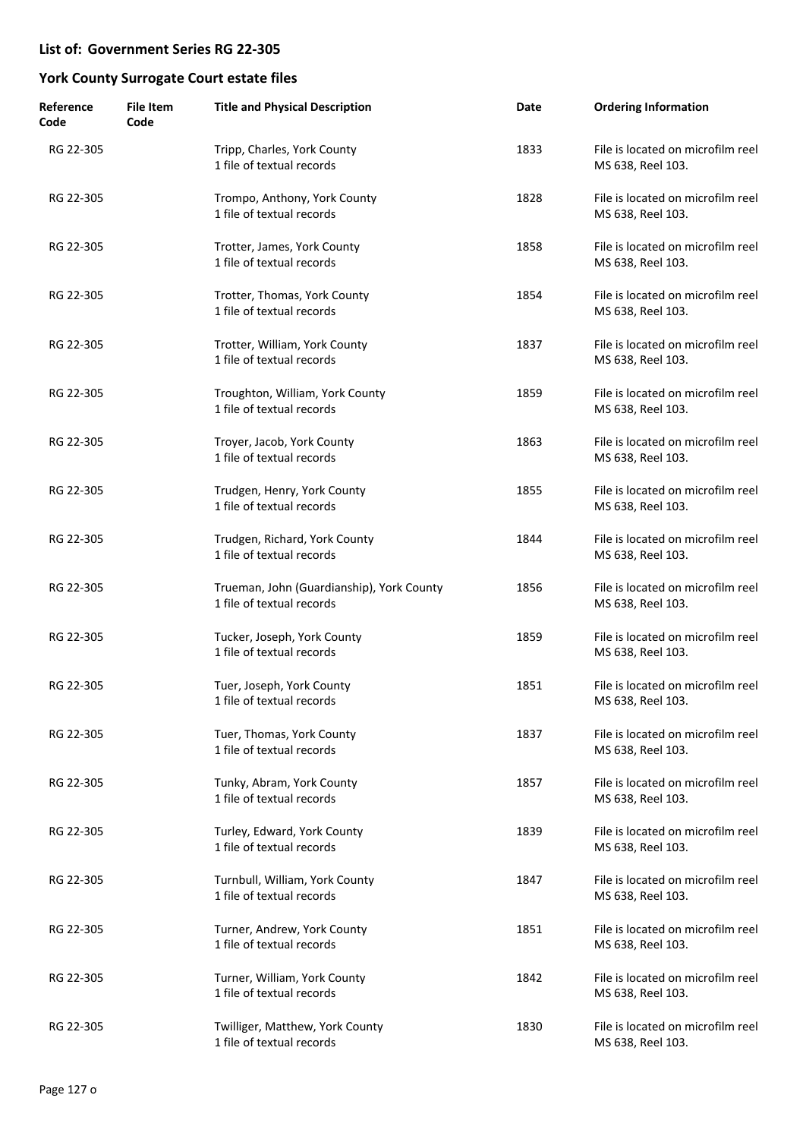| Reference<br>Code | <b>File Item</b><br>Code | <b>Title and Physical Description</b>                                  | Date | <b>Ordering Information</b>                            |
|-------------------|--------------------------|------------------------------------------------------------------------|------|--------------------------------------------------------|
| RG 22-305         |                          | Tripp, Charles, York County<br>1 file of textual records               | 1833 | File is located on microfilm reel<br>MS 638, Reel 103. |
| RG 22-305         |                          | Trompo, Anthony, York County<br>1 file of textual records              | 1828 | File is located on microfilm reel<br>MS 638, Reel 103. |
| RG 22-305         |                          | Trotter, James, York County<br>1 file of textual records               | 1858 | File is located on microfilm reel<br>MS 638, Reel 103. |
| RG 22-305         |                          | Trotter, Thomas, York County<br>1 file of textual records              | 1854 | File is located on microfilm reel<br>MS 638, Reel 103. |
| RG 22-305         |                          | Trotter, William, York County<br>1 file of textual records             | 1837 | File is located on microfilm reel<br>MS 638, Reel 103. |
| RG 22-305         |                          | Troughton, William, York County<br>1 file of textual records           | 1859 | File is located on microfilm reel<br>MS 638, Reel 103. |
| RG 22-305         |                          | Troyer, Jacob, York County<br>1 file of textual records                | 1863 | File is located on microfilm reel<br>MS 638, Reel 103. |
| RG 22-305         |                          | Trudgen, Henry, York County<br>1 file of textual records               | 1855 | File is located on microfilm reel<br>MS 638, Reel 103. |
| RG 22-305         |                          | Trudgen, Richard, York County<br>1 file of textual records             | 1844 | File is located on microfilm reel<br>MS 638, Reel 103. |
| RG 22-305         |                          | Trueman, John (Guardianship), York County<br>1 file of textual records | 1856 | File is located on microfilm reel<br>MS 638, Reel 103. |
| RG 22-305         |                          | Tucker, Joseph, York County<br>1 file of textual records               | 1859 | File is located on microfilm reel<br>MS 638, Reel 103. |
| RG 22-305         |                          | Tuer, Joseph, York County<br>1 file of textual records                 | 1851 | File is located on microfilm reel<br>MS 638, Reel 103. |
| RG 22-305         |                          | Tuer, Thomas, York County<br>1 file of textual records                 | 1837 | File is located on microfilm reel<br>MS 638, Reel 103. |
| RG 22-305         |                          | Tunky, Abram, York County<br>1 file of textual records                 | 1857 | File is located on microfilm reel<br>MS 638, Reel 103. |
| RG 22-305         |                          | Turley, Edward, York County<br>1 file of textual records               | 1839 | File is located on microfilm reel<br>MS 638, Reel 103. |
| RG 22-305         |                          | Turnbull, William, York County<br>1 file of textual records            | 1847 | File is located on microfilm reel<br>MS 638, Reel 103. |
| RG 22-305         |                          | Turner, Andrew, York County<br>1 file of textual records               | 1851 | File is located on microfilm reel<br>MS 638, Reel 103. |
| RG 22-305         |                          | Turner, William, York County<br>1 file of textual records              | 1842 | File is located on microfilm reel<br>MS 638, Reel 103. |
| RG 22-305         |                          | Twilliger, Matthew, York County<br>1 file of textual records           | 1830 | File is located on microfilm reel<br>MS 638, Reel 103. |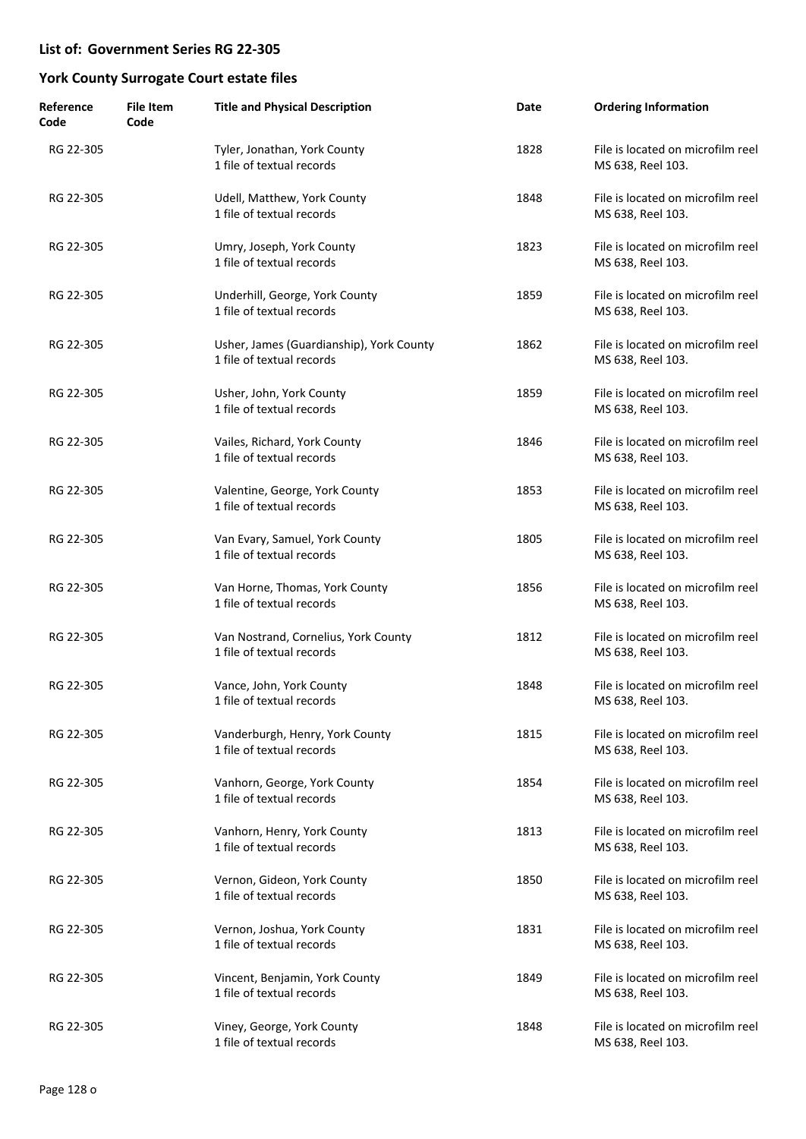| Reference<br>Code | <b>File Item</b><br>Code | <b>Title and Physical Description</b>                                 | Date | <b>Ordering Information</b>                            |
|-------------------|--------------------------|-----------------------------------------------------------------------|------|--------------------------------------------------------|
| RG 22-305         |                          | Tyler, Jonathan, York County<br>1 file of textual records             | 1828 | File is located on microfilm reel<br>MS 638, Reel 103. |
| RG 22-305         |                          | Udell, Matthew, York County<br>1 file of textual records              | 1848 | File is located on microfilm reel<br>MS 638, Reel 103. |
| RG 22-305         |                          | Umry, Joseph, York County<br>1 file of textual records                | 1823 | File is located on microfilm reel<br>MS 638, Reel 103. |
| RG 22-305         |                          | Underhill, George, York County<br>1 file of textual records           | 1859 | File is located on microfilm reel<br>MS 638, Reel 103. |
| RG 22-305         |                          | Usher, James (Guardianship), York County<br>1 file of textual records | 1862 | File is located on microfilm reel<br>MS 638, Reel 103. |
| RG 22-305         |                          | Usher, John, York County<br>1 file of textual records                 | 1859 | File is located on microfilm reel<br>MS 638, Reel 103. |
| RG 22-305         |                          | Vailes, Richard, York County<br>1 file of textual records             | 1846 | File is located on microfilm reel<br>MS 638, Reel 103. |
| RG 22-305         |                          | Valentine, George, York County<br>1 file of textual records           | 1853 | File is located on microfilm reel<br>MS 638, Reel 103. |
| RG 22-305         |                          | Van Evary, Samuel, York County<br>1 file of textual records           | 1805 | File is located on microfilm reel<br>MS 638, Reel 103. |
| RG 22-305         |                          | Van Horne, Thomas, York County<br>1 file of textual records           | 1856 | File is located on microfilm reel<br>MS 638, Reel 103. |
| RG 22-305         |                          | Van Nostrand, Cornelius, York County<br>1 file of textual records     | 1812 | File is located on microfilm reel<br>MS 638, Reel 103. |
| RG 22-305         |                          | Vance, John, York County<br>1 file of textual records                 | 1848 | File is located on microfilm reel<br>MS 638, Reel 103. |
| RG 22-305         |                          | Vanderburgh, Henry, York County<br>1 file of textual records          | 1815 | File is located on microfilm reel<br>MS 638, Reel 103. |
| RG 22-305         |                          | Vanhorn, George, York County<br>1 file of textual records             | 1854 | File is located on microfilm reel<br>MS 638, Reel 103. |
| RG 22-305         |                          | Vanhorn, Henry, York County<br>1 file of textual records              | 1813 | File is located on microfilm reel<br>MS 638, Reel 103. |
| RG 22-305         |                          | Vernon, Gideon, York County<br>1 file of textual records              | 1850 | File is located on microfilm reel<br>MS 638, Reel 103. |
| RG 22-305         |                          | Vernon, Joshua, York County<br>1 file of textual records              | 1831 | File is located on microfilm reel<br>MS 638, Reel 103. |
| RG 22-305         |                          | Vincent, Benjamin, York County<br>1 file of textual records           | 1849 | File is located on microfilm reel<br>MS 638, Reel 103. |
| RG 22-305         |                          | Viney, George, York County<br>1 file of textual records               | 1848 | File is located on microfilm reel<br>MS 638, Reel 103. |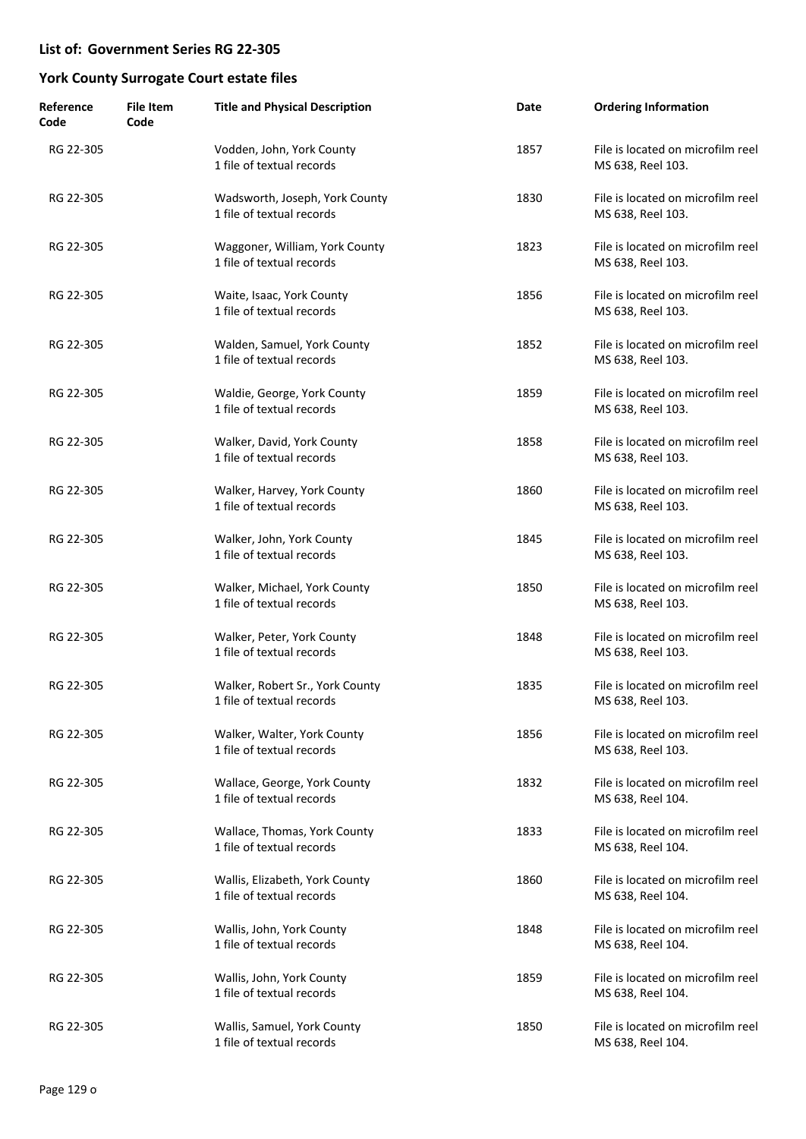| Reference<br>Code | <b>File Item</b><br>Code | <b>Title and Physical Description</b>                        | Date | <b>Ordering Information</b>                            |
|-------------------|--------------------------|--------------------------------------------------------------|------|--------------------------------------------------------|
| RG 22-305         |                          | Vodden, John, York County<br>1 file of textual records       | 1857 | File is located on microfilm reel<br>MS 638, Reel 103. |
| RG 22-305         |                          | Wadsworth, Joseph, York County<br>1 file of textual records  | 1830 | File is located on microfilm reel<br>MS 638, Reel 103. |
| RG 22-305         |                          | Waggoner, William, York County<br>1 file of textual records  | 1823 | File is located on microfilm reel<br>MS 638, Reel 103. |
| RG 22-305         |                          | Waite, Isaac, York County<br>1 file of textual records       | 1856 | File is located on microfilm reel<br>MS 638, Reel 103. |
| RG 22-305         |                          | Walden, Samuel, York County<br>1 file of textual records     | 1852 | File is located on microfilm reel<br>MS 638, Reel 103. |
| RG 22-305         |                          | Waldie, George, York County<br>1 file of textual records     | 1859 | File is located on microfilm reel<br>MS 638, Reel 103. |
| RG 22-305         |                          | Walker, David, York County<br>1 file of textual records      | 1858 | File is located on microfilm reel<br>MS 638, Reel 103. |
| RG 22-305         |                          | Walker, Harvey, York County<br>1 file of textual records     | 1860 | File is located on microfilm reel<br>MS 638, Reel 103. |
| RG 22-305         |                          | Walker, John, York County<br>1 file of textual records       | 1845 | File is located on microfilm reel<br>MS 638, Reel 103. |
| RG 22-305         |                          | Walker, Michael, York County<br>1 file of textual records    | 1850 | File is located on microfilm reel<br>MS 638, Reel 103. |
| RG 22-305         |                          | Walker, Peter, York County<br>1 file of textual records      | 1848 | File is located on microfilm reel<br>MS 638, Reel 103. |
| RG 22-305         |                          | Walker, Robert Sr., York County<br>1 file of textual records | 1835 | File is located on microfilm reel<br>MS 638, Reel 103. |
| RG 22-305         |                          | Walker, Walter, York County<br>1 file of textual records     | 1856 | File is located on microfilm reel<br>MS 638, Reel 103. |
| RG 22-305         |                          | Wallace, George, York County<br>1 file of textual records    | 1832 | File is located on microfilm reel<br>MS 638, Reel 104. |
| RG 22-305         |                          | Wallace, Thomas, York County<br>1 file of textual records    | 1833 | File is located on microfilm reel<br>MS 638, Reel 104. |
| RG 22-305         |                          | Wallis, Elizabeth, York County<br>1 file of textual records  | 1860 | File is located on microfilm reel<br>MS 638, Reel 104. |
| RG 22-305         |                          | Wallis, John, York County<br>1 file of textual records       | 1848 | File is located on microfilm reel<br>MS 638, Reel 104. |
| RG 22-305         |                          | Wallis, John, York County<br>1 file of textual records       | 1859 | File is located on microfilm reel<br>MS 638, Reel 104. |
| RG 22-305         |                          | Wallis, Samuel, York County<br>1 file of textual records     | 1850 | File is located on microfilm reel<br>MS 638, Reel 104. |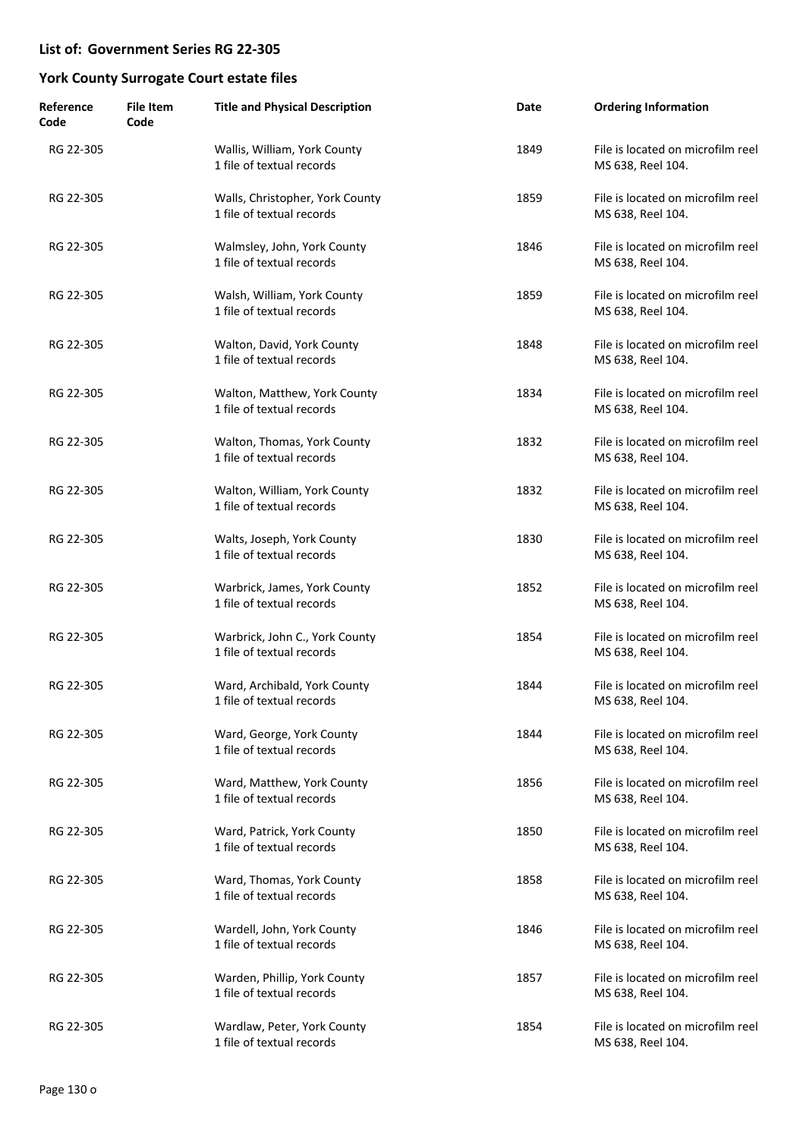| Reference<br>Code | <b>File Item</b><br>Code | <b>Title and Physical Description</b>                        | Date | <b>Ordering Information</b>                            |
|-------------------|--------------------------|--------------------------------------------------------------|------|--------------------------------------------------------|
| RG 22-305         |                          | Wallis, William, York County<br>1 file of textual records    | 1849 | File is located on microfilm reel<br>MS 638, Reel 104. |
| RG 22-305         |                          | Walls, Christopher, York County<br>1 file of textual records | 1859 | File is located on microfilm reel<br>MS 638, Reel 104. |
| RG 22-305         |                          | Walmsley, John, York County<br>1 file of textual records     | 1846 | File is located on microfilm reel<br>MS 638, Reel 104. |
| RG 22-305         |                          | Walsh, William, York County<br>1 file of textual records     | 1859 | File is located on microfilm reel<br>MS 638, Reel 104. |
| RG 22-305         |                          | Walton, David, York County<br>1 file of textual records      | 1848 | File is located on microfilm reel<br>MS 638, Reel 104. |
| RG 22-305         |                          | Walton, Matthew, York County<br>1 file of textual records    | 1834 | File is located on microfilm reel<br>MS 638, Reel 104. |
| RG 22-305         |                          | Walton, Thomas, York County<br>1 file of textual records     | 1832 | File is located on microfilm reel<br>MS 638, Reel 104. |
| RG 22-305         |                          | Walton, William, York County<br>1 file of textual records    | 1832 | File is located on microfilm reel<br>MS 638, Reel 104. |
| RG 22-305         |                          | Walts, Joseph, York County<br>1 file of textual records      | 1830 | File is located on microfilm reel<br>MS 638, Reel 104. |
| RG 22-305         |                          | Warbrick, James, York County<br>1 file of textual records    | 1852 | File is located on microfilm reel<br>MS 638, Reel 104. |
| RG 22-305         |                          | Warbrick, John C., York County<br>1 file of textual records  | 1854 | File is located on microfilm reel<br>MS 638, Reel 104. |
| RG 22-305         |                          | Ward, Archibald, York County<br>1 file of textual records    | 1844 | File is located on microfilm reel<br>MS 638, Reel 104. |
| RG 22-305         |                          | Ward, George, York County<br>1 file of textual records       | 1844 | File is located on microfilm reel<br>MS 638, Reel 104. |
| RG 22-305         |                          | Ward, Matthew, York County<br>1 file of textual records      | 1856 | File is located on microfilm reel<br>MS 638, Reel 104. |
| RG 22-305         |                          | Ward, Patrick, York County<br>1 file of textual records      | 1850 | File is located on microfilm reel<br>MS 638, Reel 104. |
| RG 22-305         |                          | Ward, Thomas, York County<br>1 file of textual records       | 1858 | File is located on microfilm reel<br>MS 638, Reel 104. |
| RG 22-305         |                          | Wardell, John, York County<br>1 file of textual records      | 1846 | File is located on microfilm reel<br>MS 638, Reel 104. |
| RG 22-305         |                          | Warden, Phillip, York County<br>1 file of textual records    | 1857 | File is located on microfilm reel<br>MS 638, Reel 104. |
| RG 22-305         |                          | Wardlaw, Peter, York County<br>1 file of textual records     | 1854 | File is located on microfilm reel<br>MS 638, Reel 104. |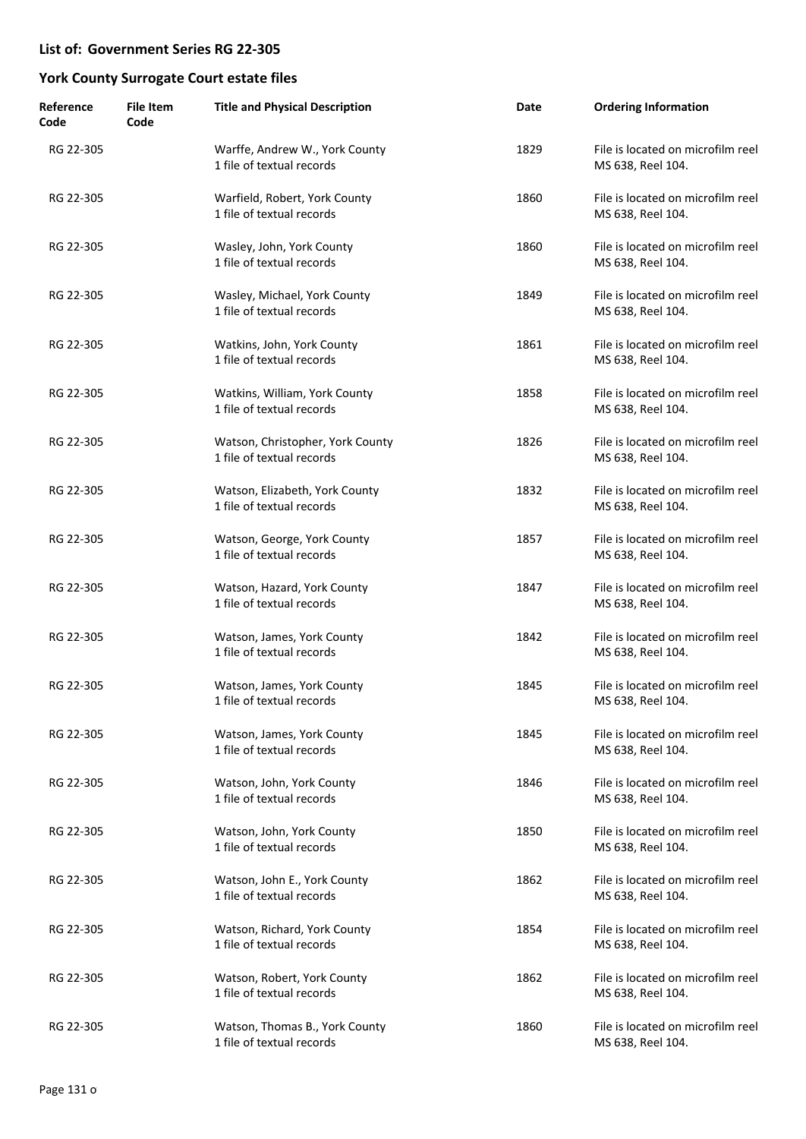| Reference<br>Code | <b>File Item</b><br>Code | <b>Title and Physical Description</b>                         | Date | <b>Ordering Information</b>                            |
|-------------------|--------------------------|---------------------------------------------------------------|------|--------------------------------------------------------|
| RG 22-305         |                          | Warffe, Andrew W., York County<br>1 file of textual records   | 1829 | File is located on microfilm reel<br>MS 638, Reel 104. |
| RG 22-305         |                          | Warfield, Robert, York County<br>1 file of textual records    | 1860 | File is located on microfilm reel<br>MS 638, Reel 104. |
| RG 22-305         |                          | Wasley, John, York County<br>1 file of textual records        | 1860 | File is located on microfilm reel<br>MS 638, Reel 104. |
| RG 22-305         |                          | Wasley, Michael, York County<br>1 file of textual records     | 1849 | File is located on microfilm reel<br>MS 638, Reel 104. |
| RG 22-305         |                          | Watkins, John, York County<br>1 file of textual records       | 1861 | File is located on microfilm reel<br>MS 638, Reel 104. |
| RG 22-305         |                          | Watkins, William, York County<br>1 file of textual records    | 1858 | File is located on microfilm reel<br>MS 638, Reel 104. |
| RG 22-305         |                          | Watson, Christopher, York County<br>1 file of textual records | 1826 | File is located on microfilm reel<br>MS 638, Reel 104. |
| RG 22-305         |                          | Watson, Elizabeth, York County<br>1 file of textual records   | 1832 | File is located on microfilm reel<br>MS 638, Reel 104. |
| RG 22-305         |                          | Watson, George, York County<br>1 file of textual records      | 1857 | File is located on microfilm reel<br>MS 638, Reel 104. |
| RG 22-305         |                          | Watson, Hazard, York County<br>1 file of textual records      | 1847 | File is located on microfilm reel<br>MS 638, Reel 104. |
| RG 22-305         |                          | Watson, James, York County<br>1 file of textual records       | 1842 | File is located on microfilm reel<br>MS 638, Reel 104. |
| RG 22-305         |                          | Watson, James, York County<br>1 file of textual records       | 1845 | File is located on microfilm reel<br>MS 638, Reel 104. |
| RG 22-305         |                          | Watson, James, York County<br>1 file of textual records       | 1845 | File is located on microfilm reel<br>MS 638, Reel 104. |
| RG 22-305         |                          | Watson, John, York County<br>1 file of textual records        | 1846 | File is located on microfilm reel<br>MS 638, Reel 104. |
| RG 22-305         |                          | Watson, John, York County<br>1 file of textual records        | 1850 | File is located on microfilm reel<br>MS 638, Reel 104. |
| RG 22-305         |                          | Watson, John E., York County<br>1 file of textual records     | 1862 | File is located on microfilm reel<br>MS 638, Reel 104. |
| RG 22-305         |                          | Watson, Richard, York County<br>1 file of textual records     | 1854 | File is located on microfilm reel<br>MS 638, Reel 104. |
| RG 22-305         |                          | Watson, Robert, York County<br>1 file of textual records      | 1862 | File is located on microfilm reel<br>MS 638, Reel 104. |
| RG 22-305         |                          | Watson, Thomas B., York County<br>1 file of textual records   | 1860 | File is located on microfilm reel<br>MS 638, Reel 104. |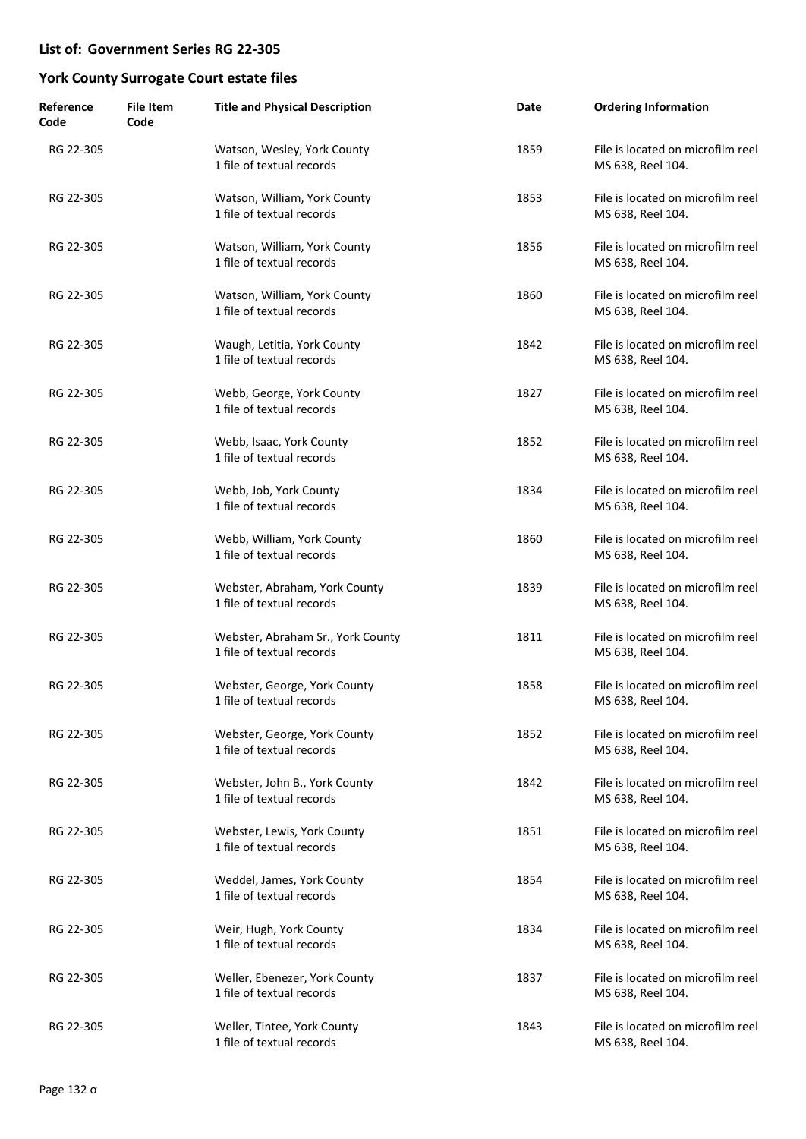| Reference<br>Code | <b>File Item</b><br>Code | <b>Title and Physical Description</b>                          | Date | <b>Ordering Information</b>                            |
|-------------------|--------------------------|----------------------------------------------------------------|------|--------------------------------------------------------|
| RG 22-305         |                          | Watson, Wesley, York County<br>1 file of textual records       | 1859 | File is located on microfilm reel<br>MS 638, Reel 104. |
| RG 22-305         |                          | Watson, William, York County<br>1 file of textual records      | 1853 | File is located on microfilm reel<br>MS 638, Reel 104. |
| RG 22-305         |                          | Watson, William, York County<br>1 file of textual records      | 1856 | File is located on microfilm reel<br>MS 638, Reel 104. |
| RG 22-305         |                          | Watson, William, York County<br>1 file of textual records      | 1860 | File is located on microfilm reel<br>MS 638, Reel 104. |
| RG 22-305         |                          | Waugh, Letitia, York County<br>1 file of textual records       | 1842 | File is located on microfilm reel<br>MS 638, Reel 104. |
| RG 22-305         |                          | Webb, George, York County<br>1 file of textual records         | 1827 | File is located on microfilm reel<br>MS 638, Reel 104. |
| RG 22-305         |                          | Webb, Isaac, York County<br>1 file of textual records          | 1852 | File is located on microfilm reel<br>MS 638, Reel 104. |
| RG 22-305         |                          | Webb, Job, York County<br>1 file of textual records            | 1834 | File is located on microfilm reel<br>MS 638, Reel 104. |
| RG 22-305         |                          | Webb, William, York County<br>1 file of textual records        | 1860 | File is located on microfilm reel<br>MS 638, Reel 104. |
| RG 22-305         |                          | Webster, Abraham, York County<br>1 file of textual records     | 1839 | File is located on microfilm reel<br>MS 638, Reel 104. |
| RG 22-305         |                          | Webster, Abraham Sr., York County<br>1 file of textual records | 1811 | File is located on microfilm reel<br>MS 638, Reel 104. |
| RG 22-305         |                          | Webster, George, York County<br>1 file of textual records      | 1858 | File is located on microfilm reel<br>MS 638, Reel 104. |
| RG 22-305         |                          | Webster, George, York County<br>1 file of textual records      | 1852 | File is located on microfilm reel<br>MS 638, Reel 104. |
| RG 22-305         |                          | Webster, John B., York County<br>1 file of textual records     | 1842 | File is located on microfilm reel<br>MS 638, Reel 104. |
| RG 22-305         |                          | Webster, Lewis, York County<br>1 file of textual records       | 1851 | File is located on microfilm reel<br>MS 638, Reel 104. |
| RG 22-305         |                          | Weddel, James, York County<br>1 file of textual records        | 1854 | File is located on microfilm reel<br>MS 638, Reel 104. |
| RG 22-305         |                          | Weir, Hugh, York County<br>1 file of textual records           | 1834 | File is located on microfilm reel<br>MS 638, Reel 104. |
| RG 22-305         |                          | Weller, Ebenezer, York County<br>1 file of textual records     | 1837 | File is located on microfilm reel<br>MS 638, Reel 104. |
| RG 22-305         |                          | Weller, Tintee, York County<br>1 file of textual records       | 1843 | File is located on microfilm reel<br>MS 638, Reel 104. |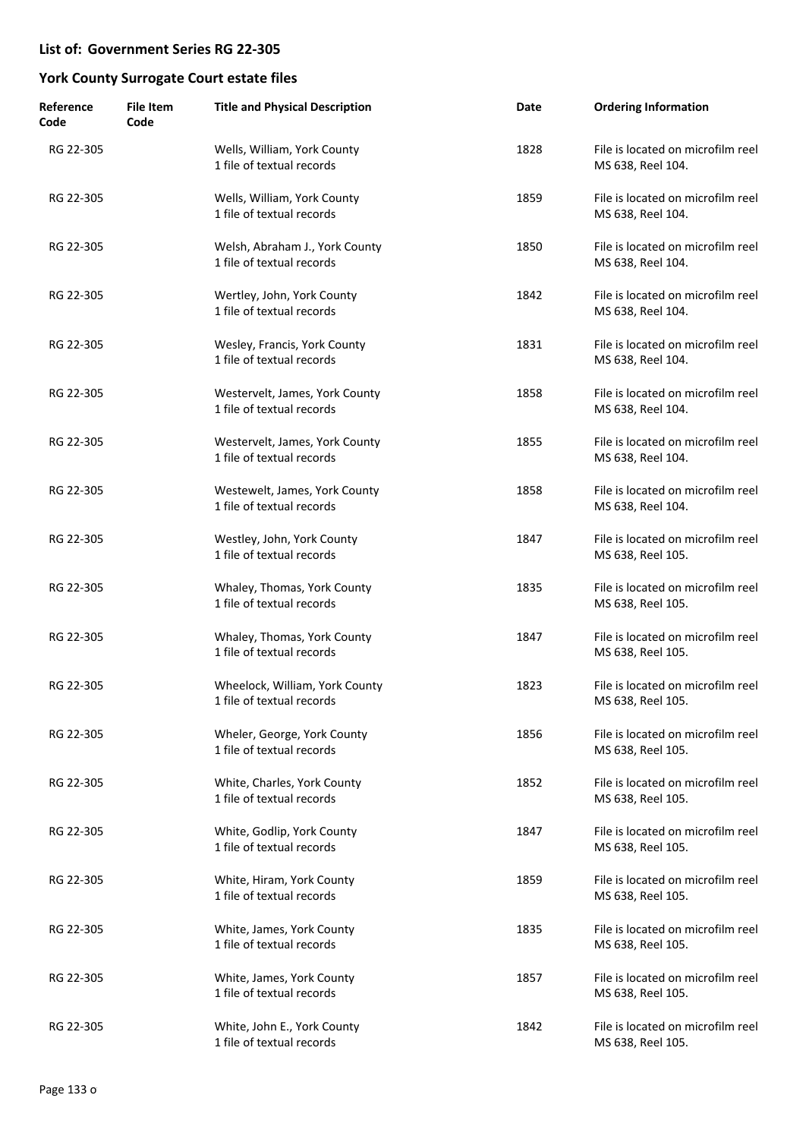| Reference<br>Code | <b>File Item</b><br>Code | <b>Title and Physical Description</b>                       | Date | <b>Ordering Information</b>                            |
|-------------------|--------------------------|-------------------------------------------------------------|------|--------------------------------------------------------|
| RG 22-305         |                          | Wells, William, York County<br>1 file of textual records    | 1828 | File is located on microfilm reel<br>MS 638, Reel 104. |
| RG 22-305         |                          | Wells, William, York County<br>1 file of textual records    | 1859 | File is located on microfilm reel<br>MS 638, Reel 104. |
| RG 22-305         |                          | Welsh, Abraham J., York County<br>1 file of textual records | 1850 | File is located on microfilm reel<br>MS 638, Reel 104. |
| RG 22-305         |                          | Wertley, John, York County<br>1 file of textual records     | 1842 | File is located on microfilm reel<br>MS 638, Reel 104. |
| RG 22-305         |                          | Wesley, Francis, York County<br>1 file of textual records   | 1831 | File is located on microfilm reel<br>MS 638, Reel 104. |
| RG 22-305         |                          | Westervelt, James, York County<br>1 file of textual records | 1858 | File is located on microfilm reel<br>MS 638, Reel 104. |
| RG 22-305         |                          | Westervelt, James, York County<br>1 file of textual records | 1855 | File is located on microfilm reel<br>MS 638, Reel 104. |
| RG 22-305         |                          | Westewelt, James, York County<br>1 file of textual records  | 1858 | File is located on microfilm reel<br>MS 638, Reel 104. |
| RG 22-305         |                          | Westley, John, York County<br>1 file of textual records     | 1847 | File is located on microfilm reel<br>MS 638, Reel 105. |
| RG 22-305         |                          | Whaley, Thomas, York County<br>1 file of textual records    | 1835 | File is located on microfilm reel<br>MS 638, Reel 105. |
| RG 22-305         |                          | Whaley, Thomas, York County<br>1 file of textual records    | 1847 | File is located on microfilm reel<br>MS 638, Reel 105. |
| RG 22-305         |                          | Wheelock, William, York County<br>1 file of textual records | 1823 | File is located on microfilm reel<br>MS 638, Reel 105. |
| RG 22-305         |                          | Wheler, George, York County<br>1 file of textual records    | 1856 | File is located on microfilm reel<br>MS 638, Reel 105. |
| RG 22-305         |                          | White, Charles, York County<br>1 file of textual records    | 1852 | File is located on microfilm reel<br>MS 638, Reel 105. |
| RG 22-305         |                          | White, Godlip, York County<br>1 file of textual records     | 1847 | File is located on microfilm reel<br>MS 638, Reel 105. |
| RG 22-305         |                          | White, Hiram, York County<br>1 file of textual records      | 1859 | File is located on microfilm reel<br>MS 638, Reel 105. |
| RG 22-305         |                          | White, James, York County<br>1 file of textual records      | 1835 | File is located on microfilm reel<br>MS 638, Reel 105. |
| RG 22-305         |                          | White, James, York County<br>1 file of textual records      | 1857 | File is located on microfilm reel<br>MS 638, Reel 105. |
| RG 22-305         |                          | White, John E., York County<br>1 file of textual records    | 1842 | File is located on microfilm reel<br>MS 638, Reel 105. |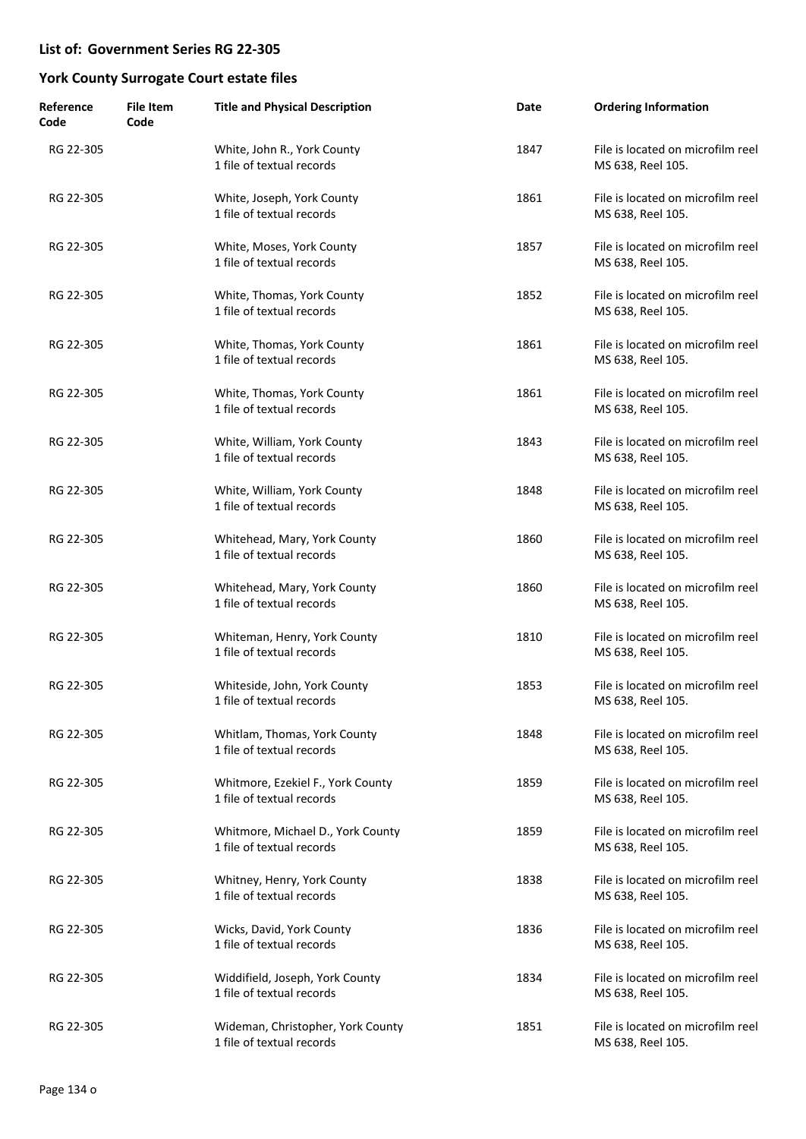| Reference<br>Code | <b>File Item</b><br>Code | <b>Title and Physical Description</b>                          | Date | <b>Ordering Information</b>                            |
|-------------------|--------------------------|----------------------------------------------------------------|------|--------------------------------------------------------|
| RG 22-305         |                          | White, John R., York County<br>1 file of textual records       | 1847 | File is located on microfilm reel<br>MS 638, Reel 105. |
| RG 22-305         |                          | White, Joseph, York County<br>1 file of textual records        | 1861 | File is located on microfilm reel<br>MS 638, Reel 105. |
| RG 22-305         |                          | White, Moses, York County<br>1 file of textual records         | 1857 | File is located on microfilm reel<br>MS 638, Reel 105. |
| RG 22-305         |                          | White, Thomas, York County<br>1 file of textual records        | 1852 | File is located on microfilm reel<br>MS 638, Reel 105. |
| RG 22-305         |                          | White, Thomas, York County<br>1 file of textual records        | 1861 | File is located on microfilm reel<br>MS 638, Reel 105. |
| RG 22-305         |                          | White, Thomas, York County<br>1 file of textual records        | 1861 | File is located on microfilm reel<br>MS 638, Reel 105. |
| RG 22-305         |                          | White, William, York County<br>1 file of textual records       | 1843 | File is located on microfilm reel<br>MS 638, Reel 105. |
| RG 22-305         |                          | White, William, York County<br>1 file of textual records       | 1848 | File is located on microfilm reel<br>MS 638, Reel 105. |
| RG 22-305         |                          | Whitehead, Mary, York County<br>1 file of textual records      | 1860 | File is located on microfilm reel<br>MS 638, Reel 105. |
| RG 22-305         |                          | Whitehead, Mary, York County<br>1 file of textual records      | 1860 | File is located on microfilm reel<br>MS 638, Reel 105. |
| RG 22-305         |                          | Whiteman, Henry, York County<br>1 file of textual records      | 1810 | File is located on microfilm reel<br>MS 638, Reel 105. |
| RG 22-305         |                          | Whiteside, John, York County<br>1 file of textual records      | 1853 | File is located on microfilm reel<br>MS 638, Reel 105. |
| RG 22-305         |                          | Whitlam, Thomas, York County<br>1 file of textual records      | 1848 | File is located on microfilm reel<br>MS 638, Reel 105. |
| RG 22-305         |                          | Whitmore, Ezekiel F., York County<br>1 file of textual records | 1859 | File is located on microfilm reel<br>MS 638, Reel 105. |
| RG 22-305         |                          | Whitmore, Michael D., York County<br>1 file of textual records | 1859 | File is located on microfilm reel<br>MS 638, Reel 105. |
| RG 22-305         |                          | Whitney, Henry, York County<br>1 file of textual records       | 1838 | File is located on microfilm reel<br>MS 638, Reel 105. |
| RG 22-305         |                          | Wicks, David, York County<br>1 file of textual records         | 1836 | File is located on microfilm reel<br>MS 638, Reel 105. |
| RG 22-305         |                          | Widdifield, Joseph, York County<br>1 file of textual records   | 1834 | File is located on microfilm reel<br>MS 638, Reel 105. |
| RG 22-305         |                          | Wideman, Christopher, York County<br>1 file of textual records | 1851 | File is located on microfilm reel<br>MS 638, Reel 105. |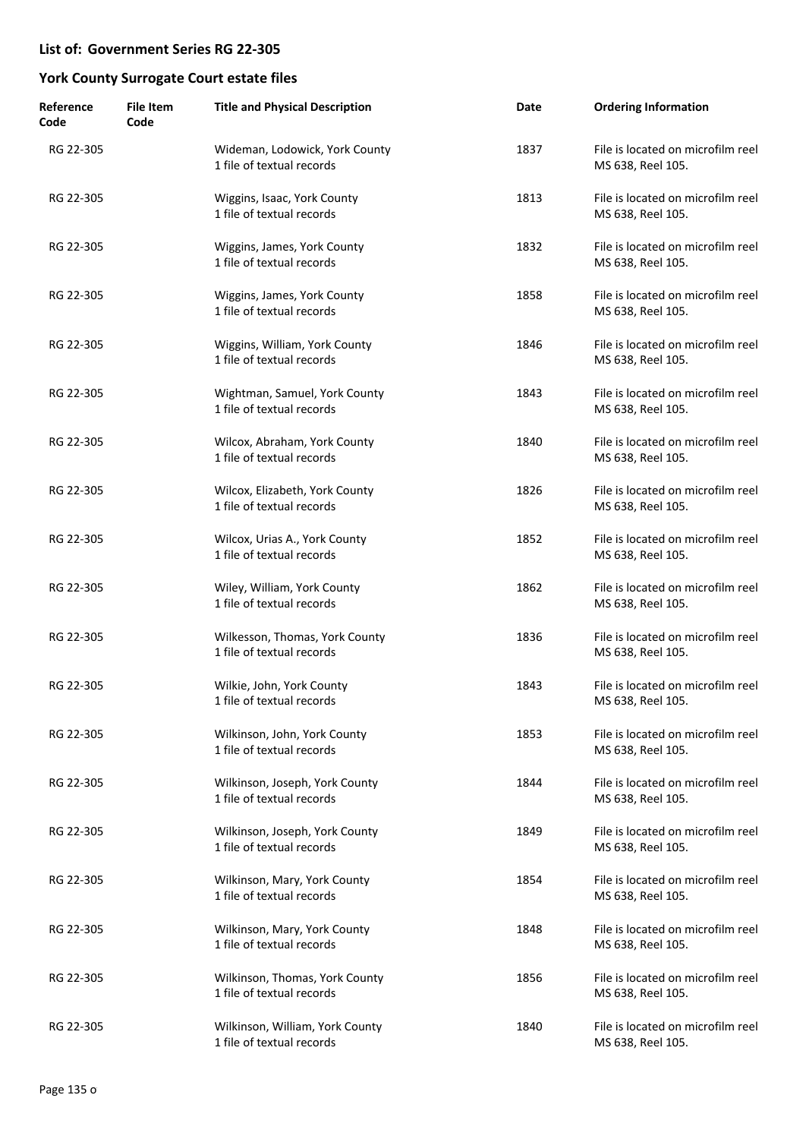| Reference<br>Code | <b>File Item</b><br>Code | <b>Title and Physical Description</b>                        | Date | <b>Ordering Information</b>                            |
|-------------------|--------------------------|--------------------------------------------------------------|------|--------------------------------------------------------|
| RG 22-305         |                          | Wideman, Lodowick, York County<br>1 file of textual records  | 1837 | File is located on microfilm reel<br>MS 638, Reel 105. |
| RG 22-305         |                          | Wiggins, Isaac, York County<br>1 file of textual records     | 1813 | File is located on microfilm reel<br>MS 638, Reel 105. |
| RG 22-305         |                          | Wiggins, James, York County<br>1 file of textual records     | 1832 | File is located on microfilm reel<br>MS 638, Reel 105. |
| RG 22-305         |                          | Wiggins, James, York County<br>1 file of textual records     | 1858 | File is located on microfilm reel<br>MS 638, Reel 105. |
| RG 22-305         |                          | Wiggins, William, York County<br>1 file of textual records   | 1846 | File is located on microfilm reel<br>MS 638, Reel 105. |
| RG 22-305         |                          | Wightman, Samuel, York County<br>1 file of textual records   | 1843 | File is located on microfilm reel<br>MS 638, Reel 105. |
| RG 22-305         |                          | Wilcox, Abraham, York County<br>1 file of textual records    | 1840 | File is located on microfilm reel<br>MS 638, Reel 105. |
| RG 22-305         |                          | Wilcox, Elizabeth, York County<br>1 file of textual records  | 1826 | File is located on microfilm reel<br>MS 638, Reel 105. |
| RG 22-305         |                          | Wilcox, Urias A., York County<br>1 file of textual records   | 1852 | File is located on microfilm reel<br>MS 638, Reel 105. |
| RG 22-305         |                          | Wiley, William, York County<br>1 file of textual records     | 1862 | File is located on microfilm reel<br>MS 638, Reel 105. |
| RG 22-305         |                          | Wilkesson, Thomas, York County<br>1 file of textual records  | 1836 | File is located on microfilm reel<br>MS 638, Reel 105. |
| RG 22-305         |                          | Wilkie, John, York County<br>1 file of textual records       | 1843 | File is located on microfilm reel<br>MS 638, Reel 105. |
| RG 22-305         |                          | Wilkinson, John, York County<br>1 file of textual records    | 1853 | File is located on microfilm reel<br>MS 638, Reel 105. |
| RG 22-305         |                          | Wilkinson, Joseph, York County<br>1 file of textual records  | 1844 | File is located on microfilm reel<br>MS 638, Reel 105. |
| RG 22-305         |                          | Wilkinson, Joseph, York County<br>1 file of textual records  | 1849 | File is located on microfilm reel<br>MS 638, Reel 105. |
| RG 22-305         |                          | Wilkinson, Mary, York County<br>1 file of textual records    | 1854 | File is located on microfilm reel<br>MS 638, Reel 105. |
| RG 22-305         |                          | Wilkinson, Mary, York County<br>1 file of textual records    | 1848 | File is located on microfilm reel<br>MS 638, Reel 105. |
| RG 22-305         |                          | Wilkinson, Thomas, York County<br>1 file of textual records  | 1856 | File is located on microfilm reel<br>MS 638, Reel 105. |
| RG 22-305         |                          | Wilkinson, William, York County<br>1 file of textual records | 1840 | File is located on microfilm reel<br>MS 638, Reel 105. |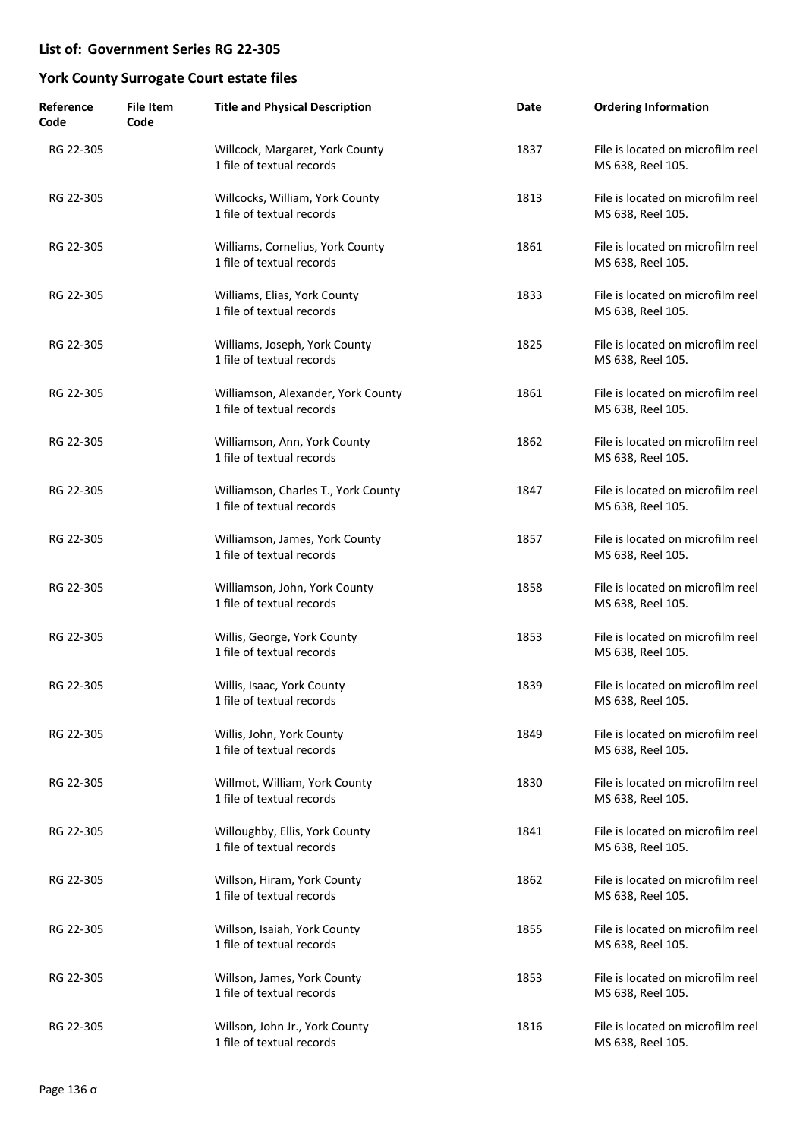| Reference<br>Code | <b>File Item</b><br>Code | <b>Title and Physical Description</b>                            | Date | <b>Ordering Information</b>                            |
|-------------------|--------------------------|------------------------------------------------------------------|------|--------------------------------------------------------|
| RG 22-305         |                          | Willcock, Margaret, York County<br>1 file of textual records     | 1837 | File is located on microfilm reel<br>MS 638, Reel 105. |
| RG 22-305         |                          | Willcocks, William, York County<br>1 file of textual records     | 1813 | File is located on microfilm reel<br>MS 638, Reel 105. |
| RG 22-305         |                          | Williams, Cornelius, York County<br>1 file of textual records    | 1861 | File is located on microfilm reel<br>MS 638, Reel 105. |
| RG 22-305         |                          | Williams, Elias, York County<br>1 file of textual records        | 1833 | File is located on microfilm reel<br>MS 638, Reel 105. |
| RG 22-305         |                          | Williams, Joseph, York County<br>1 file of textual records       | 1825 | File is located on microfilm reel<br>MS 638, Reel 105. |
| RG 22-305         |                          | Williamson, Alexander, York County<br>1 file of textual records  | 1861 | File is located on microfilm reel<br>MS 638, Reel 105. |
| RG 22-305         |                          | Williamson, Ann, York County<br>1 file of textual records        | 1862 | File is located on microfilm reel<br>MS 638, Reel 105. |
| RG 22-305         |                          | Williamson, Charles T., York County<br>1 file of textual records | 1847 | File is located on microfilm reel<br>MS 638, Reel 105. |
| RG 22-305         |                          | Williamson, James, York County<br>1 file of textual records      | 1857 | File is located on microfilm reel<br>MS 638, Reel 105. |
| RG 22-305         |                          | Williamson, John, York County<br>1 file of textual records       | 1858 | File is located on microfilm reel<br>MS 638, Reel 105. |
| RG 22-305         |                          | Willis, George, York County<br>1 file of textual records         | 1853 | File is located on microfilm reel<br>MS 638, Reel 105. |
| RG 22-305         |                          | Willis, Isaac, York County<br>1 file of textual records          | 1839 | File is located on microfilm reel<br>MS 638, Reel 105. |
| RG 22-305         |                          | Willis, John, York County<br>1 file of textual records           | 1849 | File is located on microfilm reel<br>MS 638, Reel 105. |
| RG 22-305         |                          | Willmot, William, York County<br>1 file of textual records       | 1830 | File is located on microfilm reel<br>MS 638, Reel 105. |
| RG 22-305         |                          | Willoughby, Ellis, York County<br>1 file of textual records      | 1841 | File is located on microfilm reel<br>MS 638, Reel 105. |
| RG 22-305         |                          | Willson, Hiram, York County<br>1 file of textual records         | 1862 | File is located on microfilm reel<br>MS 638, Reel 105. |
| RG 22-305         |                          | Willson, Isaiah, York County<br>1 file of textual records        | 1855 | File is located on microfilm reel<br>MS 638, Reel 105. |
| RG 22-305         |                          | Willson, James, York County<br>1 file of textual records         | 1853 | File is located on microfilm reel<br>MS 638, Reel 105. |
| RG 22-305         |                          | Willson, John Jr., York County<br>1 file of textual records      | 1816 | File is located on microfilm reel<br>MS 638, Reel 105. |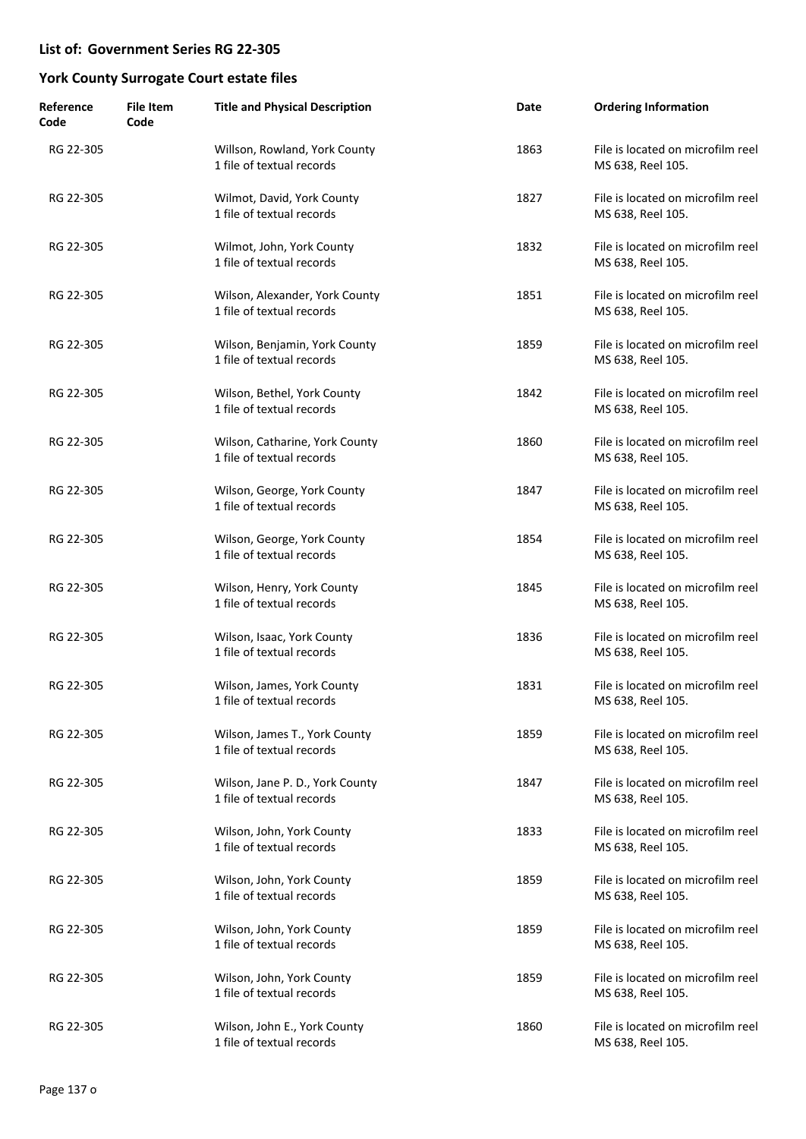| Reference<br>Code | <b>File Item</b><br>Code | <b>Title and Physical Description</b>                        | Date | <b>Ordering Information</b>                            |
|-------------------|--------------------------|--------------------------------------------------------------|------|--------------------------------------------------------|
| RG 22-305         |                          | Willson, Rowland, York County<br>1 file of textual records   | 1863 | File is located on microfilm reel<br>MS 638, Reel 105. |
| RG 22-305         |                          | Wilmot, David, York County<br>1 file of textual records      | 1827 | File is located on microfilm reel<br>MS 638, Reel 105. |
| RG 22-305         |                          | Wilmot, John, York County<br>1 file of textual records       | 1832 | File is located on microfilm reel<br>MS 638, Reel 105. |
| RG 22-305         |                          | Wilson, Alexander, York County<br>1 file of textual records  | 1851 | File is located on microfilm reel<br>MS 638, Reel 105. |
| RG 22-305         |                          | Wilson, Benjamin, York County<br>1 file of textual records   | 1859 | File is located on microfilm reel<br>MS 638, Reel 105. |
| RG 22-305         |                          | Wilson, Bethel, York County<br>1 file of textual records     | 1842 | File is located on microfilm reel<br>MS 638, Reel 105. |
| RG 22-305         |                          | Wilson, Catharine, York County<br>1 file of textual records  | 1860 | File is located on microfilm reel<br>MS 638, Reel 105. |
| RG 22-305         |                          | Wilson, George, York County<br>1 file of textual records     | 1847 | File is located on microfilm reel<br>MS 638, Reel 105. |
| RG 22-305         |                          | Wilson, George, York County<br>1 file of textual records     | 1854 | File is located on microfilm reel<br>MS 638, Reel 105. |
| RG 22-305         |                          | Wilson, Henry, York County<br>1 file of textual records      | 1845 | File is located on microfilm reel<br>MS 638, Reel 105. |
| RG 22-305         |                          | Wilson, Isaac, York County<br>1 file of textual records      | 1836 | File is located on microfilm reel<br>MS 638, Reel 105. |
| RG 22-305         |                          | Wilson, James, York County<br>1 file of textual records      | 1831 | File is located on microfilm reel<br>MS 638, Reel 105. |
| RG 22-305         |                          | Wilson, James T., York County<br>1 file of textual records   | 1859 | File is located on microfilm reel<br>MS 638, Reel 105. |
| RG 22-305         |                          | Wilson, Jane P. D., York County<br>1 file of textual records | 1847 | File is located on microfilm reel<br>MS 638, Reel 105. |
| RG 22-305         |                          | Wilson, John, York County<br>1 file of textual records       | 1833 | File is located on microfilm reel<br>MS 638, Reel 105. |
| RG 22-305         |                          | Wilson, John, York County<br>1 file of textual records       | 1859 | File is located on microfilm reel<br>MS 638, Reel 105. |
| RG 22-305         |                          | Wilson, John, York County<br>1 file of textual records       | 1859 | File is located on microfilm reel<br>MS 638, Reel 105. |
| RG 22-305         |                          | Wilson, John, York County<br>1 file of textual records       | 1859 | File is located on microfilm reel<br>MS 638, Reel 105. |
| RG 22-305         |                          | Wilson, John E., York County<br>1 file of textual records    | 1860 | File is located on microfilm reel<br>MS 638, Reel 105. |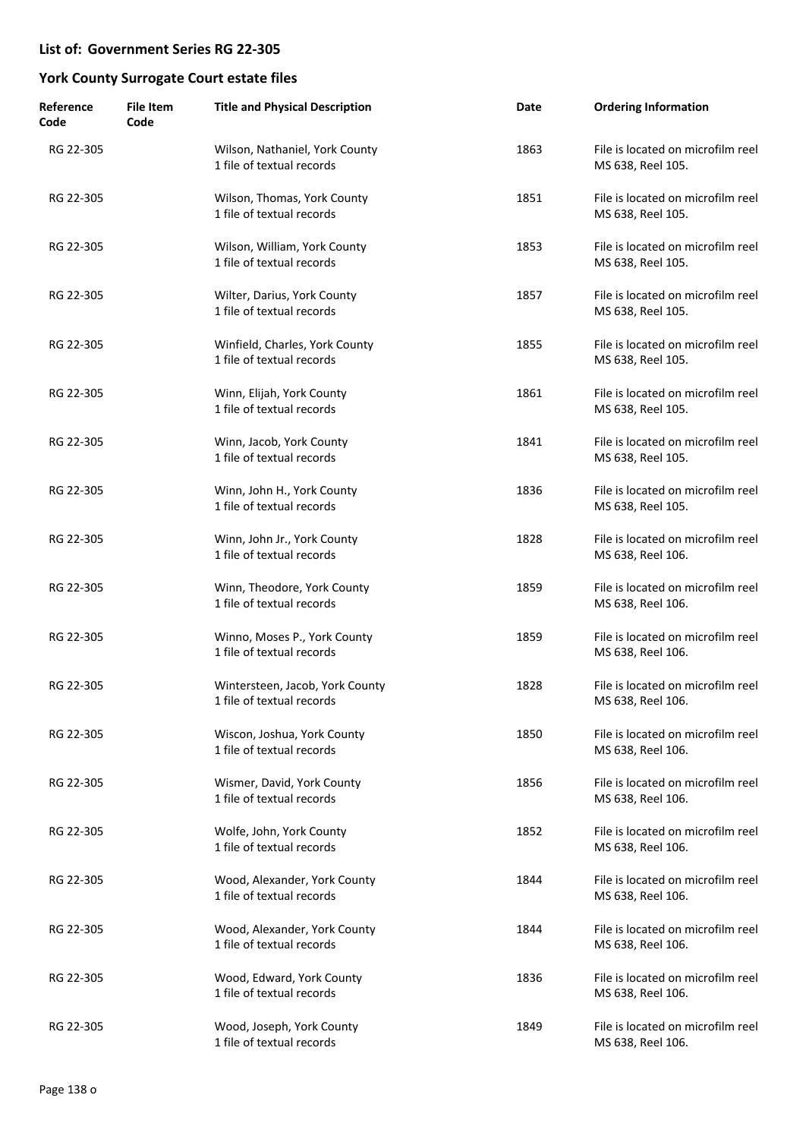| Reference<br>Code | <b>File Item</b><br>Code | <b>Title and Physical Description</b>                        | Date | <b>Ordering Information</b>                            |
|-------------------|--------------------------|--------------------------------------------------------------|------|--------------------------------------------------------|
| RG 22-305         |                          | Wilson, Nathaniel, York County<br>1 file of textual records  | 1863 | File is located on microfilm reel<br>MS 638, Reel 105. |
| RG 22-305         |                          | Wilson, Thomas, York County<br>1 file of textual records     | 1851 | File is located on microfilm reel<br>MS 638, Reel 105. |
| RG 22-305         |                          | Wilson, William, York County<br>1 file of textual records    | 1853 | File is located on microfilm reel<br>MS 638, Reel 105. |
| RG 22-305         |                          | Wilter, Darius, York County<br>1 file of textual records     | 1857 | File is located on microfilm reel<br>MS 638, Reel 105. |
| RG 22-305         |                          | Winfield, Charles, York County<br>1 file of textual records  | 1855 | File is located on microfilm reel<br>MS 638, Reel 105. |
| RG 22-305         |                          | Winn, Elijah, York County<br>1 file of textual records       | 1861 | File is located on microfilm reel<br>MS 638, Reel 105. |
| RG 22-305         |                          | Winn, Jacob, York County<br>1 file of textual records        | 1841 | File is located on microfilm reel<br>MS 638, Reel 105. |
| RG 22-305         |                          | Winn, John H., York County<br>1 file of textual records      | 1836 | File is located on microfilm reel<br>MS 638, Reel 105. |
| RG 22-305         |                          | Winn, John Jr., York County<br>1 file of textual records     | 1828 | File is located on microfilm reel<br>MS 638, Reel 106. |
| RG 22-305         |                          | Winn, Theodore, York County<br>1 file of textual records     | 1859 | File is located on microfilm reel<br>MS 638, Reel 106. |
| RG 22-305         |                          | Winno, Moses P., York County<br>1 file of textual records    | 1859 | File is located on microfilm reel<br>MS 638, Reel 106. |
| RG 22-305         |                          | Wintersteen, Jacob, York County<br>1 file of textual records | 1828 | File is located on microfilm reel<br>MS 638, Reel 106. |
| RG 22-305         |                          | Wiscon, Joshua, York County<br>1 file of textual records     | 1850 | File is located on microfilm reel<br>MS 638, Reel 106. |
| RG 22-305         |                          | Wismer, David, York County<br>1 file of textual records      | 1856 | File is located on microfilm reel<br>MS 638, Reel 106. |
| RG 22-305         |                          | Wolfe, John, York County<br>1 file of textual records        | 1852 | File is located on microfilm reel<br>MS 638, Reel 106. |
| RG 22-305         |                          | Wood, Alexander, York County<br>1 file of textual records    | 1844 | File is located on microfilm reel<br>MS 638, Reel 106. |
| RG 22-305         |                          | Wood, Alexander, York County<br>1 file of textual records    | 1844 | File is located on microfilm reel<br>MS 638, Reel 106. |
| RG 22-305         |                          | Wood, Edward, York County<br>1 file of textual records       | 1836 | File is located on microfilm reel<br>MS 638, Reel 106. |
| RG 22-305         |                          | Wood, Joseph, York County<br>1 file of textual records       | 1849 | File is located on microfilm reel<br>MS 638, Reel 106. |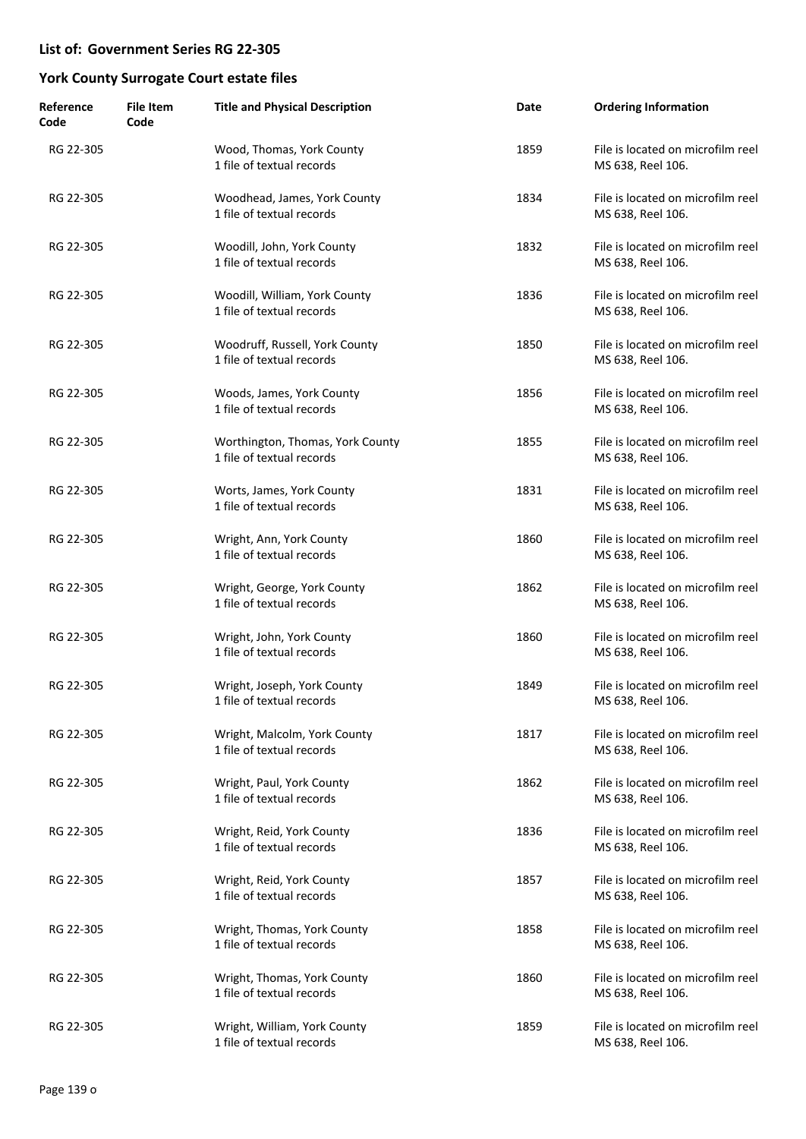| Reference<br>Code | <b>File Item</b><br>Code | <b>Title and Physical Description</b>                         | Date | <b>Ordering Information</b>                            |
|-------------------|--------------------------|---------------------------------------------------------------|------|--------------------------------------------------------|
| RG 22-305         |                          | Wood, Thomas, York County<br>1 file of textual records        | 1859 | File is located on microfilm reel<br>MS 638, Reel 106. |
| RG 22-305         |                          | Woodhead, James, York County<br>1 file of textual records     | 1834 | File is located on microfilm reel<br>MS 638, Reel 106. |
| RG 22-305         |                          | Woodill, John, York County<br>1 file of textual records       | 1832 | File is located on microfilm reel<br>MS 638, Reel 106. |
| RG 22-305         |                          | Woodill, William, York County<br>1 file of textual records    | 1836 | File is located on microfilm reel<br>MS 638, Reel 106. |
| RG 22-305         |                          | Woodruff, Russell, York County<br>1 file of textual records   | 1850 | File is located on microfilm reel<br>MS 638, Reel 106. |
| RG 22-305         |                          | Woods, James, York County<br>1 file of textual records        | 1856 | File is located on microfilm reel<br>MS 638, Reel 106. |
| RG 22-305         |                          | Worthington, Thomas, York County<br>1 file of textual records | 1855 | File is located on microfilm reel<br>MS 638, Reel 106. |
| RG 22-305         |                          | Worts, James, York County<br>1 file of textual records        | 1831 | File is located on microfilm reel<br>MS 638, Reel 106. |
| RG 22-305         |                          | Wright, Ann, York County<br>1 file of textual records         | 1860 | File is located on microfilm reel<br>MS 638, Reel 106. |
| RG 22-305         |                          | Wright, George, York County<br>1 file of textual records      | 1862 | File is located on microfilm reel<br>MS 638, Reel 106. |
| RG 22-305         |                          | Wright, John, York County<br>1 file of textual records        | 1860 | File is located on microfilm reel<br>MS 638, Reel 106. |
| RG 22-305         |                          | Wright, Joseph, York County<br>1 file of textual records      | 1849 | File is located on microfilm reel<br>MS 638, Reel 106. |
| RG 22-305         |                          | Wright, Malcolm, York County<br>1 file of textual records     | 1817 | File is located on microfilm reel<br>MS 638, Reel 106. |
| RG 22-305         |                          | Wright, Paul, York County<br>1 file of textual records        | 1862 | File is located on microfilm reel<br>MS 638, Reel 106. |
| RG 22-305         |                          | Wright, Reid, York County<br>1 file of textual records        | 1836 | File is located on microfilm reel<br>MS 638, Reel 106. |
| RG 22-305         |                          | Wright, Reid, York County<br>1 file of textual records        | 1857 | File is located on microfilm reel<br>MS 638, Reel 106. |
| RG 22-305         |                          | Wright, Thomas, York County<br>1 file of textual records      | 1858 | File is located on microfilm reel<br>MS 638, Reel 106. |
| RG 22-305         |                          | Wright, Thomas, York County<br>1 file of textual records      | 1860 | File is located on microfilm reel<br>MS 638, Reel 106. |
| RG 22-305         |                          | Wright, William, York County<br>1 file of textual records     | 1859 | File is located on microfilm reel<br>MS 638, Reel 106. |